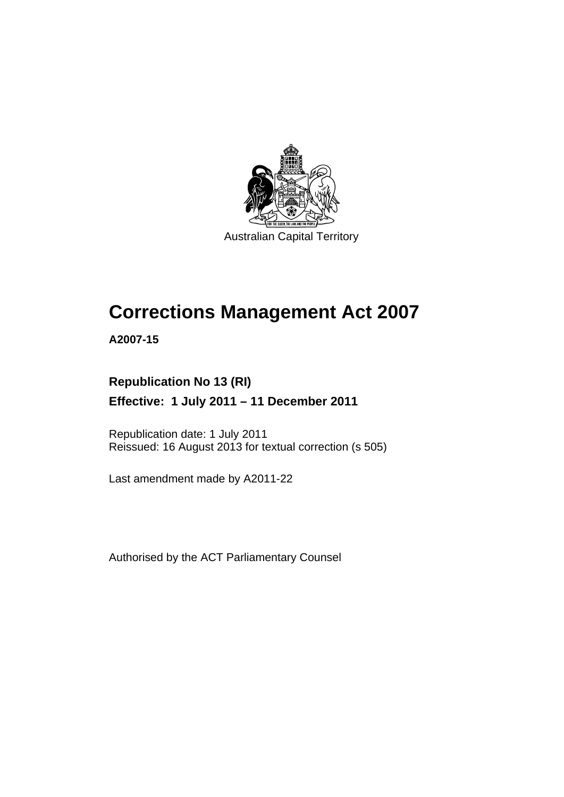

Australian Capital Territory

# **Corrections Management Act 2007**

**A2007-15** 

### **Republication No 13 (RI)**

**Effective: 1 July 2011 – 11 December 2011** 

Republication date: 1 July 2011 Reissued: 16 August 2013 for textual correction (s 505)

Last amendment made by A2011-22

Authorised by the ACT Parliamentary Counsel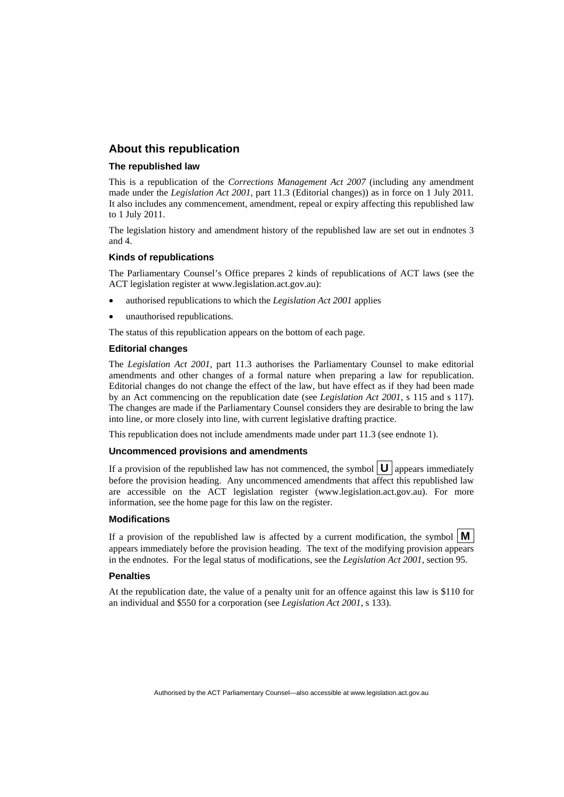### **About this republication**

#### **The republished law**

This is a republication of the *Corrections Management Act 2007* (including any amendment made under the *Legislation Act 2001*, part 11.3 (Editorial changes)) as in force on 1 July 2011*.*  It also includes any commencement, amendment, repeal or expiry affecting this republished law to 1 July 2011.

The legislation history and amendment history of the republished law are set out in endnotes 3 and 4.

#### **Kinds of republications**

The Parliamentary Counsel's Office prepares 2 kinds of republications of ACT laws (see the ACT legislation register at www.legislation.act.gov.au):

- authorised republications to which the *Legislation Act 2001* applies
- unauthorised republications.

The status of this republication appears on the bottom of each page.

#### **Editorial changes**

The *Legislation Act 2001*, part 11.3 authorises the Parliamentary Counsel to make editorial amendments and other changes of a formal nature when preparing a law for republication. Editorial changes do not change the effect of the law, but have effect as if they had been made by an Act commencing on the republication date (see *Legislation Act 2001*, s 115 and s 117). The changes are made if the Parliamentary Counsel considers they are desirable to bring the law into line, or more closely into line, with current legislative drafting practice.

This republication does not include amendments made under part 11.3 (see endnote 1).

#### **Uncommenced provisions and amendments**

If a provision of the republished law has not commenced, the symbol  $\mathbf{U}$  appears immediately before the provision heading. Any uncommenced amendments that affect this republished law are accessible on the ACT legislation register (www.legislation.act.gov.au). For more information, see the home page for this law on the register.

#### **Modifications**

If a provision of the republished law is affected by a current modification, the symbol  $\mathbf{M}$ appears immediately before the provision heading. The text of the modifying provision appears in the endnotes. For the legal status of modifications, see the *Legislation Act 2001*, section 95.

#### **Penalties**

At the republication date, the value of a penalty unit for an offence against this law is \$110 for an individual and \$550 for a corporation (see *Legislation Act 2001*, s 133).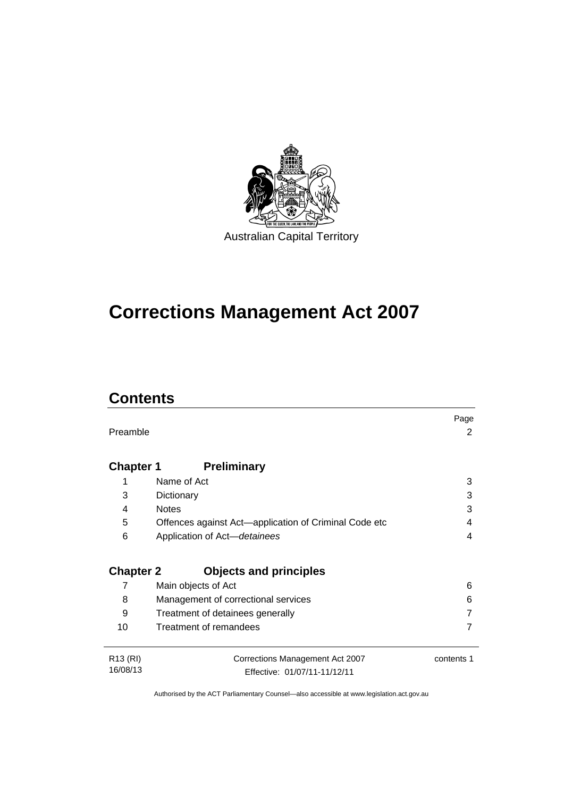

# **Corrections Management Act 2007**

## **Contents**

|                      |                                                       | Page       |
|----------------------|-------------------------------------------------------|------------|
| Preamble             |                                                       | 2          |
|                      |                                                       |            |
| <b>Chapter 1</b>     | <b>Preliminary</b>                                    |            |
| 1                    | Name of Act                                           | 3          |
| 3                    | Dictionary                                            | 3          |
| 4                    | <b>Notes</b>                                          | 3          |
| 5                    | Offences against Act—application of Criminal Code etc | 4          |
| 6                    | Application of Act-detainees                          | 4          |
|                      |                                                       |            |
| <b>Chapter 2</b>     | <b>Objects and principles</b>                         |            |
| 7                    | Main objects of Act                                   | 6          |
| 8                    | Management of correctional services                   | 6          |
| 9                    | Treatment of detainees generally                      |            |
| 10                   | Treatment of remandees                                |            |
|                      |                                                       |            |
| R <sub>13</sub> (RI) | Corrections Management Act 2007                       | contents 1 |
| 16/08/13             | Effective: 01/07/11-11/12/11                          |            |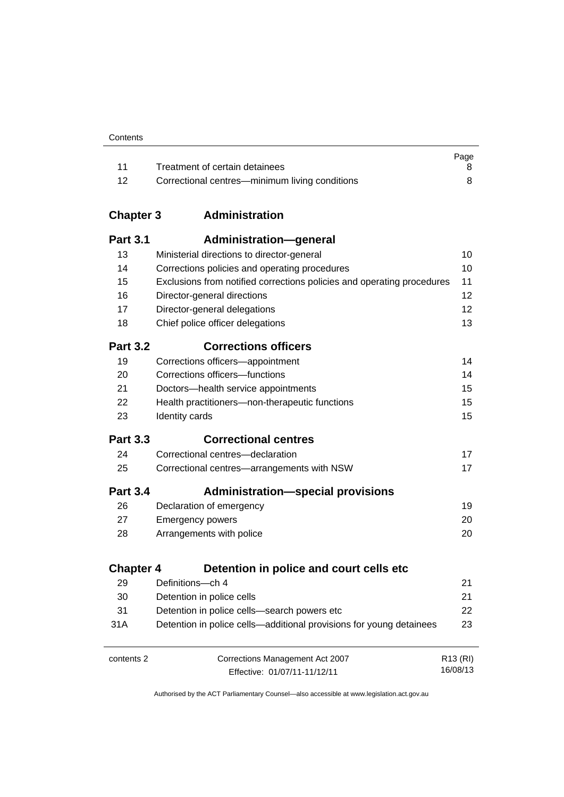| Contents |
|----------|
|----------|

|      |                                                | Page |
|------|------------------------------------------------|------|
|      | Treatment of certain detainees                 |      |
| - 12 | Correctional centres—minimum living conditions |      |

### **Chapter 3 [Administration](#page-23-0)**

| <b>Part 3.1</b>  | Administration-general                                                 |                      |
|------------------|------------------------------------------------------------------------|----------------------|
| 13               | Ministerial directions to director-general                             | 10                   |
| 14               | Corrections policies and operating procedures                          | 10                   |
| 15               | Exclusions from notified corrections policies and operating procedures | 11                   |
| 16               | Director-general directions                                            | 12                   |
| 17               | Director-general delegations                                           | 12                   |
| 18               | Chief police officer delegations                                       | 13                   |
| <b>Part 3.2</b>  | <b>Corrections officers</b>                                            |                      |
| 19               | Corrections officers-appointment                                       | 14                   |
| 20               | Corrections officers-functions                                         | 14                   |
| 21               | Doctors-health service appointments                                    | 15                   |
| 22               | Health practitioners-non-therapeutic functions                         | 15                   |
| 23               | Identity cards                                                         | 15                   |
| <b>Part 3.3</b>  | <b>Correctional centres</b>                                            |                      |
| 24               | Correctional centres-declaration                                       | 17                   |
| 25               | Correctional centres-arrangements with NSW                             | 17                   |
| <b>Part 3.4</b>  | <b>Administration-special provisions</b>                               |                      |
| 26               | Declaration of emergency                                               | 19                   |
| 27               | <b>Emergency powers</b>                                                | 20                   |
| 28               | Arrangements with police                                               | 20                   |
| <b>Chapter 4</b> | Detention in police and court cells etc                                |                      |
| 29               | Definitions-ch 4                                                       | 21                   |
| 30               | Detention in police cells                                              | 21                   |
| 31               | Detention in police cells-search powers etc                            | 22                   |
| 31A              | Detention in police cells-additional provisions for young detainees    | 23                   |
| contents 2       | Corrections Management Act 2007                                        | R <sub>13</sub> (RI) |

Effective: 01/07/11-11/12/11

16/08/13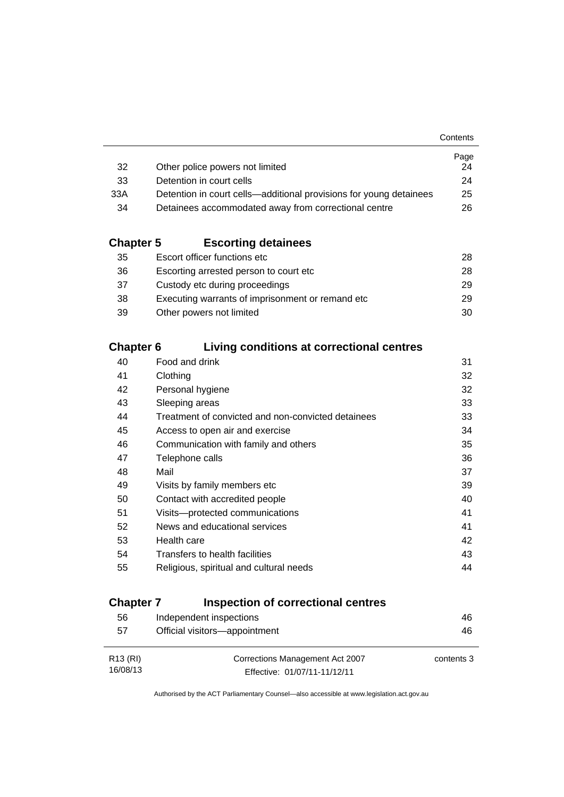|                                                                    | Page |
|--------------------------------------------------------------------|------|
| Other police powers not limited                                    | 24   |
| Detention in court cells                                           | 24   |
| Detention in court cells—additional provisions for young detainees | 25   |
| Detainees accommodated away from correctional centre               | 26.  |
|                                                                    |      |

### **Chapter 5 [Escorting detainees](#page-41-0)**

| Escort officer functions etc                      | 28. |
|---------------------------------------------------|-----|
| Escorting arrested person to court etc.           | 28. |
| Custody etc during proceedings                    | 29. |
| Executing warrants of imprisonment or remand etc. | 29  |
| Other powers not limited                          | 30  |
|                                                   |     |

### **Chapter 6 [Living conditions at correctional centres](#page-44-0)**

| 40 | Food and drink                                     | 31 |
|----|----------------------------------------------------|----|
| 41 | Clothing                                           | 32 |
| 42 | Personal hygiene                                   | 32 |
| 43 | Sleeping areas                                     | 33 |
| 44 | Treatment of convicted and non-convicted detainees | 33 |
| 45 | Access to open air and exercise                    | 34 |
| 46 | Communication with family and others               | 35 |
| 47 | Telephone calls                                    | 36 |
| 48 | Mail                                               | 37 |
| 49 | Visits by family members etc                       | 39 |
| 50 | Contact with accredited people                     | 40 |
| 51 | Visits---protected communications                  | 41 |
| 52 | News and educational services                      | 41 |
| 53 | Health care                                        | 42 |
| 54 | Transfers to health facilities                     | 43 |
| 55 | Religious, spiritual and cultural needs            | 44 |
|    |                                                    |    |

### **Chapter 7 [Inspection of correctional centres](#page-59-0)**

| 56                   | Independent inspections         | 46         |
|----------------------|---------------------------------|------------|
| 57                   | Official visitors-appointment   | 46         |
|                      |                                 |            |
| R <sub>13</sub> (RI) | Corrections Management Act 2007 | contents 3 |
| 16/08/13             | Effective: 01/07/11-11/12/11    |            |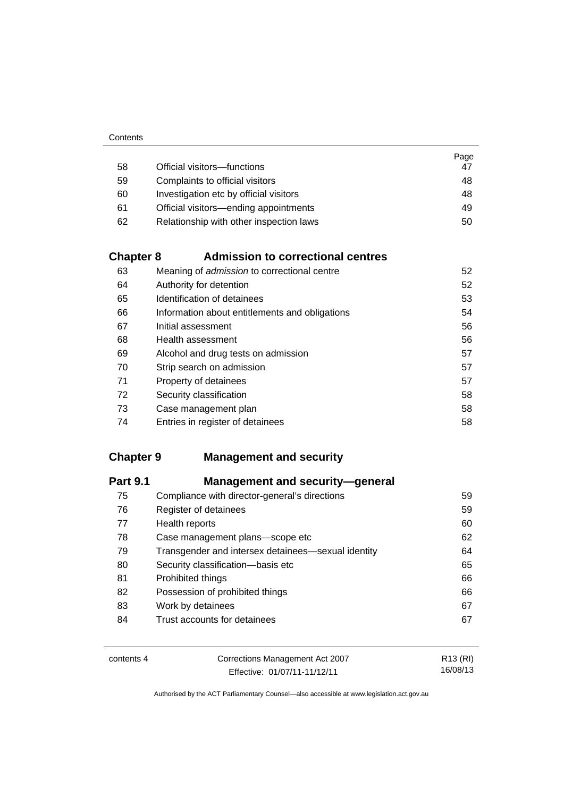|    |                                         | Page |
|----|-----------------------------------------|------|
| 58 | Official visitors-functions             | 47   |
| 59 | Complaints to official visitors         | 48   |
| 60 | Investigation etc by official visitors  | 48   |
| 61 | Official visitors—ending appointments   | 49   |
| 62 | Relationship with other inspection laws | 50   |

### **Chapter 8 [Admission to correctional centres](#page-65-0)**

| 63 | Meaning of <i>admission</i> to correctional centre | 52 |
|----|----------------------------------------------------|----|
| 64 | Authority for detention                            | 52 |
| 65 | Identification of detainees                        | 53 |
| 66 | Information about entitlements and obligations     | 54 |
| 67 | Initial assessment                                 | 56 |
| 68 | Health assessment                                  | 56 |
| 69 | Alcohol and drug tests on admission                | 57 |
| 70 | Strip search on admission                          | 57 |
| 71 | Property of detainees                              | 57 |
| 72 | Security classification                            | 58 |
| 73 | Case management plan                               | 58 |
| 74 | Entries in register of detainees                   | 58 |

### **Chapter 9 [Management and security](#page-72-0)**

| <b>Management and security-general</b>             |    |
|----------------------------------------------------|----|
| Compliance with director-general's directions      | 59 |
| Register of detainees                              | 59 |
| Health reports                                     | 60 |
| Case management plans-scope etc                    | 62 |
| Transgender and intersex detainees—sexual identity | 64 |
| Security classification-basis etc                  | 65 |
| Prohibited things                                  | 66 |
| Possession of prohibited things                    | 66 |
| Work by detainees                                  | 67 |
| Trust accounts for detainees                       | 67 |
|                                                    |    |

| contents 4 | Corrections Management Act 2007 | R13 (RI) |
|------------|---------------------------------|----------|
|            | Effective: 01/07/11-11/12/11    | 16/08/13 |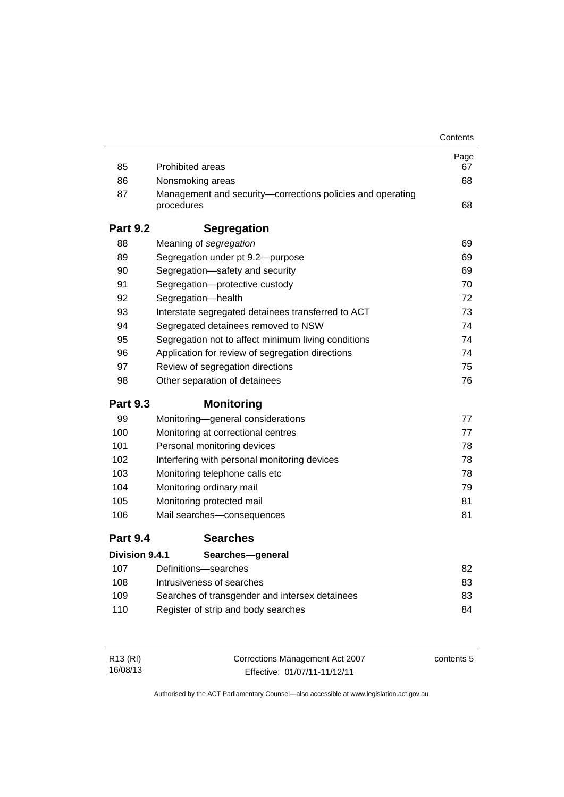|                       |                                                                          | Contents |
|-----------------------|--------------------------------------------------------------------------|----------|
|                       |                                                                          | Page     |
| 85                    | <b>Prohibited areas</b>                                                  | 67       |
| 86                    | Nonsmoking areas                                                         | 68       |
| 87                    | Management and security-corrections policies and operating<br>procedures | 68       |
| <b>Part 9.2</b>       | <b>Segregation</b>                                                       |          |
| 88                    | Meaning of segregation                                                   | 69       |
| 89                    | Segregation under pt 9.2-purpose                                         | 69       |
| 90                    | Segregation-safety and security                                          | 69       |
| 91                    | Segregation-protective custody                                           | 70       |
| 92                    | Segregation-health                                                       | 72       |
| 93                    | Interstate segregated detainees transferred to ACT                       | 73       |
| 94                    | Segregated detainees removed to NSW                                      | 74       |
| 95                    | Segregation not to affect minimum living conditions                      | 74       |
| 96                    | Application for review of segregation directions                         | 74       |
| 97                    | Review of segregation directions                                         | 75       |
| 98                    | Other separation of detainees                                            | 76       |
| <b>Part 9.3</b>       | <b>Monitoring</b>                                                        |          |
| 99                    | Monitoring-general considerations                                        | 77       |
| 100                   | Monitoring at correctional centres                                       | 77       |
| 101                   | Personal monitoring devices                                              | 78       |
| 102                   | Interfering with personal monitoring devices                             | 78       |
| 103                   | Monitoring telephone calls etc                                           | 78       |
| 104                   | Monitoring ordinary mail                                                 | 79       |
| 105                   | Monitoring protected mail                                                | 81       |
| 106                   | Mail searches-consequences                                               | 81       |
| <b>Part 9.4</b>       | <b>Searches</b>                                                          |          |
| <b>Division 9.4.1</b> | Searches-general                                                         |          |
| 107                   | Definitions-searches                                                     | 82       |
| 108                   | Intrusiveness of searches                                                | 83       |
| 109                   | Searches of transgender and intersex detainees                           | 83       |
| 110                   | Register of strip and body searches                                      | 84       |
|                       |                                                                          |          |

| R13 (RI) | Corrections Management Act 2007 | contents 5 |
|----------|---------------------------------|------------|
| 16/08/13 | Effective: 01/07/11-11/12/11    |            |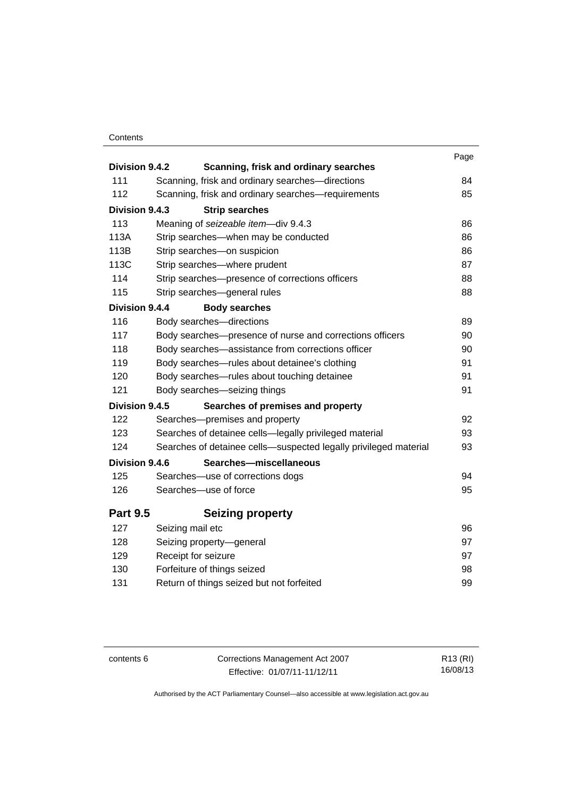### **Contents**

| Division 9.4.2  | Scanning, frisk and ordinary searches                                       | Page |
|-----------------|-----------------------------------------------------------------------------|------|
| 111             | Scanning, frisk and ordinary searches-directions                            | 84   |
| 112             | Scanning, frisk and ordinary searches-requirements                          | 85   |
| Division 9.4.3  | <b>Strip searches</b>                                                       |      |
| 113             |                                                                             | 86   |
| 113A            | Meaning of seizeable item-div 9.4.3<br>Strip searches—when may be conducted | 86   |
| 113B            | Strip searches-on suspicion                                                 | 86   |
| 113C            | Strip searches-where prudent                                                | 87   |
| 114             | Strip searches-presence of corrections officers                             | 88   |
| 115             | Strip searches-general rules                                                | 88   |
| Division 9.4.4  | <b>Body searches</b>                                                        |      |
| 116             | Body searches-directions                                                    | 89   |
| 117             | Body searches-presence of nurse and corrections officers                    | 90   |
| 118             | Body searches-assistance from corrections officer                           | 90   |
| 119             | Body searches-rules about detainee's clothing                               | 91   |
| 120             | Body searches—rules about touching detainee                                 | 91   |
| 121             | Body searches-seizing things                                                | 91   |
| Division 9.4.5  | Searches of premises and property                                           |      |
| 122             | Searches-premises and property                                              | 92   |
| 123             | Searches of detainee cells—legally privileged material                      | 93   |
| 124             | Searches of detainee cells-suspected legally privileged material            | 93   |
| Division 9.4.6  | Searches-miscellaneous                                                      |      |
| 125             | Searches-use of corrections dogs                                            | 94   |
| 126             | Searches-use of force                                                       | 95   |
|                 |                                                                             |      |
| <b>Part 9.5</b> | <b>Seizing property</b>                                                     |      |
| 127             | Seizing mail etc                                                            | 96   |
| 128             | Seizing property-general                                                    | 97   |
| 129             | Receipt for seizure                                                         | 97   |
| 130             | Forfeiture of things seized                                                 | 98   |
| 131             | Return of things seized but not forfeited                                   | 99   |
|                 |                                                                             |      |

contents 6 Corrections Management Act 2007 Effective: 01/07/11-11/12/11

R13 (RI) 16/08/13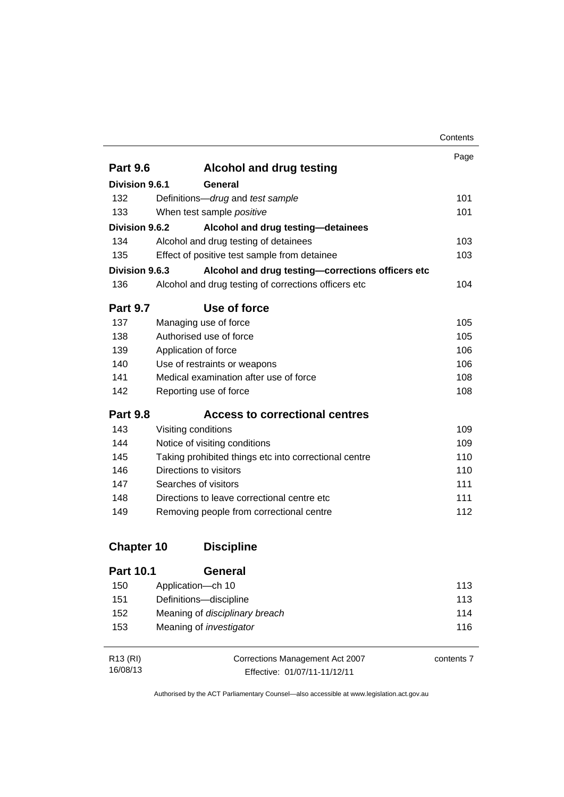|                   |                                                       | Contents |
|-------------------|-------------------------------------------------------|----------|
|                   |                                                       | Page     |
| <b>Part 9.6</b>   | <b>Alcohol and drug testing</b>                       |          |
| Division 9.6.1    | General                                               |          |
| 132               | Definitions-drug and test sample                      | 101      |
| 133               | When test sample positive                             | 101      |
| Division 9.6.2    | Alcohol and drug testing-detainees                    |          |
| 134               | Alcohol and drug testing of detainees                 | 103      |
| 135               | Effect of positive test sample from detainee          | 103      |
| Division 9.6.3    | Alcohol and drug testing-corrections officers etc     |          |
| 136               | Alcohol and drug testing of corrections officers etc  | 104      |
| <b>Part 9.7</b>   | Use of force                                          |          |
| 137               | Managing use of force                                 | 105      |
| 138               | Authorised use of force                               | 105      |
| 139               | Application of force                                  | 106      |
| 140               | Use of restraints or weapons                          | 106      |
| 141               | Medical examination after use of force                | 108      |
| 142               | Reporting use of force                                | 108      |
| <b>Part 9.8</b>   | <b>Access to correctional centres</b>                 |          |
| 143               | Visiting conditions                                   | 109      |
| 144               | Notice of visiting conditions                         | 109      |
| 145               | Taking prohibited things etc into correctional centre | 110      |
| 146               | Directions to visitors                                | 110      |
| 147               | Searches of visitors                                  | 111      |
| 148               | Directions to leave correctional centre etc           | 111      |
| 149               | Removing people from correctional centre              | 112      |
| <b>Chapter 10</b> | <b>Discipline</b>                                     |          |
| <b>Part 10.1</b>  | General                                               |          |
| 150               | Application-ch 10                                     | 113      |
| 151               | Definitions-discipline                                | 113      |

| R13 (RI) | Corrections Management Act 2007 | contents 7 |
|----------|---------------------------------|------------|
| 16/08/13 | Effective: 01/07/11-11/12/11    |            |

152 Meaning of *disciplinary breach* [114](#page-127-0) 153 Meaning of *investigator* [116](#page-129-0)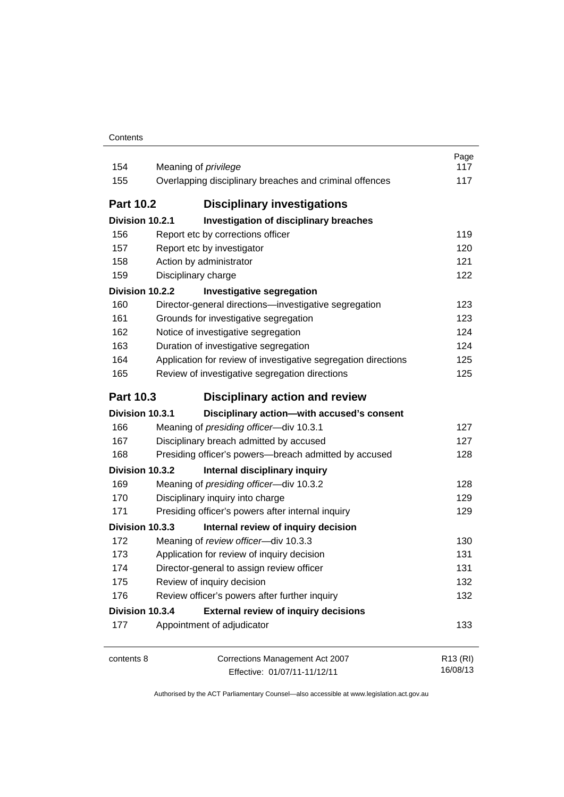| Contents |
|----------|
|----------|

| 154<br>155       | Meaning of <i>privilege</i><br>Overlapping disciplinary breaches and criminal offences | Page<br>117<br>117               |
|------------------|----------------------------------------------------------------------------------------|----------------------------------|
| <b>Part 10.2</b> | <b>Disciplinary investigations</b>                                                     |                                  |
| Division 10.2.1  | Investigation of disciplinary breaches                                                 |                                  |
| 156              | Report etc by corrections officer                                                      | 119                              |
| 157              | Report etc by investigator                                                             | 120                              |
| 158              | Action by administrator                                                                | 121                              |
| 159              | Disciplinary charge                                                                    | 122                              |
| Division 10.2.2  | <b>Investigative segregation</b>                                                       |                                  |
| 160              | Director-general directions-investigative segregation                                  | 123                              |
| 161              | Grounds for investigative segregation                                                  | 123                              |
| 162              | Notice of investigative segregation                                                    | 124                              |
| 163              | Duration of investigative segregation                                                  | 124                              |
| 164              | Application for review of investigative segregation directions                         | 125                              |
| 165              | Review of investigative segregation directions                                         | 125                              |
| <b>Part 10.3</b> | Disciplinary action and review                                                         |                                  |
| Division 10.3.1  | Disciplinary action-with accused's consent                                             |                                  |
| 166              | Meaning of presiding officer-div 10.3.1                                                | 127                              |
| 167              | Disciplinary breach admitted by accused                                                | 127                              |
| 168              | Presiding officer's powers-breach admitted by accused                                  | 128                              |
| Division 10.3.2  | Internal disciplinary inquiry                                                          |                                  |
| 169              | Meaning of presiding officer-div 10.3.2                                                | 128                              |
| 170              | Disciplinary inquiry into charge                                                       | 129                              |
| 171              | Presiding officer's powers after internal inquiry                                      | 129                              |
| Division 10.3.3  | Internal review of inquiry decision                                                    |                                  |
| 172              | Meaning of review officer-div 10.3.3                                                   | 130                              |
| 173              | Application for review of inquiry decision                                             | 131                              |
| 174              | Director-general to assign review officer                                              | 131                              |
| 175              | Review of inquiry decision                                                             | 132                              |
| 176              | Review officer's powers after further inquiry                                          | 132                              |
| Division 10.3.4  | <b>External review of inquiry decisions</b>                                            |                                  |
| 177              | Appointment of adjudicator                                                             | 133                              |
| contents 8       | Corrections Management Act 2007<br>Effective: 01/07/11-11/12/11                        | R <sub>13</sub> (RI)<br>16/08/13 |

Effective: 01/07/11-11/12/11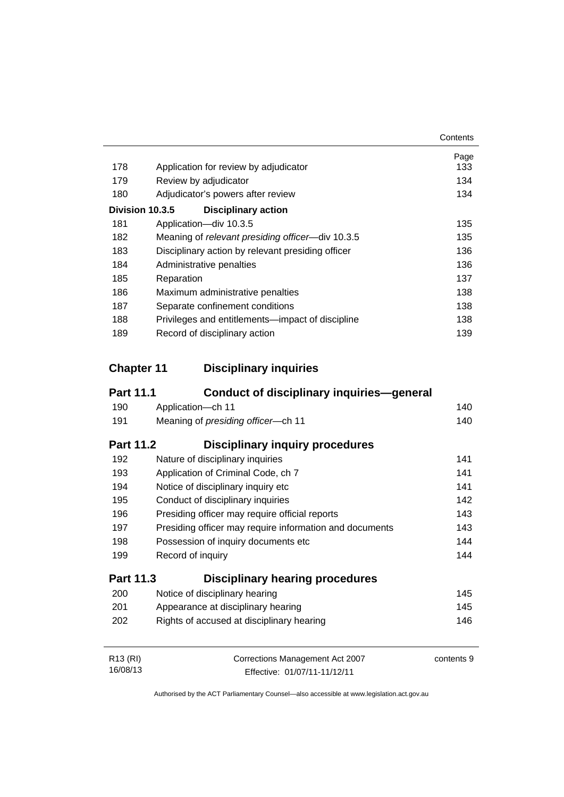|     |                                                   | Contents |
|-----|---------------------------------------------------|----------|
|     |                                                   | Page     |
| 178 | Application for review by adjudicator             | 133      |
| 179 | Review by adjudicator                             | 134      |
| 180 | Adjudicator's powers after review                 | 134      |
|     | Division 10.3.5<br><b>Disciplinary action</b>     |          |
| 181 | Application-div 10.3.5                            | 135      |
| 182 | Meaning of relevant presiding officer-div 10.3.5  | 135      |
| 183 | Disciplinary action by relevant presiding officer | 136      |
| 184 | Administrative penalties                          | 136      |
| 185 | Reparation                                        | 137      |
| 186 | Maximum administrative penalties                  | 138      |
| 187 | Separate confinement conditions                   | 138      |
| 188 | Privileges and entitlements—impact of discipline  | 138      |
| 189 | Record of disciplinary action                     | 139      |

### **Chapter 11 [Disciplinary inquiries](#page-153-0)**

| <b>Part 11.1</b>     | <b>Conduct of disciplinary inquiries-general</b>        |            |
|----------------------|---------------------------------------------------------|------------|
| 190                  | Application-ch 11                                       | 140        |
| 191                  | Meaning of presiding officer-ch 11                      | 140        |
| <b>Part 11.2</b>     | <b>Disciplinary inquiry procedures</b>                  |            |
| 192                  | Nature of disciplinary inquiries                        | 141        |
| 193                  | Application of Criminal Code, ch 7                      | 141        |
| 194                  | Notice of disciplinary inquiry etc                      | 141        |
| 195                  | Conduct of disciplinary inquiries                       | 142        |
| 196                  | Presiding officer may require official reports          | 143        |
| 197                  | Presiding officer may require information and documents | 143        |
| 198                  | Possession of inquiry documents etc                     | 144        |
| 199                  | Record of inquiry                                       | 144        |
| <b>Part 11.3</b>     | <b>Disciplinary hearing procedures</b>                  |            |
| 200                  | Notice of disciplinary hearing                          | 145        |
| 201                  | Appearance at disciplinary hearing                      | 145        |
| 202                  | Rights of accused at disciplinary hearing               | 146        |
| R <sub>13</sub> (RI) | Corrections Management Act 2007                         | contents 9 |
| 16/08/13             | Effective: 01/07/11-11/12/11                            |            |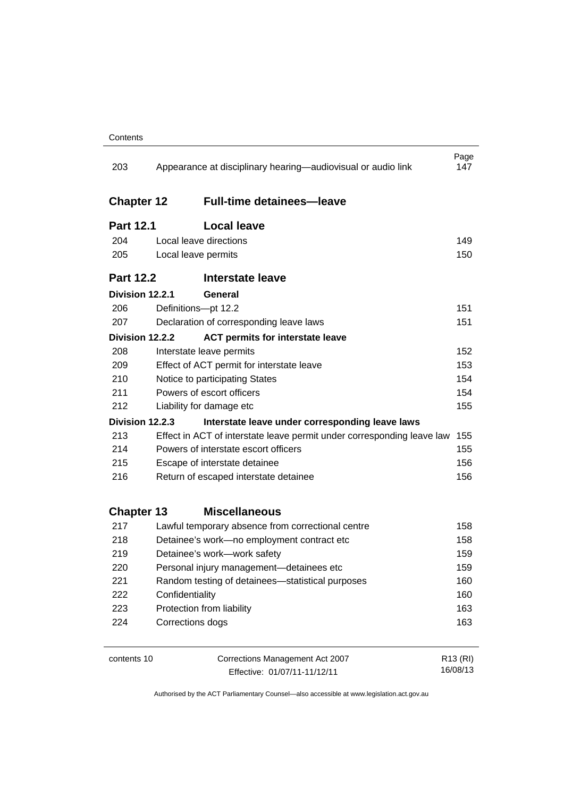| 203               | Appearance at disciplinary hearing—audiovisual or audio link           | Page<br>147          |  |
|-------------------|------------------------------------------------------------------------|----------------------|--|
| <b>Chapter 12</b> | <b>Full-time detainees-leave</b>                                       |                      |  |
| <b>Part 12.1</b>  | <b>Local leave</b>                                                     |                      |  |
| 204               | Local leave directions                                                 | 149                  |  |
| 205               | Local leave permits                                                    | 150                  |  |
| <b>Part 12.2</b>  | <b>Interstate leave</b>                                                |                      |  |
| Division 12.2.1   | General                                                                |                      |  |
| 206               | Definitions-pt 12.2                                                    | 151                  |  |
| 207               | Declaration of corresponding leave laws                                | 151                  |  |
| Division 12.2.2   | <b>ACT permits for interstate leave</b>                                |                      |  |
| 208               | Interstate leave permits                                               | 152                  |  |
| 209               | Effect of ACT permit for interstate leave                              | 153                  |  |
| 210               | Notice to participating States                                         | 154                  |  |
| 211               | Powers of escort officers<br>154                                       |                      |  |
| 212               | Liability for damage etc                                               | 155                  |  |
| Division 12.2.3   | Interstate leave under corresponding leave laws                        |                      |  |
| 213               | Effect in ACT of interstate leave permit under corresponding leave law | 155                  |  |
| 214               | Powers of interstate escort officers                                   | 155                  |  |
| 215               | Escape of interstate detainee                                          | 156                  |  |
| 216               | Return of escaped interstate detainee                                  | 156                  |  |
| <b>Chapter 13</b> | <b>Miscellaneous</b>                                                   |                      |  |
| 217               | Lawful temporary absence from correctional centre                      | 158                  |  |
| 218               | Detainee's work-no employment contract etc                             | 158                  |  |
| 219               | Detainee's work-work safety                                            | 159                  |  |
| 220               | Personal injury management-detainees etc                               | 159                  |  |
| 221               | Random testing of detainees-statistical purposes                       | 160                  |  |
| 222               | Confidentiality                                                        | 160                  |  |
| 223               | Protection from liability                                              | 163                  |  |
| 224               | Corrections dogs                                                       | 163                  |  |
| contents 10       | Corrections Management Act 2007                                        | R <sub>13</sub> (RI) |  |

Effective: 01/07/11-11/12/11

16/08/13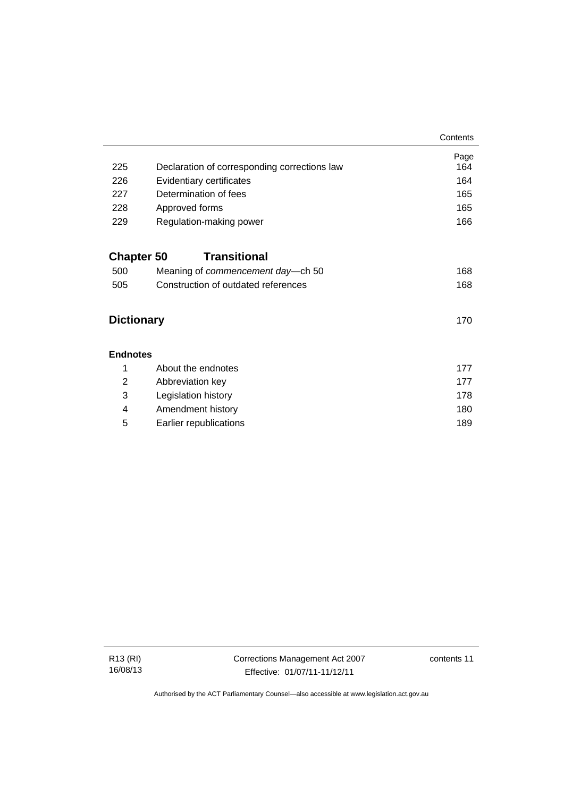|                   |                                              | Contents    |
|-------------------|----------------------------------------------|-------------|
| 225               | Declaration of corresponding corrections law | Page<br>164 |
| 226               | Evidentiary certificates                     | 164         |
| 227               | Determination of fees                        | 165         |
| 228               | Approved forms                               | 165         |
| 229               | Regulation-making power                      | 166         |
|                   |                                              |             |
| <b>Chapter 50</b> | <b>Transitional</b>                          |             |
| 500               | Meaning of commencement day-ch 50            | 168         |
| 505               | Construction of outdated references          | 168         |
| <b>Dictionary</b> |                                              | 170         |
| <b>Endnotes</b>   |                                              |             |
| 1                 | About the endnotes                           | 177         |
| 2                 | Abbreviation key                             | 177         |
| 3                 | Legislation history                          | 178         |
| 4                 | Amendment history                            | 180         |
| 5                 | Earlier republications                       | 189         |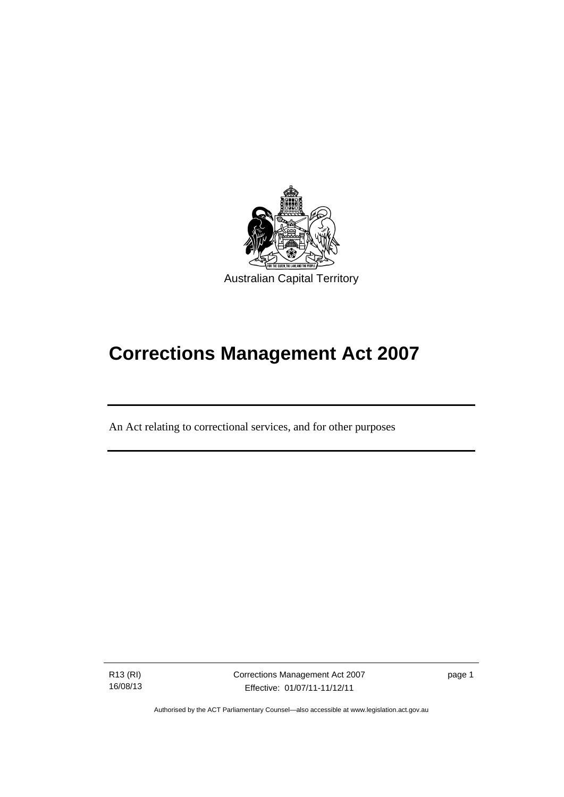

# **Corrections Management Act 2007**

An Act relating to correctional services, and for other purposes

R13 (RI) 16/08/13

l

Corrections Management Act 2007 Effective: 01/07/11-11/12/11

page 1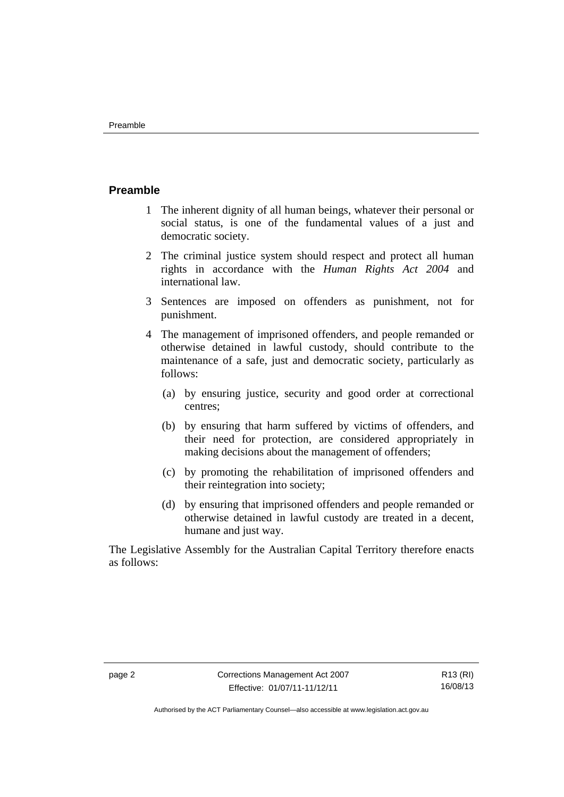### <span id="page-15-0"></span>**Preamble**

- 1 The inherent dignity of all human beings, whatever their personal or social status, is one of the fundamental values of a just and democratic society.
- 2 The criminal justice system should respect and protect all human rights in accordance with the *Human Rights Act 2004* and international law.
- 3 Sentences are imposed on offenders as punishment, not for punishment.
- 4 The management of imprisoned offenders, and people remanded or otherwise detained in lawful custody, should contribute to the maintenance of a safe, just and democratic society, particularly as follows:
	- (a) by ensuring justice, security and good order at correctional centres;
	- (b) by ensuring that harm suffered by victims of offenders, and their need for protection, are considered appropriately in making decisions about the management of offenders;
	- (c) by promoting the rehabilitation of imprisoned offenders and their reintegration into society;
	- (d) by ensuring that imprisoned offenders and people remanded or otherwise detained in lawful custody are treated in a decent, humane and just way.

The Legislative Assembly for the Australian Capital Territory therefore enacts as follows: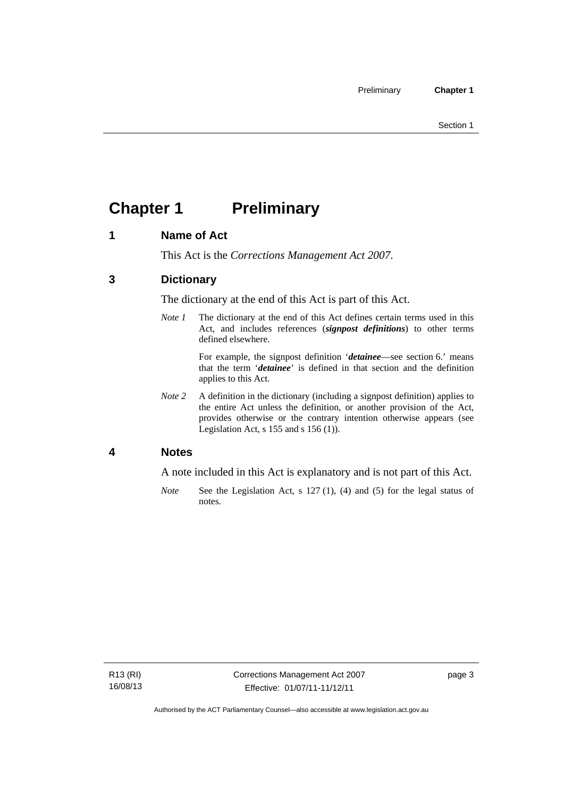## <span id="page-16-0"></span>**Chapter 1** Preliminary

### <span id="page-16-1"></span>**1 Name of Act**

This Act is the *Corrections Management Act 2007*.

### <span id="page-16-2"></span>**3 Dictionary**

The dictionary at the end of this Act is part of this Act.

*Note 1* The dictionary at the end of this Act defines certain terms used in this Act, and includes references (*signpost definitions*) to other terms defined elsewhere.

> For example, the signpost definition '*detainee*—see section 6.' means that the term '*detainee*' is defined in that section and the definition applies to this Act.

*Note 2* A definition in the dictionary (including a signpost definition) applies to the entire Act unless the definition, or another provision of the Act, provides otherwise or the contrary intention otherwise appears (see Legislation Act, s 155 and s 156 (1)).

### <span id="page-16-3"></span>**4 Notes**

A note included in this Act is explanatory and is not part of this Act.

*Note* See the Legislation Act, s 127 (1), (4) and (5) for the legal status of notes.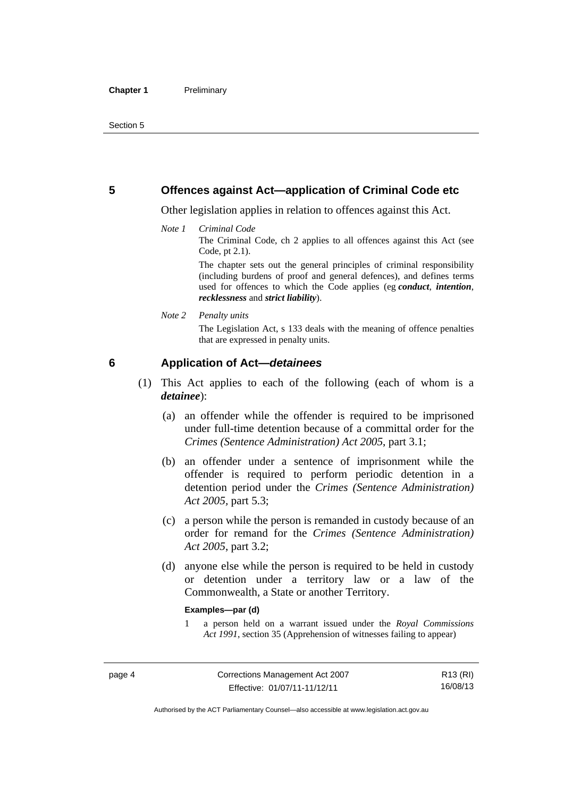### <span id="page-17-0"></span>**5 Offences against Act—application of Criminal Code etc**

Other legislation applies in relation to offences against this Act.

#### *Note 1 Criminal Code*

The Criminal Code, ch 2 applies to all offences against this Act (see Code, pt 2.1).

The chapter sets out the general principles of criminal responsibility (including burdens of proof and general defences), and defines terms used for offences to which the Code applies (eg *conduct*, *intention*, *recklessness* and *strict liability*).

#### *Note 2 Penalty units*

The Legislation Act, s 133 deals with the meaning of offence penalties that are expressed in penalty units.

### <span id="page-17-1"></span>**6 Application of Act—***detainees*

- (1) This Act applies to each of the following (each of whom is a *detainee*):
	- (a) an offender while the offender is required to be imprisoned under full-time detention because of a committal order for the *Crimes (Sentence Administration) Act 2005*, part 3.1;
	- (b) an offender under a sentence of imprisonment while the offender is required to perform periodic detention in a detention period under the *Crimes (Sentence Administration) Act 2005,* part 5.3;
	- (c) a person while the person is remanded in custody because of an order for remand for the *Crimes (Sentence Administration) Act 2005*, part 3.2;
	- (d) anyone else while the person is required to be held in custody or detention under a territory law or a law of the Commonwealth, a State or another Territory.

#### **Examples—par (d)**

1 a person held on a warrant issued under the *Royal Commissions Act 1991*, section 35 (Apprehension of witnesses failing to appear)

R13 (RI) 16/08/13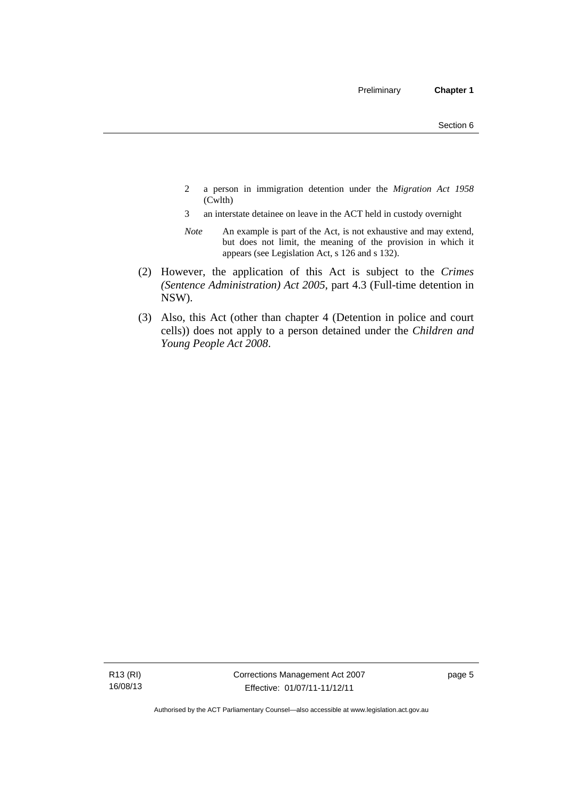- 2 a person in immigration detention under the *Migration Act 1958*  (Cwlth)
- 3 an interstate detainee on leave in the ACT held in custody overnight
- *Note* An example is part of the Act, is not exhaustive and may extend, but does not limit, the meaning of the provision in which it appears (see Legislation Act, s 126 and s 132).
- (2) However, the application of this Act is subject to the *Crimes (Sentence Administration) Act 2005*, part 4.3 (Full-time detention in NSW).
- (3) Also, this Act (other than chapter 4 (Detention in police and court cells)) does not apply to a person detained under the *Children and Young People Act 2008*.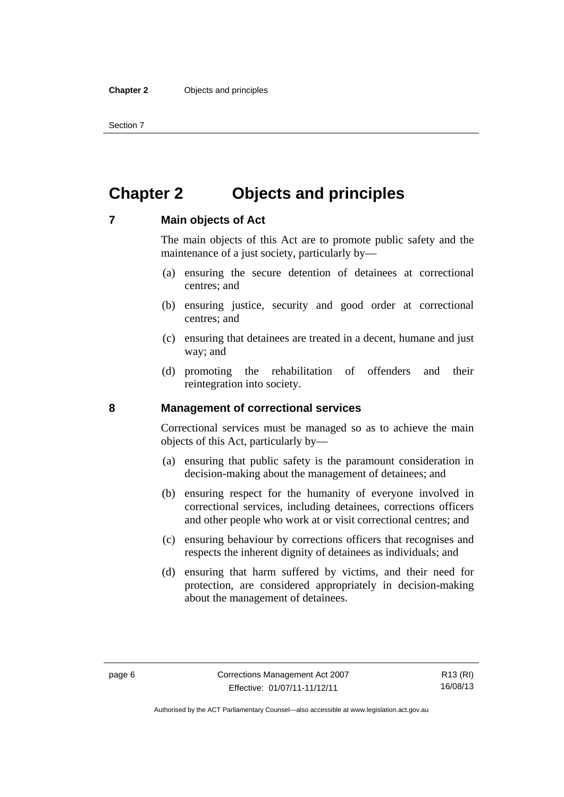Section 7

### <span id="page-19-0"></span>**Chapter 2 Objects and principles**

### <span id="page-19-1"></span>**7 Main objects of Act**

The main objects of this Act are to promote public safety and the maintenance of a just society, particularly by—

- (a) ensuring the secure detention of detainees at correctional centres; and
- (b) ensuring justice, security and good order at correctional centres; and
- (c) ensuring that detainees are treated in a decent, humane and just way; and
- (d) promoting the rehabilitation of offenders and their reintegration into society.

### <span id="page-19-2"></span>**8 Management of correctional services**

Correctional services must be managed so as to achieve the main objects of this Act, particularly by—

- (a) ensuring that public safety is the paramount consideration in decision-making about the management of detainees; and
- (b) ensuring respect for the humanity of everyone involved in correctional services, including detainees, corrections officers and other people who work at or visit correctional centres; and
- (c) ensuring behaviour by corrections officers that recognises and respects the inherent dignity of detainees as individuals; and
- (d) ensuring that harm suffered by victims, and their need for protection, are considered appropriately in decision-making about the management of detainees.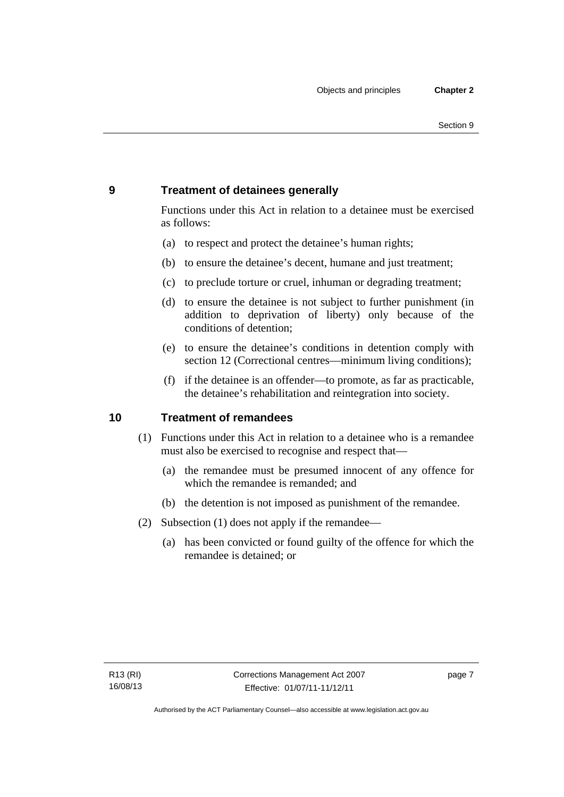### <span id="page-20-0"></span>**9 Treatment of detainees generally**

Functions under this Act in relation to a detainee must be exercised as follows:

- (a) to respect and protect the detainee's human rights;
- (b) to ensure the detainee's decent, humane and just treatment;
- (c) to preclude torture or cruel, inhuman or degrading treatment;
- (d) to ensure the detainee is not subject to further punishment (in addition to deprivation of liberty) only because of the conditions of detention;
- (e) to ensure the detainee's conditions in detention comply with section 12 (Correctional centres—minimum living conditions);
- (f) if the detainee is an offender—to promote, as far as practicable, the detainee's rehabilitation and reintegration into society.

### <span id="page-20-1"></span>**10 Treatment of remandees**

- (1) Functions under this Act in relation to a detainee who is a remandee must also be exercised to recognise and respect that—
	- (a) the remandee must be presumed innocent of any offence for which the remandee is remanded; and
	- (b) the detention is not imposed as punishment of the remandee.
- (2) Subsection (1) does not apply if the remandee—
	- (a) has been convicted or found guilty of the offence for which the remandee is detained; or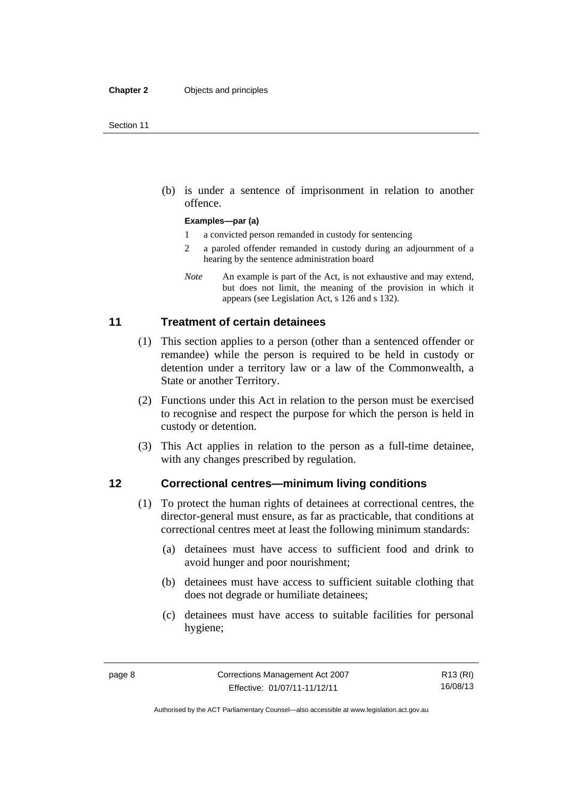(b) is under a sentence of imprisonment in relation to another offence.

#### **Examples—par (a)**

- 1 a convicted person remanded in custody for sentencing
- 2 a paroled offender remanded in custody during an adjournment of a hearing by the sentence administration board
- *Note* An example is part of the Act, is not exhaustive and may extend, but does not limit, the meaning of the provision in which it appears (see Legislation Act, s 126 and s 132).

### <span id="page-21-0"></span>**11 Treatment of certain detainees**

- (1) This section applies to a person (other than a sentenced offender or remandee) while the person is required to be held in custody or detention under a territory law or a law of the Commonwealth, a State or another Territory.
- (2) Functions under this Act in relation to the person must be exercised to recognise and respect the purpose for which the person is held in custody or detention.
- (3) This Act applies in relation to the person as a full-time detainee, with any changes prescribed by regulation.

### <span id="page-21-1"></span>**12 Correctional centres—minimum living conditions**

- (1) To protect the human rights of detainees at correctional centres, the director-general must ensure, as far as practicable, that conditions at correctional centres meet at least the following minimum standards:
	- (a) detainees must have access to sufficient food and drink to avoid hunger and poor nourishment;
	- (b) detainees must have access to sufficient suitable clothing that does not degrade or humiliate detainees;
	- (c) detainees must have access to suitable facilities for personal hygiene;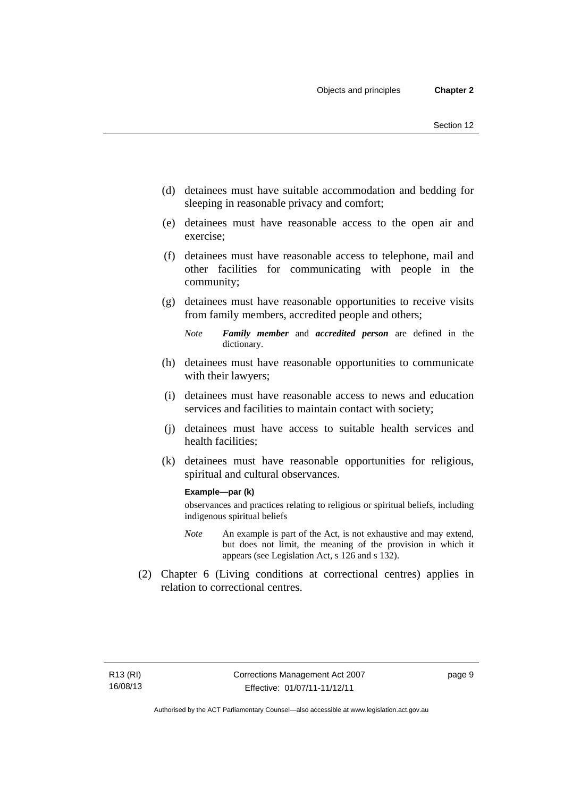- (d) detainees must have suitable accommodation and bedding for sleeping in reasonable privacy and comfort;
- (e) detainees must have reasonable access to the open air and exercise;
- (f) detainees must have reasonable access to telephone, mail and other facilities for communicating with people in the community;
- (g) detainees must have reasonable opportunities to receive visits from family members, accredited people and others;
	- *Note Family member* and *accredited person* are defined in the dictionary.
- (h) detainees must have reasonable opportunities to communicate with their lawyers;
- (i) detainees must have reasonable access to news and education services and facilities to maintain contact with society;
- (j) detainees must have access to suitable health services and health facilities;
- (k) detainees must have reasonable opportunities for religious, spiritual and cultural observances.

#### **Example—par (k)**

observances and practices relating to religious or spiritual beliefs, including indigenous spiritual beliefs

- *Note* An example is part of the Act, is not exhaustive and may extend, but does not limit, the meaning of the provision in which it appears (see Legislation Act, s 126 and s 132).
- (2) Chapter 6 (Living conditions at correctional centres) applies in relation to correctional centres.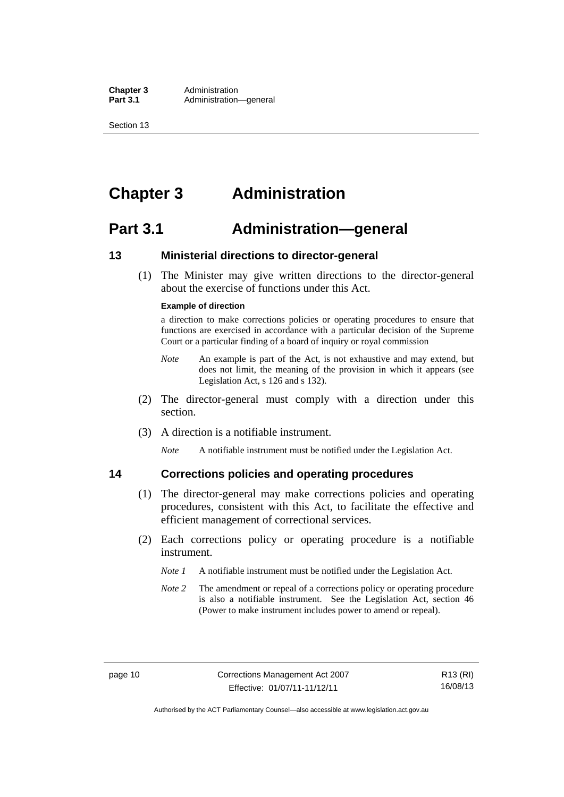**Chapter 3** Administration<br>**Part 3.1** Administration-Administration—general

Section 13

### <span id="page-23-0"></span>**Chapter 3 Administration**

### <span id="page-23-1"></span>**Part 3.1 Administration—general**

### <span id="page-23-2"></span>**13 Ministerial directions to director-general**

 (1) The Minister may give written directions to the director-general about the exercise of functions under this Act.

#### **Example of direction**

a direction to make corrections policies or operating procedures to ensure that functions are exercised in accordance with a particular decision of the Supreme Court or a particular finding of a board of inquiry or royal commission

- *Note* An example is part of the Act, is not exhaustive and may extend, but does not limit, the meaning of the provision in which it appears (see Legislation Act, s 126 and s 132).
- (2) The director-general must comply with a direction under this section.
- (3) A direction is a notifiable instrument.

*Note* A notifiable instrument must be notified under the Legislation Act.

### <span id="page-23-3"></span>**14 Corrections policies and operating procedures**

- (1) The director-general may make corrections policies and operating procedures, consistent with this Act, to facilitate the effective and efficient management of correctional services.
- (2) Each corrections policy or operating procedure is a notifiable instrument.
	- *Note 1* A notifiable instrument must be notified under the Legislation Act.
	- *Note 2* The amendment or repeal of a corrections policy or operating procedure is also a notifiable instrument. See the Legislation Act, section 46 (Power to make instrument includes power to amend or repeal).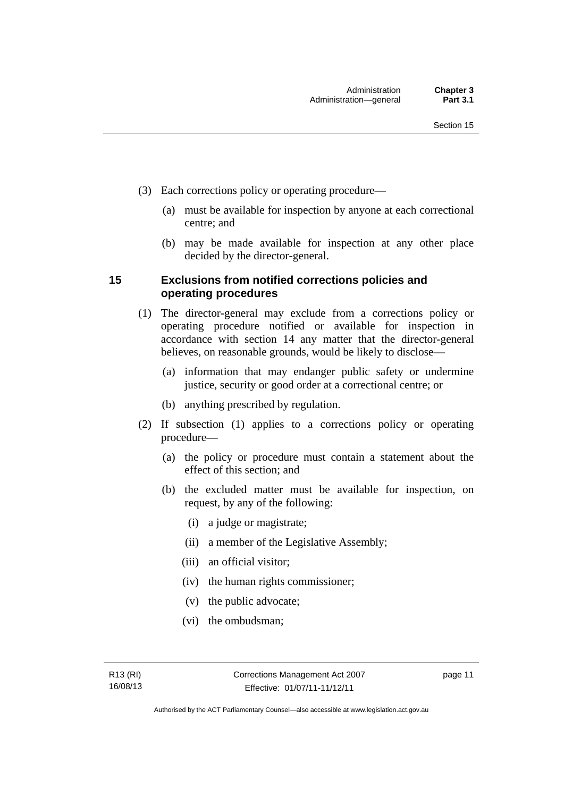- (3) Each corrections policy or operating procedure—
	- (a) must be available for inspection by anyone at each correctional centre; and
	- (b) may be made available for inspection at any other place decided by the director-general.

### <span id="page-24-0"></span>**15 Exclusions from notified corrections policies and operating procedures**

- (1) The director-general may exclude from a corrections policy or operating procedure notified or available for inspection in accordance with section 14 any matter that the director-general believes, on reasonable grounds, would be likely to disclose—
	- (a) information that may endanger public safety or undermine justice, security or good order at a correctional centre; or
	- (b) anything prescribed by regulation.
- (2) If subsection (1) applies to a corrections policy or operating procedure—
	- (a) the policy or procedure must contain a statement about the effect of this section; and
	- (b) the excluded matter must be available for inspection, on request, by any of the following:
		- (i) a judge or magistrate;
		- (ii) a member of the Legislative Assembly;
		- (iii) an official visitor;
		- (iv) the human rights commissioner;
		- (v) the public advocate;
		- (vi) the ombudsman;

page 11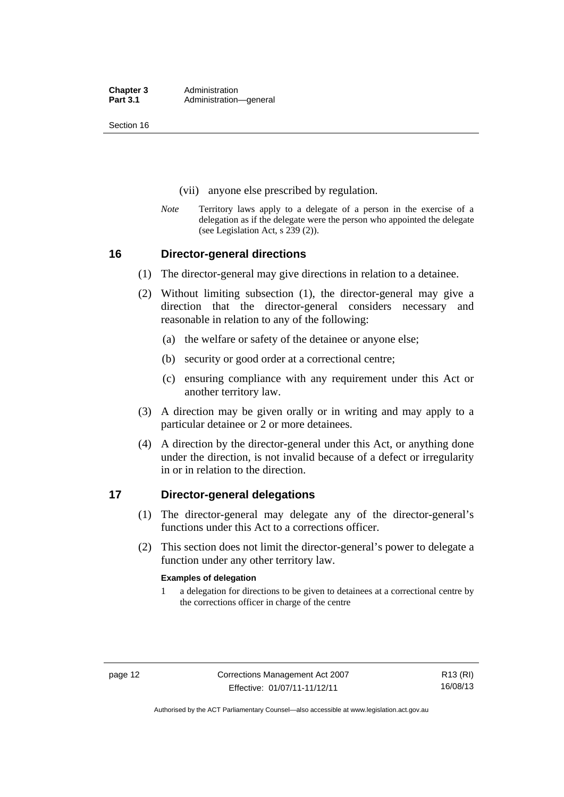Section 16

- (vii) anyone else prescribed by regulation.
- *Note* Territory laws apply to a delegate of a person in the exercise of a delegation as if the delegate were the person who appointed the delegate (see Legislation Act, s 239 (2)).

### <span id="page-25-0"></span>**16 Director-general directions**

- (1) The director-general may give directions in relation to a detainee.
- (2) Without limiting subsection (1), the director-general may give a direction that the director-general considers necessary and reasonable in relation to any of the following:
	- (a) the welfare or safety of the detainee or anyone else;
	- (b) security or good order at a correctional centre;
	- (c) ensuring compliance with any requirement under this Act or another territory law.
- (3) A direction may be given orally or in writing and may apply to a particular detainee or 2 or more detainees.
- (4) A direction by the director-general under this Act, or anything done under the direction, is not invalid because of a defect or irregularity in or in relation to the direction.

### <span id="page-25-1"></span>**17 Director-general delegations**

- (1) The director-general may delegate any of the director-general's functions under this Act to a corrections officer.
- (2) This section does not limit the director-general's power to delegate a function under any other territory law.

#### **Examples of delegation**

1 a delegation for directions to be given to detainees at a correctional centre by the corrections officer in charge of the centre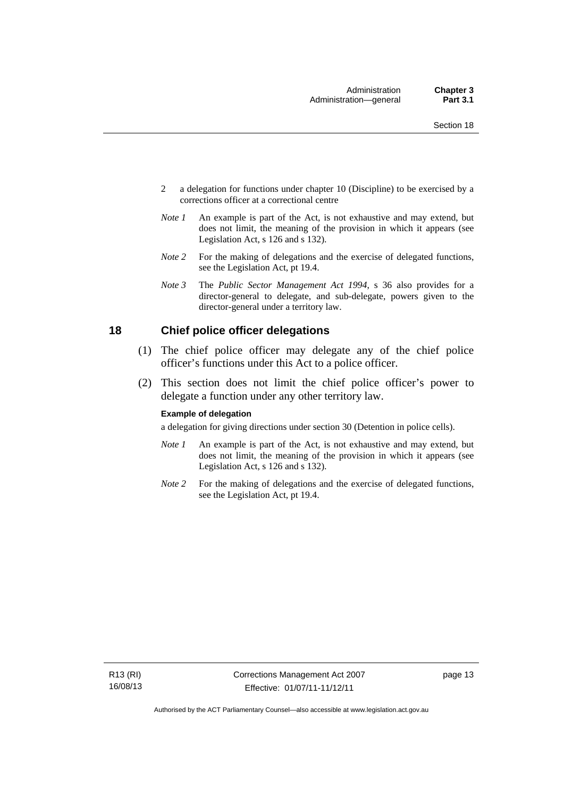- 2 a delegation for functions under chapter 10 (Discipline) to be exercised by a corrections officer at a correctional centre
- *Note 1* An example is part of the Act, is not exhaustive and may extend, but does not limit, the meaning of the provision in which it appears (see Legislation Act, s 126 and s 132).
- *Note 2* For the making of delegations and the exercise of delegated functions, see the Legislation Act, pt 19.4.
- *Note 3* The *Public Sector Management Act 1994*, s 36 also provides for a director-general to delegate, and sub-delegate, powers given to the director-general under a territory law.

### <span id="page-26-0"></span>**18 Chief police officer delegations**

- (1) The chief police officer may delegate any of the chief police officer's functions under this Act to a police officer.
- (2) This section does not limit the chief police officer's power to delegate a function under any other territory law.

#### **Example of delegation**

a delegation for giving directions under section 30 (Detention in police cells).

- *Note 1* An example is part of the Act, is not exhaustive and may extend, but does not limit, the meaning of the provision in which it appears (see Legislation Act, s 126 and s 132).
- *Note* 2 For the making of delegations and the exercise of delegated functions, see the Legislation Act, pt 19.4.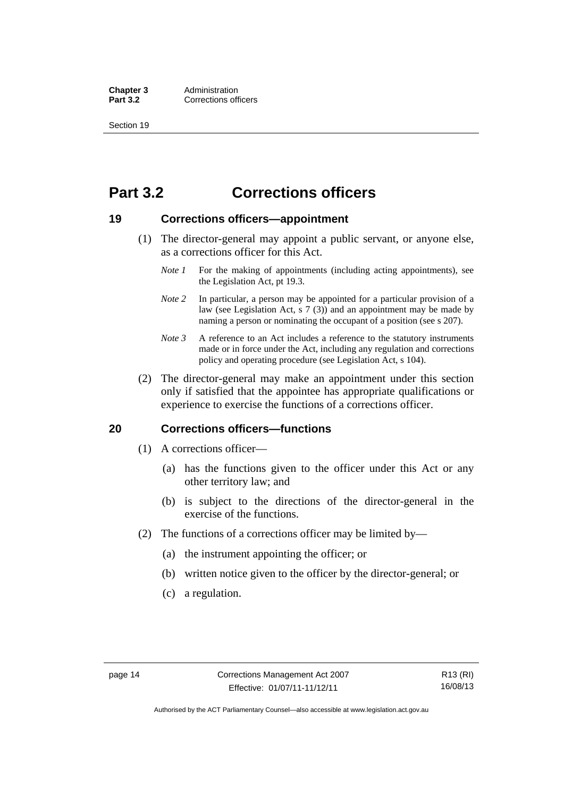**Chapter 3** Administration<br> **Part 3.2** Corrections off **Corrections officers** 

Section 19

### <span id="page-27-0"></span>**Part 3.2 Corrections officers**

### <span id="page-27-1"></span>**19 Corrections officers—appointment**

- (1) The director-general may appoint a public servant, or anyone else, as a corrections officer for this Act.
	- *Note 1* For the making of appointments (including acting appointments), see the Legislation Act, pt 19.3.
	- *Note* 2 In particular, a person may be appointed for a particular provision of a law (see Legislation Act, s 7 (3)) and an appointment may be made by naming a person or nominating the occupant of a position (see s 207).
	- *Note 3* A reference to an Act includes a reference to the statutory instruments made or in force under the Act, including any regulation and corrections policy and operating procedure (see Legislation Act, s 104).
- (2) The director-general may make an appointment under this section only if satisfied that the appointee has appropriate qualifications or experience to exercise the functions of a corrections officer.

### <span id="page-27-2"></span>**20 Corrections officers—functions**

- (1) A corrections officer—
	- (a) has the functions given to the officer under this Act or any other territory law; and
	- (b) is subject to the directions of the director-general in the exercise of the functions.
- (2) The functions of a corrections officer may be limited by—
	- (a) the instrument appointing the officer; or
	- (b) written notice given to the officer by the director-general; or
	- (c) a regulation.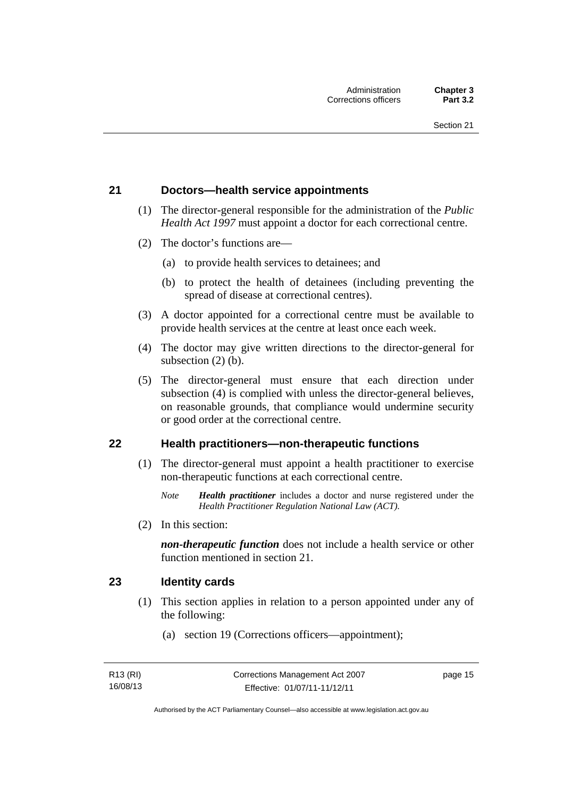### <span id="page-28-0"></span>**21 Doctors—health service appointments**

- (1) The director-general responsible for the administration of the *Public Health Act 1997* must appoint a doctor for each correctional centre.
- (2) The doctor's functions are—
	- (a) to provide health services to detainees; and
	- (b) to protect the health of detainees (including preventing the spread of disease at correctional centres).
- (3) A doctor appointed for a correctional centre must be available to provide health services at the centre at least once each week.
- (4) The doctor may give written directions to the director-general for subsection (2) (b).
- (5) The director-general must ensure that each direction under subsection (4) is complied with unless the director-general believes, on reasonable grounds, that compliance would undermine security or good order at the correctional centre.

### <span id="page-28-1"></span>**22 Health practitioners—non-therapeutic functions**

- (1) The director-general must appoint a health practitioner to exercise non-therapeutic functions at each correctional centre.
	- *Note Health practitioner* includes a doctor and nurse registered under the *Health Practitioner Regulation National Law (ACT)*.
- (2) In this section:

*non-therapeutic function* does not include a health service or other function mentioned in section 21.

### <span id="page-28-2"></span>**23 Identity cards**

- (1) This section applies in relation to a person appointed under any of the following:
	- (a) section 19 (Corrections officers—appointment);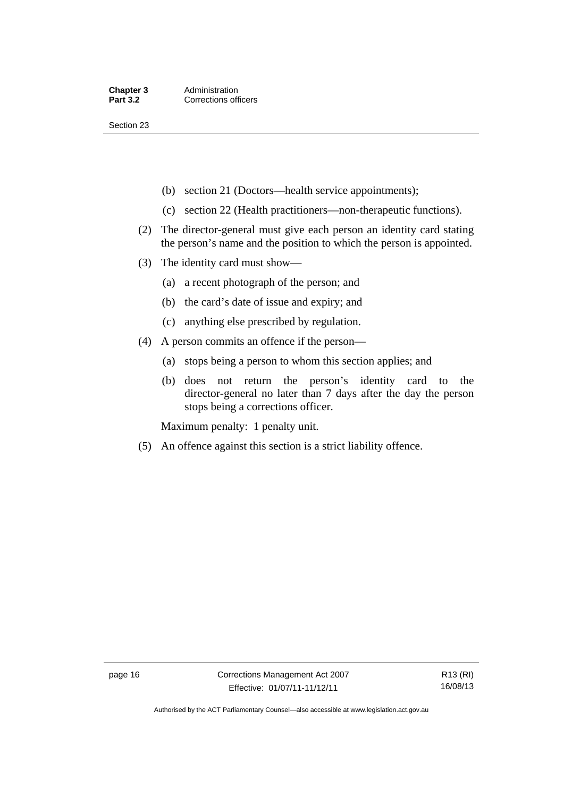Section 23

- (b) section 21 (Doctors—health service appointments);
- (c) section 22 (Health practitioners—non-therapeutic functions).
- (2) The director-general must give each person an identity card stating the person's name and the position to which the person is appointed.
- (3) The identity card must show—
	- (a) a recent photograph of the person; and
	- (b) the card's date of issue and expiry; and
	- (c) anything else prescribed by regulation.
- (4) A person commits an offence if the person—
	- (a) stops being a person to whom this section applies; and
	- (b) does not return the person's identity card to the director-general no later than 7 days after the day the person stops being a corrections officer.

Maximum penalty: 1 penalty unit.

(5) An offence against this section is a strict liability offence.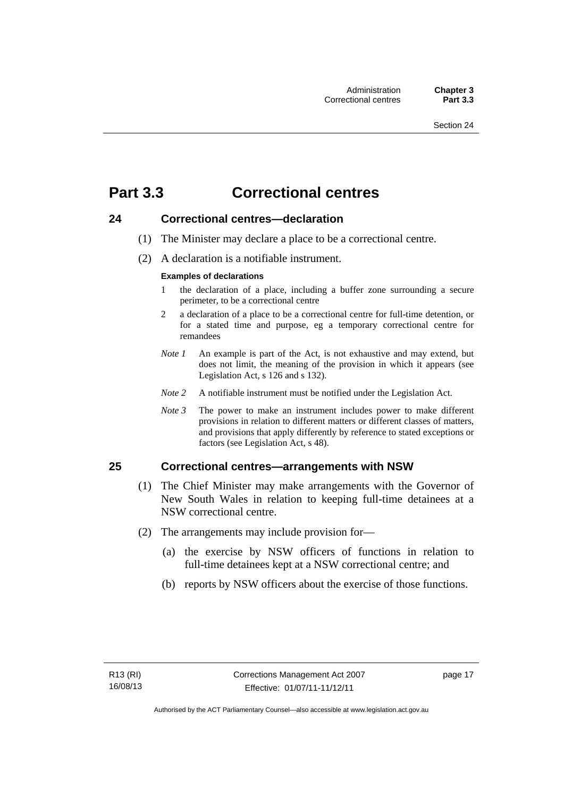### <span id="page-30-0"></span>**Part 3.3 Correctional centres**

### <span id="page-30-1"></span>**24 Correctional centres—declaration**

- (1) The Minister may declare a place to be a correctional centre.
- (2) A declaration is a notifiable instrument.

### **Examples of declarations**

- 1 the declaration of a place, including a buffer zone surrounding a secure perimeter, to be a correctional centre
- 2 a declaration of a place to be a correctional centre for full-time detention, or for a stated time and purpose, eg a temporary correctional centre for remandees
- *Note 1* An example is part of the Act, is not exhaustive and may extend, but does not limit, the meaning of the provision in which it appears (see Legislation Act, s 126 and s 132).
- *Note 2* A notifiable instrument must be notified under the Legislation Act.
- *Note 3* The power to make an instrument includes power to make different provisions in relation to different matters or different classes of matters, and provisions that apply differently by reference to stated exceptions or factors (see Legislation Act, s 48).

### <span id="page-30-2"></span>**25 Correctional centres—arrangements with NSW**

- (1) The Chief Minister may make arrangements with the Governor of New South Wales in relation to keeping full-time detainees at a NSW correctional centre.
- (2) The arrangements may include provision for—
	- (a) the exercise by NSW officers of functions in relation to full-time detainees kept at a NSW correctional centre; and
	- (b) reports by NSW officers about the exercise of those functions.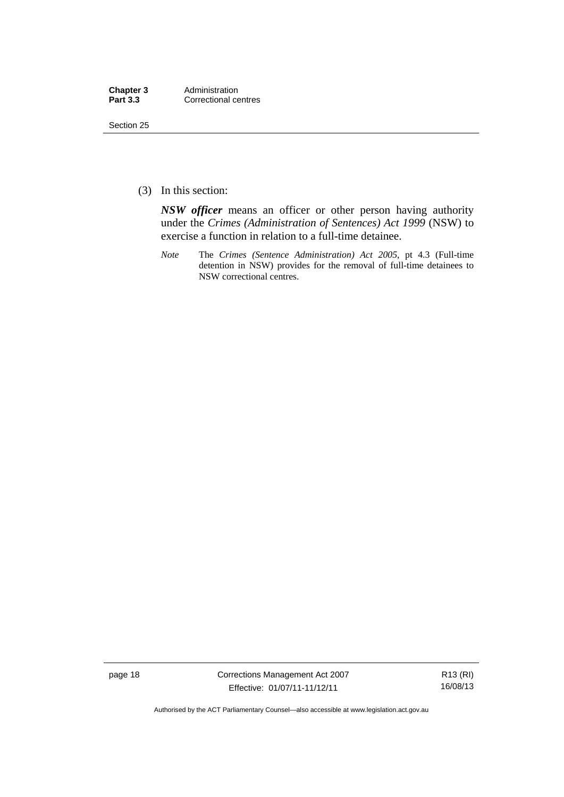| Chapter 3       | Administration       |
|-----------------|----------------------|
| <b>Part 3.3</b> | Correctional centres |

Section 25

(3) In this section:

*NSW officer* means an officer or other person having authority under the *Crimes (Administration of Sentences) Act 1999* (NSW) to exercise a function in relation to a full-time detainee.

*Note* The *Crimes (Sentence Administration) Act 2005*, pt 4.3 (Full-time detention in NSW) provides for the removal of full-time detainees to NSW correctional centres.

page 18 Corrections Management Act 2007 Effective: 01/07/11-11/12/11

R13 (RI) 16/08/13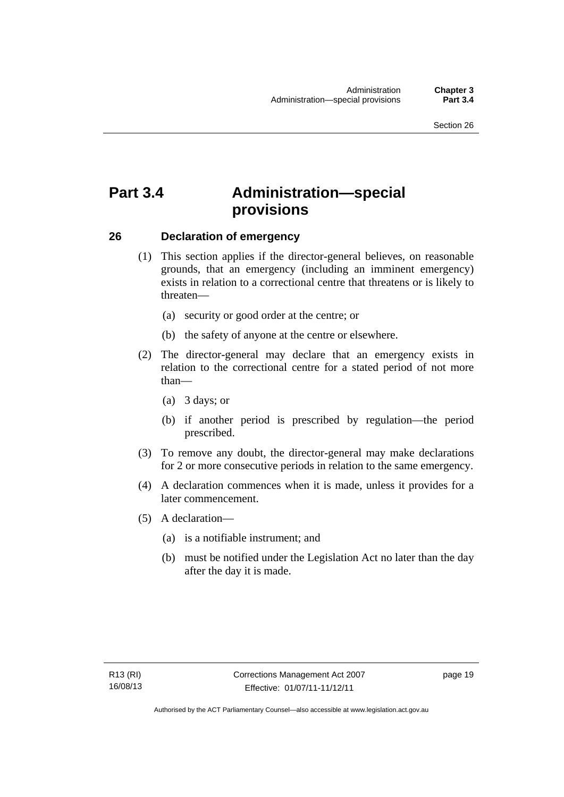### <span id="page-32-0"></span>**Part 3.4 Administration—special provisions**

### <span id="page-32-1"></span>**26 Declaration of emergency**

- (1) This section applies if the director-general believes, on reasonable grounds, that an emergency (including an imminent emergency) exists in relation to a correctional centre that threatens or is likely to threaten—
	- (a) security or good order at the centre; or
	- (b) the safety of anyone at the centre or elsewhere.
- (2) The director-general may declare that an emergency exists in relation to the correctional centre for a stated period of not more than—
	- (a) 3 days; or
	- (b) if another period is prescribed by regulation—the period prescribed.
- (3) To remove any doubt, the director-general may make declarations for 2 or more consecutive periods in relation to the same emergency.
- (4) A declaration commences when it is made, unless it provides for a later commencement.
- (5) A declaration—
	- (a) is a notifiable instrument; and
	- (b) must be notified under the Legislation Act no later than the day after the day it is made.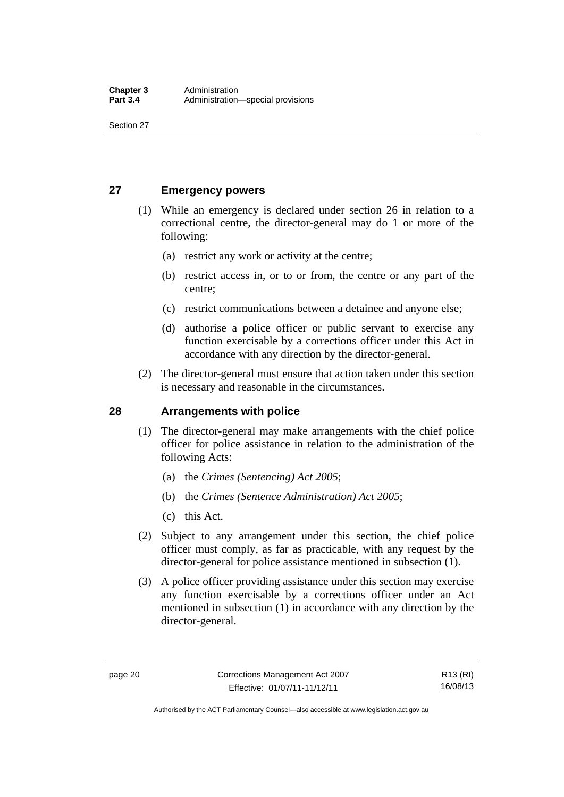Section 27

### <span id="page-33-0"></span>**27 Emergency powers**

- (1) While an emergency is declared under section 26 in relation to a correctional centre, the director-general may do 1 or more of the following:
	- (a) restrict any work or activity at the centre;
	- (b) restrict access in, or to or from, the centre or any part of the centre;
	- (c) restrict communications between a detainee and anyone else;
	- (d) authorise a police officer or public servant to exercise any function exercisable by a corrections officer under this Act in accordance with any direction by the director-general.
- (2) The director-general must ensure that action taken under this section is necessary and reasonable in the circumstances.

### <span id="page-33-1"></span>**28 Arrangements with police**

- (1) The director-general may make arrangements with the chief police officer for police assistance in relation to the administration of the following Acts:
	- (a) the *Crimes (Sentencing) Act 2005*;
	- (b) the *Crimes (Sentence Administration) Act 2005*;
	- (c) this Act.
- (2) Subject to any arrangement under this section, the chief police officer must comply, as far as practicable, with any request by the director-general for police assistance mentioned in subsection (1).
- (3) A police officer providing assistance under this section may exercise any function exercisable by a corrections officer under an Act mentioned in subsection (1) in accordance with any direction by the director-general.

Authorised by the ACT Parliamentary Counsel—also accessible at www.legislation.act.gov.au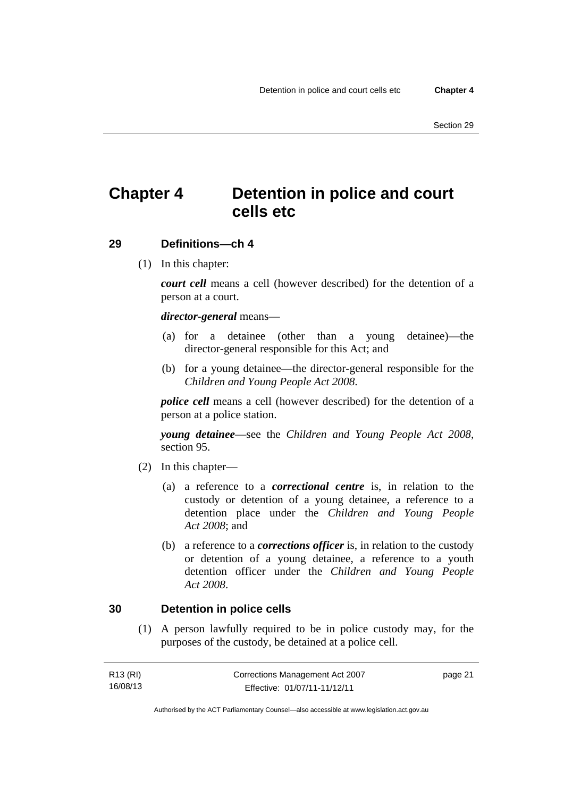### <span id="page-34-0"></span>**Chapter 4 Detention in police and court cells etc**

### <span id="page-34-1"></span>**29 Definitions—ch 4**

(1) In this chapter:

*court cell* means a cell (however described) for the detention of a person at a court.

### *director-general* means—

- (a) for a detainee (other than a young detainee)—the director-general responsible for this Act; and
- (b) for a young detainee—the director-general responsible for the *Children and Young People Act 2008*.

*police cell* means a cell (however described) for the detention of a person at a police station.

*young detainee*—see the *Children and Young People Act 2008*, section 95.

- (2) In this chapter—
	- (a) a reference to a *correctional centre* is, in relation to the custody or detention of a young detainee, a reference to a detention place under the *Children and Young People Act 2008*; and
	- (b) a reference to a *corrections officer* is, in relation to the custody or detention of a young detainee, a reference to a youth detention officer under the *Children and Young People Act 2008*.

### <span id="page-34-2"></span>**30 Detention in police cells**

 (1) A person lawfully required to be in police custody may, for the purposes of the custody, be detained at a police cell.

| R13 (RI) | Corrections Management Act 2007 | page 21 |
|----------|---------------------------------|---------|
| 16/08/13 | Effective: 01/07/11-11/12/11    |         |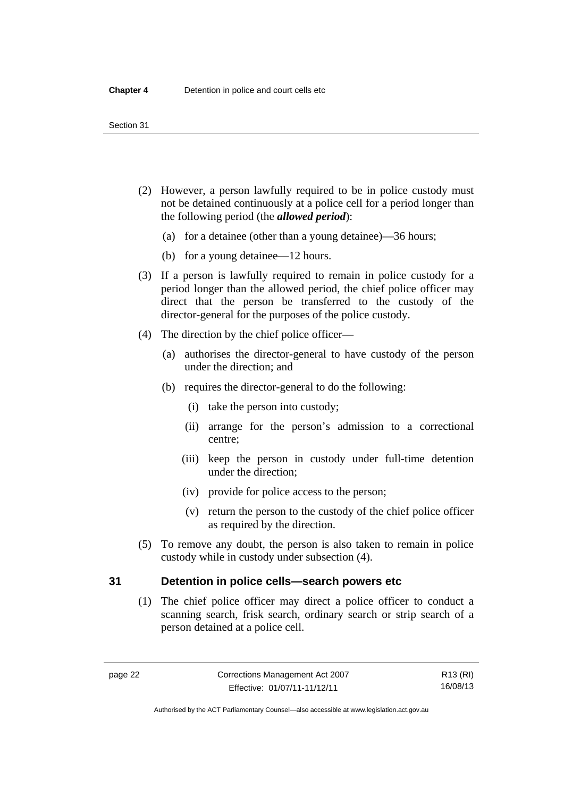#### Section 31

- (2) However, a person lawfully required to be in police custody must not be detained continuously at a police cell for a period longer than the following period (the *allowed period*):
	- (a) for a detainee (other than a young detainee)—36 hours;
	- (b) for a young detainee—12 hours.
- (3) If a person is lawfully required to remain in police custody for a period longer than the allowed period, the chief police officer may direct that the person be transferred to the custody of the director-general for the purposes of the police custody.
- (4) The direction by the chief police officer—
	- (a) authorises the director-general to have custody of the person under the direction; and
	- (b) requires the director-general to do the following:
		- (i) take the person into custody;
		- (ii) arrange for the person's admission to a correctional centre;
		- (iii) keep the person in custody under full-time detention under the direction;
		- (iv) provide for police access to the person;
		- (v) return the person to the custody of the chief police officer as required by the direction.
- (5) To remove any doubt, the person is also taken to remain in police custody while in custody under subsection (4).

### <span id="page-35-0"></span>**31 Detention in police cells—search powers etc**

 (1) The chief police officer may direct a police officer to conduct a scanning search, frisk search, ordinary search or strip search of a person detained at a police cell.

R13 (RI) 16/08/13

Authorised by the ACT Parliamentary Counsel—also accessible at www.legislation.act.gov.au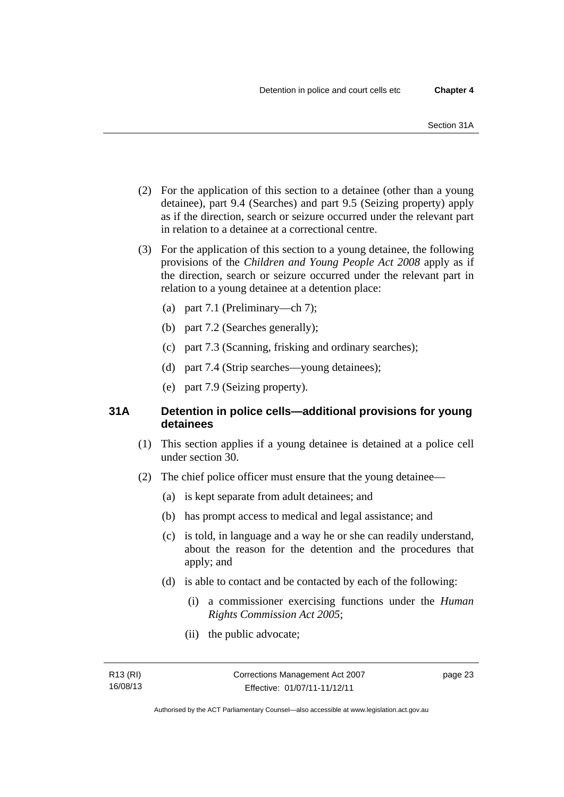- (2) For the application of this section to a detainee (other than a young detainee), part 9.4 (Searches) and part 9.5 (Seizing property) apply as if the direction, search or seizure occurred under the relevant part in relation to a detainee at a correctional centre.
- (3) For the application of this section to a young detainee, the following provisions of the *Children and Young People Act 2008* apply as if the direction, search or seizure occurred under the relevant part in relation to a young detainee at a detention place:
	- (a) part 7.1 (Preliminary—ch 7);
	- (b) part 7.2 (Searches generally);
	- (c) part 7.3 (Scanning, frisking and ordinary searches);
	- (d) part 7.4 (Strip searches—young detainees);
	- (e) part 7.9 (Seizing property).

# **31A Detention in police cells—additional provisions for young detainees**

- (1) This section applies if a young detainee is detained at a police cell under section 30.
- (2) The chief police officer must ensure that the young detainee—
	- (a) is kept separate from adult detainees; and
	- (b) has prompt access to medical and legal assistance; and
	- (c) is told, in language and a way he or she can readily understand, about the reason for the detention and the procedures that apply; and
	- (d) is able to contact and be contacted by each of the following:
		- (i) a commissioner exercising functions under the *Human Rights Commission Act 2005*;
		- (ii) the public advocate;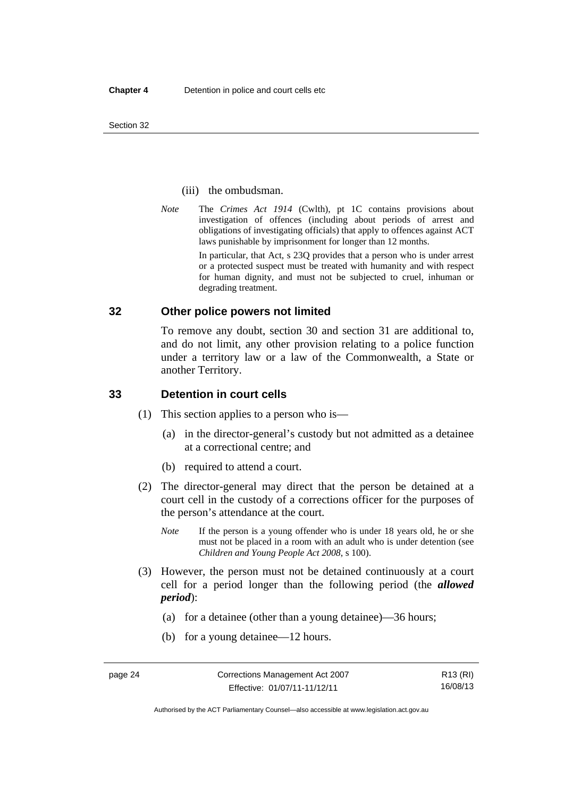#### (iii) the ombudsman.

*Note* The *Crimes Act 1914* (Cwlth), pt 1C contains provisions about investigation of offences (including about periods of arrest and obligations of investigating officials) that apply to offences against ACT laws punishable by imprisonment for longer than 12 months.

In particular, that Act, s 23Q provides that a person who is under arrest or a protected suspect must be treated with humanity and with respect for human dignity, and must not be subjected to cruel, inhuman or degrading treatment.

## **32 Other police powers not limited**

To remove any doubt, section 30 and section 31 are additional to, and do not limit, any other provision relating to a police function under a territory law or a law of the Commonwealth, a State or another Territory.

## **33 Detention in court cells**

- (1) This section applies to a person who is—
	- (a) in the director-general's custody but not admitted as a detainee at a correctional centre; and
	- (b) required to attend a court.
- (2) The director-general may direct that the person be detained at a court cell in the custody of a corrections officer for the purposes of the person's attendance at the court.
	- *Note* If the person is a young offender who is under 18 years old, he or she must not be placed in a room with an adult who is under detention (see *Children and Young People Act 2008*, s 100).
- (3) However, the person must not be detained continuously at a court cell for a period longer than the following period (the *allowed period*):
	- (a) for a detainee (other than a young detainee)—36 hours;
	- (b) for a young detainee—12 hours.

Authorised by the ACT Parliamentary Counsel—also accessible at www.legislation.act.gov.au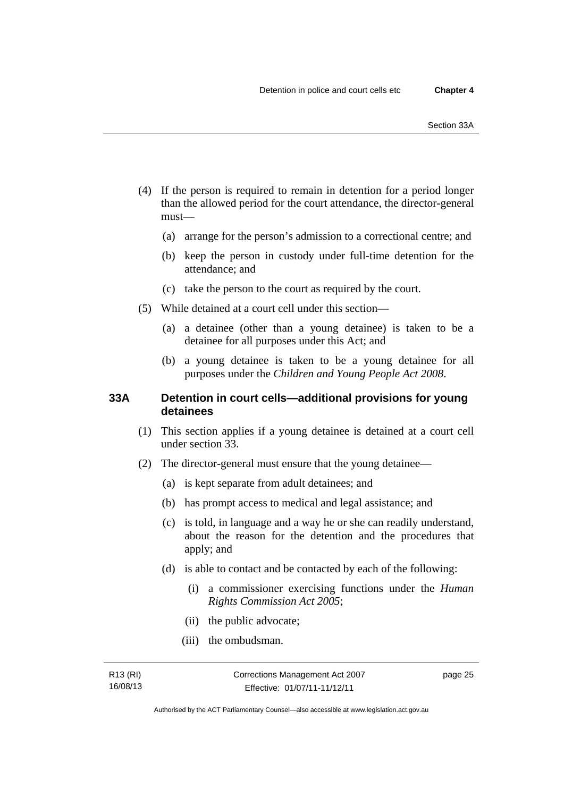- (4) If the person is required to remain in detention for a period longer than the allowed period for the court attendance, the director-general must—
	- (a) arrange for the person's admission to a correctional centre; and
	- (b) keep the person in custody under full-time detention for the attendance; and
	- (c) take the person to the court as required by the court.
- (5) While detained at a court cell under this section—
	- (a) a detainee (other than a young detainee) is taken to be a detainee for all purposes under this Act; and
	- (b) a young detainee is taken to be a young detainee for all purposes under the *Children and Young People Act 2008*.

## **33A Detention in court cells—additional provisions for young detainees**

- (1) This section applies if a young detainee is detained at a court cell under section 33.
- (2) The director-general must ensure that the young detainee—
	- (a) is kept separate from adult detainees; and
	- (b) has prompt access to medical and legal assistance; and
	- (c) is told, in language and a way he or she can readily understand, about the reason for the detention and the procedures that apply; and
	- (d) is able to contact and be contacted by each of the following:
		- (i) a commissioner exercising functions under the *Human Rights Commission Act 2005*;
		- (ii) the public advocate;
		- (iii) the ombudsman.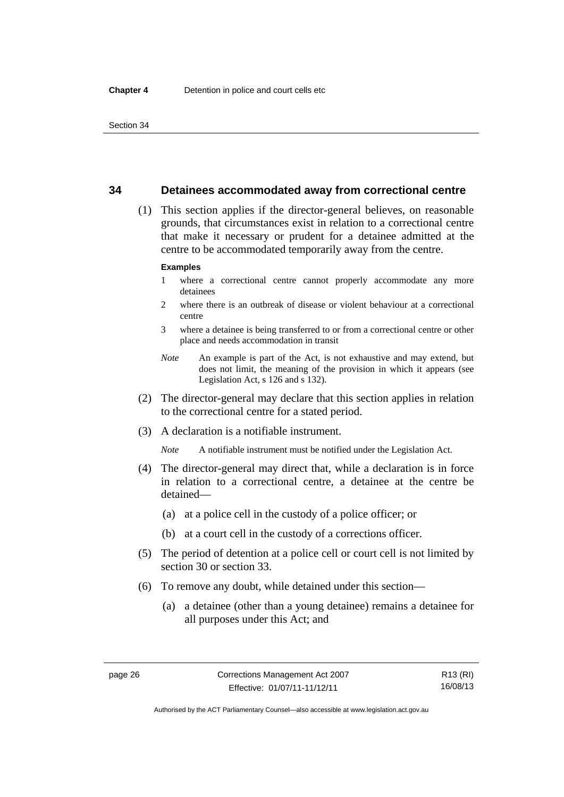## **34 Detainees accommodated away from correctional centre**

 (1) This section applies if the director-general believes, on reasonable grounds, that circumstances exist in relation to a correctional centre that make it necessary or prudent for a detainee admitted at the centre to be accommodated temporarily away from the centre.

#### **Examples**

- 1 where a correctional centre cannot properly accommodate any more detainees
- 2 where there is an outbreak of disease or violent behaviour at a correctional centre
- 3 where a detainee is being transferred to or from a correctional centre or other place and needs accommodation in transit
- *Note* An example is part of the Act, is not exhaustive and may extend, but does not limit, the meaning of the provision in which it appears (see Legislation Act, s 126 and s 132).
- (2) The director-general may declare that this section applies in relation to the correctional centre for a stated period.
- (3) A declaration is a notifiable instrument.

*Note* A notifiable instrument must be notified under the Legislation Act.

- (4) The director-general may direct that, while a declaration is in force in relation to a correctional centre, a detainee at the centre be detained—
	- (a) at a police cell in the custody of a police officer; or
	- (b) at a court cell in the custody of a corrections officer.
- (5) The period of detention at a police cell or court cell is not limited by section 30 or section 33.
- (6) To remove any doubt, while detained under this section—
	- (a) a detainee (other than a young detainee) remains a detainee for all purposes under this Act; and

R13 (RI) 16/08/13

Authorised by the ACT Parliamentary Counsel—also accessible at www.legislation.act.gov.au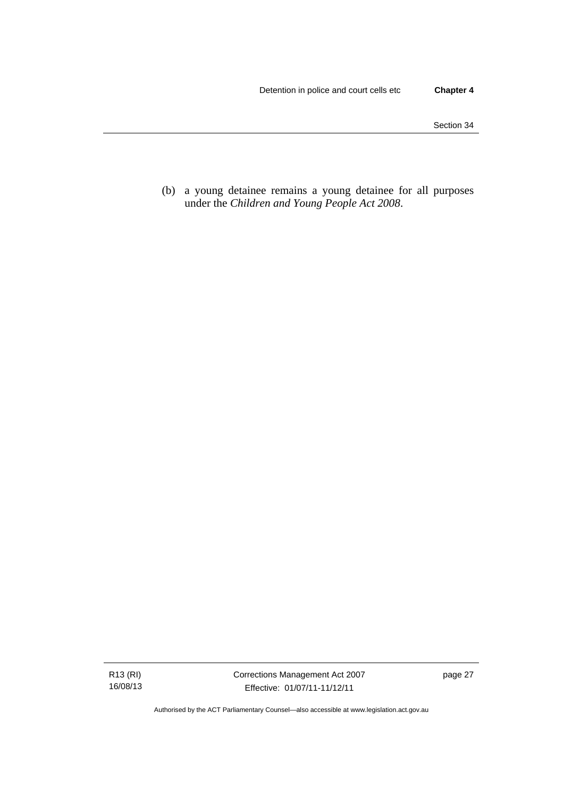(b) a young detainee remains a young detainee for all purposes under the *Children and Young People Act 2008*.

R13 (RI) 16/08/13 Corrections Management Act 2007 Effective: 01/07/11-11/12/11

page 27

Authorised by the ACT Parliamentary Counsel—also accessible at www.legislation.act.gov.au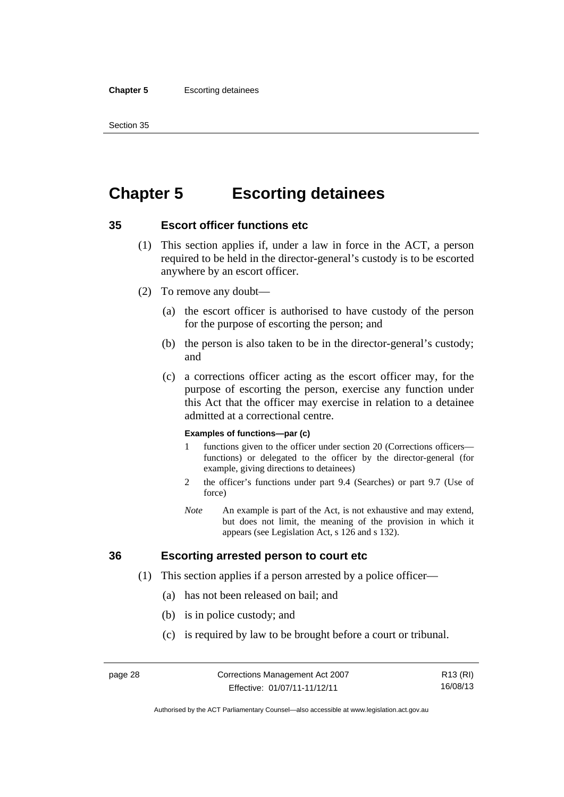#### **Chapter 5** Escorting detainees

Section 35

# **Chapter 5 Escorting detainees**

# **35 Escort officer functions etc**

- (1) This section applies if, under a law in force in the ACT, a person required to be held in the director-general's custody is to be escorted anywhere by an escort officer.
- (2) To remove any doubt—
	- (a) the escort officer is authorised to have custody of the person for the purpose of escorting the person; and
	- (b) the person is also taken to be in the director-general's custody; and
	- (c) a corrections officer acting as the escort officer may, for the purpose of escorting the person, exercise any function under this Act that the officer may exercise in relation to a detainee admitted at a correctional centre.

#### **Examples of functions—par (c)**

- 1 functions given to the officer under section 20 (Corrections officers functions) or delegated to the officer by the director-general (for example, giving directions to detainees)
- 2 the officer's functions under part 9.4 (Searches) or part 9.7 (Use of force)
- *Note* An example is part of the Act, is not exhaustive and may extend, but does not limit, the meaning of the provision in which it appears (see Legislation Act, s 126 and s 132).

# **36 Escorting arrested person to court etc**

- (1) This section applies if a person arrested by a police officer—
	- (a) has not been released on bail; and
	- (b) is in police custody; and
	- (c) is required by law to be brought before a court or tribunal.

R13 (RI) 16/08/13

Authorised by the ACT Parliamentary Counsel—also accessible at www.legislation.act.gov.au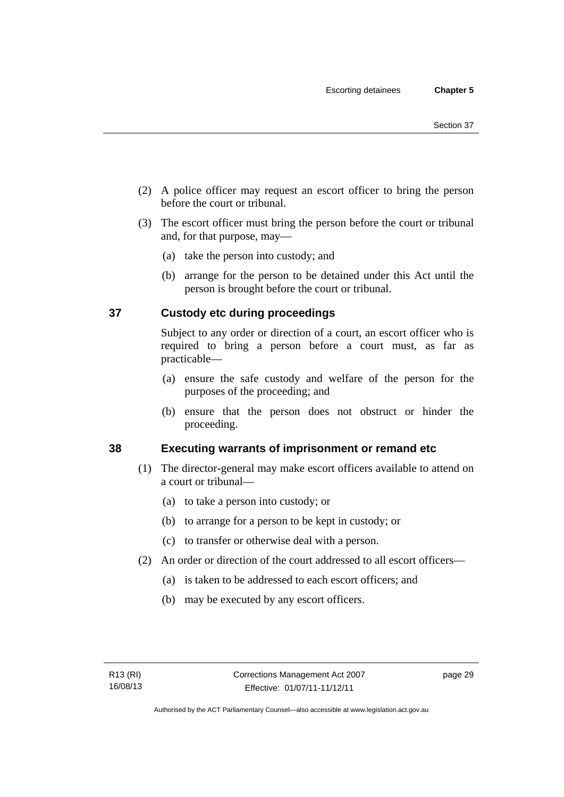- (2) A police officer may request an escort officer to bring the person before the court or tribunal.
- (3) The escort officer must bring the person before the court or tribunal and, for that purpose, may—
	- (a) take the person into custody; and
	- (b) arrange for the person to be detained under this Act until the person is brought before the court or tribunal.

# **37 Custody etc during proceedings**

Subject to any order or direction of a court, an escort officer who is required to bring a person before a court must, as far as practicable—

- (a) ensure the safe custody and welfare of the person for the purposes of the proceeding; and
- (b) ensure that the person does not obstruct or hinder the proceeding.

# **38 Executing warrants of imprisonment or remand etc**

- (1) The director-general may make escort officers available to attend on a court or tribunal—
	- (a) to take a person into custody; or
	- (b) to arrange for a person to be kept in custody; or
	- (c) to transfer or otherwise deal with a person.
- (2) An order or direction of the court addressed to all escort officers—
	- (a) is taken to be addressed to each escort officers; and
	- (b) may be executed by any escort officers.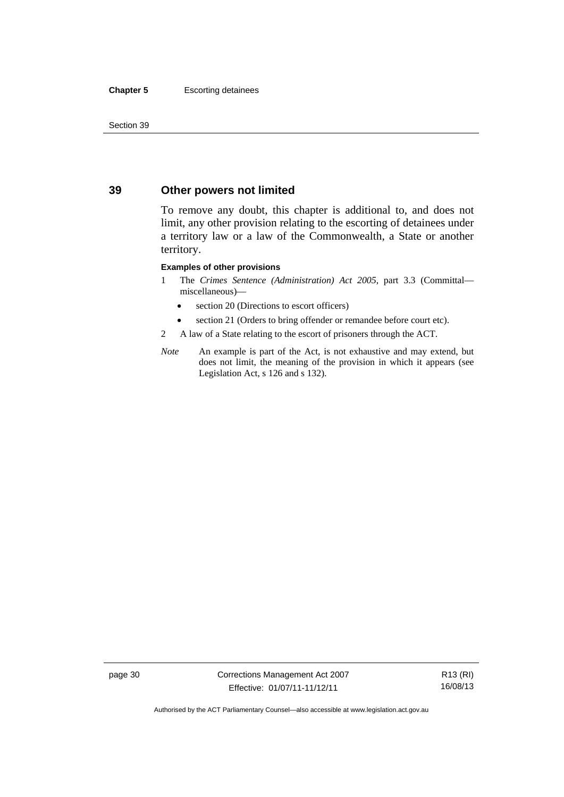#### **Chapter 5** Escorting detainees

Section 39

# **39 Other powers not limited**

To remove any doubt, this chapter is additional to, and does not limit, any other provision relating to the escorting of detainees under a territory law or a law of the Commonwealth, a State or another territory.

#### **Examples of other provisions**

- 1 The *Crimes Sentence (Administration) Act 2005*, part 3.3 (Committal miscellaneous)—
	- section 20 (Directions to escort officers)
	- section 21 (Orders to bring offender or remandee before court etc).
- 2 A law of a State relating to the escort of prisoners through the ACT.
- *Note* An example is part of the Act, is not exhaustive and may extend, but does not limit, the meaning of the provision in which it appears (see Legislation Act, s 126 and s 132).

page 30 Corrections Management Act 2007 Effective: 01/07/11-11/12/11

R13 (RI) 16/08/13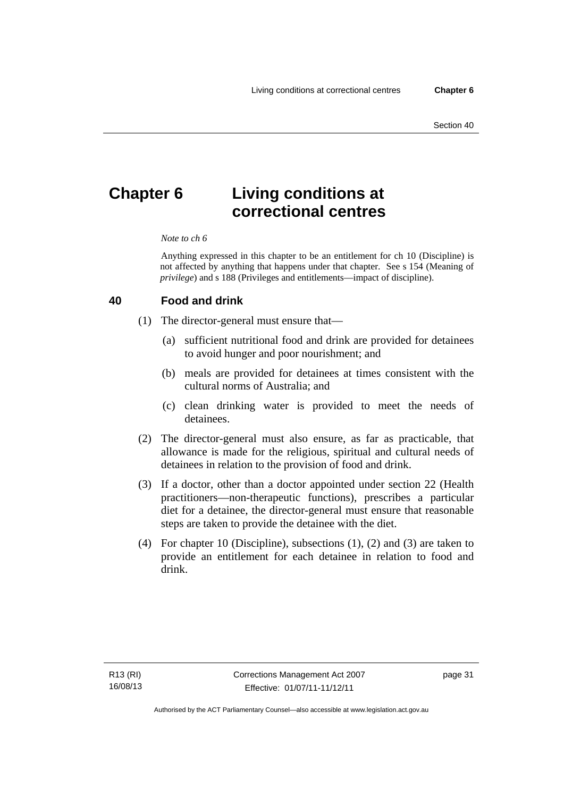# **Chapter 6 Living conditions at correctional centres**

#### *Note to ch 6*

Anything expressed in this chapter to be an entitlement for ch 10 (Discipline) is not affected by anything that happens under that chapter. See s 154 (Meaning of *privilege*) and s 188 (Privileges and entitlements—impact of discipline).

#### **40 Food and drink**

- (1) The director-general must ensure that—
	- (a) sufficient nutritional food and drink are provided for detainees to avoid hunger and poor nourishment; and
	- (b) meals are provided for detainees at times consistent with the cultural norms of Australia; and
	- (c) clean drinking water is provided to meet the needs of detainees.
- (2) The director-general must also ensure, as far as practicable, that allowance is made for the religious, spiritual and cultural needs of detainees in relation to the provision of food and drink.
- (3) If a doctor, other than a doctor appointed under section 22 (Health practitioners—non-therapeutic functions), prescribes a particular diet for a detainee, the director-general must ensure that reasonable steps are taken to provide the detainee with the diet.
- (4) For chapter 10 (Discipline), subsections (1), (2) and (3) are taken to provide an entitlement for each detainee in relation to food and drink.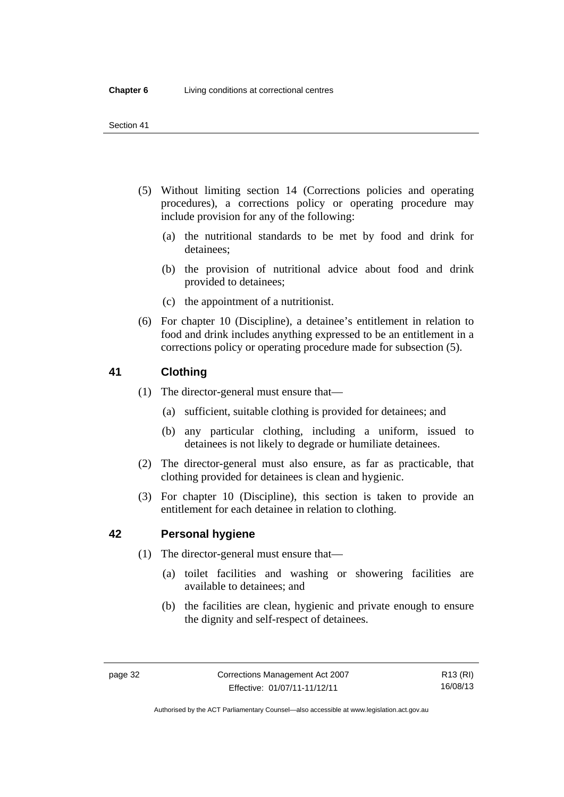- (5) Without limiting section 14 (Corrections policies and operating procedures), a corrections policy or operating procedure may include provision for any of the following:
	- (a) the nutritional standards to be met by food and drink for detainees;
	- (b) the provision of nutritional advice about food and drink provided to detainees;
	- (c) the appointment of a nutritionist.
- (6) For chapter 10 (Discipline), a detainee's entitlement in relation to food and drink includes anything expressed to be an entitlement in a corrections policy or operating procedure made for subsection (5).

# **41 Clothing**

- (1) The director-general must ensure that—
	- (a) sufficient, suitable clothing is provided for detainees; and
	- (b) any particular clothing, including a uniform, issued to detainees is not likely to degrade or humiliate detainees.
- (2) The director-general must also ensure, as far as practicable, that clothing provided for detainees is clean and hygienic.
- (3) For chapter 10 (Discipline), this section is taken to provide an entitlement for each detainee in relation to clothing.

# **42 Personal hygiene**

- (1) The director-general must ensure that—
	- (a) toilet facilities and washing or showering facilities are available to detainees; and
	- (b) the facilities are clean, hygienic and private enough to ensure the dignity and self-respect of detainees.

Authorised by the ACT Parliamentary Counsel—also accessible at www.legislation.act.gov.au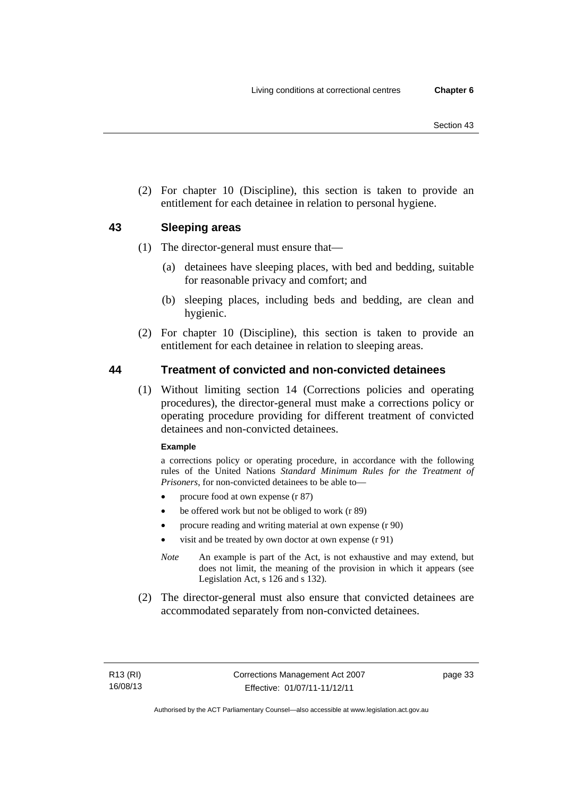(2) For chapter 10 (Discipline), this section is taken to provide an entitlement for each detainee in relation to personal hygiene.

# **43 Sleeping areas**

- (1) The director-general must ensure that—
	- (a) detainees have sleeping places, with bed and bedding, suitable for reasonable privacy and comfort; and
	- (b) sleeping places, including beds and bedding, are clean and hygienic.
- (2) For chapter 10 (Discipline), this section is taken to provide an entitlement for each detainee in relation to sleeping areas.

# **44 Treatment of convicted and non-convicted detainees**

 (1) Without limiting section 14 (Corrections policies and operating procedures), the director-general must make a corrections policy or operating procedure providing for different treatment of convicted detainees and non-convicted detainees.

#### **Example**

a corrections policy or operating procedure, in accordance with the following rules of the United Nations *Standard Minimum Rules for the Treatment of Prisoners*, for non-convicted detainees to be able to—

- procure food at own expense (r 87)
- be offered work but not be obliged to work (r 89)
- procure reading and writing material at own expense (r 90)
- visit and be treated by own doctor at own expense (r 91)
- *Note* An example is part of the Act, is not exhaustive and may extend, but does not limit, the meaning of the provision in which it appears (see Legislation Act, s 126 and s 132).
- (2) The director-general must also ensure that convicted detainees are accommodated separately from non-convicted detainees.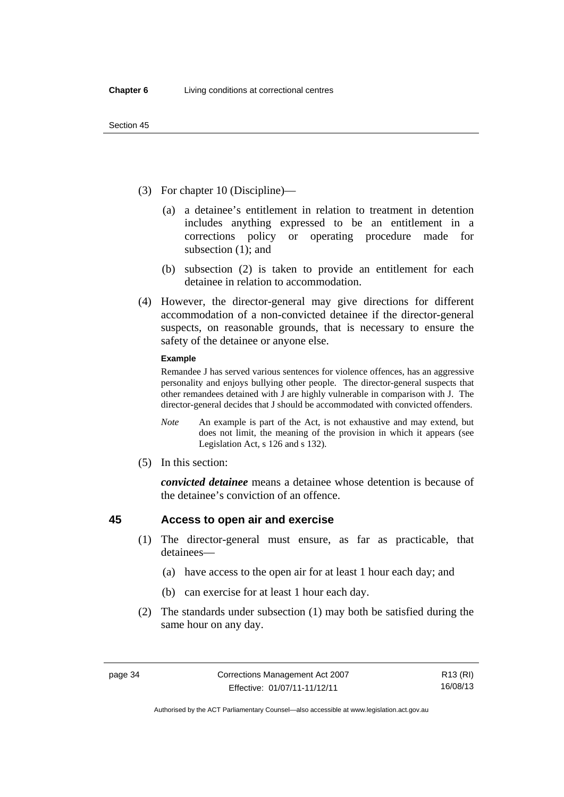- (3) For chapter 10 (Discipline)—
	- (a) a detainee's entitlement in relation to treatment in detention includes anything expressed to be an entitlement in a corrections policy or operating procedure made for subsection (1); and
	- (b) subsection (2) is taken to provide an entitlement for each detainee in relation to accommodation.
- (4) However, the director-general may give directions for different accommodation of a non-convicted detainee if the director-general suspects, on reasonable grounds, that is necessary to ensure the safety of the detainee or anyone else.

#### **Example**

Remandee J has served various sentences for violence offences, has an aggressive personality and enjoys bullying other people. The director-general suspects that other remandees detained with J are highly vulnerable in comparison with J. The director-general decides that J should be accommodated with convicted offenders.

- *Note* An example is part of the Act, is not exhaustive and may extend, but does not limit, the meaning of the provision in which it appears (see Legislation Act, s 126 and s 132).
- (5) In this section:

*convicted detainee* means a detainee whose detention is because of the detainee's conviction of an offence.

# **45 Access to open air and exercise**

- (1) The director-general must ensure, as far as practicable, that detainees—
	- (a) have access to the open air for at least 1 hour each day; and
	- (b) can exercise for at least 1 hour each day.
- (2) The standards under subsection (1) may both be satisfied during the same hour on any day.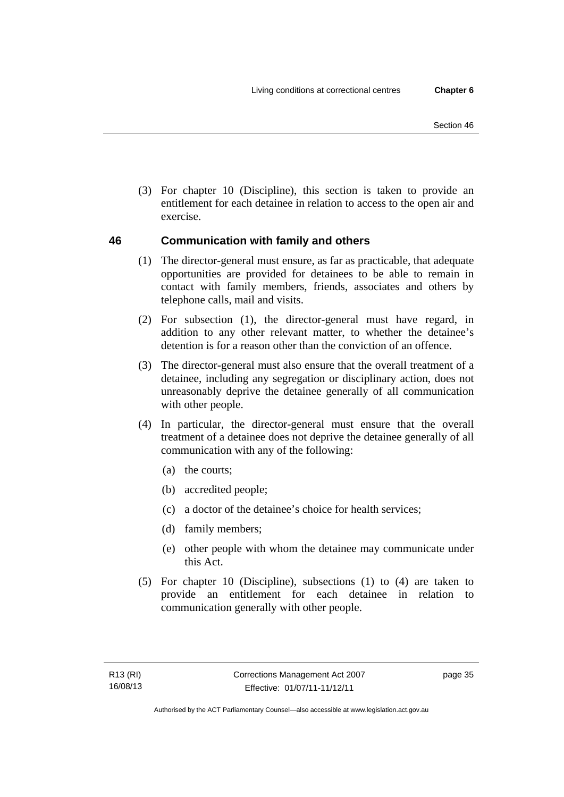(3) For chapter 10 (Discipline), this section is taken to provide an entitlement for each detainee in relation to access to the open air and exercise.

# **46 Communication with family and others**

- (1) The director-general must ensure, as far as practicable, that adequate opportunities are provided for detainees to be able to remain in contact with family members, friends, associates and others by telephone calls, mail and visits.
- (2) For subsection (1), the director-general must have regard, in addition to any other relevant matter, to whether the detainee's detention is for a reason other than the conviction of an offence.
- (3) The director-general must also ensure that the overall treatment of a detainee, including any segregation or disciplinary action, does not unreasonably deprive the detainee generally of all communication with other people.
- (4) In particular, the director-general must ensure that the overall treatment of a detainee does not deprive the detainee generally of all communication with any of the following:
	- (a) the courts;
	- (b) accredited people;
	- (c) a doctor of the detainee's choice for health services;
	- (d) family members;
	- (e) other people with whom the detainee may communicate under this Act.
- (5) For chapter 10 (Discipline), subsections (1) to (4) are taken to provide an entitlement for each detainee in relation to communication generally with other people.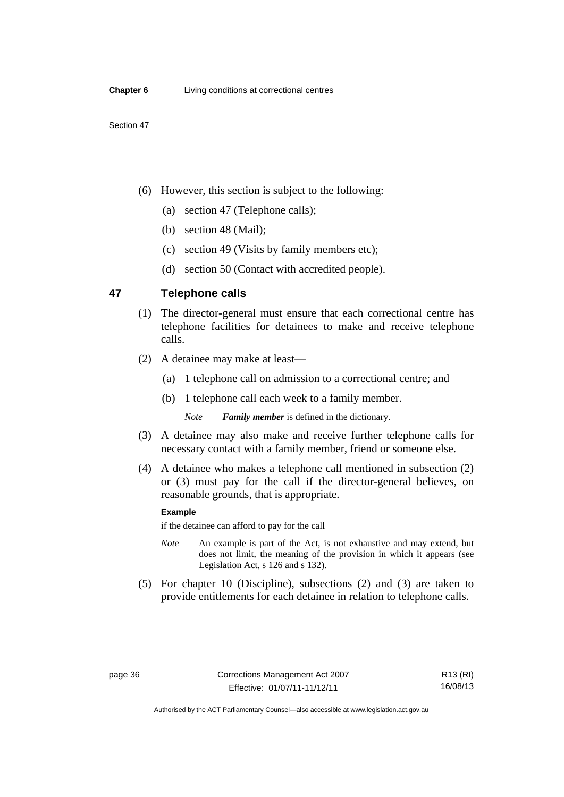- (6) However, this section is subject to the following:
	- (a) section 47 (Telephone calls);
	- (b) section 48 (Mail);
	- (c) section 49 (Visits by family members etc);
	- (d) section 50 (Contact with accredited people).

## **47 Telephone calls**

- (1) The director-general must ensure that each correctional centre has telephone facilities for detainees to make and receive telephone calls.
- (2) A detainee may make at least—
	- (a) 1 telephone call on admission to a correctional centre; and
	- (b) 1 telephone call each week to a family member.

*Note Family member* is defined in the dictionary.

- (3) A detainee may also make and receive further telephone calls for necessary contact with a family member, friend or someone else.
- (4) A detainee who makes a telephone call mentioned in subsection (2) or (3) must pay for the call if the director-general believes, on reasonable grounds, that is appropriate.

#### **Example**

if the detainee can afford to pay for the call

- *Note* An example is part of the Act, is not exhaustive and may extend, but does not limit, the meaning of the provision in which it appears (see Legislation Act, s 126 and s 132).
- (5) For chapter 10 (Discipline), subsections (2) and (3) are taken to provide entitlements for each detainee in relation to telephone calls.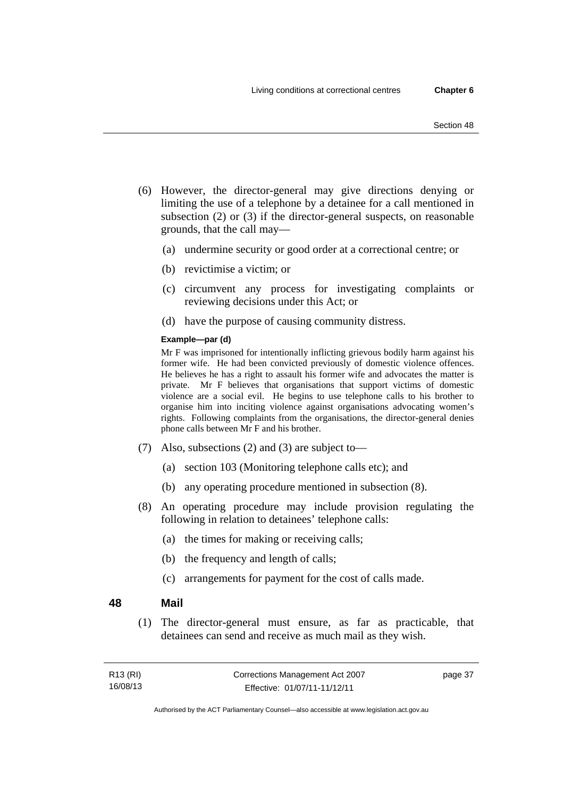- (6) However, the director-general may give directions denying or limiting the use of a telephone by a detainee for a call mentioned in subsection (2) or (3) if the director-general suspects, on reasonable grounds, that the call may—
	- (a) undermine security or good order at a correctional centre; or
	- (b) revictimise a victim; or
	- (c) circumvent any process for investigating complaints or reviewing decisions under this Act; or
	- (d) have the purpose of causing community distress.

#### **Example—par (d)**

Mr F was imprisoned for intentionally inflicting grievous bodily harm against his former wife. He had been convicted previously of domestic violence offences. He believes he has a right to assault his former wife and advocates the matter is private. Mr F believes that organisations that support victims of domestic violence are a social evil. He begins to use telephone calls to his brother to organise him into inciting violence against organisations advocating women's rights. Following complaints from the organisations, the director-general denies phone calls between Mr F and his brother.

- (7) Also, subsections (2) and (3) are subject to—
	- (a) section 103 (Monitoring telephone calls etc); and
	- (b) any operating procedure mentioned in subsection (8).
- (8) An operating procedure may include provision regulating the following in relation to detainees' telephone calls:
	- (a) the times for making or receiving calls;
	- (b) the frequency and length of calls;
	- (c) arrangements for payment for the cost of calls made.

#### **48 Mail**

 (1) The director-general must ensure, as far as practicable, that detainees can send and receive as much mail as they wish.

| R <sub>13</sub> (RI) | Corrections Management Act 2007 | page 37 |
|----------------------|---------------------------------|---------|
| 16/08/13             | Effective: 01/07/11-11/12/11    |         |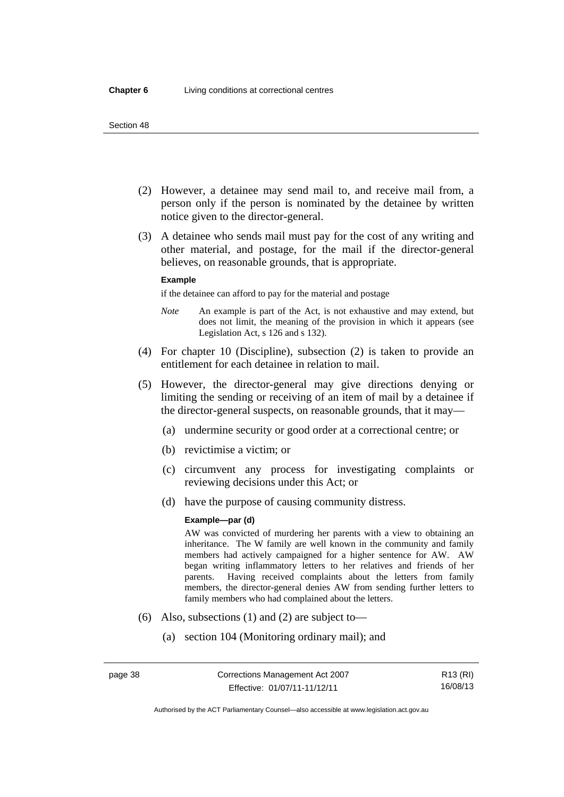- (2) However, a detainee may send mail to, and receive mail from, a person only if the person is nominated by the detainee by written notice given to the director-general.
- (3) A detainee who sends mail must pay for the cost of any writing and other material, and postage, for the mail if the director-general believes, on reasonable grounds, that is appropriate.

#### **Example**

if the detainee can afford to pay for the material and postage

- *Note* An example is part of the Act, is not exhaustive and may extend, but does not limit, the meaning of the provision in which it appears (see Legislation Act, s 126 and s 132).
- (4) For chapter 10 (Discipline), subsection (2) is taken to provide an entitlement for each detainee in relation to mail.
- (5) However, the director-general may give directions denying or limiting the sending or receiving of an item of mail by a detainee if the director-general suspects, on reasonable grounds, that it may—
	- (a) undermine security or good order at a correctional centre; or
	- (b) revictimise a victim; or
	- (c) circumvent any process for investigating complaints or reviewing decisions under this Act; or
	- (d) have the purpose of causing community distress.

#### **Example—par (d)**

AW was convicted of murdering her parents with a view to obtaining an inheritance. The W family are well known in the community and family members had actively campaigned for a higher sentence for AW. AW began writing inflammatory letters to her relatives and friends of her parents. Having received complaints about the letters from family members, the director-general denies AW from sending further letters to family members who had complained about the letters.

- (6) Also, subsections (1) and (2) are subject to—
	- (a) section 104 (Monitoring ordinary mail); and

R13 (RI) 16/08/13

Authorised by the ACT Parliamentary Counsel—also accessible at www.legislation.act.gov.au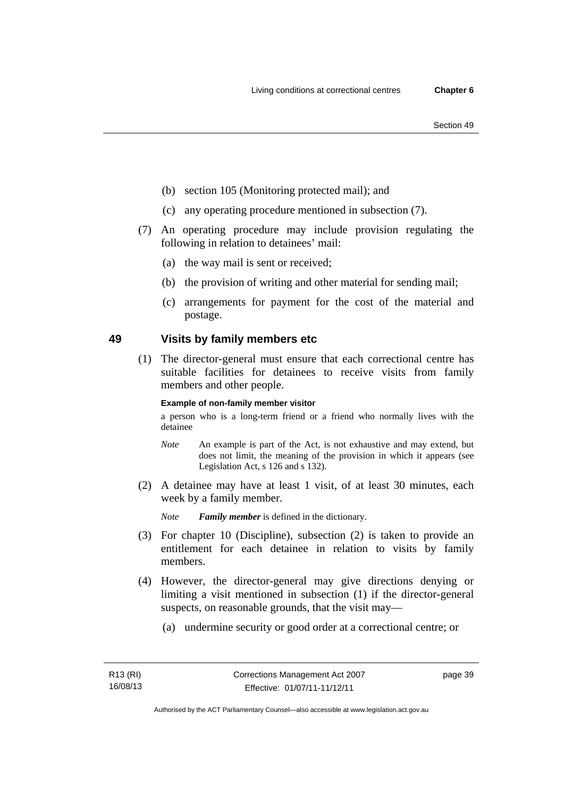- (b) section 105 (Monitoring protected mail); and
- (c) any operating procedure mentioned in subsection (7).
- (7) An operating procedure may include provision regulating the following in relation to detainees' mail:
	- (a) the way mail is sent or received;
	- (b) the provision of writing and other material for sending mail;
	- (c) arrangements for payment for the cost of the material and postage.

# **49 Visits by family members etc**

 (1) The director-general must ensure that each correctional centre has suitable facilities for detainees to receive visits from family members and other people.

#### **Example of non-family member visitor**

a person who is a long-term friend or a friend who normally lives with the detainee

- *Note* An example is part of the Act, is not exhaustive and may extend, but does not limit, the meaning of the provision in which it appears (see Legislation Act, s 126 and s 132).
- (2) A detainee may have at least 1 visit, of at least 30 minutes, each week by a family member.

*Note Family member* is defined in the dictionary.

- (3) For chapter 10 (Discipline), subsection (2) is taken to provide an entitlement for each detainee in relation to visits by family members.
- (4) However, the director-general may give directions denying or limiting a visit mentioned in subsection (1) if the director-general suspects, on reasonable grounds, that the visit may—
	- (a) undermine security or good order at a correctional centre; or

page 39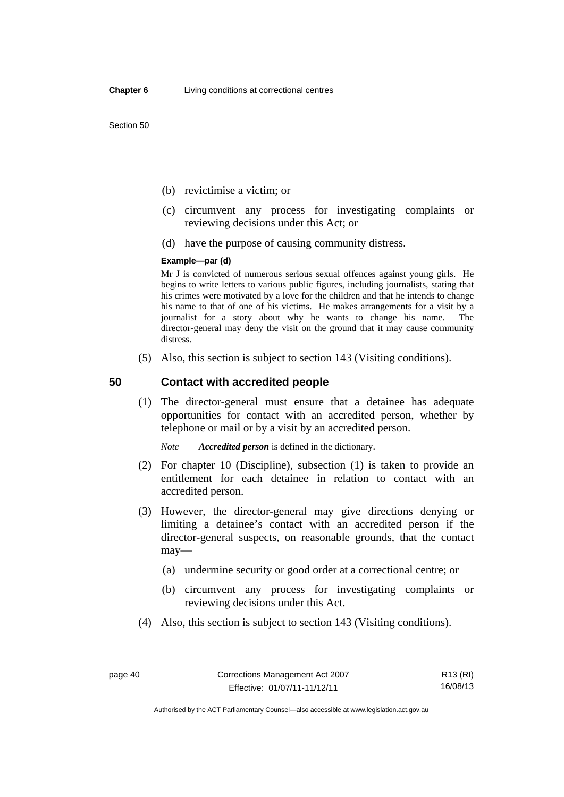- (b) revictimise a victim; or
- (c) circumvent any process for investigating complaints or reviewing decisions under this Act; or
- (d) have the purpose of causing community distress.

#### **Example—par (d)**

Mr J is convicted of numerous serious sexual offences against young girls. He begins to write letters to various public figures, including journalists, stating that his crimes were motivated by a love for the children and that he intends to change his name to that of one of his victims. He makes arrangements for a visit by a journalist for a story about why he wants to change his name. The director-general may deny the visit on the ground that it may cause community distress.

(5) Also, this section is subject to section 143 (Visiting conditions).

## **50 Contact with accredited people**

 (1) The director-general must ensure that a detainee has adequate opportunities for contact with an accredited person, whether by telephone or mail or by a visit by an accredited person.

*Note Accredited person* is defined in the dictionary.

- (2) For chapter 10 (Discipline), subsection (1) is taken to provide an entitlement for each detainee in relation to contact with an accredited person.
- (3) However, the director-general may give directions denying or limiting a detainee's contact with an accredited person if the director-general suspects, on reasonable grounds, that the contact may—
	- (a) undermine security or good order at a correctional centre; or
	- (b) circumvent any process for investigating complaints or reviewing decisions under this Act.
- (4) Also, this section is subject to section 143 (Visiting conditions).

R13 (RI) 16/08/13

Authorised by the ACT Parliamentary Counsel—also accessible at www.legislation.act.gov.au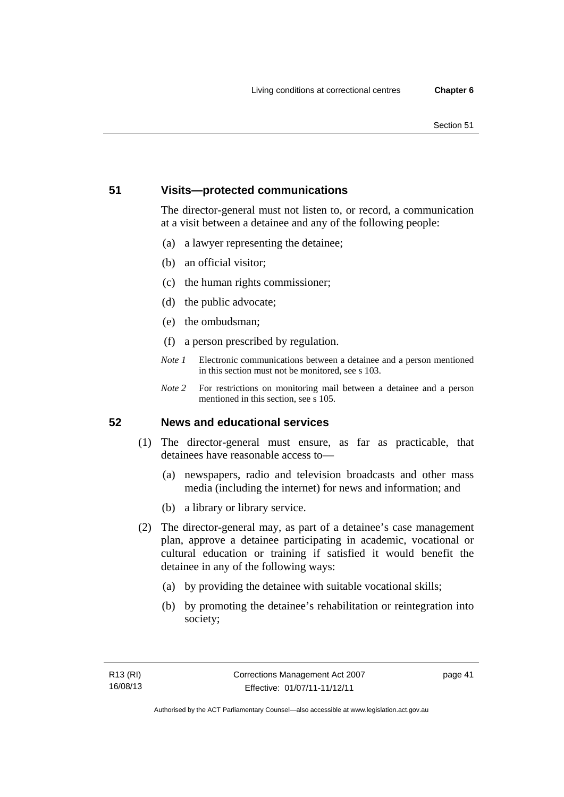# **51 Visits—protected communications**

The director-general must not listen to, or record, a communication at a visit between a detainee and any of the following people:

- (a) a lawyer representing the detainee;
- (b) an official visitor;
- (c) the human rights commissioner;
- (d) the public advocate;
- (e) the ombudsman;
- (f) a person prescribed by regulation.
- *Note 1* Electronic communications between a detainee and a person mentioned in this section must not be monitored, see s 103.
- *Note 2* For restrictions on monitoring mail between a detainee and a person mentioned in this section, see s 105.

# **52 News and educational services**

- (1) The director-general must ensure, as far as practicable, that detainees have reasonable access to—
	- (a) newspapers, radio and television broadcasts and other mass media (including the internet) for news and information; and
	- (b) a library or library service.
- (2) The director-general may, as part of a detainee's case management plan, approve a detainee participating in academic, vocational or cultural education or training if satisfied it would benefit the detainee in any of the following ways:
	- (a) by providing the detainee with suitable vocational skills;
	- (b) by promoting the detainee's rehabilitation or reintegration into society;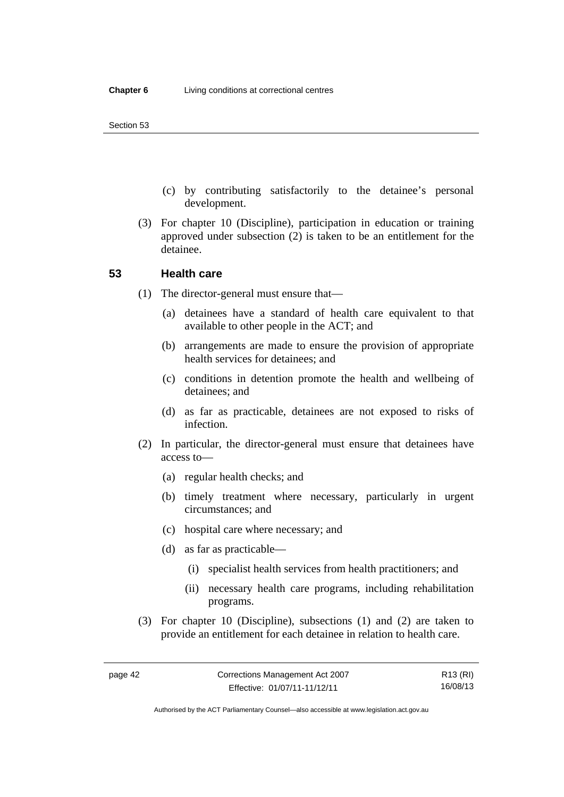- (c) by contributing satisfactorily to the detainee's personal development.
- (3) For chapter 10 (Discipline), participation in education or training approved under subsection (2) is taken to be an entitlement for the detainee.

#### **53 Health care**

- (1) The director-general must ensure that—
	- (a) detainees have a standard of health care equivalent to that available to other people in the ACT; and
	- (b) arrangements are made to ensure the provision of appropriate health services for detainees; and
	- (c) conditions in detention promote the health and wellbeing of detainees; and
	- (d) as far as practicable, detainees are not exposed to risks of infection.
- (2) In particular, the director-general must ensure that detainees have access to—
	- (a) regular health checks; and
	- (b) timely treatment where necessary, particularly in urgent circumstances; and
	- (c) hospital care where necessary; and
	- (d) as far as practicable—
		- (i) specialist health services from health practitioners; and
		- (ii) necessary health care programs, including rehabilitation programs.
- (3) For chapter 10 (Discipline), subsections (1) and (2) are taken to provide an entitlement for each detainee in relation to health care.

R13 (RI) 16/08/13

Authorised by the ACT Parliamentary Counsel—also accessible at www.legislation.act.gov.au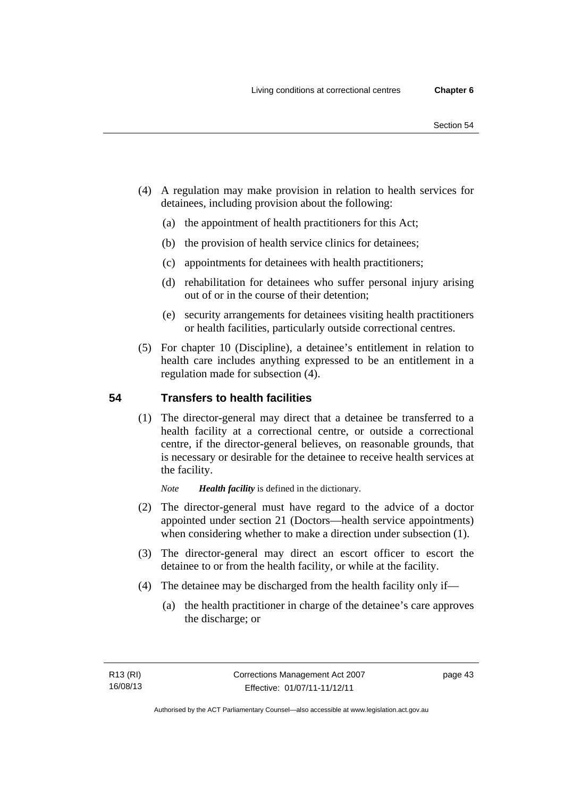- (4) A regulation may make provision in relation to health services for detainees, including provision about the following:
	- (a) the appointment of health practitioners for this Act;
	- (b) the provision of health service clinics for detainees;
	- (c) appointments for detainees with health practitioners;
	- (d) rehabilitation for detainees who suffer personal injury arising out of or in the course of their detention;
	- (e) security arrangements for detainees visiting health practitioners or health facilities, particularly outside correctional centres.
- (5) For chapter 10 (Discipline), a detainee's entitlement in relation to health care includes anything expressed to be an entitlement in a regulation made for subsection (4).

# **54 Transfers to health facilities**

 (1) The director-general may direct that a detainee be transferred to a health facility at a correctional centre, or outside a correctional centre, if the director-general believes, on reasonable grounds, that is necessary or desirable for the detainee to receive health services at the facility.

*Note Health facility* is defined in the dictionary.

- (2) The director-general must have regard to the advice of a doctor appointed under section 21 (Doctors—health service appointments) when considering whether to make a direction under subsection  $(1)$ .
- (3) The director-general may direct an escort officer to escort the detainee to or from the health facility, or while at the facility.
- (4) The detainee may be discharged from the health facility only if—
	- (a) the health practitioner in charge of the detainee's care approves the discharge; or

page 43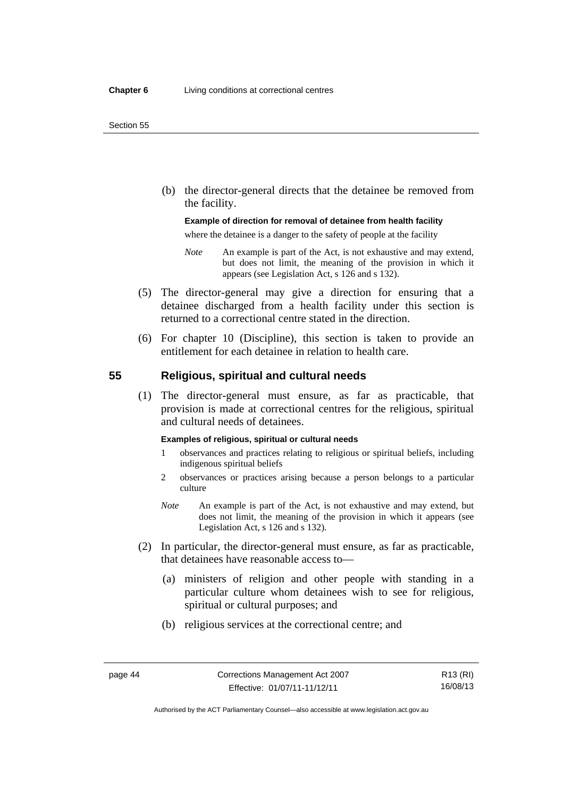(b) the director-general directs that the detainee be removed from the facility.

#### **Example of direction for removal of detainee from health facility**

where the detainee is a danger to the safety of people at the facility

- *Note* An example is part of the Act, is not exhaustive and may extend, but does not limit, the meaning of the provision in which it appears (see Legislation Act, s 126 and s 132).
- (5) The director-general may give a direction for ensuring that a detainee discharged from a health facility under this section is returned to a correctional centre stated in the direction.
- (6) For chapter 10 (Discipline), this section is taken to provide an entitlement for each detainee in relation to health care.

## **55 Religious, spiritual and cultural needs**

 (1) The director-general must ensure, as far as practicable, that provision is made at correctional centres for the religious, spiritual and cultural needs of detainees.

#### **Examples of religious, spiritual or cultural needs**

- 1 observances and practices relating to religious or spiritual beliefs, including indigenous spiritual beliefs
- 2 observances or practices arising because a person belongs to a particular culture
- *Note* An example is part of the Act, is not exhaustive and may extend, but does not limit, the meaning of the provision in which it appears (see Legislation Act, s 126 and s 132).
- (2) In particular, the director-general must ensure, as far as practicable, that detainees have reasonable access to—
	- (a) ministers of religion and other people with standing in a particular culture whom detainees wish to see for religious, spiritual or cultural purposes; and
	- (b) religious services at the correctional centre; and

R13 (RI) 16/08/13

Authorised by the ACT Parliamentary Counsel—also accessible at www.legislation.act.gov.au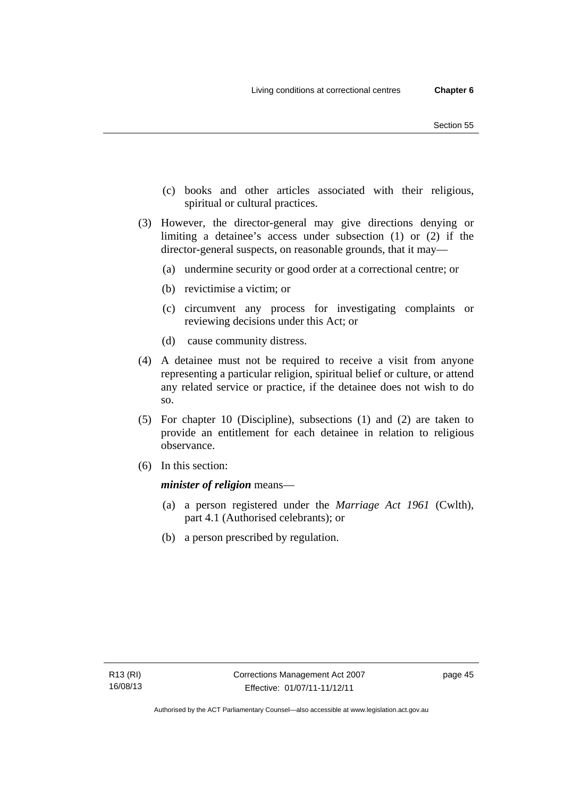- (c) books and other articles associated with their religious, spiritual or cultural practices.
- (3) However, the director-general may give directions denying or limiting a detainee's access under subsection (1) or (2) if the director-general suspects, on reasonable grounds, that it may—
	- (a) undermine security or good order at a correctional centre; or
	- (b) revictimise a victim; or
	- (c) circumvent any process for investigating complaints or reviewing decisions under this Act; or
	- (d) cause community distress.
- (4) A detainee must not be required to receive a visit from anyone representing a particular religion, spiritual belief or culture, or attend any related service or practice, if the detainee does not wish to do so.
- (5) For chapter 10 (Discipline), subsections (1) and (2) are taken to provide an entitlement for each detainee in relation to religious observance.
- (6) In this section:

*minister of religion* means—

- (a) a person registered under the *Marriage Act 1961* (Cwlth), part 4.1 (Authorised celebrants); or
- (b) a person prescribed by regulation.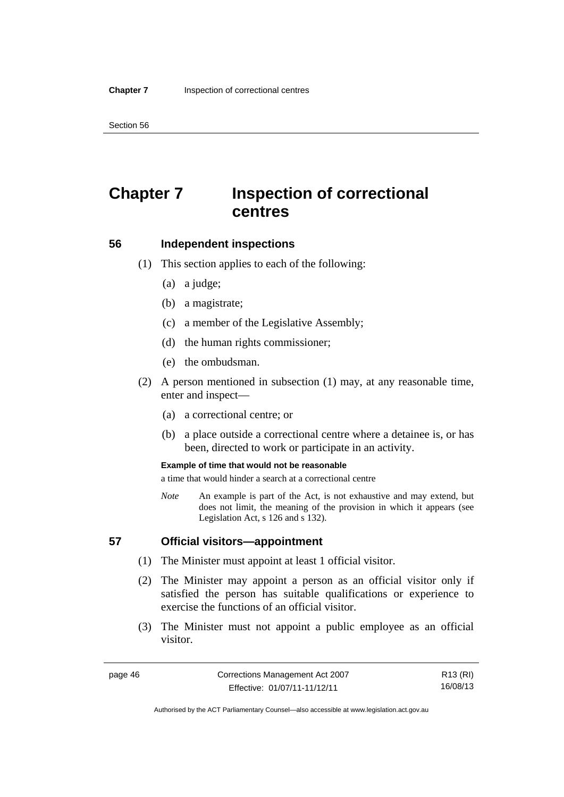# **Chapter 7 Inspection of correctional centres**

## **56 Independent inspections**

- (1) This section applies to each of the following:
	- (a) a judge;
	- (b) a magistrate;
	- (c) a member of the Legislative Assembly;
	- (d) the human rights commissioner;
	- (e) the ombudsman.
- (2) A person mentioned in subsection (1) may, at any reasonable time, enter and inspect—
	- (a) a correctional centre; or
	- (b) a place outside a correctional centre where a detainee is, or has been, directed to work or participate in an activity.

#### **Example of time that would not be reasonable**

a time that would hinder a search at a correctional centre

*Note* An example is part of the Act, is not exhaustive and may extend, but does not limit, the meaning of the provision in which it appears (see Legislation Act, s 126 and s 132).

#### **57 Official visitors—appointment**

- (1) The Minister must appoint at least 1 official visitor.
- (2) The Minister may appoint a person as an official visitor only if satisfied the person has suitable qualifications or experience to exercise the functions of an official visitor.
- (3) The Minister must not appoint a public employee as an official visitor.

R13 (RI) 16/08/13

Authorised by the ACT Parliamentary Counsel—also accessible at www.legislation.act.gov.au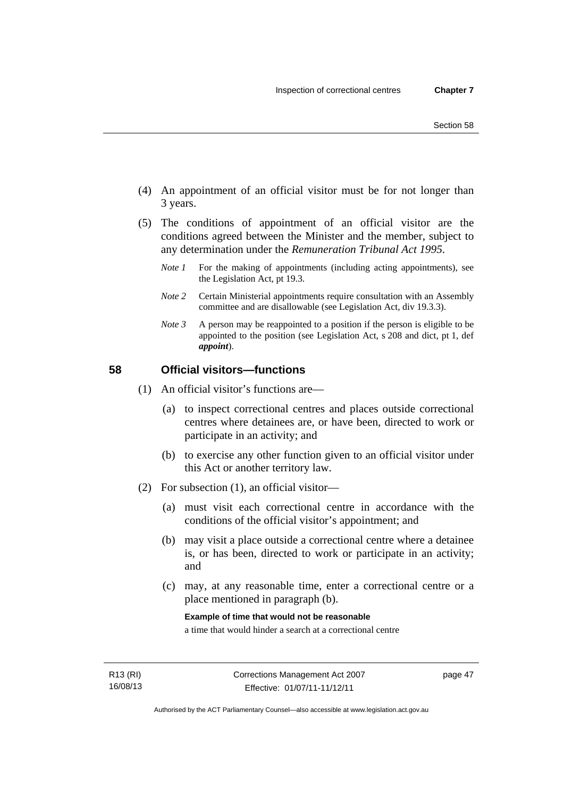- (4) An appointment of an official visitor must be for not longer than 3 years.
- (5) The conditions of appointment of an official visitor are the conditions agreed between the Minister and the member, subject to any determination under the *Remuneration Tribunal Act 1995*.
	- *Note 1* For the making of appointments (including acting appointments), see the Legislation Act, pt 19.3.
	- *Note 2* Certain Ministerial appointments require consultation with an Assembly committee and are disallowable (see Legislation Act, div 19.3.3).
	- *Note 3* A person may be reappointed to a position if the person is eligible to be appointed to the position (see Legislation Act, s 208 and dict, pt 1, def *appoint*).

# **58 Official visitors—functions**

- (1) An official visitor's functions are—
	- (a) to inspect correctional centres and places outside correctional centres where detainees are, or have been, directed to work or participate in an activity; and
	- (b) to exercise any other function given to an official visitor under this Act or another territory law.
- (2) For subsection (1), an official visitor—
	- (a) must visit each correctional centre in accordance with the conditions of the official visitor's appointment; and
	- (b) may visit a place outside a correctional centre where a detainee is, or has been, directed to work or participate in an activity; and
	- (c) may, at any reasonable time, enter a correctional centre or a place mentioned in paragraph (b).

**Example of time that would not be reasonable** 

a time that would hinder a search at a correctional centre

page 47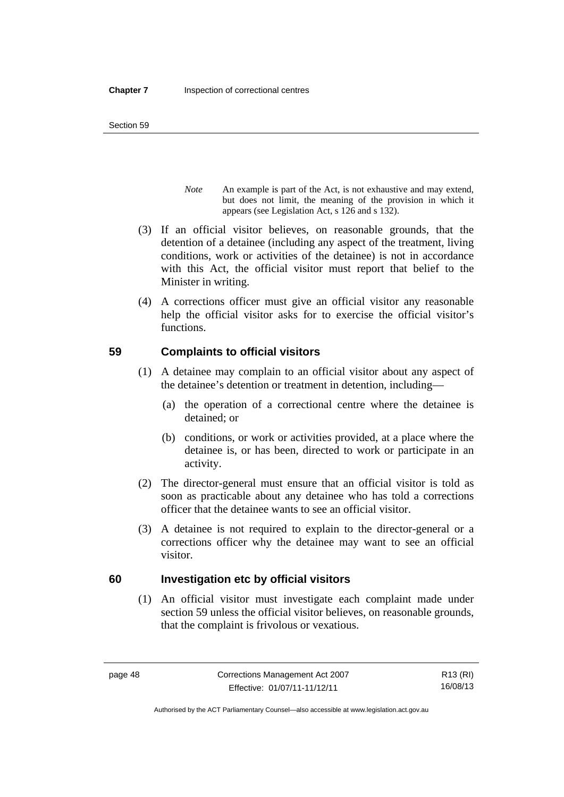- *Note* An example is part of the Act, is not exhaustive and may extend, but does not limit, the meaning of the provision in which it appears (see Legislation Act, s 126 and s 132).
- (3) If an official visitor believes, on reasonable grounds, that the detention of a detainee (including any aspect of the treatment, living conditions, work or activities of the detainee) is not in accordance with this Act, the official visitor must report that belief to the Minister in writing.
- (4) A corrections officer must give an official visitor any reasonable help the official visitor asks for to exercise the official visitor's functions.

# **59 Complaints to official visitors**

- (1) A detainee may complain to an official visitor about any aspect of the detainee's detention or treatment in detention, including—
	- (a) the operation of a correctional centre where the detainee is detained; or
	- (b) conditions, or work or activities provided, at a place where the detainee is, or has been, directed to work or participate in an activity.
- (2) The director-general must ensure that an official visitor is told as soon as practicable about any detainee who has told a corrections officer that the detainee wants to see an official visitor.
- (3) A detainee is not required to explain to the director-general or a corrections officer why the detainee may want to see an official visitor.

# **60 Investigation etc by official visitors**

 (1) An official visitor must investigate each complaint made under section 59 unless the official visitor believes, on reasonable grounds, that the complaint is frivolous or vexatious.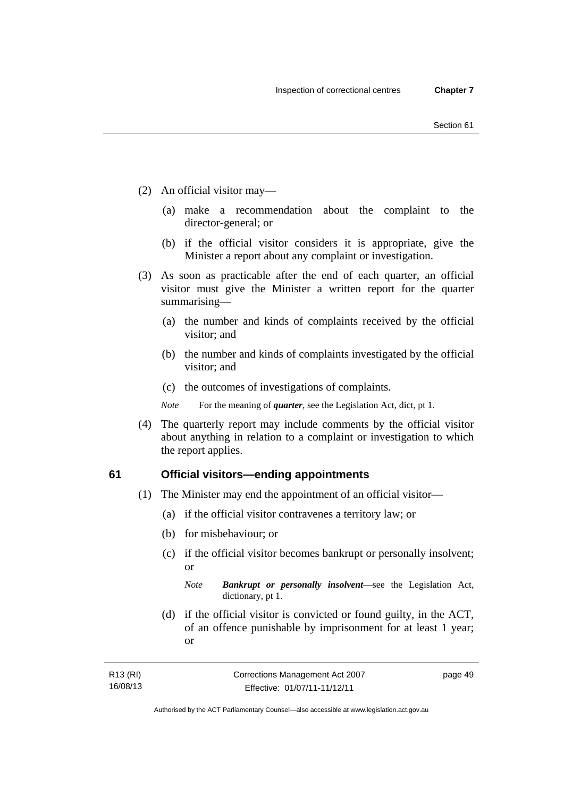- (2) An official visitor may—
	- (a) make a recommendation about the complaint to the director-general; or
	- (b) if the official visitor considers it is appropriate, give the Minister a report about any complaint or investigation.
- (3) As soon as practicable after the end of each quarter, an official visitor must give the Minister a written report for the quarter summarising—
	- (a) the number and kinds of complaints received by the official visitor; and
	- (b) the number and kinds of complaints investigated by the official visitor; and
	- (c) the outcomes of investigations of complaints.
	- *Note* For the meaning of *quarter*, see the Legislation Act, dict, pt 1.
- (4) The quarterly report may include comments by the official visitor about anything in relation to a complaint or investigation to which the report applies.

#### **61 Official visitors—ending appointments**

- (1) The Minister may end the appointment of an official visitor—
	- (a) if the official visitor contravenes a territory law; or
	- (b) for misbehaviour; or
	- (c) if the official visitor becomes bankrupt or personally insolvent; or

*Note Bankrupt or personally insolvent*—see the Legislation Act, dictionary, pt 1.

 (d) if the official visitor is convicted or found guilty, in the ACT, of an offence punishable by imprisonment for at least 1 year; or

| R13 (RI) | Corrections Management Act 2007 | page 49 |
|----------|---------------------------------|---------|
| 16/08/13 | Effective: 01/07/11-11/12/11    |         |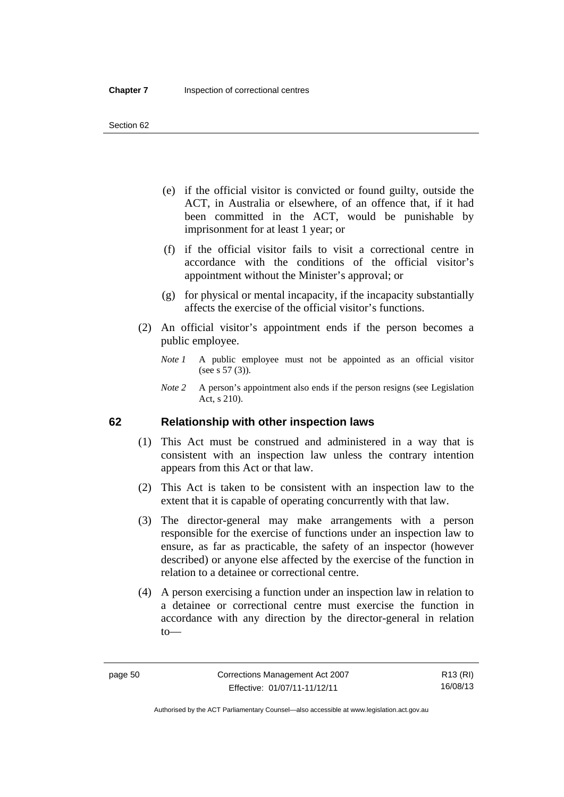- (e) if the official visitor is convicted or found guilty, outside the ACT, in Australia or elsewhere, of an offence that, if it had been committed in the ACT, would be punishable by imprisonment for at least 1 year; or
- (f) if the official visitor fails to visit a correctional centre in accordance with the conditions of the official visitor's appointment without the Minister's approval; or
- (g) for physical or mental incapacity, if the incapacity substantially affects the exercise of the official visitor's functions.
- (2) An official visitor's appointment ends if the person becomes a public employee.
	- *Note 1* A public employee must not be appointed as an official visitor (see s 57 (3)).
	- *Note 2* A person's appointment also ends if the person resigns (see Legislation Act, s 210).

## **62 Relationship with other inspection laws**

- (1) This Act must be construed and administered in a way that is consistent with an inspection law unless the contrary intention appears from this Act or that law.
- (2) This Act is taken to be consistent with an inspection law to the extent that it is capable of operating concurrently with that law.
- (3) The director-general may make arrangements with a person responsible for the exercise of functions under an inspection law to ensure, as far as practicable, the safety of an inspector (however described) or anyone else affected by the exercise of the function in relation to a detainee or correctional centre.
- (4) A person exercising a function under an inspection law in relation to a detainee or correctional centre must exercise the function in accordance with any direction by the director-general in relation to—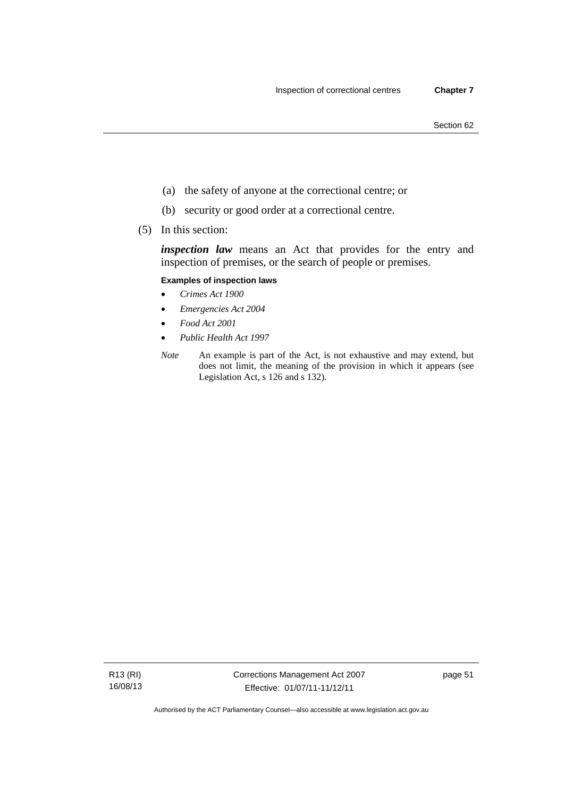- (a) the safety of anyone at the correctional centre; or
- (b) security or good order at a correctional centre.
- (5) In this section:

*inspection law* means an Act that provides for the entry and inspection of premises, or the search of people or premises.

## **Examples of inspection laws**

- *Crimes Act 1900*
- *Emergencies Act 2004*
- *Food Act 2001*
- *Public Health Act 1997*
- *Note* An example is part of the Act, is not exhaustive and may extend, but does not limit, the meaning of the provision in which it appears (see Legislation Act, s 126 and s 132).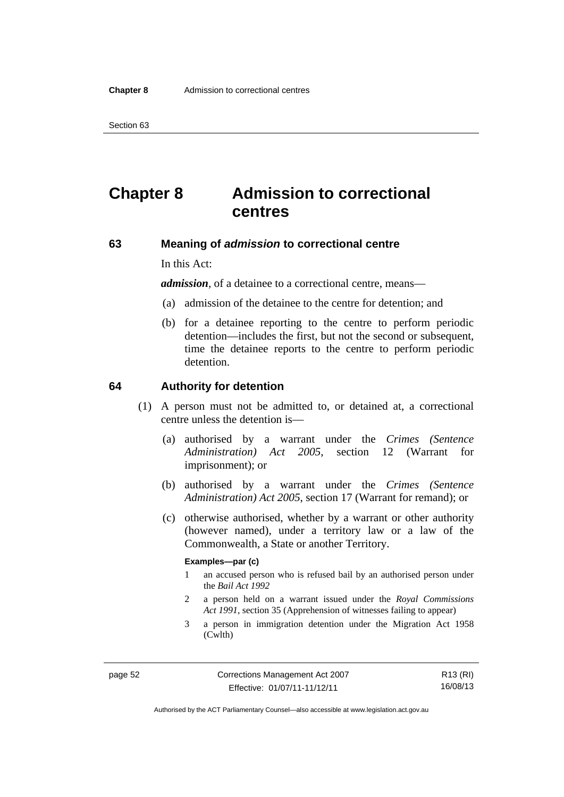# **Chapter 8 Admission to correctional centres**

## **63 Meaning of** *admission* **to correctional centre**

In this Act:

*admission,* of a detainee to a correctional centre, means—

- (a) admission of the detainee to the centre for detention; and
- (b) for a detainee reporting to the centre to perform periodic detention—includes the first, but not the second or subsequent, time the detainee reports to the centre to perform periodic detention.

#### **64 Authority for detention**

- (1) A person must not be admitted to, or detained at, a correctional centre unless the detention is—
	- (a) authorised by a warrant under the *Crimes (Sentence Administration) Act 2005*, section 12 (Warrant for imprisonment); or
	- (b) authorised by a warrant under the *Crimes (Sentence Administration) Act 2005*, section 17 (Warrant for remand); or
	- (c) otherwise authorised, whether by a warrant or other authority (however named), under a territory law or a law of the Commonwealth, a State or another Territory.

#### **Examples—par (c)**

- 1 an accused person who is refused bail by an authorised person under the *Bail Act 1992*
- 2 a person held on a warrant issued under the *Royal Commissions Act 1991*, section 35 (Apprehension of witnesses failing to appear)
- 3 a person in immigration detention under the Migration Act 1958 (Cwlth)

R13 (RI) 16/08/13

Authorised by the ACT Parliamentary Counsel—also accessible at www.legislation.act.gov.au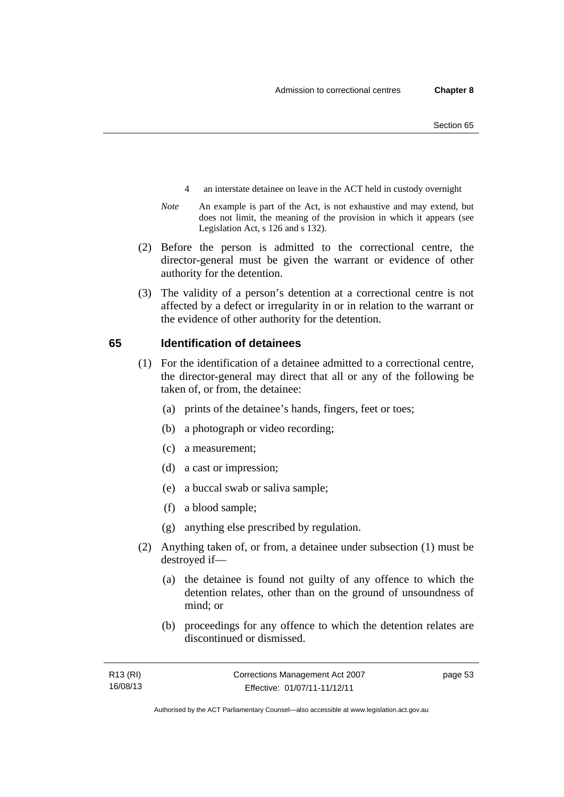- 4 an interstate detainee on leave in the ACT held in custody overnight
- *Note* An example is part of the Act, is not exhaustive and may extend, but does not limit, the meaning of the provision in which it appears (see Legislation Act, s 126 and s 132).
- (2) Before the person is admitted to the correctional centre, the director-general must be given the warrant or evidence of other authority for the detention.
- (3) The validity of a person's detention at a correctional centre is not affected by a defect or irregularity in or in relation to the warrant or the evidence of other authority for the detention.

#### **65 Identification of detainees**

- (1) For the identification of a detainee admitted to a correctional centre, the director-general may direct that all or any of the following be taken of, or from, the detainee:
	- (a) prints of the detainee's hands, fingers, feet or toes;
	- (b) a photograph or video recording;
	- (c) a measurement;
	- (d) a cast or impression;
	- (e) a buccal swab or saliva sample;
	- (f) a blood sample;
	- (g) anything else prescribed by regulation.
- (2) Anything taken of, or from, a detainee under subsection (1) must be destroyed if—
	- (a) the detainee is found not guilty of any offence to which the detention relates, other than on the ground of unsoundness of mind; or
	- (b) proceedings for any offence to which the detention relates are discontinued or dismissed.

page 53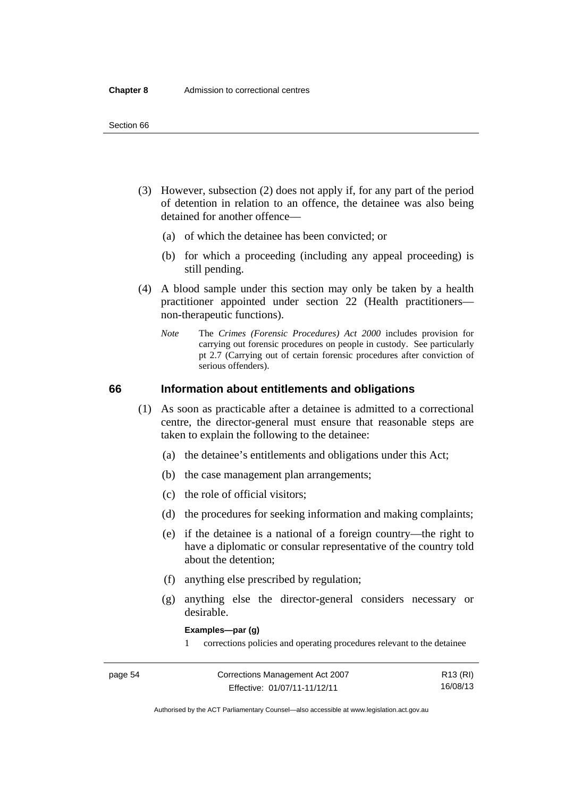- (3) However, subsection (2) does not apply if, for any part of the period of detention in relation to an offence, the detainee was also being detained for another offence—
	- (a) of which the detainee has been convicted; or
	- (b) for which a proceeding (including any appeal proceeding) is still pending.
- (4) A blood sample under this section may only be taken by a health practitioner appointed under section 22 (Health practitioners non-therapeutic functions).
	- *Note* The *Crimes (Forensic Procedures) Act 2000* includes provision for carrying out forensic procedures on people in custody. See particularly pt 2.7 (Carrying out of certain forensic procedures after conviction of serious offenders).

## **66 Information about entitlements and obligations**

- (1) As soon as practicable after a detainee is admitted to a correctional centre, the director-general must ensure that reasonable steps are taken to explain the following to the detainee:
	- (a) the detainee's entitlements and obligations under this Act;
	- (b) the case management plan arrangements;
	- (c) the role of official visitors;
	- (d) the procedures for seeking information and making complaints;
	- (e) if the detainee is a national of a foreign country—the right to have a diplomatic or consular representative of the country told about the detention;
	- (f) anything else prescribed by regulation;
	- (g) anything else the director-general considers necessary or desirable.

**Examples—par (g)** 

1 corrections policies and operating procedures relevant to the detainee

| page 54 | Corrections Management Act 2007 | R13 (RI) |
|---------|---------------------------------|----------|
|         | Effective: 01/07/11-11/12/11    | 16/08/13 |

Authorised by the ACT Parliamentary Counsel—also accessible at www.legislation.act.gov.au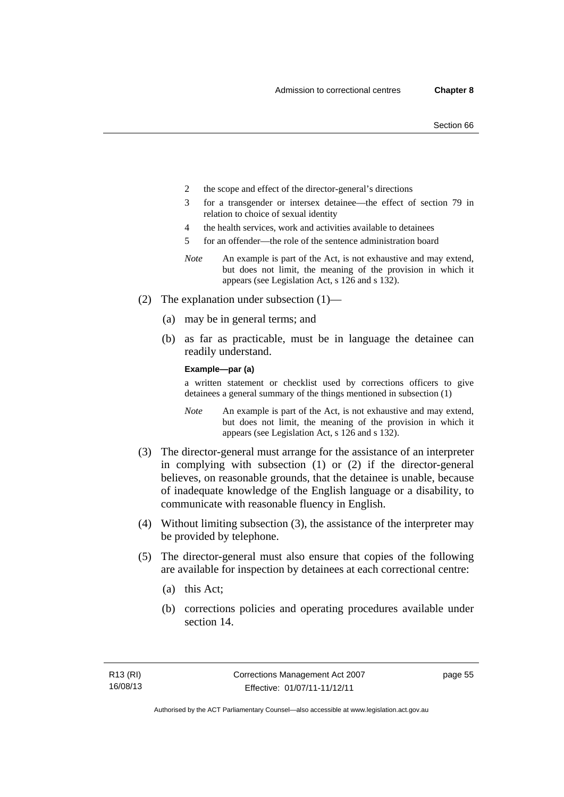- 2 the scope and effect of the director-general's directions
- 3 for a transgender or intersex detainee—the effect of section 79 in relation to choice of sexual identity
- 4 the health services, work and activities available to detainees
- 5 for an offender—the role of the sentence administration board
- *Note* An example is part of the Act, is not exhaustive and may extend, but does not limit, the meaning of the provision in which it appears (see Legislation Act, s 126 and s 132).
- (2) The explanation under subsection (1)—
	- (a) may be in general terms; and
	- (b) as far as practicable, must be in language the detainee can readily understand.

**Example—par (a)** 

a written statement or checklist used by corrections officers to give detainees a general summary of the things mentioned in subsection (1)

- *Note* An example is part of the Act, is not exhaustive and may extend, but does not limit, the meaning of the provision in which it appears (see Legislation Act, s 126 and s 132).
- (3) The director-general must arrange for the assistance of an interpreter in complying with subsection (1) or (2) if the director-general believes, on reasonable grounds, that the detainee is unable, because of inadequate knowledge of the English language or a disability, to communicate with reasonable fluency in English.
- (4) Without limiting subsection (3), the assistance of the interpreter may be provided by telephone.
- (5) The director-general must also ensure that copies of the following are available for inspection by detainees at each correctional centre:
	- (a) this Act;
	- (b) corrections policies and operating procedures available under section 14.

page 55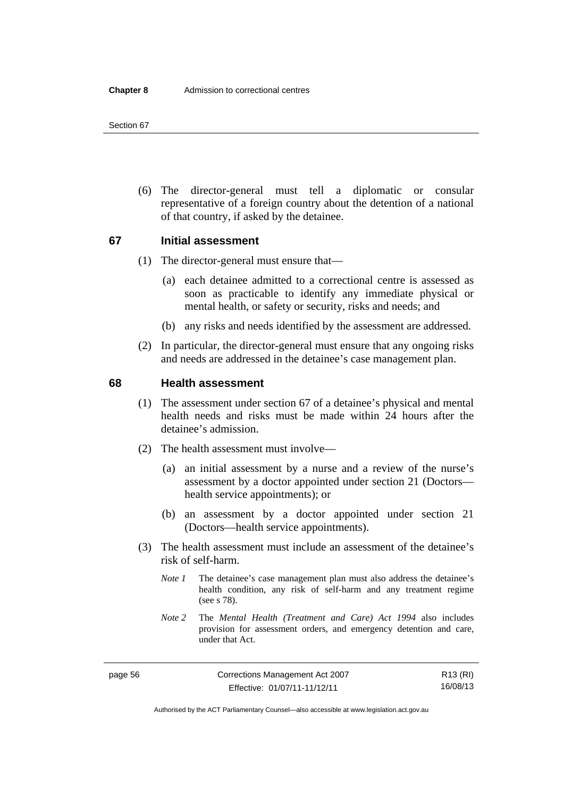(6) The director-general must tell a diplomatic or consular representative of a foreign country about the detention of a national of that country, if asked by the detainee.

#### **67 Initial assessment**

- (1) The director-general must ensure that—
	- (a) each detainee admitted to a correctional centre is assessed as soon as practicable to identify any immediate physical or mental health, or safety or security, risks and needs; and
	- (b) any risks and needs identified by the assessment are addressed.
- (2) In particular, the director-general must ensure that any ongoing risks and needs are addressed in the detainee's case management plan.

#### **68 Health assessment**

- (1) The assessment under section 67 of a detainee's physical and mental health needs and risks must be made within 24 hours after the detainee's admission.
- (2) The health assessment must involve—
	- (a) an initial assessment by a nurse and a review of the nurse's assessment by a doctor appointed under section 21 (Doctors health service appointments); or
	- (b) an assessment by a doctor appointed under section 21 (Doctors—health service appointments).
- (3) The health assessment must include an assessment of the detainee's risk of self-harm.
	- *Note 1* The detainee's case management plan must also address the detainee's health condition, any risk of self-harm and any treatment regime (see s 78).
	- *Note 2* The *Mental Health (Treatment and Care) Act 1994* also includes provision for assessment orders, and emergency detention and care, under that Act.

R13 (RI) 16/08/13

Authorised by the ACT Parliamentary Counsel—also accessible at www.legislation.act.gov.au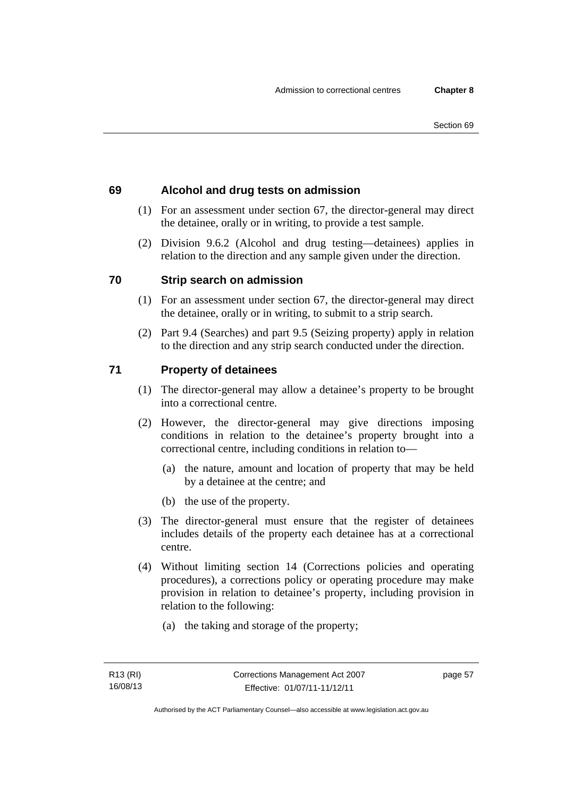# **69 Alcohol and drug tests on admission**

- (1) For an assessment under section 67, the director-general may direct the detainee, orally or in writing, to provide a test sample.
- (2) Division 9.6.2 (Alcohol and drug testing—detainees) applies in relation to the direction and any sample given under the direction.

# **70 Strip search on admission**

- (1) For an assessment under section 67, the director-general may direct the detainee, orally or in writing, to submit to a strip search.
- (2) Part 9.4 (Searches) and part 9.5 (Seizing property) apply in relation to the direction and any strip search conducted under the direction.

# **71 Property of detainees**

- (1) The director-general may allow a detainee's property to be brought into a correctional centre.
- (2) However, the director-general may give directions imposing conditions in relation to the detainee's property brought into a correctional centre, including conditions in relation to—
	- (a) the nature, amount and location of property that may be held by a detainee at the centre; and
	- (b) the use of the property.
- (3) The director-general must ensure that the register of detainees includes details of the property each detainee has at a correctional centre.
- (4) Without limiting section 14 (Corrections policies and operating procedures), a corrections policy or operating procedure may make provision in relation to detainee's property, including provision in relation to the following:
	- (a) the taking and storage of the property;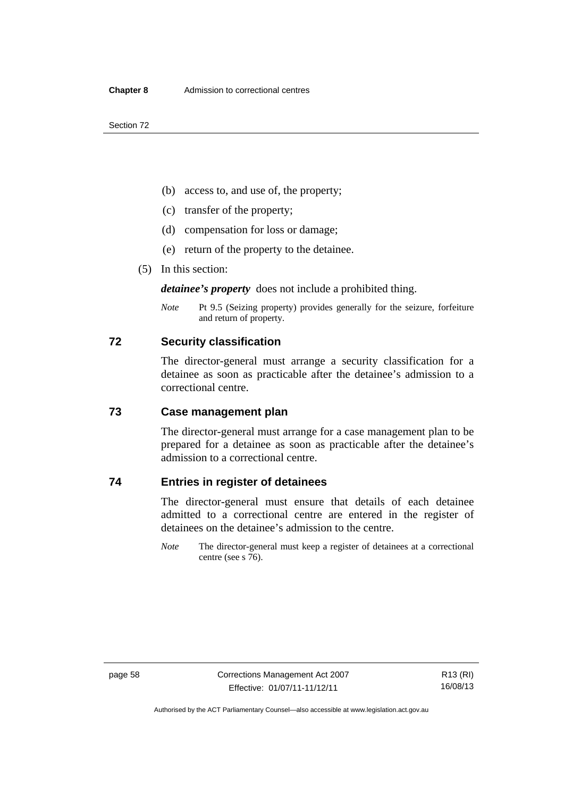- (b) access to, and use of, the property;
- (c) transfer of the property;
- (d) compensation for loss or damage;
- (e) return of the property to the detainee.
- (5) In this section:

*detainee's property* does not include a prohibited thing.

*Note* Pt 9.5 (Seizing property) provides generally for the seizure, forfeiture and return of property.

## **72 Security classification**

The director-general must arrange a security classification for a detainee as soon as practicable after the detainee's admission to a correctional centre.

# **73 Case management plan**

The director-general must arrange for a case management plan to be prepared for a detainee as soon as practicable after the detainee's admission to a correctional centre.

# **74 Entries in register of detainees**

The director-general must ensure that details of each detainee admitted to a correctional centre are entered in the register of detainees on the detainee's admission to the centre.

*Note* The director-general must keep a register of detainees at a correctional centre (see s 76).

Authorised by the ACT Parliamentary Counsel—also accessible at www.legislation.act.gov.au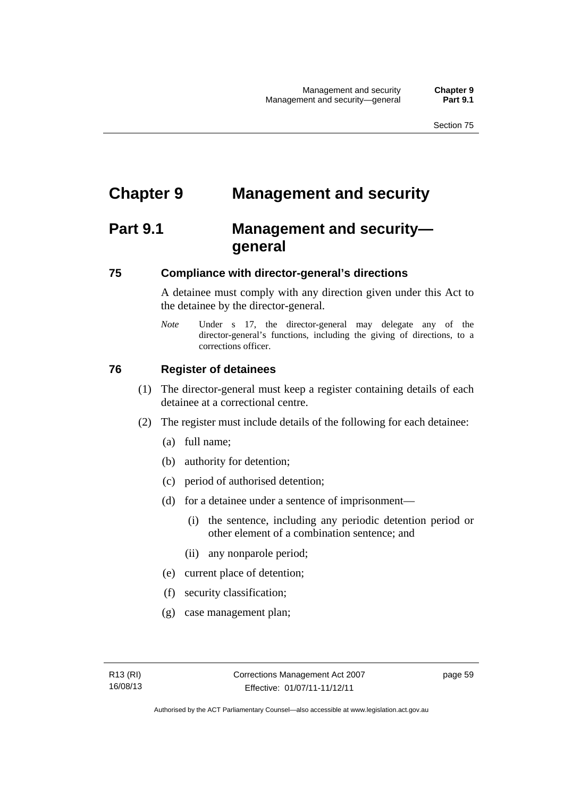# **Chapter 9 Management and security**

# **Part 9.1 Management and security general**

#### **75 Compliance with director-general's directions**

A detainee must comply with any direction given under this Act to the detainee by the director-general.

*Note* Under s 17, the director-general may delegate any of the director-general's functions, including the giving of directions, to a corrections officer.

#### **76 Register of detainees**

- (1) The director-general must keep a register containing details of each detainee at a correctional centre.
- (2) The register must include details of the following for each detainee:
	- (a) full name;
	- (b) authority for detention;
	- (c) period of authorised detention;
	- (d) for a detainee under a sentence of imprisonment—
		- (i) the sentence, including any periodic detention period or other element of a combination sentence; and
		- (ii) any nonparole period;
	- (e) current place of detention;
	- (f) security classification;
	- (g) case management plan;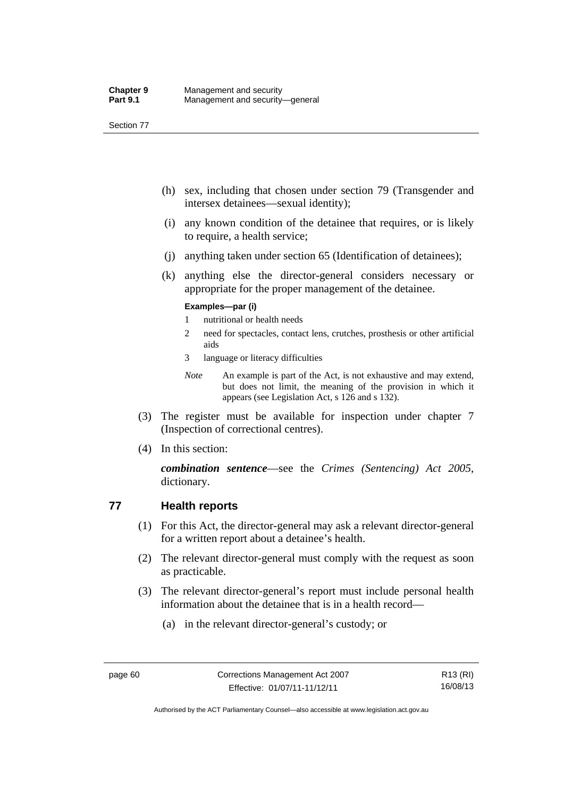- (h) sex, including that chosen under section 79 (Transgender and intersex detainees—sexual identity);
- (i) any known condition of the detainee that requires, or is likely to require, a health service;
- (j) anything taken under section 65 (Identification of detainees);
- (k) anything else the director-general considers necessary or appropriate for the proper management of the detainee.

#### **Examples—par (i)**

- 1 nutritional or health needs
- 2 need for spectacles, contact lens, crutches, prosthesis or other artificial aids
- 3 language or literacy difficulties
- *Note* An example is part of the Act, is not exhaustive and may extend, but does not limit, the meaning of the provision in which it appears (see Legislation Act, s 126 and s 132).
- (3) The register must be available for inspection under chapter 7 (Inspection of correctional centres).
- (4) In this section:

*combination sentence*—see the *Crimes (Sentencing) Act 2005*, dictionary.

## **77 Health reports**

- (1) For this Act, the director-general may ask a relevant director-general for a written report about a detainee's health.
- (2) The relevant director-general must comply with the request as soon as practicable.
- (3) The relevant director-general's report must include personal health information about the detainee that is in a health record—
	- (a) in the relevant director-general's custody; or

Authorised by the ACT Parliamentary Counsel—also accessible at www.legislation.act.gov.au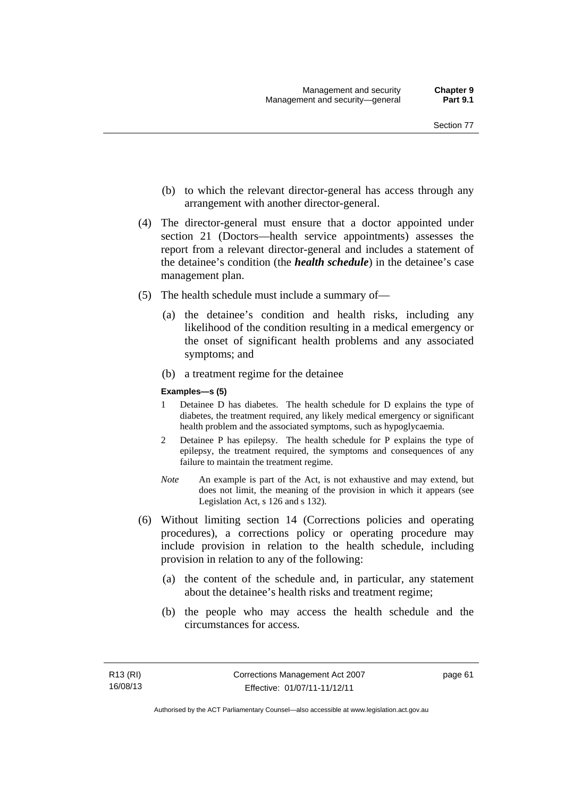- (b) to which the relevant director-general has access through any arrangement with another director-general.
- (4) The director-general must ensure that a doctor appointed under section 21 (Doctors—health service appointments) assesses the report from a relevant director-general and includes a statement of the detainee's condition (the *health schedule*) in the detainee's case management plan.
- (5) The health schedule must include a summary of—
	- (a) the detainee's condition and health risks, including any likelihood of the condition resulting in a medical emergency or the onset of significant health problems and any associated symptoms; and
	- (b) a treatment regime for the detainee

#### **Examples—s (5)**

- 1 Detainee D has diabetes. The health schedule for D explains the type of diabetes, the treatment required, any likely medical emergency or significant health problem and the associated symptoms, such as hypoglycaemia.
- 2 Detainee P has epilepsy. The health schedule for P explains the type of epilepsy, the treatment required, the symptoms and consequences of any failure to maintain the treatment regime.
- *Note* An example is part of the Act, is not exhaustive and may extend, but does not limit, the meaning of the provision in which it appears (see Legislation Act, s 126 and s 132).
- (6) Without limiting section 14 (Corrections policies and operating procedures), a corrections policy or operating procedure may include provision in relation to the health schedule, including provision in relation to any of the following:
	- (a) the content of the schedule and, in particular, any statement about the detainee's health risks and treatment regime;
	- (b) the people who may access the health schedule and the circumstances for access.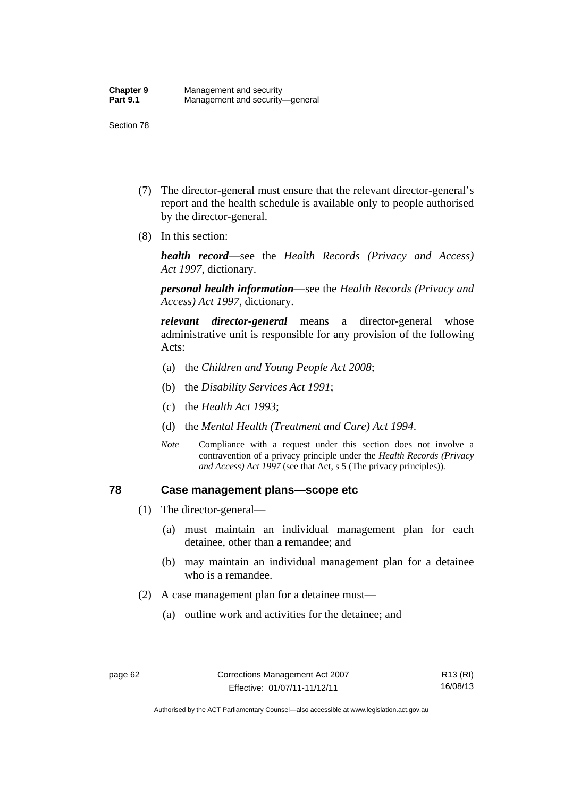- (7) The director-general must ensure that the relevant director-general's report and the health schedule is available only to people authorised by the director-general.
- (8) In this section:

*health record*—see the *Health Records (Privacy and Access) Act 1997*, dictionary.

*personal health information*—see the *Health Records (Privacy and Access) Act 1997*, dictionary.

*relevant director-general* means a director-general whose administrative unit is responsible for any provision of the following Acts:

- (a) the *Children and Young People Act 2008*;
- (b) the *Disability Services Act 1991*;
- (c) the *Health Act 1993*;
- (d) the *Mental Health (Treatment and Care) Act 1994*.
- *Note* Compliance with a request under this section does not involve a contravention of a privacy principle under the *Health Records (Privacy and Access) Act 1997* (see that Act, s 5 (The privacy principles))*.*

#### **78 Case management plans—scope etc**

- (1) The director-general—
	- (a) must maintain an individual management plan for each detainee, other than a remandee; and
	- (b) may maintain an individual management plan for a detainee who is a remandee.
- (2) A case management plan for a detainee must—
	- (a) outline work and activities for the detainee; and

Authorised by the ACT Parliamentary Counsel—also accessible at www.legislation.act.gov.au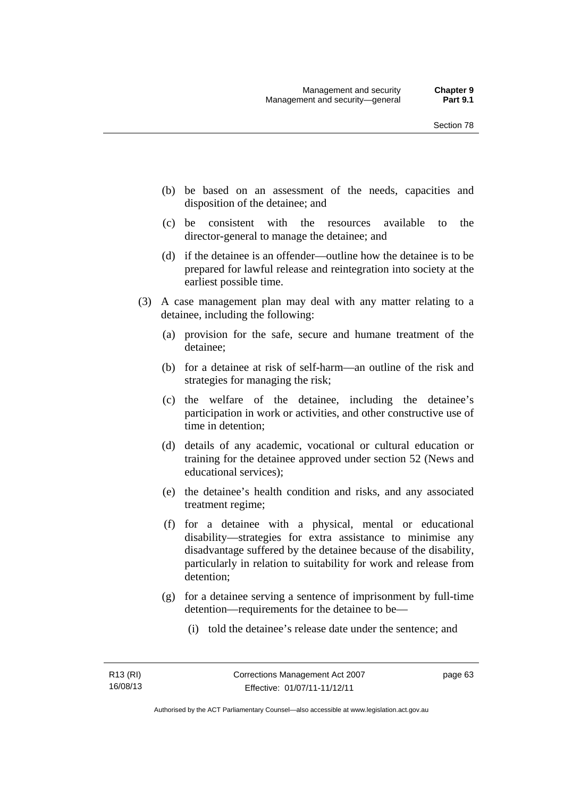- (b) be based on an assessment of the needs, capacities and disposition of the detainee; and
- (c) be consistent with the resources available to the director-general to manage the detainee; and
- (d) if the detainee is an offender—outline how the detainee is to be prepared for lawful release and reintegration into society at the earliest possible time.
- (3) A case management plan may deal with any matter relating to a detainee, including the following:
	- (a) provision for the safe, secure and humane treatment of the detainee;
	- (b) for a detainee at risk of self-harm—an outline of the risk and strategies for managing the risk;
	- (c) the welfare of the detainee, including the detainee's participation in work or activities, and other constructive use of time in detention;
	- (d) details of any academic, vocational or cultural education or training for the detainee approved under section 52 (News and educational services);
	- (e) the detainee's health condition and risks, and any associated treatment regime;
	- (f) for a detainee with a physical, mental or educational disability—strategies for extra assistance to minimise any disadvantage suffered by the detainee because of the disability, particularly in relation to suitability for work and release from detention;
	- (g) for a detainee serving a sentence of imprisonment by full-time detention—requirements for the detainee to be—
		- (i) told the detainee's release date under the sentence; and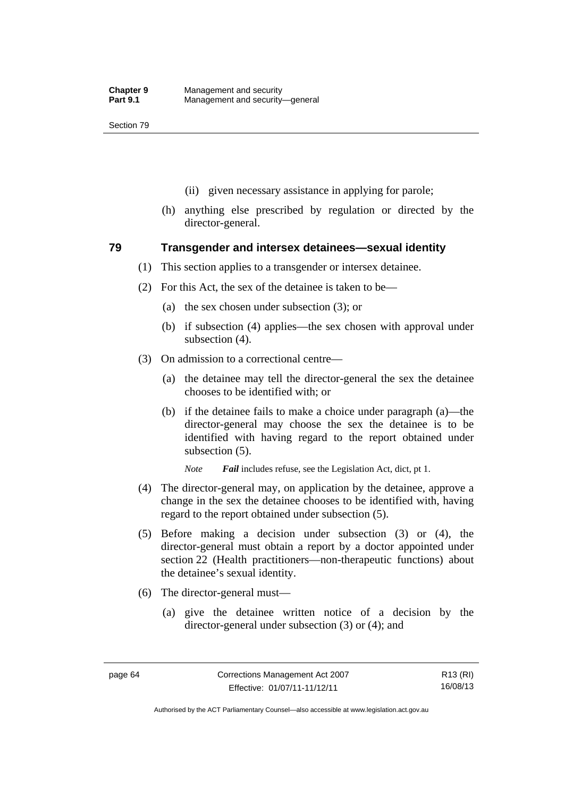- (ii) given necessary assistance in applying for parole;
- (h) anything else prescribed by regulation or directed by the director-general.

#### **79 Transgender and intersex detainees—sexual identity**

- (1) This section applies to a transgender or intersex detainee.
- (2) For this Act, the sex of the detainee is taken to be—
	- (a) the sex chosen under subsection (3); or
	- (b) if subsection (4) applies—the sex chosen with approval under subsection (4).
- (3) On admission to a correctional centre—
	- (a) the detainee may tell the director-general the sex the detainee chooses to be identified with; or
	- (b) if the detainee fails to make a choice under paragraph (a)—the director-general may choose the sex the detainee is to be identified with having regard to the report obtained under subsection (5).

*Note Fail* includes refuse, see the Legislation Act, dict, pt 1.

- (4) The director-general may, on application by the detainee, approve a change in the sex the detainee chooses to be identified with, having regard to the report obtained under subsection (5).
- (5) Before making a decision under subsection (3) or (4), the director-general must obtain a report by a doctor appointed under section 22 (Health practitioners—non-therapeutic functions) about the detainee's sexual identity.
- (6) The director-general must—
	- (a) give the detainee written notice of a decision by the director-general under subsection (3) or (4); and

R13 (RI) 16/08/13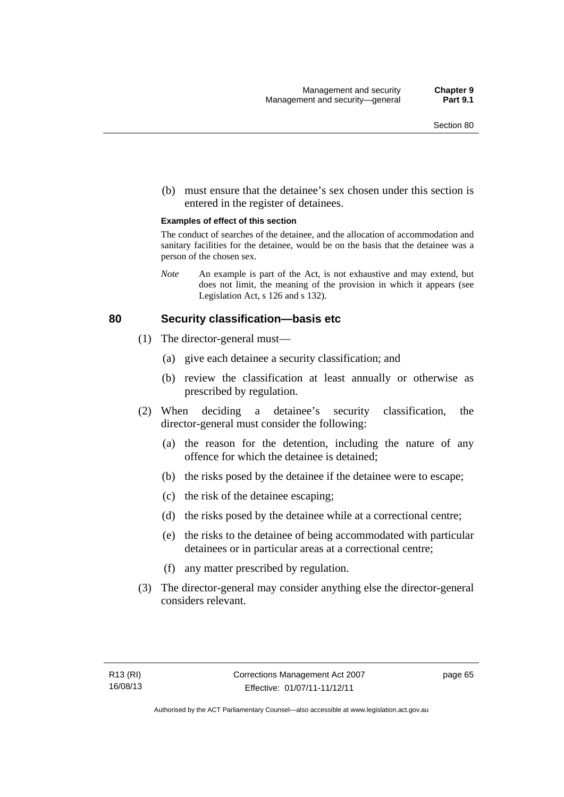(b) must ensure that the detainee's sex chosen under this section is entered in the register of detainees.

#### **Examples of effect of this section**

The conduct of searches of the detainee, and the allocation of accommodation and sanitary facilities for the detainee, would be on the basis that the detainee was a person of the chosen sex.

*Note* An example is part of the Act, is not exhaustive and may extend, but does not limit, the meaning of the provision in which it appears (see Legislation Act, s 126 and s 132).

#### **80 Security classification—basis etc**

- (1) The director-general must—
	- (a) give each detainee a security classification; and
	- (b) review the classification at least annually or otherwise as prescribed by regulation.
- (2) When deciding a detainee's security classification, the director-general must consider the following:
	- (a) the reason for the detention, including the nature of any offence for which the detainee is detained;
	- (b) the risks posed by the detainee if the detainee were to escape;
	- (c) the risk of the detainee escaping;
	- (d) the risks posed by the detainee while at a correctional centre;
	- (e) the risks to the detainee of being accommodated with particular detainees or in particular areas at a correctional centre;
	- (f) any matter prescribed by regulation.
- (3) The director-general may consider anything else the director-general considers relevant.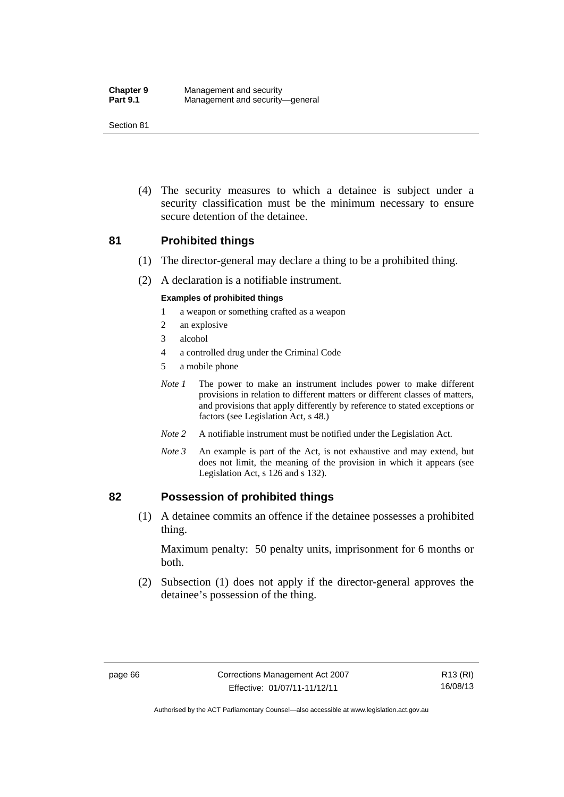(4) The security measures to which a detainee is subject under a security classification must be the minimum necessary to ensure secure detention of the detainee.

#### **81 Prohibited things**

- (1) The director-general may declare a thing to be a prohibited thing.
- (2) A declaration is a notifiable instrument.

#### **Examples of prohibited things**

- 1 a weapon or something crafted as a weapon
- 2 an explosive
- 3 alcohol
- 4 a controlled drug under the Criminal Code
- 5 a mobile phone
- *Note 1* The power to make an instrument includes power to make different provisions in relation to different matters or different classes of matters, and provisions that apply differently by reference to stated exceptions or factors (see Legislation Act, s 48.)
- *Note 2* A notifiable instrument must be notified under the Legislation Act.
- *Note 3* An example is part of the Act, is not exhaustive and may extend, but does not limit, the meaning of the provision in which it appears (see Legislation Act, s 126 and s 132).

#### **82 Possession of prohibited things**

 (1) A detainee commits an offence if the detainee possesses a prohibited thing.

Maximum penalty: 50 penalty units, imprisonment for 6 months or both.

 (2) Subsection (1) does not apply if the director-general approves the detainee's possession of the thing.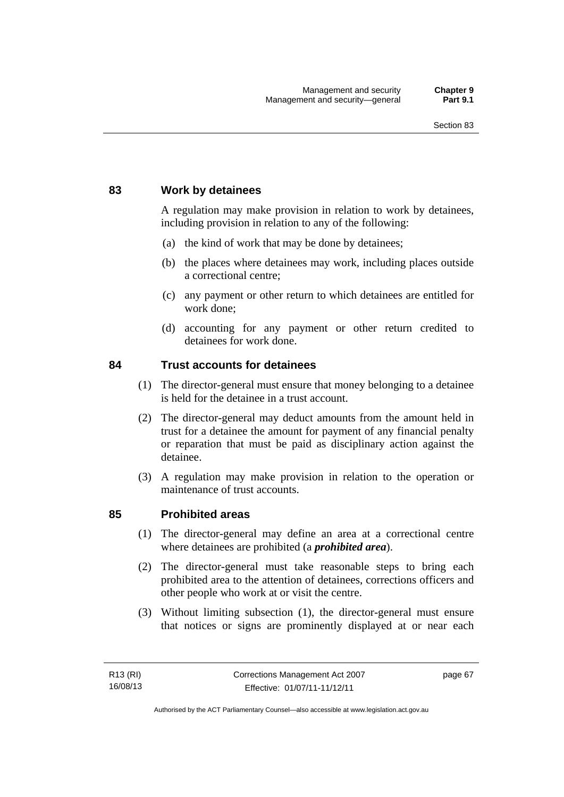## **83 Work by detainees**

A regulation may make provision in relation to work by detainees, including provision in relation to any of the following:

- (a) the kind of work that may be done by detainees;
- (b) the places where detainees may work, including places outside a correctional centre;
- (c) any payment or other return to which detainees are entitled for work done;
- (d) accounting for any payment or other return credited to detainees for work done.

#### **84 Trust accounts for detainees**

- (1) The director-general must ensure that money belonging to a detainee is held for the detainee in a trust account.
- (2) The director-general may deduct amounts from the amount held in trust for a detainee the amount for payment of any financial penalty or reparation that must be paid as disciplinary action against the detainee.
- (3) A regulation may make provision in relation to the operation or maintenance of trust accounts.

#### **85 Prohibited areas**

- (1) The director-general may define an area at a correctional centre where detainees are prohibited (a *prohibited area*).
- (2) The director-general must take reasonable steps to bring each prohibited area to the attention of detainees, corrections officers and other people who work at or visit the centre.
- (3) Without limiting subsection (1), the director-general must ensure that notices or signs are prominently displayed at or near each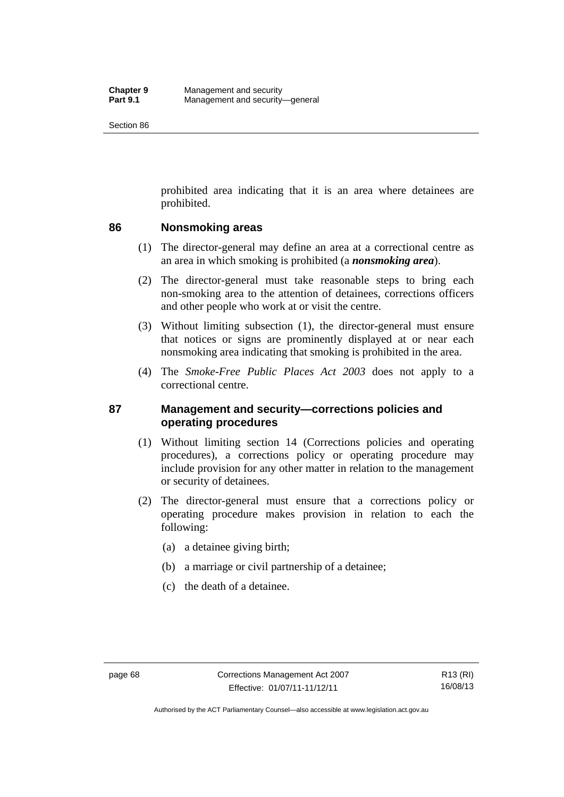prohibited area indicating that it is an area where detainees are prohibited.

## **86 Nonsmoking areas**

- (1) The director-general may define an area at a correctional centre as an area in which smoking is prohibited (a *nonsmoking area*).
- (2) The director-general must take reasonable steps to bring each non-smoking area to the attention of detainees, corrections officers and other people who work at or visit the centre.
- (3) Without limiting subsection (1), the director-general must ensure that notices or signs are prominently displayed at or near each nonsmoking area indicating that smoking is prohibited in the area.
- (4) The *Smoke-Free Public Places Act 2003* does not apply to a correctional centre.

## **87 Management and security—corrections policies and operating procedures**

- (1) Without limiting section 14 (Corrections policies and operating procedures), a corrections policy or operating procedure may include provision for any other matter in relation to the management or security of detainees.
- (2) The director-general must ensure that a corrections policy or operating procedure makes provision in relation to each the following:
	- (a) a detainee giving birth;
	- (b) a marriage or civil partnership of a detainee;
	- (c) the death of a detainee.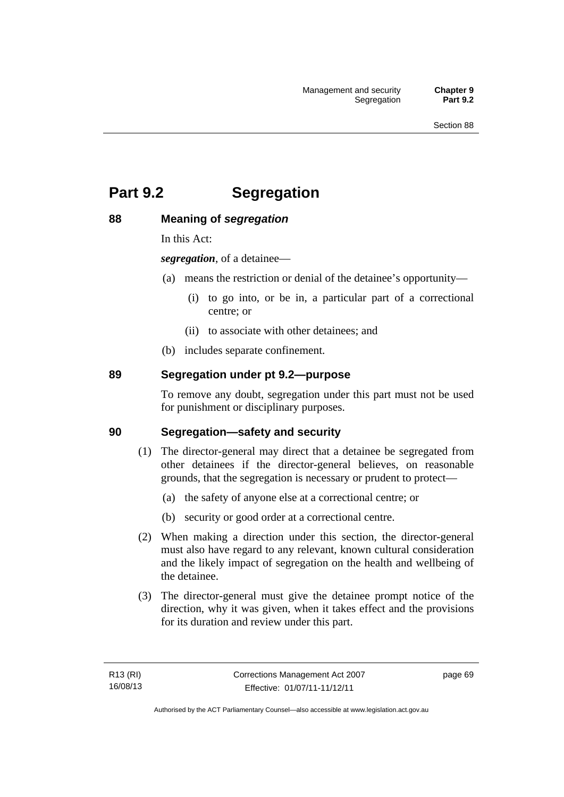# **Part 9.2 Segregation**

## **88 Meaning of** *segregation*

In this Act:

*segregation*, of a detainee—

- (a) means the restriction or denial of the detainee's opportunity—
	- (i) to go into, or be in, a particular part of a correctional centre; or
	- (ii) to associate with other detainees; and
- (b) includes separate confinement.

## **89 Segregation under pt 9.2—purpose**

To remove any doubt, segregation under this part must not be used for punishment or disciplinary purposes.

#### **90 Segregation—safety and security**

- (1) The director-general may direct that a detainee be segregated from other detainees if the director-general believes, on reasonable grounds, that the segregation is necessary or prudent to protect—
	- (a) the safety of anyone else at a correctional centre; or
	- (b) security or good order at a correctional centre.
- (2) When making a direction under this section, the director-general must also have regard to any relevant, known cultural consideration and the likely impact of segregation on the health and wellbeing of the detainee.
- (3) The director-general must give the detainee prompt notice of the direction, why it was given, when it takes effect and the provisions for its duration and review under this part.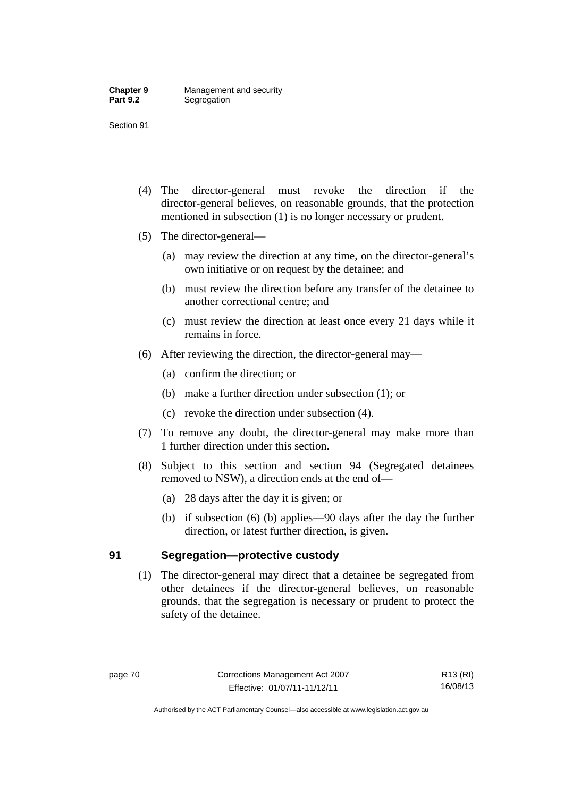- (4) The director-general must revoke the direction if the director-general believes, on reasonable grounds, that the protection mentioned in subsection (1) is no longer necessary or prudent.
- (5) The director-general—
	- (a) may review the direction at any time, on the director-general's own initiative or on request by the detainee; and
	- (b) must review the direction before any transfer of the detainee to another correctional centre; and
	- (c) must review the direction at least once every 21 days while it remains in force.
- (6) After reviewing the direction, the director-general may—
	- (a) confirm the direction; or
	- (b) make a further direction under subsection (1); or
	- (c) revoke the direction under subsection (4).
- (7) To remove any doubt, the director-general may make more than 1 further direction under this section.
- (8) Subject to this section and section 94 (Segregated detainees removed to NSW), a direction ends at the end of—
	- (a) 28 days after the day it is given; or
	- (b) if subsection (6) (b) applies—90 days after the day the further direction, or latest further direction, is given.

## **91 Segregation—protective custody**

 (1) The director-general may direct that a detainee be segregated from other detainees if the director-general believes, on reasonable grounds, that the segregation is necessary or prudent to protect the safety of the detainee.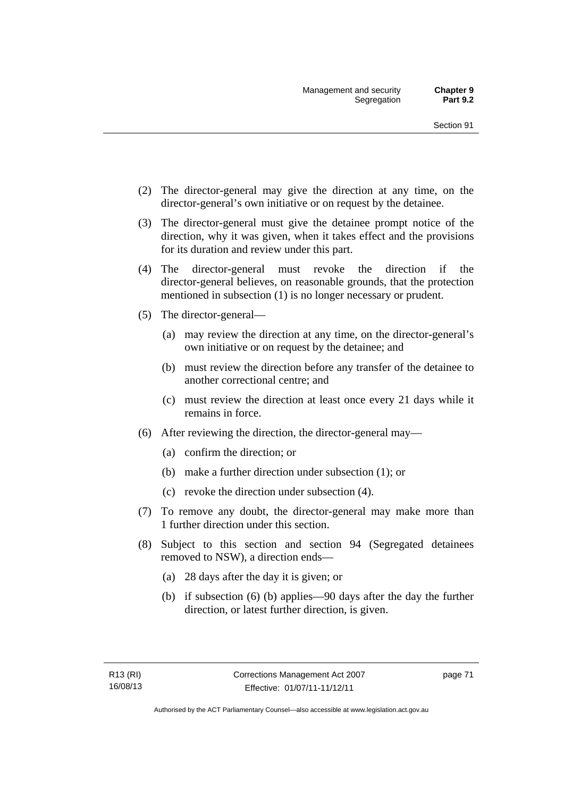- (2) The director-general may give the direction at any time, on the director-general's own initiative or on request by the detainee.
- (3) The director-general must give the detainee prompt notice of the direction, why it was given, when it takes effect and the provisions for its duration and review under this part.
- (4) The director-general must revoke the direction if the director-general believes, on reasonable grounds, that the protection mentioned in subsection (1) is no longer necessary or prudent.
- (5) The director-general—
	- (a) may review the direction at any time, on the director-general's own initiative or on request by the detainee; and
	- (b) must review the direction before any transfer of the detainee to another correctional centre; and
	- (c) must review the direction at least once every 21 days while it remains in force.
- (6) After reviewing the direction, the director-general may—
	- (a) confirm the direction; or
	- (b) make a further direction under subsection (1); or
	- (c) revoke the direction under subsection (4).
- (7) To remove any doubt, the director-general may make more than 1 further direction under this section.
- (8) Subject to this section and section 94 (Segregated detainees removed to NSW), a direction ends—
	- (a) 28 days after the day it is given; or
	- (b) if subsection (6) (b) applies—90 days after the day the further direction, or latest further direction, is given.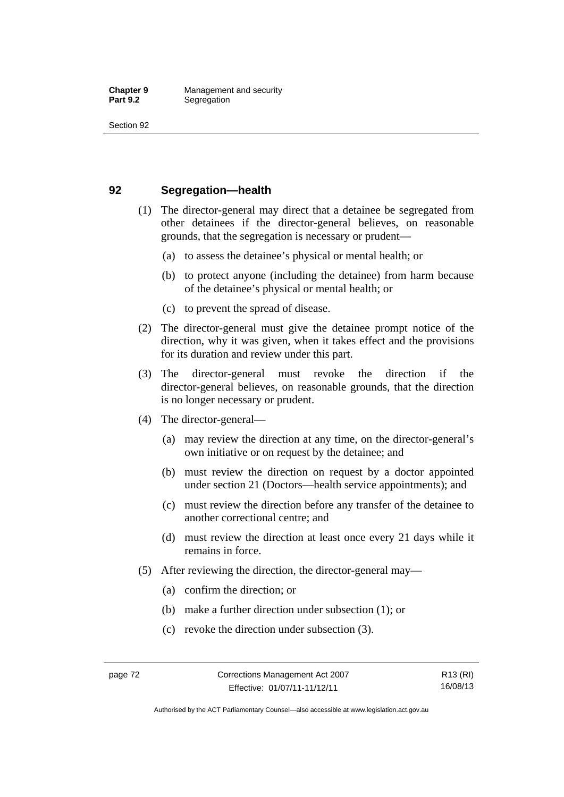## **92 Segregation—health**

- (1) The director-general may direct that a detainee be segregated from other detainees if the director-general believes, on reasonable grounds, that the segregation is necessary or prudent—
	- (a) to assess the detainee's physical or mental health; or
	- (b) to protect anyone (including the detainee) from harm because of the detainee's physical or mental health; or
	- (c) to prevent the spread of disease.
- (2) The director-general must give the detainee prompt notice of the direction, why it was given, when it takes effect and the provisions for its duration and review under this part.
- (3) The director-general must revoke the direction if the director-general believes, on reasonable grounds, that the direction is no longer necessary or prudent.
- (4) The director-general—
	- (a) may review the direction at any time, on the director-general's own initiative or on request by the detainee; and
	- (b) must review the direction on request by a doctor appointed under section 21 (Doctors—health service appointments); and
	- (c) must review the direction before any transfer of the detainee to another correctional centre; and
	- (d) must review the direction at least once every 21 days while it remains in force.
- (5) After reviewing the direction, the director-general may—
	- (a) confirm the direction; or
	- (b) make a further direction under subsection (1); or
	- (c) revoke the direction under subsection (3).

Authorised by the ACT Parliamentary Counsel—also accessible at www.legislation.act.gov.au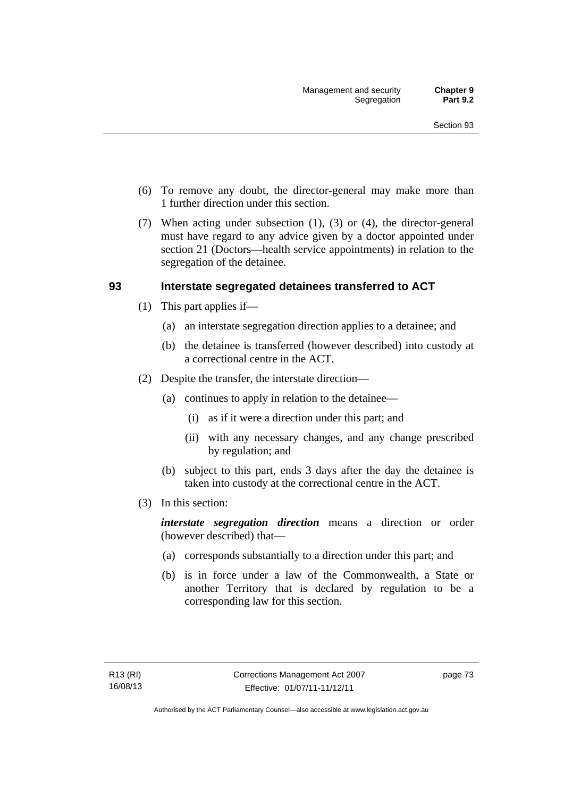- (6) To remove any doubt, the director-general may make more than 1 further direction under this section.
- (7) When acting under subsection (1), (3) or (4), the director-general must have regard to any advice given by a doctor appointed under section 21 (Doctors—health service appointments) in relation to the segregation of the detainee.

## **93 Interstate segregated detainees transferred to ACT**

- (1) This part applies if—
	- (a) an interstate segregation direction applies to a detainee; and
	- (b) the detainee is transferred (however described) into custody at a correctional centre in the ACT.
- (2) Despite the transfer, the interstate direction—
	- (a) continues to apply in relation to the detainee—
		- (i) as if it were a direction under this part; and
		- (ii) with any necessary changes, and any change prescribed by regulation; and
	- (b) subject to this part, ends 3 days after the day the detainee is taken into custody at the correctional centre in the ACT.
- (3) In this section:

*interstate segregation direction* means a direction or order (however described) that—

- (a) corresponds substantially to a direction under this part; and
- (b) is in force under a law of the Commonwealth, a State or another Territory that is declared by regulation to be a corresponding law for this section.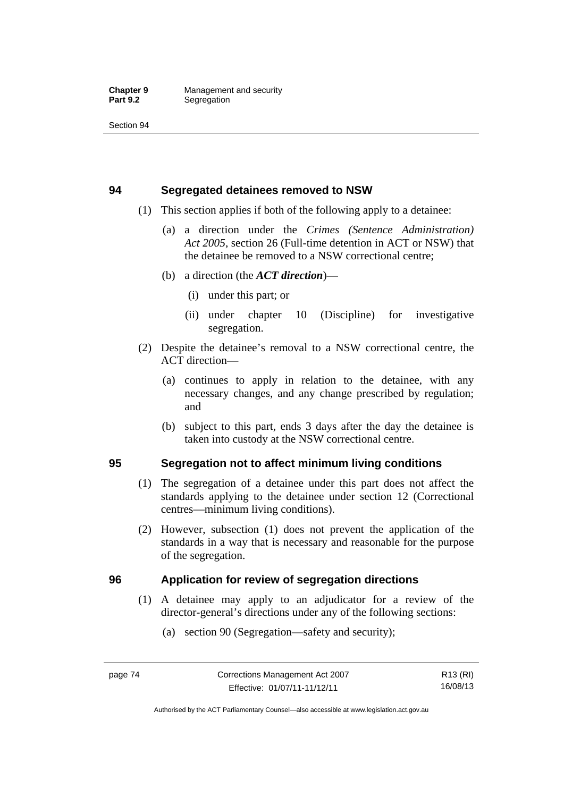## **94 Segregated detainees removed to NSW**

- (1) This section applies if both of the following apply to a detainee:
	- (a) a direction under the *Crimes (Sentence Administration) Act 2005*, section 26 (Full-time detention in ACT or NSW) that the detainee be removed to a NSW correctional centre;
	- (b) a direction (the *ACT direction*)—
		- (i) under this part; or
		- (ii) under chapter 10 (Discipline) for investigative segregation.
- (2) Despite the detainee's removal to a NSW correctional centre, the ACT direction—
	- (a) continues to apply in relation to the detainee, with any necessary changes, and any change prescribed by regulation; and
	- (b) subject to this part, ends 3 days after the day the detainee is taken into custody at the NSW correctional centre.

## **95 Segregation not to affect minimum living conditions**

- (1) The segregation of a detainee under this part does not affect the standards applying to the detainee under section 12 (Correctional centres—minimum living conditions).
- (2) However, subsection (1) does not prevent the application of the standards in a way that is necessary and reasonable for the purpose of the segregation.

## **96 Application for review of segregation directions**

- (1) A detainee may apply to an adjudicator for a review of the director-general's directions under any of the following sections:
	- (a) section 90 (Segregation—safety and security);

Authorised by the ACT Parliamentary Counsel—also accessible at www.legislation.act.gov.au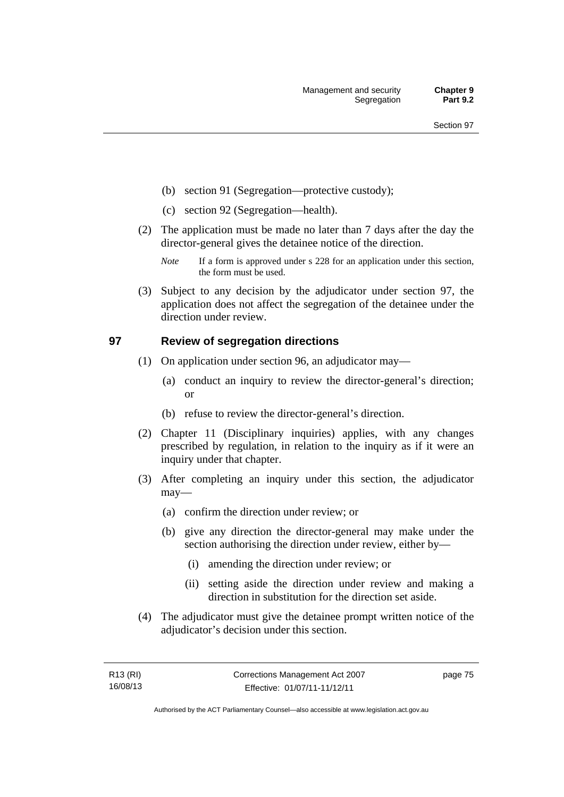- (b) section 91 (Segregation—protective custody);
- (c) section 92 (Segregation—health).
- (2) The application must be made no later than 7 days after the day the director-general gives the detainee notice of the direction.
	- *Note* If a form is approved under s 228 for an application under this section, the form must be used.
- (3) Subject to any decision by the adjudicator under section 97, the application does not affect the segregation of the detainee under the direction under review.

## **97 Review of segregation directions**

- (1) On application under section 96, an adjudicator may—
	- (a) conduct an inquiry to review the director-general's direction; or
	- (b) refuse to review the director-general's direction.
- (2) Chapter 11 (Disciplinary inquiries) applies, with any changes prescribed by regulation, in relation to the inquiry as if it were an inquiry under that chapter.
- (3) After completing an inquiry under this section, the adjudicator may—
	- (a) confirm the direction under review; or
	- (b) give any direction the director-general may make under the section authorising the direction under review, either by—
		- (i) amending the direction under review; or
		- (ii) setting aside the direction under review and making a direction in substitution for the direction set aside.
- (4) The adjudicator must give the detainee prompt written notice of the adjudicator's decision under this section.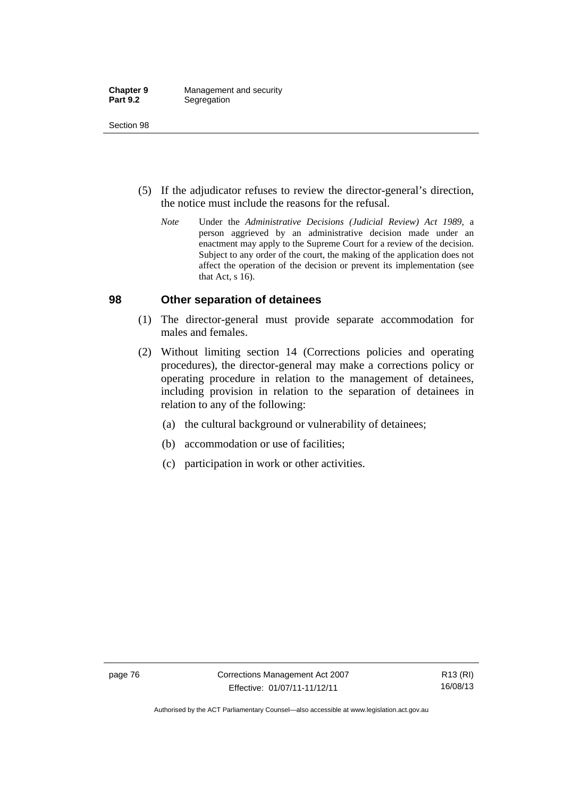- (5) If the adjudicator refuses to review the director-general's direction, the notice must include the reasons for the refusal.
	- *Note* Under the *Administrative Decisions (Judicial Review) Act 1989*, a person aggrieved by an administrative decision made under an enactment may apply to the Supreme Court for a review of the decision. Subject to any order of the court, the making of the application does not affect the operation of the decision or prevent its implementation (see that Act, s 16).

#### **98 Other separation of detainees**

- (1) The director-general must provide separate accommodation for males and females.
- (2) Without limiting section 14 (Corrections policies and operating procedures), the director-general may make a corrections policy or operating procedure in relation to the management of detainees, including provision in relation to the separation of detainees in relation to any of the following:
	- (a) the cultural background or vulnerability of detainees;
	- (b) accommodation or use of facilities;
	- (c) participation in work or other activities.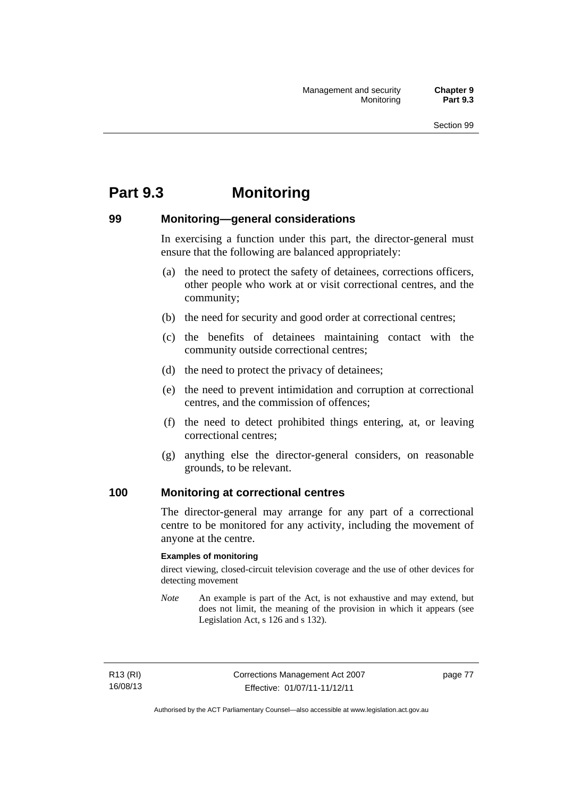# **Part 9.3 Monitoring**

## **99 Monitoring—general considerations**

In exercising a function under this part, the director-general must ensure that the following are balanced appropriately:

- (a) the need to protect the safety of detainees, corrections officers, other people who work at or visit correctional centres, and the community;
- (b) the need for security and good order at correctional centres;
- (c) the benefits of detainees maintaining contact with the community outside correctional centres;
- (d) the need to protect the privacy of detainees;
- (e) the need to prevent intimidation and corruption at correctional centres, and the commission of offences;
- (f) the need to detect prohibited things entering, at, or leaving correctional centres;
- (g) anything else the director-general considers, on reasonable grounds, to be relevant.

#### **100 Monitoring at correctional centres**

The director-general may arrange for any part of a correctional centre to be monitored for any activity, including the movement of anyone at the centre.

#### **Examples of monitoring**

direct viewing, closed-circuit television coverage and the use of other devices for detecting movement

*Note* An example is part of the Act, is not exhaustive and may extend, but does not limit, the meaning of the provision in which it appears (see Legislation Act, s 126 and s 132).

R13 (RI) 16/08/13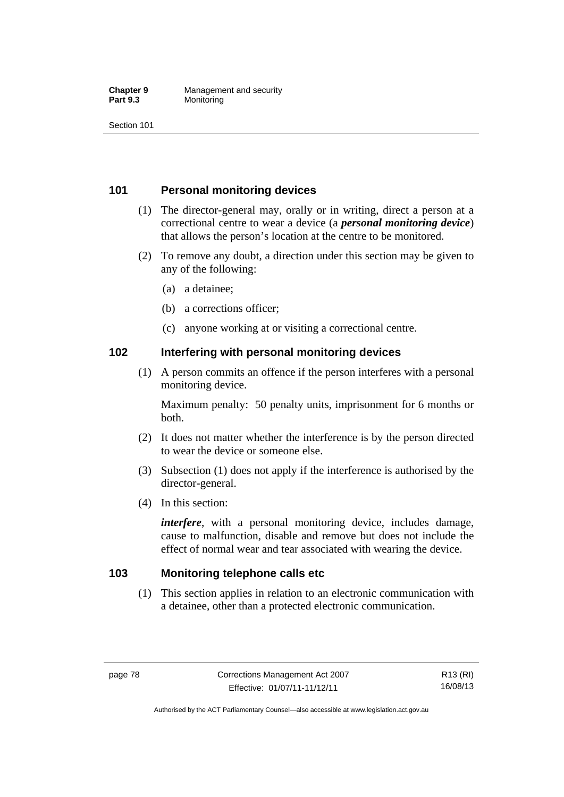#### **Chapter 9 Management and security**<br>**Part 9.3 Monitoring Monitoring**

Section 101

## **101 Personal monitoring devices**

- (1) The director-general may, orally or in writing, direct a person at a correctional centre to wear a device (a *personal monitoring device*) that allows the person's location at the centre to be monitored.
- (2) To remove any doubt, a direction under this section may be given to any of the following:
	- (a) a detainee;
	- (b) a corrections officer;
	- (c) anyone working at or visiting a correctional centre.

#### **102 Interfering with personal monitoring devices**

 (1) A person commits an offence if the person interferes with a personal monitoring device.

Maximum penalty: 50 penalty units, imprisonment for 6 months or both.

- (2) It does not matter whether the interference is by the person directed to wear the device or someone else.
- (3) Subsection (1) does not apply if the interference is authorised by the director-general.
- (4) In this section:

*interfere*, with a personal monitoring device, includes damage, cause to malfunction, disable and remove but does not include the effect of normal wear and tear associated with wearing the device.

#### **103 Monitoring telephone calls etc**

 (1) This section applies in relation to an electronic communication with a detainee, other than a protected electronic communication.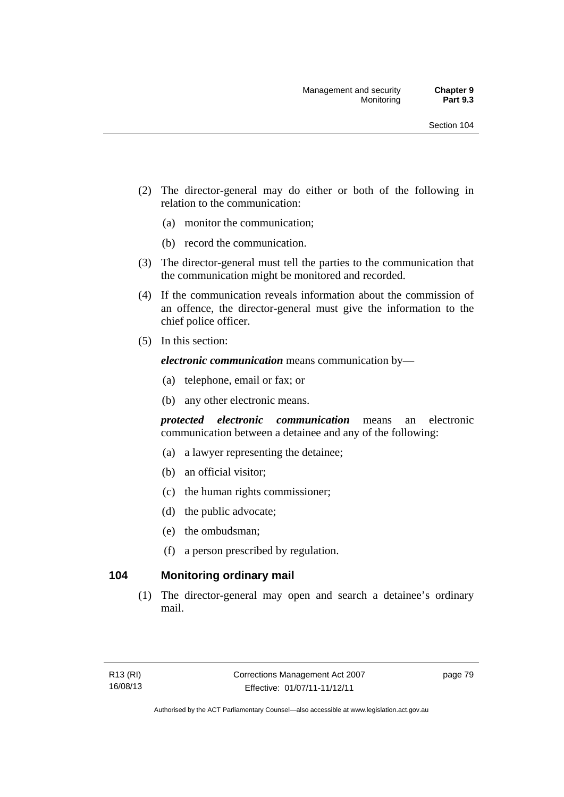- (2) The director-general may do either or both of the following in relation to the communication:
	- (a) monitor the communication;
	- (b) record the communication.
- (3) The director-general must tell the parties to the communication that the communication might be monitored and recorded.
- (4) If the communication reveals information about the commission of an offence, the director-general must give the information to the chief police officer.
- (5) In this section:

*electronic communication* means communication by—

- (a) telephone, email or fax; or
- (b) any other electronic means.

*protected electronic communication* means an electronic communication between a detainee and any of the following:

- (a) a lawyer representing the detainee;
- (b) an official visitor;
- (c) the human rights commissioner;
- (d) the public advocate;
- (e) the ombudsman;
- (f) a person prescribed by regulation.

## **104 Monitoring ordinary mail**

 (1) The director-general may open and search a detainee's ordinary mail.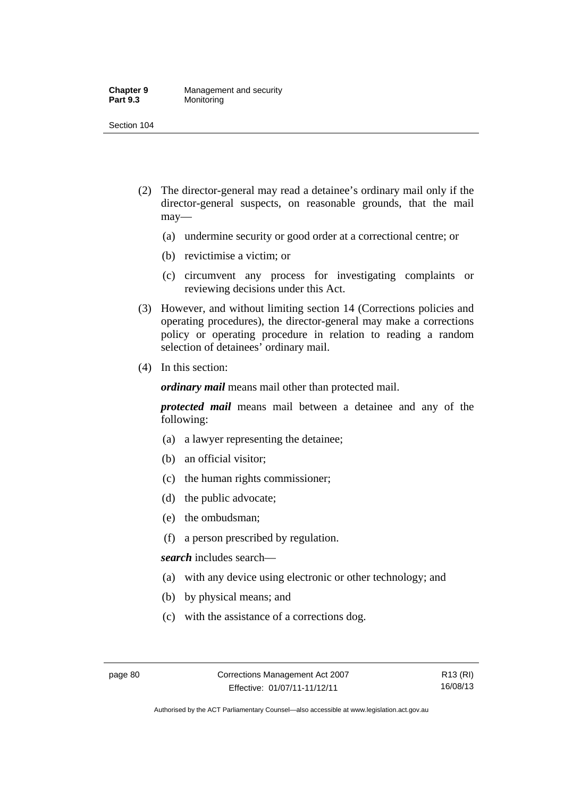#### **Chapter 9 Management and security**<br>**Part 9.3 Monitoring Monitoring**

Section 104

- (2) The director-general may read a detainee's ordinary mail only if the director-general suspects, on reasonable grounds, that the mail may—
	- (a) undermine security or good order at a correctional centre; or
	- (b) revictimise a victim; or
	- (c) circumvent any process for investigating complaints or reviewing decisions under this Act.
- (3) However, and without limiting section 14 (Corrections policies and operating procedures), the director-general may make a corrections policy or operating procedure in relation to reading a random selection of detainees' ordinary mail.
- (4) In this section:

*ordinary mail* means mail other than protected mail.

*protected mail* means mail between a detainee and any of the following:

- (a) a lawyer representing the detainee;
- (b) an official visitor;
- (c) the human rights commissioner;
- (d) the public advocate;
- (e) the ombudsman;
- (f) a person prescribed by regulation.

*search* includes search—

- (a) with any device using electronic or other technology; and
- (b) by physical means; and
- (c) with the assistance of a corrections dog.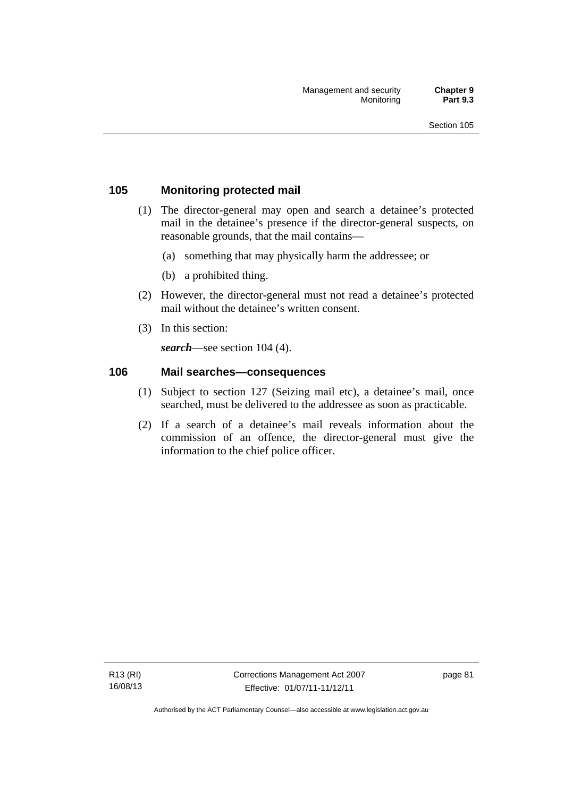## **105 Monitoring protected mail**

- (1) The director-general may open and search a detainee's protected mail in the detainee's presence if the director-general suspects, on reasonable grounds, that the mail contains—
	- (a) something that may physically harm the addressee; or
	- (b) a prohibited thing.
- (2) However, the director-general must not read a detainee's protected mail without the detainee's written consent.
- (3) In this section:

*search*—see section 104 (4).

#### **106 Mail searches—consequences**

- (1) Subject to section 127 (Seizing mail etc), a detainee's mail, once searched, must be delivered to the addressee as soon as practicable.
- (2) If a search of a detainee's mail reveals information about the commission of an offence, the director-general must give the information to the chief police officer.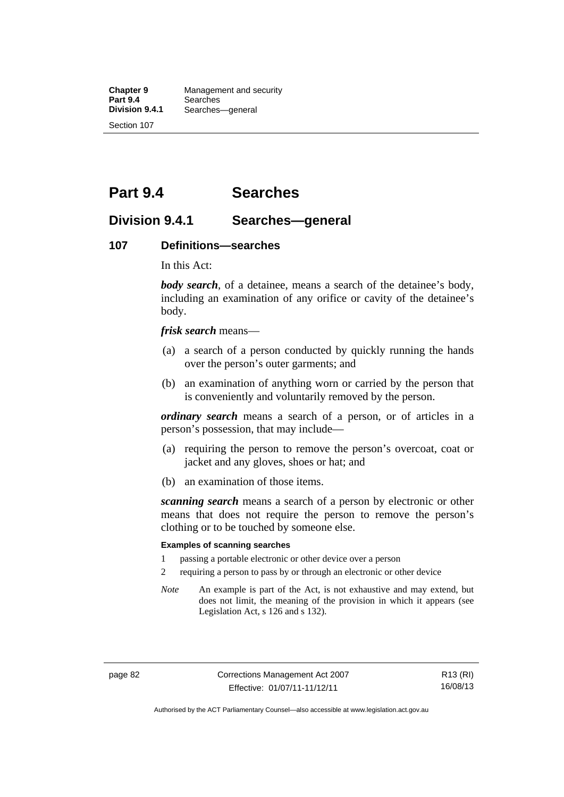**Chapter 9 Management and security**<br>**Part 9.4 Searches Part 9.4 Searches**<br>**Division 9.4.1 Searches Division 9.4.1** Searches—general Section 107

**Part 9.4 Searches** 

## **Division 9.4.1 Searches—general**

#### **107 Definitions—searches**

In this Act:

*body search*, of a detainee, means a search of the detainee's body, including an examination of any orifice or cavity of the detainee's body.

*frisk search* means—

- (a) a search of a person conducted by quickly running the hands over the person's outer garments; and
- (b) an examination of anything worn or carried by the person that is conveniently and voluntarily removed by the person.

*ordinary search* means a search of a person, or of articles in a person's possession, that may include—

- (a) requiring the person to remove the person's overcoat, coat or jacket and any gloves, shoes or hat; and
- (b) an examination of those items.

*scanning search* means a search of a person by electronic or other means that does not require the person to remove the person's clothing or to be touched by someone else.

#### **Examples of scanning searches**

- 1 passing a portable electronic or other device over a person
- 2 requiring a person to pass by or through an electronic or other device
- *Note* An example is part of the Act, is not exhaustive and may extend, but does not limit, the meaning of the provision in which it appears (see Legislation Act, s 126 and s 132).

page 82 Corrections Management Act 2007 Effective: 01/07/11-11/12/11

R13 (RI) 16/08/13

Authorised by the ACT Parliamentary Counsel—also accessible at www.legislation.act.gov.au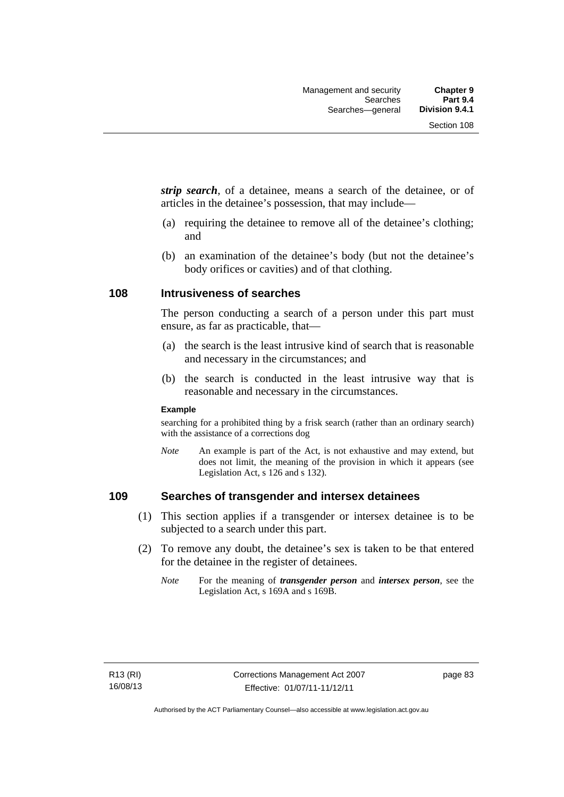*strip search*, of a detainee, means a search of the detainee, or of articles in the detainee's possession, that may include—

- (a) requiring the detainee to remove all of the detainee's clothing; and
- (b) an examination of the detainee's body (but not the detainee's body orifices or cavities) and of that clothing.

#### **108 Intrusiveness of searches**

The person conducting a search of a person under this part must ensure, as far as practicable, that—

- (a) the search is the least intrusive kind of search that is reasonable and necessary in the circumstances; and
- (b) the search is conducted in the least intrusive way that is reasonable and necessary in the circumstances.

#### **Example**

searching for a prohibited thing by a frisk search (rather than an ordinary search) with the assistance of a corrections dog

*Note* An example is part of the Act, is not exhaustive and may extend, but does not limit, the meaning of the provision in which it appears (see Legislation Act, s 126 and s 132).

## **109 Searches of transgender and intersex detainees**

- (1) This section applies if a transgender or intersex detainee is to be subjected to a search under this part.
- (2) To remove any doubt, the detainee's sex is taken to be that entered for the detainee in the register of detainees.
	- *Note* For the meaning of *transgender person* and *intersex person*, see the Legislation Act, s 169A and s 169B.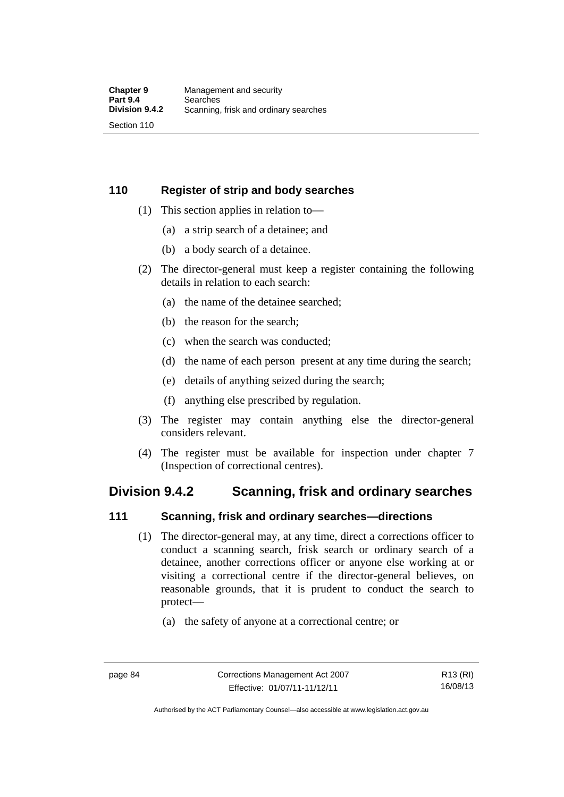## **110 Register of strip and body searches**

- (1) This section applies in relation to—
	- (a) a strip search of a detainee; and
	- (b) a body search of a detainee.
- (2) The director-general must keep a register containing the following details in relation to each search:
	- (a) the name of the detainee searched;
	- (b) the reason for the search;
	- (c) when the search was conducted;
	- (d) the name of each person present at any time during the search;
	- (e) details of anything seized during the search;
	- (f) anything else prescribed by regulation.
- (3) The register may contain anything else the director-general considers relevant.
- (4) The register must be available for inspection under chapter 7 (Inspection of correctional centres).

## **Division 9.4.2 Scanning, frisk and ordinary searches**

#### **111 Scanning, frisk and ordinary searches—directions**

- (1) The director-general may, at any time, direct a corrections officer to conduct a scanning search, frisk search or ordinary search of a detainee, another corrections officer or anyone else working at or visiting a correctional centre if the director-general believes, on reasonable grounds, that it is prudent to conduct the search to protect—
	- (a) the safety of anyone at a correctional centre; or

Authorised by the ACT Parliamentary Counsel—also accessible at www.legislation.act.gov.au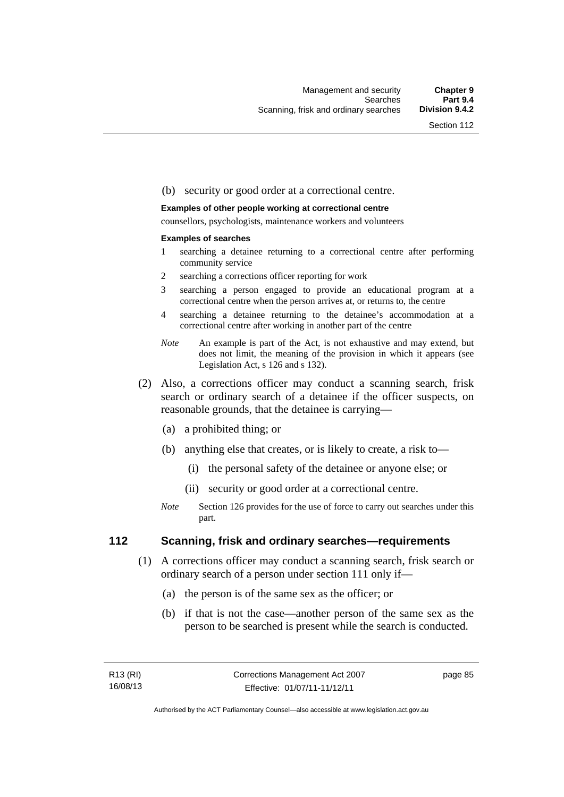#### (b) security or good order at a correctional centre.

#### **Examples of other people working at correctional centre**

counsellors, psychologists, maintenance workers and volunteers

#### **Examples of searches**

- 1 searching a detainee returning to a correctional centre after performing community service
- 2 searching a corrections officer reporting for work
- 3 searching a person engaged to provide an educational program at a correctional centre when the person arrives at, or returns to, the centre
- 4 searching a detainee returning to the detainee's accommodation at a correctional centre after working in another part of the centre
- *Note* An example is part of the Act, is not exhaustive and may extend, but does not limit, the meaning of the provision in which it appears (see Legislation Act, s 126 and s 132).
- (2) Also, a corrections officer may conduct a scanning search, frisk search or ordinary search of a detainee if the officer suspects, on reasonable grounds, that the detainee is carrying—
	- (a) a prohibited thing; or
	- (b) anything else that creates, or is likely to create, a risk to—
		- (i) the personal safety of the detainee or anyone else; or
		- (ii) security or good order at a correctional centre.
	- *Note* Section 126 provides for the use of force to carry out searches under this part.

#### **112 Scanning, frisk and ordinary searches—requirements**

- (1) A corrections officer may conduct a scanning search, frisk search or ordinary search of a person under section 111 only if—
	- (a) the person is of the same sex as the officer; or
	- (b) if that is not the case—another person of the same sex as the person to be searched is present while the search is conducted.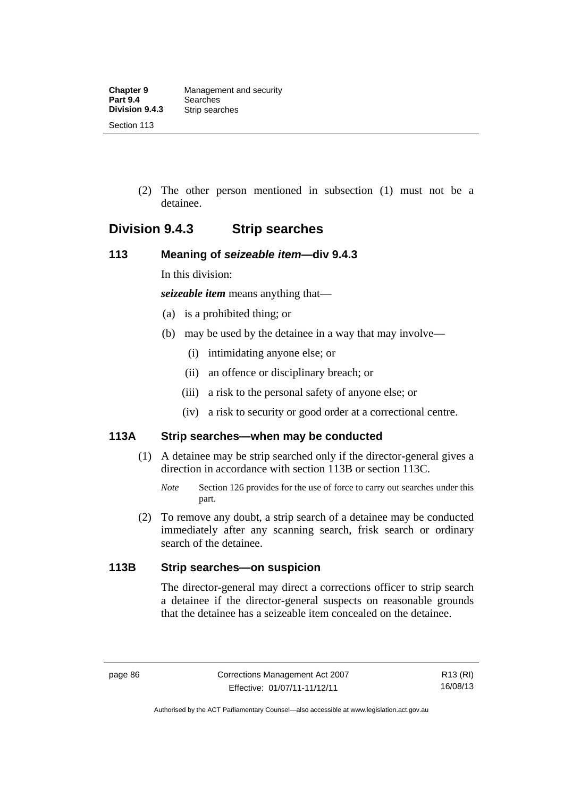(2) The other person mentioned in subsection (1) must not be a detainee.

## **Division 9.4.3 Strip searches**

## **113 Meaning of** *seizeable item***—div 9.4.3**

In this division:

*seizeable item* means anything that—

- (a) is a prohibited thing; or
- (b) may be used by the detainee in a way that may involve—
	- (i) intimidating anyone else; or
	- (ii) an offence or disciplinary breach; or
	- (iii) a risk to the personal safety of anyone else; or
	- (iv) a risk to security or good order at a correctional centre.

## **113A Strip searches—when may be conducted**

- (1) A detainee may be strip searched only if the director-general gives a direction in accordance with section 113B or section 113C.
	- *Note* Section 126 provides for the use of force to carry out searches under this part.
- (2) To remove any doubt, a strip search of a detainee may be conducted immediately after any scanning search, frisk search or ordinary search of the detainee.

## **113B Strip searches—on suspicion**

The director-general may direct a corrections officer to strip search a detainee if the director-general suspects on reasonable grounds that the detainee has a seizeable item concealed on the detainee.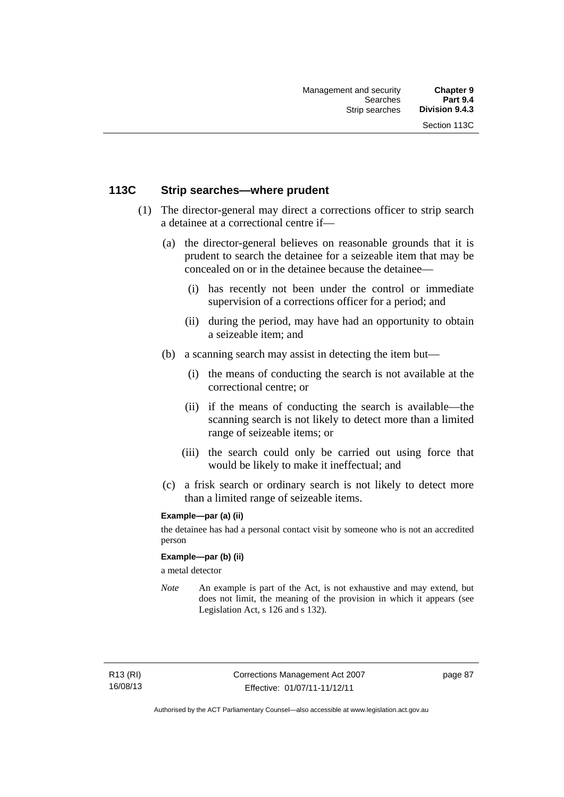## **113C Strip searches—where prudent**

- (1) The director-general may direct a corrections officer to strip search a detainee at a correctional centre if—
	- (a) the director-general believes on reasonable grounds that it is prudent to search the detainee for a seizeable item that may be concealed on or in the detainee because the detainee—
		- (i) has recently not been under the control or immediate supervision of a corrections officer for a period; and
		- (ii) during the period, may have had an opportunity to obtain a seizeable item; and
	- (b) a scanning search may assist in detecting the item but—
		- (i) the means of conducting the search is not available at the correctional centre; or
		- (ii) if the means of conducting the search is available—the scanning search is not likely to detect more than a limited range of seizeable items; or
		- (iii) the search could only be carried out using force that would be likely to make it ineffectual; and
	- (c) a frisk search or ordinary search is not likely to detect more than a limited range of seizeable items.

#### **Example—par (a) (ii)**

the detainee has had a personal contact visit by someone who is not an accredited person

#### **Example—par (b) (ii)**

a metal detector

*Note* An example is part of the Act, is not exhaustive and may extend, but does not limit, the meaning of the provision in which it appears (see Legislation Act, s 126 and s 132).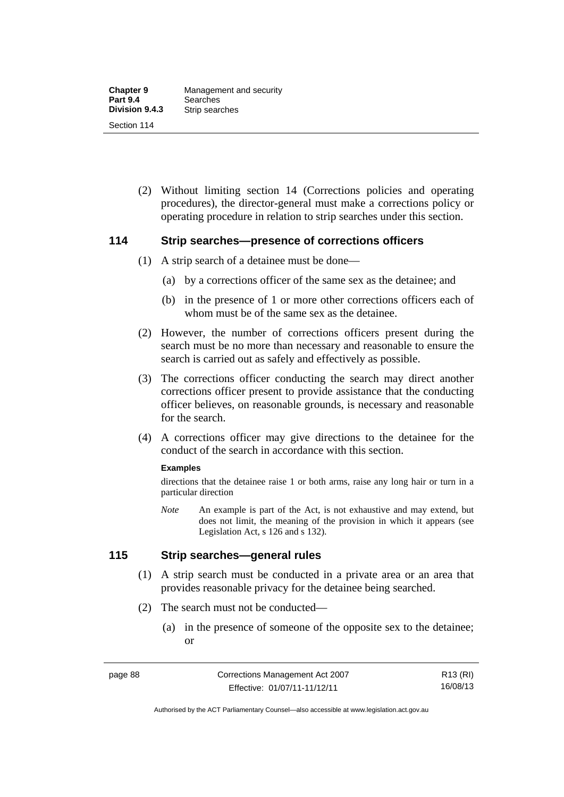(2) Without limiting section 14 (Corrections policies and operating procedures), the director-general must make a corrections policy or operating procedure in relation to strip searches under this section.

#### **114 Strip searches—presence of corrections officers**

- (1) A strip search of a detainee must be done—
	- (a) by a corrections officer of the same sex as the detainee; and
	- (b) in the presence of 1 or more other corrections officers each of whom must be of the same sex as the detainee.
- (2) However, the number of corrections officers present during the search must be no more than necessary and reasonable to ensure the search is carried out as safely and effectively as possible.
- (3) The corrections officer conducting the search may direct another corrections officer present to provide assistance that the conducting officer believes, on reasonable grounds, is necessary and reasonable for the search.
- (4) A corrections officer may give directions to the detainee for the conduct of the search in accordance with this section.

#### **Examples**

directions that the detainee raise 1 or both arms, raise any long hair or turn in a particular direction

*Note* An example is part of the Act, is not exhaustive and may extend, but does not limit, the meaning of the provision in which it appears (see Legislation Act, s 126 and s 132).

## **115 Strip searches—general rules**

- (1) A strip search must be conducted in a private area or an area that provides reasonable privacy for the detainee being searched.
- (2) The search must not be conducted—
	- (a) in the presence of someone of the opposite sex to the detainee; or

R13 (RI) 16/08/13

Authorised by the ACT Parliamentary Counsel—also accessible at www.legislation.act.gov.au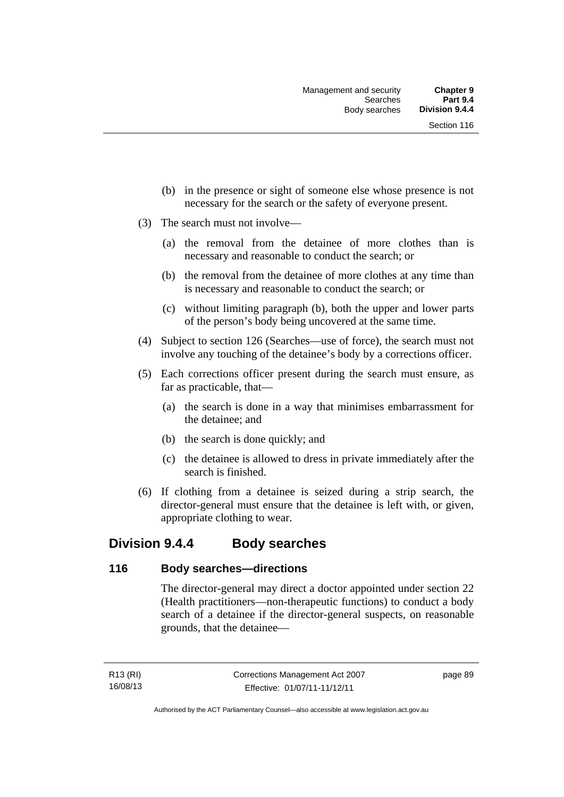- (b) in the presence or sight of someone else whose presence is not necessary for the search or the safety of everyone present.
- (3) The search must not involve—
	- (a) the removal from the detainee of more clothes than is necessary and reasonable to conduct the search; or
	- (b) the removal from the detainee of more clothes at any time than is necessary and reasonable to conduct the search; or
	- (c) without limiting paragraph (b), both the upper and lower parts of the person's body being uncovered at the same time.
- (4) Subject to section 126 (Searches—use of force), the search must not involve any touching of the detainee's body by a corrections officer.
- (5) Each corrections officer present during the search must ensure, as far as practicable, that—
	- (a) the search is done in a way that minimises embarrassment for the detainee; and
	- (b) the search is done quickly; and
	- (c) the detainee is allowed to dress in private immediately after the search is finished.
- (6) If clothing from a detainee is seized during a strip search, the director-general must ensure that the detainee is left with, or given, appropriate clothing to wear.

## **Division 9.4.4 Body searches**

#### **116 Body searches—directions**

The director-general may direct a doctor appointed under section 22 (Health practitioners—non-therapeutic functions) to conduct a body search of a detainee if the director-general suspects, on reasonable grounds, that the detainee—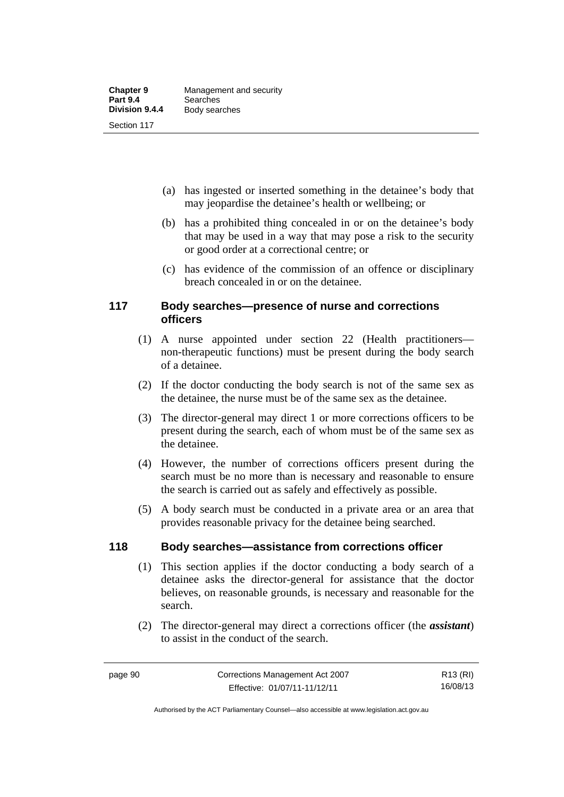- (a) has ingested or inserted something in the detainee's body that may jeopardise the detainee's health or wellbeing; or
- (b) has a prohibited thing concealed in or on the detainee's body that may be used in a way that may pose a risk to the security or good order at a correctional centre; or
- (c) has evidence of the commission of an offence or disciplinary breach concealed in or on the detainee.

## **117 Body searches—presence of nurse and corrections officers**

- (1) A nurse appointed under section 22 (Health practitioners non-therapeutic functions) must be present during the body search of a detainee.
- (2) If the doctor conducting the body search is not of the same sex as the detainee, the nurse must be of the same sex as the detainee.
- (3) The director-general may direct 1 or more corrections officers to be present during the search, each of whom must be of the same sex as the detainee.
- (4) However, the number of corrections officers present during the search must be no more than is necessary and reasonable to ensure the search is carried out as safely and effectively as possible.
- (5) A body search must be conducted in a private area or an area that provides reasonable privacy for the detainee being searched.

## **118 Body searches—assistance from corrections officer**

- (1) This section applies if the doctor conducting a body search of a detainee asks the director-general for assistance that the doctor believes, on reasonable grounds, is necessary and reasonable for the search.
- (2) The director-general may direct a corrections officer (the *assistant*) to assist in the conduct of the search.

R13 (RI) 16/08/13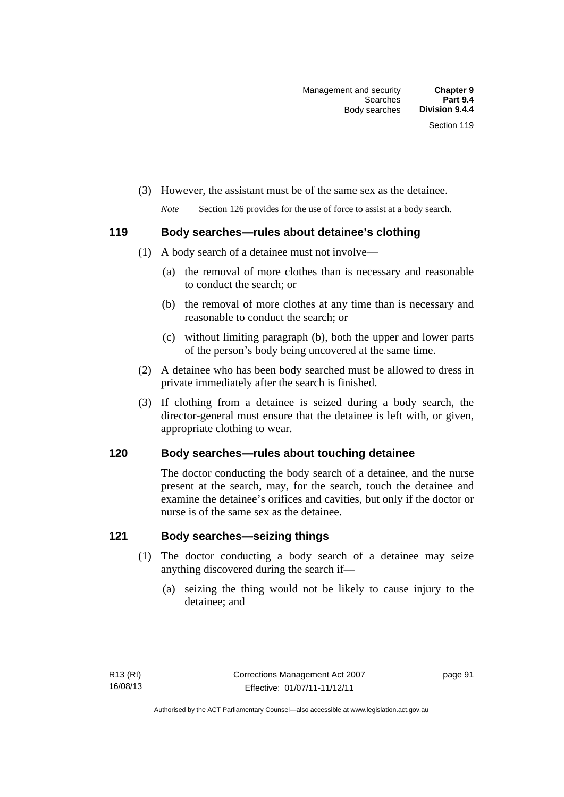- (3) However, the assistant must be of the same sex as the detainee.
	- *Note* Section 126 provides for the use of force to assist at a body search.

## **119 Body searches—rules about detainee's clothing**

- (1) A body search of a detainee must not involve—
	- (a) the removal of more clothes than is necessary and reasonable to conduct the search; or
	- (b) the removal of more clothes at any time than is necessary and reasonable to conduct the search; or
	- (c) without limiting paragraph (b), both the upper and lower parts of the person's body being uncovered at the same time.
- (2) A detainee who has been body searched must be allowed to dress in private immediately after the search is finished.
- (3) If clothing from a detainee is seized during a body search, the director-general must ensure that the detainee is left with, or given, appropriate clothing to wear.

## **120 Body searches—rules about touching detainee**

The doctor conducting the body search of a detainee, and the nurse present at the search, may, for the search, touch the detainee and examine the detainee's orifices and cavities, but only if the doctor or nurse is of the same sex as the detainee.

## **121 Body searches—seizing things**

- (1) The doctor conducting a body search of a detainee may seize anything discovered during the search if—
	- (a) seizing the thing would not be likely to cause injury to the detainee; and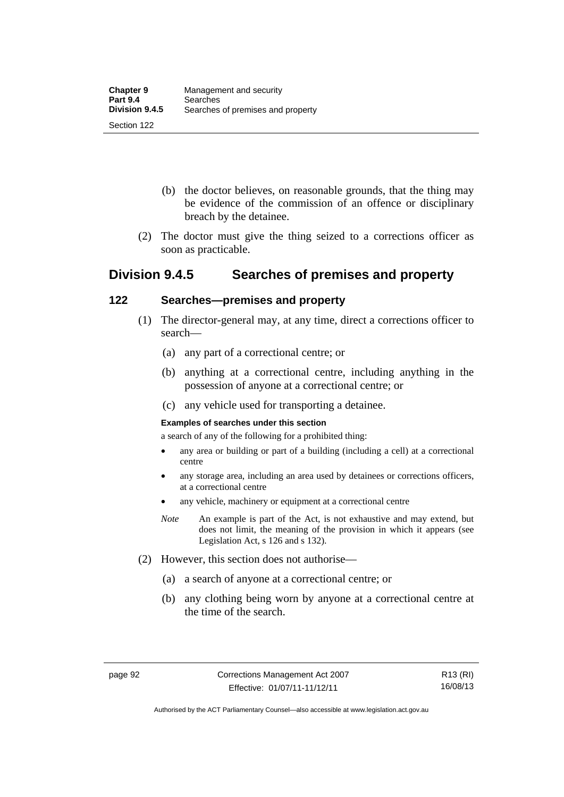- (b) the doctor believes, on reasonable grounds, that the thing may be evidence of the commission of an offence or disciplinary breach by the detainee.
- (2) The doctor must give the thing seized to a corrections officer as soon as practicable.

## **Division 9.4.5 Searches of premises and property**

## **122 Searches—premises and property**

- (1) The director-general may, at any time, direct a corrections officer to search—
	- (a) any part of a correctional centre; or
	- (b) anything at a correctional centre, including anything in the possession of anyone at a correctional centre; or
	- (c) any vehicle used for transporting a detainee.

#### **Examples of searches under this section**

a search of any of the following for a prohibited thing:

- any area or building or part of a building (including a cell) at a correctional centre
- any storage area, including an area used by detainees or corrections officers, at a correctional centre
- any vehicle, machinery or equipment at a correctional centre
- *Note* An example is part of the Act, is not exhaustive and may extend, but does not limit, the meaning of the provision in which it appears (see Legislation Act, s 126 and s 132).
- (2) However, this section does not authorise—
	- (a) a search of anyone at a correctional centre; or
	- (b) any clothing being worn by anyone at a correctional centre at the time of the search.

Authorised by the ACT Parliamentary Counsel—also accessible at www.legislation.act.gov.au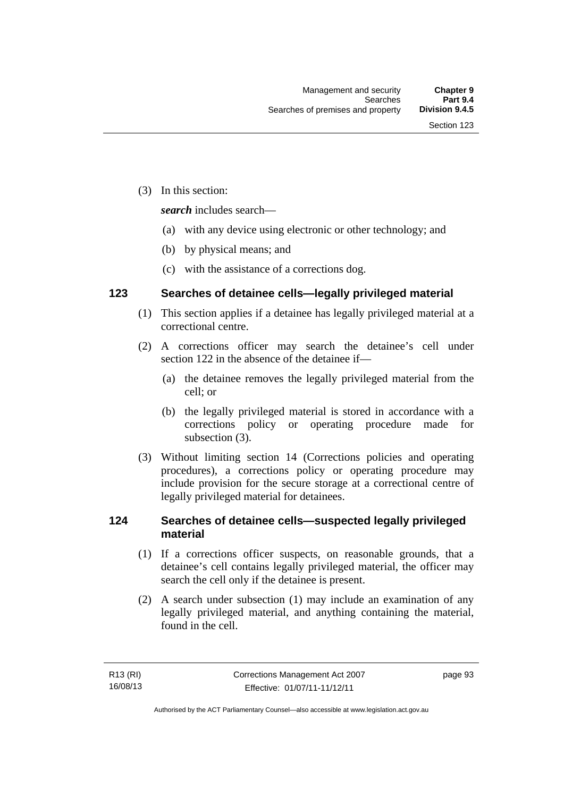(3) In this section:

*search* includes search—

- (a) with any device using electronic or other technology; and
- (b) by physical means; and
- (c) with the assistance of a corrections dog.

## **123 Searches of detainee cells—legally privileged material**

- (1) This section applies if a detainee has legally privileged material at a correctional centre.
- (2) A corrections officer may search the detainee's cell under section 122 in the absence of the detainee if—
	- (a) the detainee removes the legally privileged material from the cell; or
	- (b) the legally privileged material is stored in accordance with a corrections policy or operating procedure made for subsection (3).
- (3) Without limiting section 14 (Corrections policies and operating procedures), a corrections policy or operating procedure may include provision for the secure storage at a correctional centre of legally privileged material for detainees.

## **124 Searches of detainee cells—suspected legally privileged material**

- (1) If a corrections officer suspects, on reasonable grounds, that a detainee's cell contains legally privileged material, the officer may search the cell only if the detainee is present.
- (2) A search under subsection (1) may include an examination of any legally privileged material, and anything containing the material, found in the cell.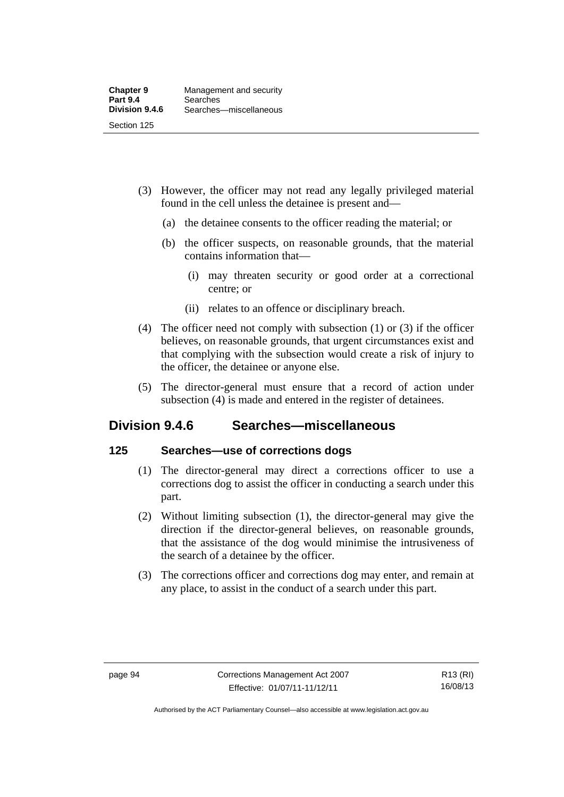- (3) However, the officer may not read any legally privileged material found in the cell unless the detainee is present and—
	- (a) the detainee consents to the officer reading the material; or
	- (b) the officer suspects, on reasonable grounds, that the material contains information that—
		- (i) may threaten security or good order at a correctional centre; or
		- (ii) relates to an offence or disciplinary breach.
- (4) The officer need not comply with subsection (1) or (3) if the officer believes, on reasonable grounds, that urgent circumstances exist and that complying with the subsection would create a risk of injury to the officer, the detainee or anyone else.
- (5) The director-general must ensure that a record of action under subsection (4) is made and entered in the register of detainees.

## **Division 9.4.6 Searches—miscellaneous**

## **125 Searches—use of corrections dogs**

- (1) The director-general may direct a corrections officer to use a corrections dog to assist the officer in conducting a search under this part.
- (2) Without limiting subsection (1), the director-general may give the direction if the director-general believes, on reasonable grounds, that the assistance of the dog would minimise the intrusiveness of the search of a detainee by the officer.
- (3) The corrections officer and corrections dog may enter, and remain at any place, to assist in the conduct of a search under this part.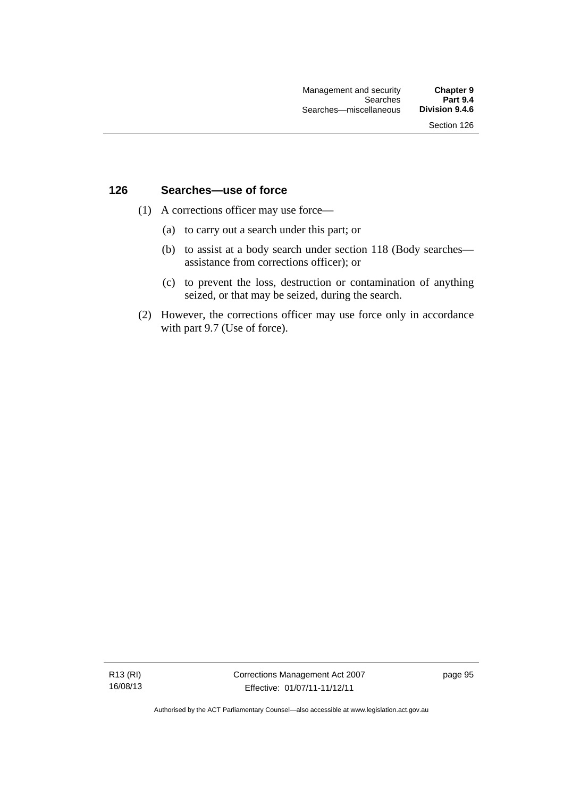## **126 Searches—use of force**

- (1) A corrections officer may use force—
	- (a) to carry out a search under this part; or
	- (b) to assist at a body search under section 118 (Body searches assistance from corrections officer); or
	- (c) to prevent the loss, destruction or contamination of anything seized, or that may be seized, during the search.
- (2) However, the corrections officer may use force only in accordance with part 9.7 (Use of force).

R13 (RI) 16/08/13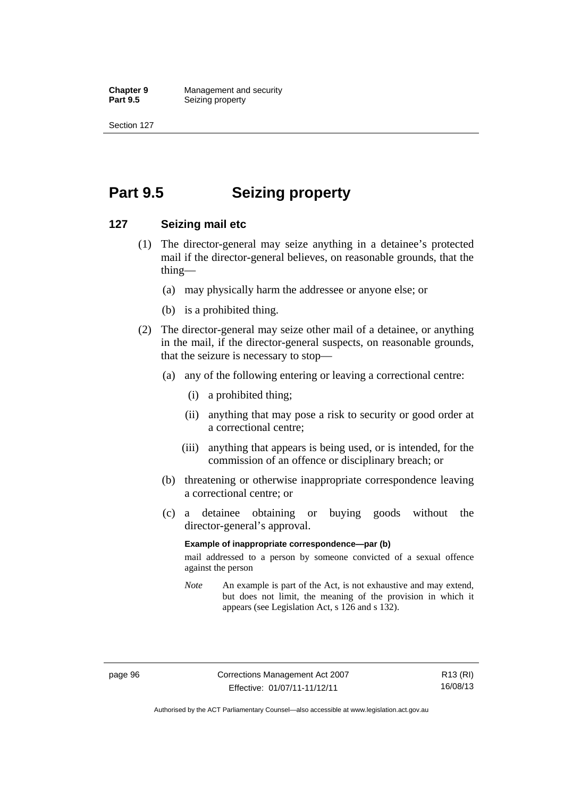**Chapter 9 Management and security**<br>**Part 9.5 Seizing property Seizing property** 

Section 127

# **Part 9.5 Seizing property**

## **127 Seizing mail etc**

- (1) The director-general may seize anything in a detainee's protected mail if the director-general believes, on reasonable grounds, that the thing—
	- (a) may physically harm the addressee or anyone else; or
	- (b) is a prohibited thing.
- (2) The director-general may seize other mail of a detainee, or anything in the mail, if the director-general suspects, on reasonable grounds, that the seizure is necessary to stop—
	- (a) any of the following entering or leaving a correctional centre:
		- (i) a prohibited thing;
		- (ii) anything that may pose a risk to security or good order at a correctional centre;
		- (iii) anything that appears is being used, or is intended, for the commission of an offence or disciplinary breach; or
	- (b) threatening or otherwise inappropriate correspondence leaving a correctional centre; or
	- (c) a detainee obtaining or buying goods without the director-general's approval.

### **Example of inappropriate correspondence—par (b)**

mail addressed to a person by someone convicted of a sexual offence against the person

*Note* An example is part of the Act, is not exhaustive and may extend, but does not limit, the meaning of the provision in which it appears (see Legislation Act, s 126 and s 132).

Authorised by the ACT Parliamentary Counsel—also accessible at www.legislation.act.gov.au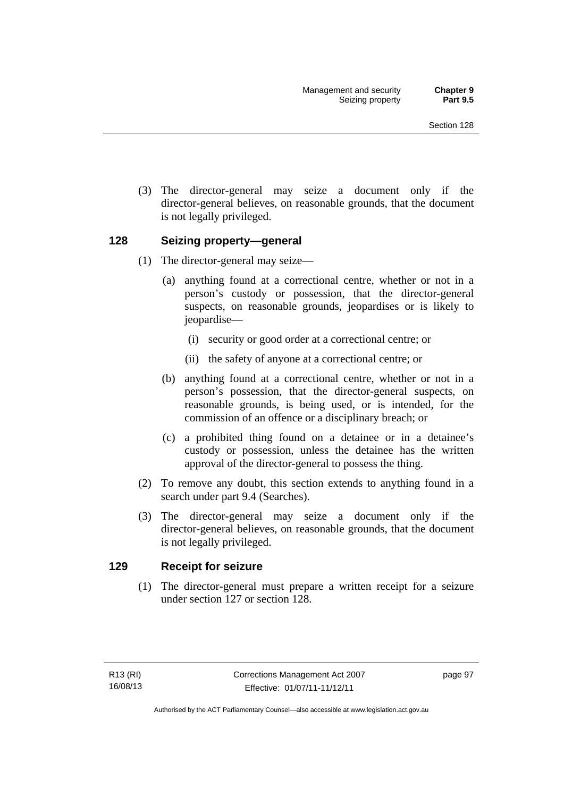(3) The director-general may seize a document only if the director-general believes, on reasonable grounds, that the document is not legally privileged.

# **128 Seizing property—general**

- (1) The director-general may seize—
	- (a) anything found at a correctional centre, whether or not in a person's custody or possession, that the director-general suspects, on reasonable grounds, jeopardises or is likely to jeopardise—
		- (i) security or good order at a correctional centre; or
		- (ii) the safety of anyone at a correctional centre; or
	- (b) anything found at a correctional centre, whether or not in a person's possession, that the director-general suspects, on reasonable grounds, is being used, or is intended, for the commission of an offence or a disciplinary breach; or
	- (c) a prohibited thing found on a detainee or in a detainee's custody or possession, unless the detainee has the written approval of the director-general to possess the thing.
- (2) To remove any doubt, this section extends to anything found in a search under part 9.4 (Searches).
- (3) The director-general may seize a document only if the director-general believes, on reasonable grounds, that the document is not legally privileged.

# **129 Receipt for seizure**

 (1) The director-general must prepare a written receipt for a seizure under section 127 or section 128.

page 97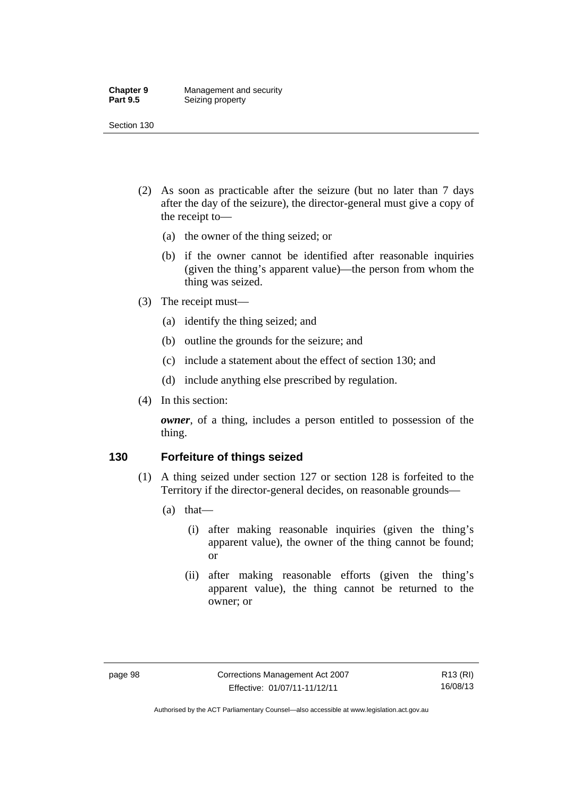#### **Chapter 9 Management and security**<br>**Part 9.5 Seizing property Seizing property**

Section 130

- (2) As soon as practicable after the seizure (but no later than 7 days after the day of the seizure), the director-general must give a copy of the receipt to—
	- (a) the owner of the thing seized; or
	- (b) if the owner cannot be identified after reasonable inquiries (given the thing's apparent value)—the person from whom the thing was seized.
- (3) The receipt must—
	- (a) identify the thing seized; and
	- (b) outline the grounds for the seizure; and
	- (c) include a statement about the effect of section 130; and
	- (d) include anything else prescribed by regulation.
- (4) In this section:

*owner*, of a thing, includes a person entitled to possession of the thing.

# **130 Forfeiture of things seized**

- (1) A thing seized under section 127 or section 128 is forfeited to the Territory if the director-general decides, on reasonable grounds—
	- (a) that—
		- (i) after making reasonable inquiries (given the thing's apparent value), the owner of the thing cannot be found; or
		- (ii) after making reasonable efforts (given the thing's apparent value), the thing cannot be returned to the owner; or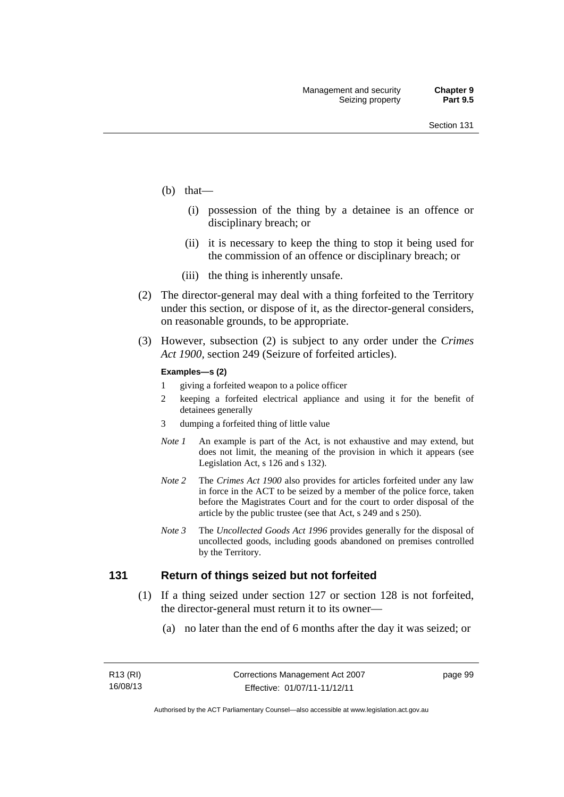- (b) that—
	- (i) possession of the thing by a detainee is an offence or disciplinary breach; or
	- (ii) it is necessary to keep the thing to stop it being used for the commission of an offence or disciplinary breach; or
	- (iii) the thing is inherently unsafe.
- (2) The director-general may deal with a thing forfeited to the Territory under this section, or dispose of it, as the director-general considers, on reasonable grounds, to be appropriate.
- (3) However, subsection (2) is subject to any order under the *Crimes Act 1900,* section 249 (Seizure of forfeited articles).

#### **Examples—s (2)**

- 1 giving a forfeited weapon to a police officer
- 2 keeping a forfeited electrical appliance and using it for the benefit of detainees generally
- 3 dumping a forfeited thing of little value
- *Note 1* An example is part of the Act, is not exhaustive and may extend, but does not limit, the meaning of the provision in which it appears (see Legislation Act, s 126 and s 132).
- *Note 2* The *Crimes Act 1900* also provides for articles forfeited under any law in force in the ACT to be seized by a member of the police force, taken before the Magistrates Court and for the court to order disposal of the article by the public trustee (see that Act, s 249 and s 250).
- *Note 3* The *Uncollected Goods Act 1996* provides generally for the disposal of uncollected goods, including goods abandoned on premises controlled by the Territory.

### **131 Return of things seized but not forfeited**

- (1) If a thing seized under section 127 or section 128 is not forfeited, the director-general must return it to its owner—
	- (a) no later than the end of 6 months after the day it was seized; or

page 99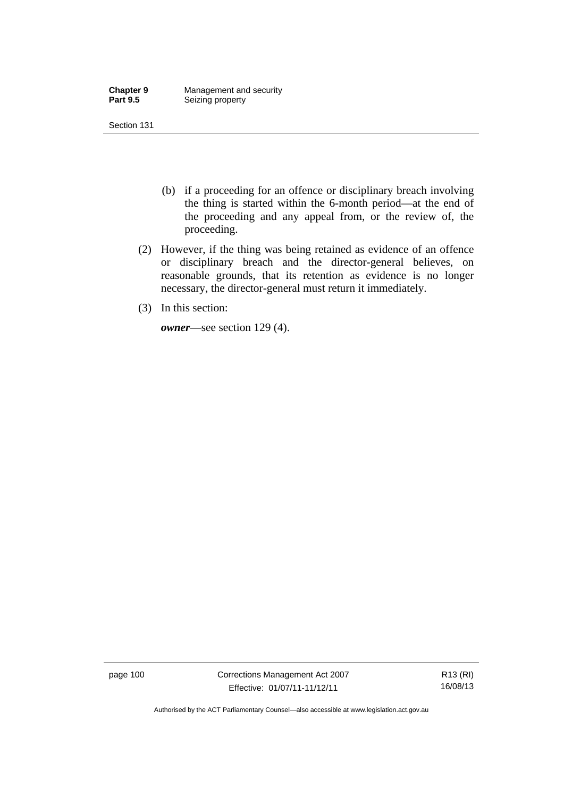| <b>Chapter 9</b> | Management and security |
|------------------|-------------------------|
| <b>Part 9.5</b>  | Seizing property        |

- (b) if a proceeding for an offence or disciplinary breach involving the thing is started within the 6-month period—at the end of the proceeding and any appeal from, or the review of, the proceeding.
- (2) However, if the thing was being retained as evidence of an offence or disciplinary breach and the director-general believes, on reasonable grounds, that its retention as evidence is no longer necessary, the director-general must return it immediately.
- (3) In this section:

*owner*—see section 129 (4).

page 100 Corrections Management Act 2007 Effective: 01/07/11-11/12/11

R13 (RI) 16/08/13

Authorised by the ACT Parliamentary Counsel—also accessible at www.legislation.act.gov.au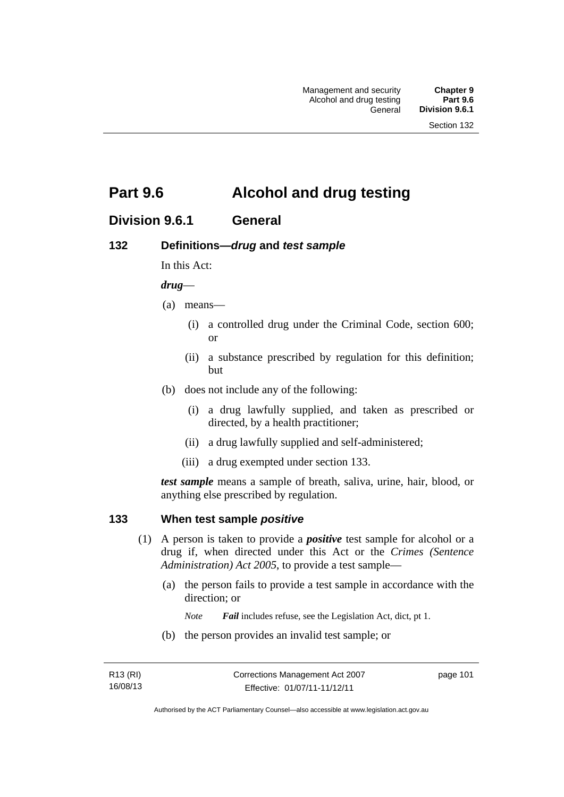# **Part 9.6 Alcohol and drug testing**

# **Division 9.6.1 General**

# **132 Definitions—***drug* **and** *test sample*

In this Act:

### *drug*—

- (a) means—
	- (i) a controlled drug under the Criminal Code, section 600; or
	- (ii) a substance prescribed by regulation for this definition; but
- (b) does not include any of the following:
	- (i) a drug lawfully supplied, and taken as prescribed or directed, by a health practitioner;
	- (ii) a drug lawfully supplied and self-administered;
	- (iii) a drug exempted under section 133.

*test sample* means a sample of breath, saliva, urine, hair, blood, or anything else prescribed by regulation.

### **133 When test sample** *positive*

- (1) A person is taken to provide a *positive* test sample for alcohol or a drug if, when directed under this Act or the *Crimes (Sentence Administration) Act 2005*, to provide a test sample—
	- (a) the person fails to provide a test sample in accordance with the direction; or
		- *Note Fail* includes refuse, see the Legislation Act, dict, pt 1.
	- (b) the person provides an invalid test sample; or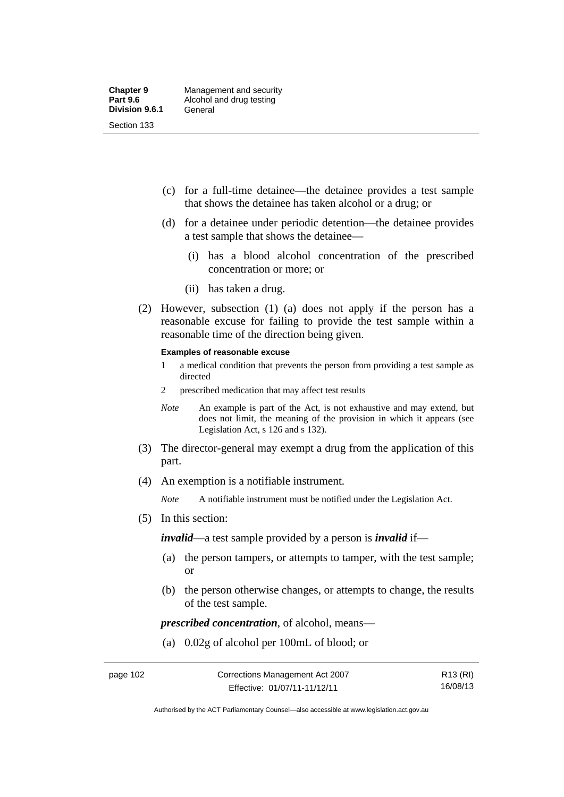- (c) for a full-time detainee—the detainee provides a test sample that shows the detainee has taken alcohol or a drug; or
- (d) for a detainee under periodic detention—the detainee provides a test sample that shows the detainee—
	- (i) has a blood alcohol concentration of the prescribed concentration or more; or
	- (ii) has taken a drug.
- (2) However, subsection (1) (a) does not apply if the person has a reasonable excuse for failing to provide the test sample within a reasonable time of the direction being given.

#### **Examples of reasonable excuse**

- 1 a medical condition that prevents the person from providing a test sample as directed
- 2 prescribed medication that may affect test results
- *Note* An example is part of the Act, is not exhaustive and may extend, but does not limit, the meaning of the provision in which it appears (see Legislation Act, s 126 and s 132).
- (3) The director-general may exempt a drug from the application of this part.
- (4) An exemption is a notifiable instrument.

*Note* A notifiable instrument must be notified under the Legislation Act.

(5) In this section:

*invalid*—a test sample provided by a person is *invalid* if—

- (a) the person tampers, or attempts to tamper, with the test sample; or
- (b) the person otherwise changes, or attempts to change, the results of the test sample.

*prescribed concentration*, of alcohol, means—

(a) 0.02g of alcohol per 100mL of blood; or

Authorised by the ACT Parliamentary Counsel—also accessible at www.legislation.act.gov.au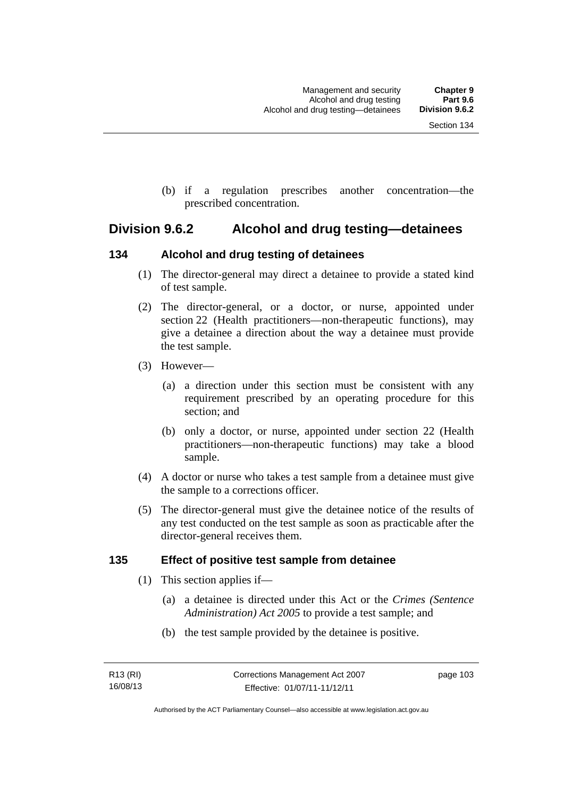(b) if a regulation prescribes another concentration—the prescribed concentration.

# **Division 9.6.2 Alcohol and drug testing—detainees**

# **134 Alcohol and drug testing of detainees**

- (1) The director-general may direct a detainee to provide a stated kind of test sample.
- (2) The director-general, or a doctor, or nurse, appointed under section 22 (Health practitioners—non-therapeutic functions), may give a detainee a direction about the way a detainee must provide the test sample.
- (3) However—
	- (a) a direction under this section must be consistent with any requirement prescribed by an operating procedure for this section; and
	- (b) only a doctor, or nurse, appointed under section 22 (Health practitioners—non-therapeutic functions) may take a blood sample.
- (4) A doctor or nurse who takes a test sample from a detainee must give the sample to a corrections officer.
- (5) The director-general must give the detainee notice of the results of any test conducted on the test sample as soon as practicable after the director-general receives them.

# **135 Effect of positive test sample from detainee**

- (1) This section applies if—
	- (a) a detainee is directed under this Act or the *Crimes (Sentence Administration) Act 2005* to provide a test sample; and
	- (b) the test sample provided by the detainee is positive.

page 103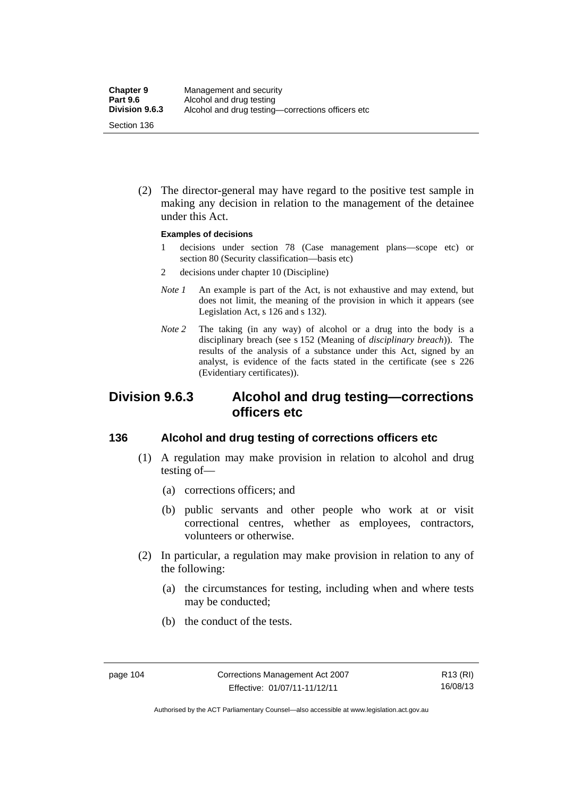(2) The director-general may have regard to the positive test sample in making any decision in relation to the management of the detainee under this Act.

#### **Examples of decisions**

- 1 decisions under section 78 (Case management plans—scope etc) or section 80 (Security classification—basis etc)
- 2 decisions under chapter 10 (Discipline)
- *Note 1* An example is part of the Act, is not exhaustive and may extend, but does not limit, the meaning of the provision in which it appears (see Legislation Act, s 126 and s 132).
- *Note* 2 The taking (in any way) of alcohol or a drug into the body is a disciplinary breach (see s 152 (Meaning of *disciplinary breach*)). The results of the analysis of a substance under this Act, signed by an analyst, is evidence of the facts stated in the certificate (see s 226 (Evidentiary certificates)).

# **Division 9.6.3 Alcohol and drug testing—corrections officers etc**

# **136 Alcohol and drug testing of corrections officers etc**

- (1) A regulation may make provision in relation to alcohol and drug testing of—
	- (a) corrections officers; and
	- (b) public servants and other people who work at or visit correctional centres, whether as employees, contractors, volunteers or otherwise.
- (2) In particular, a regulation may make provision in relation to any of the following:
	- (a) the circumstances for testing, including when and where tests may be conducted;
	- (b) the conduct of the tests.

Authorised by the ACT Parliamentary Counsel—also accessible at www.legislation.act.gov.au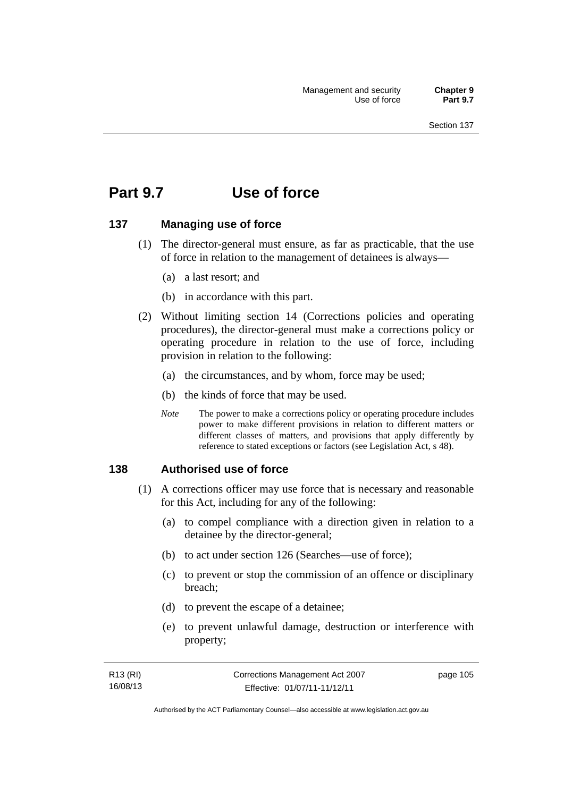# **Part 9.7 Use of force**

## **137 Managing use of force**

- (1) The director-general must ensure, as far as practicable, that the use of force in relation to the management of detainees is always—
	- (a) a last resort; and
	- (b) in accordance with this part.
- (2) Without limiting section 14 (Corrections policies and operating procedures), the director-general must make a corrections policy or operating procedure in relation to the use of force, including provision in relation to the following:
	- (a) the circumstances, and by whom, force may be used;
	- (b) the kinds of force that may be used.
	- *Note* The power to make a corrections policy or operating procedure includes power to make different provisions in relation to different matters or different classes of matters, and provisions that apply differently by reference to stated exceptions or factors (see Legislation Act, s 48).

### **138 Authorised use of force**

- (1) A corrections officer may use force that is necessary and reasonable for this Act, including for any of the following:
	- (a) to compel compliance with a direction given in relation to a detainee by the director-general;
	- (b) to act under section 126 (Searches—use of force);
	- (c) to prevent or stop the commission of an offence or disciplinary breach;
	- (d) to prevent the escape of a detainee;
	- (e) to prevent unlawful damage, destruction or interference with property;

| R13 (RI) | Corrections Management Act 2007 | page 105 |
|----------|---------------------------------|----------|
| 16/08/13 | Effective: 01/07/11-11/12/11    |          |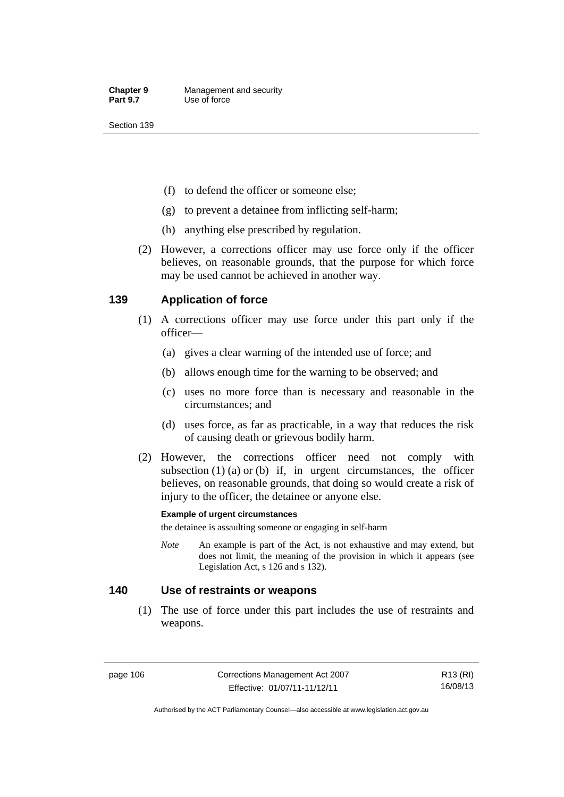- (f) to defend the officer or someone else;
- (g) to prevent a detainee from inflicting self-harm;
- (h) anything else prescribed by regulation.
- (2) However, a corrections officer may use force only if the officer believes, on reasonable grounds, that the purpose for which force may be used cannot be achieved in another way.

# **139 Application of force**

- (1) A corrections officer may use force under this part only if the officer—
	- (a) gives a clear warning of the intended use of force; and
	- (b) allows enough time for the warning to be observed; and
	- (c) uses no more force than is necessary and reasonable in the circumstances; and
	- (d) uses force, as far as practicable, in a way that reduces the risk of causing death or grievous bodily harm.
- (2) However, the corrections officer need not comply with subsection  $(1)$   $(a)$  or  $(b)$  if, in urgent circumstances, the officer believes, on reasonable grounds, that doing so would create a risk of injury to the officer, the detainee or anyone else.

### **Example of urgent circumstances**

the detainee is assaulting someone or engaging in self-harm

*Note* An example is part of the Act, is not exhaustive and may extend, but does not limit, the meaning of the provision in which it appears (see Legislation Act, s 126 and s 132).

## **140 Use of restraints or weapons**

 (1) The use of force under this part includes the use of restraints and weapons.

page 106 Corrections Management Act 2007 Effective: 01/07/11-11/12/11

R13 (RI) 16/08/13

Authorised by the ACT Parliamentary Counsel—also accessible at www.legislation.act.gov.au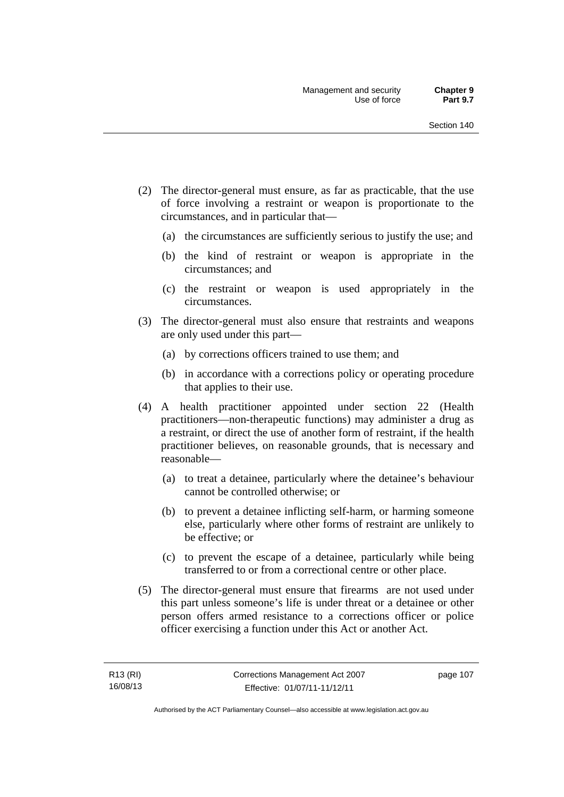- (2) The director-general must ensure, as far as practicable, that the use of force involving a restraint or weapon is proportionate to the circumstances, and in particular that—
	- (a) the circumstances are sufficiently serious to justify the use; and
	- (b) the kind of restraint or weapon is appropriate in the circumstances; and
	- (c) the restraint or weapon is used appropriately in the circumstances.
- (3) The director-general must also ensure that restraints and weapons are only used under this part—
	- (a) by corrections officers trained to use them; and
	- (b) in accordance with a corrections policy or operating procedure that applies to their use.
- (4) A health practitioner appointed under section 22 (Health practitioners—non-therapeutic functions) may administer a drug as a restraint, or direct the use of another form of restraint, if the health practitioner believes, on reasonable grounds, that is necessary and reasonable—
	- (a) to treat a detainee, particularly where the detainee's behaviour cannot be controlled otherwise; or
	- (b) to prevent a detainee inflicting self-harm, or harming someone else, particularly where other forms of restraint are unlikely to be effective; or
	- (c) to prevent the escape of a detainee, particularly while being transferred to or from a correctional centre or other place.
- (5) The director-general must ensure that firearms are not used under this part unless someone's life is under threat or a detainee or other person offers armed resistance to a corrections officer or police officer exercising a function under this Act or another Act.

page 107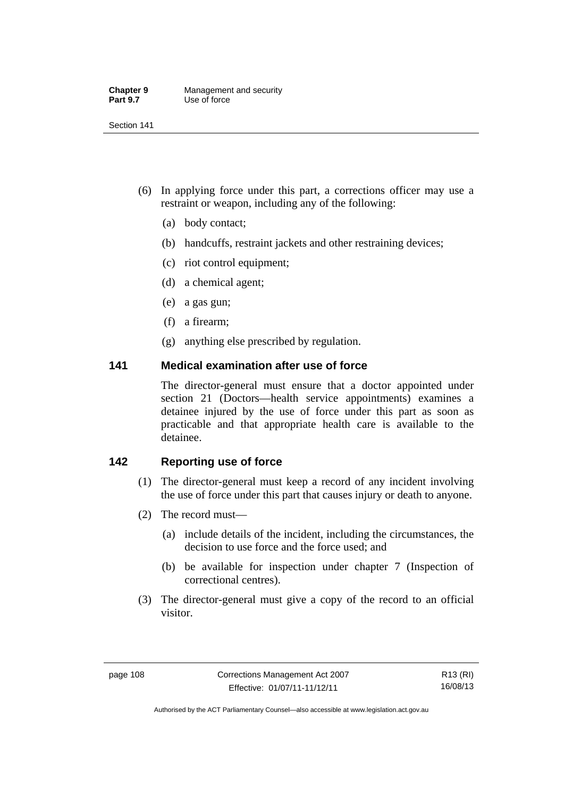| <b>Chapter 9</b> | Management and security |
|------------------|-------------------------|
| <b>Part 9.7</b>  | Use of force            |

- (6) In applying force under this part, a corrections officer may use a restraint or weapon, including any of the following:
	- (a) body contact;
	- (b) handcuffs, restraint jackets and other restraining devices;
	- (c) riot control equipment;
	- (d) a chemical agent;
	- (e) a gas gun;
	- (f) a firearm;
	- (g) anything else prescribed by regulation.

# **141 Medical examination after use of force**

The director-general must ensure that a doctor appointed under section 21 (Doctors—health service appointments) examines a detainee injured by the use of force under this part as soon as practicable and that appropriate health care is available to the detainee.

# **142 Reporting use of force**

- (1) The director-general must keep a record of any incident involving the use of force under this part that causes injury or death to anyone.
- (2) The record must—
	- (a) include details of the incident, including the circumstances, the decision to use force and the force used; and
	- (b) be available for inspection under chapter 7 (Inspection of correctional centres).
- (3) The director-general must give a copy of the record to an official visitor.

R13 (RI) 16/08/13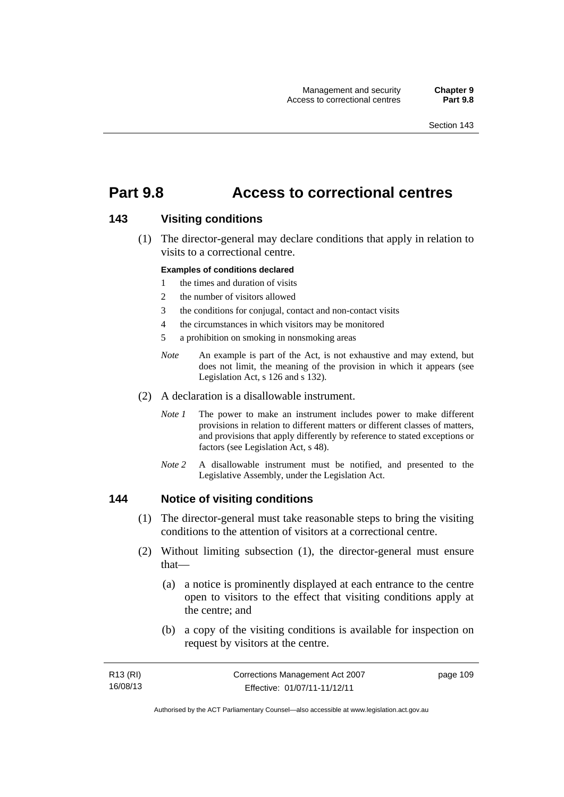# **Part 9.8 Access to correctional centres**

## **143 Visiting conditions**

 (1) The director-general may declare conditions that apply in relation to visits to a correctional centre.

#### **Examples of conditions declared**

- 1 the times and duration of visits
- 2 the number of visitors allowed
- 3 the conditions for conjugal, contact and non-contact visits
- 4 the circumstances in which visitors may be monitored
- 5 a prohibition on smoking in nonsmoking areas
- *Note* An example is part of the Act, is not exhaustive and may extend, but does not limit, the meaning of the provision in which it appears (see Legislation Act, s 126 and s 132).
- (2) A declaration is a disallowable instrument.
	- *Note I* The power to make an instrument includes power to make different provisions in relation to different matters or different classes of matters, and provisions that apply differently by reference to stated exceptions or factors (see Legislation Act, s 48).
	- *Note 2* A disallowable instrument must be notified, and presented to the Legislative Assembly, under the Legislation Act.

### **144 Notice of visiting conditions**

- (1) The director-general must take reasonable steps to bring the visiting conditions to the attention of visitors at a correctional centre.
- (2) Without limiting subsection (1), the director-general must ensure that—
	- (a) a notice is prominently displayed at each entrance to the centre open to visitors to the effect that visiting conditions apply at the centre; and
	- (b) a copy of the visiting conditions is available for inspection on request by visitors at the centre.

| R13 (RI) | Corrections Management Act 2007 | page 109 |
|----------|---------------------------------|----------|
| 16/08/13 | Effective: 01/07/11-11/12/11    |          |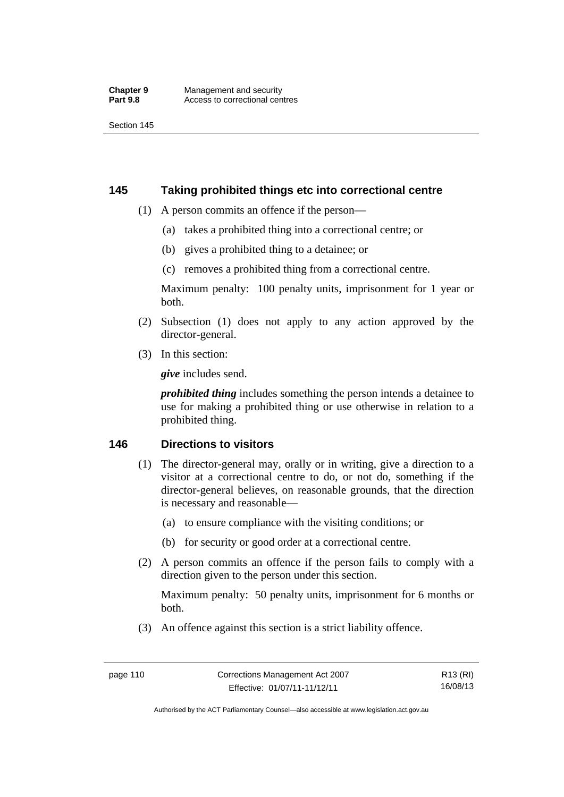# **145 Taking prohibited things etc into correctional centre**

- (1) A person commits an offence if the person—
	- (a) takes a prohibited thing into a correctional centre; or
	- (b) gives a prohibited thing to a detainee; or
	- (c) removes a prohibited thing from a correctional centre.

Maximum penalty: 100 penalty units, imprisonment for 1 year or both.

- (2) Subsection (1) does not apply to any action approved by the director-general.
- (3) In this section:

*give* includes send.

*prohibited thing* includes something the person intends a detainee to use for making a prohibited thing or use otherwise in relation to a prohibited thing.

# **146 Directions to visitors**

- (1) The director-general may, orally or in writing, give a direction to a visitor at a correctional centre to do, or not do, something if the director-general believes, on reasonable grounds, that the direction is necessary and reasonable—
	- (a) to ensure compliance with the visiting conditions; or
	- (b) for security or good order at a correctional centre.
- (2) A person commits an offence if the person fails to comply with a direction given to the person under this section.

Maximum penalty: 50 penalty units, imprisonment for 6 months or both.

(3) An offence against this section is a strict liability offence.

Authorised by the ACT Parliamentary Counsel—also accessible at www.legislation.act.gov.au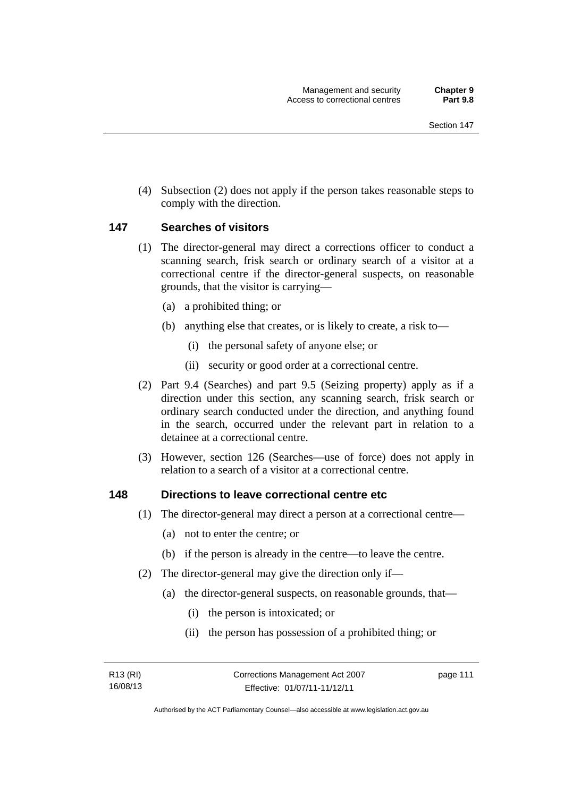(4) Subsection (2) does not apply if the person takes reasonable steps to comply with the direction.

## **147 Searches of visitors**

- (1) The director-general may direct a corrections officer to conduct a scanning search, frisk search or ordinary search of a visitor at a correctional centre if the director-general suspects, on reasonable grounds, that the visitor is carrying—
	- (a) a prohibited thing; or
	- (b) anything else that creates, or is likely to create, a risk to—
		- (i) the personal safety of anyone else; or
		- (ii) security or good order at a correctional centre.
- (2) Part 9.4 (Searches) and part 9.5 (Seizing property) apply as if a direction under this section, any scanning search, frisk search or ordinary search conducted under the direction, and anything found in the search, occurred under the relevant part in relation to a detainee at a correctional centre.
- (3) However, section 126 (Searches—use of force) does not apply in relation to a search of a visitor at a correctional centre.

### **148 Directions to leave correctional centre etc**

- (1) The director-general may direct a person at a correctional centre—
	- (a) not to enter the centre; or
	- (b) if the person is already in the centre—to leave the centre.
- (2) The director-general may give the direction only if—
	- (a) the director-general suspects, on reasonable grounds, that—
		- (i) the person is intoxicated; or
		- (ii) the person has possession of a prohibited thing; or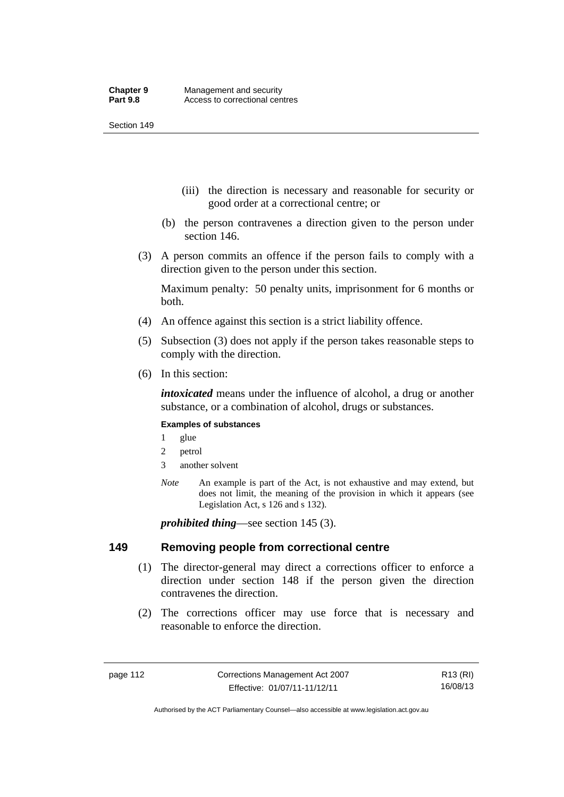- (iii) the direction is necessary and reasonable for security or good order at a correctional centre; or
- (b) the person contravenes a direction given to the person under section 146.
- (3) A person commits an offence if the person fails to comply with a direction given to the person under this section.

Maximum penalty: 50 penalty units, imprisonment for 6 months or both.

- (4) An offence against this section is a strict liability offence.
- (5) Subsection (3) does not apply if the person takes reasonable steps to comply with the direction.
- (6) In this section:

*intoxicated* means under the influence of alcohol, a drug or another substance, or a combination of alcohol, drugs or substances.

#### **Examples of substances**

- 1 glue
- 2 petrol
- 3 another solvent
- *Note* An example is part of the Act, is not exhaustive and may extend, but does not limit, the meaning of the provision in which it appears (see Legislation Act, s 126 and s 132).

*prohibited thing*—see section 145 (3).

### **149 Removing people from correctional centre**

- (1) The director-general may direct a corrections officer to enforce a direction under section 148 if the person given the direction contravenes the direction.
- (2) The corrections officer may use force that is necessary and reasonable to enforce the direction.

R13 (RI) 16/08/13

Authorised by the ACT Parliamentary Counsel—also accessible at www.legislation.act.gov.au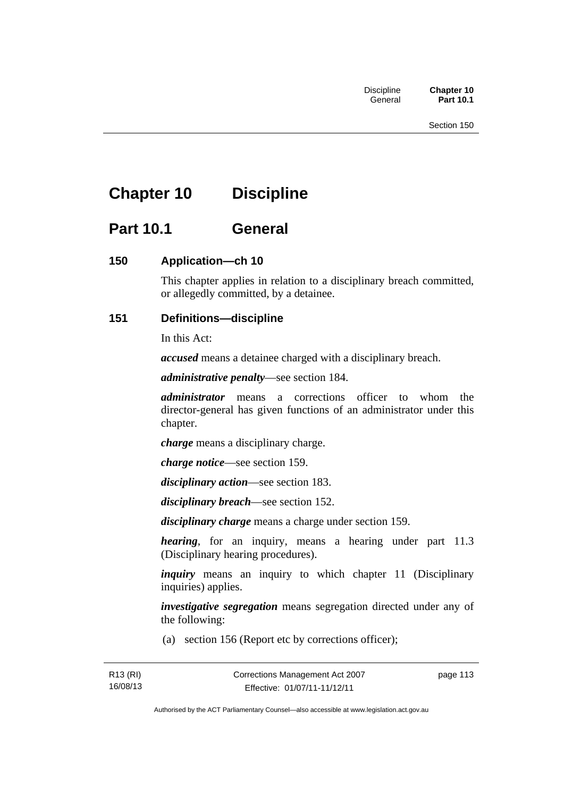# **Chapter 10 Discipline**

# **Part 10.1 General**

# **150 Application—ch 10**

This chapter applies in relation to a disciplinary breach committed, or allegedly committed, by a detainee.

# **151 Definitions—discipline**

In this Act:

*accused* means a detainee charged with a disciplinary breach.

*administrative penalty*—see section 184.

*administrator* means a corrections officer to whom the director-general has given functions of an administrator under this chapter.

*charge* means a disciplinary charge.

*charge notice*—see section 159.

*disciplinary action*—see section 183.

*disciplinary breach*—see section 152.

*disciplinary charge* means a charge under section 159.

*hearing*, for an inquiry, means a hearing under part 11.3 (Disciplinary hearing procedures).

*inquiry* means an inquiry to which chapter 11 (Disciplinary inquiries) applies.

*investigative segregation* means segregation directed under any of the following:

(a) section 156 (Report etc by corrections officer);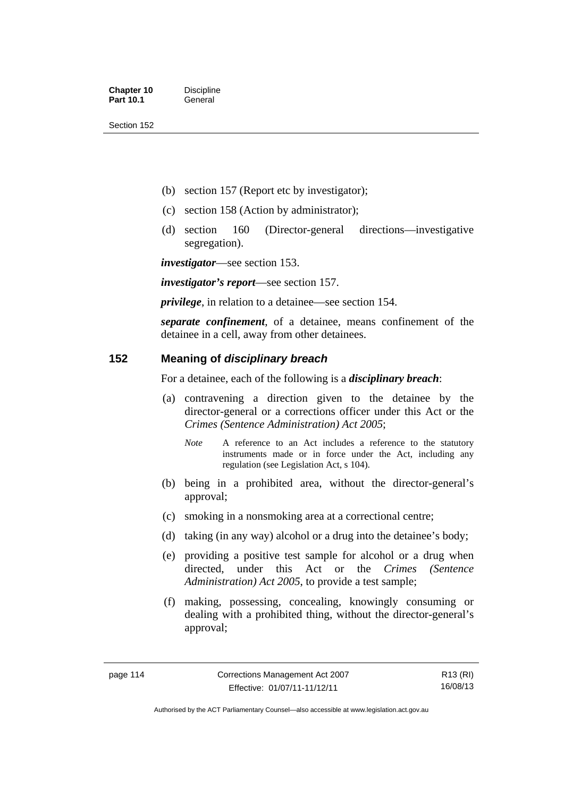- (b) section 157 (Report etc by investigator);
- (c) section 158 (Action by administrator);
- (d) section 160 (Director-general directions—investigative segregation).

*investigator*—see section 153.

*investigator's report*—see section 157.

*privilege*, in relation to a detainee—see section 154.

*separate confinement*, of a detainee, means confinement of the detainee in a cell, away from other detainees.

# **152 Meaning of** *disciplinary breach*

For a detainee, each of the following is a *disciplinary breach*:

- (a) contravening a direction given to the detainee by the director-general or a corrections officer under this Act or the *Crimes (Sentence Administration) Act 2005*;
	- *Note* A reference to an Act includes a reference to the statutory instruments made or in force under the Act, including any regulation (see Legislation Act, s 104).
- (b) being in a prohibited area, without the director-general's approval;
- (c) smoking in a nonsmoking area at a correctional centre;
- (d) taking (in any way) alcohol or a drug into the detainee's body;
- (e) providing a positive test sample for alcohol or a drug when directed, under this Act or the *Crimes (Sentence Administration) Act 2005*, to provide a test sample;
- (f) making, possessing, concealing, knowingly consuming or dealing with a prohibited thing, without the director-general's approval;

R13 (RI) 16/08/13

Authorised by the ACT Parliamentary Counsel—also accessible at www.legislation.act.gov.au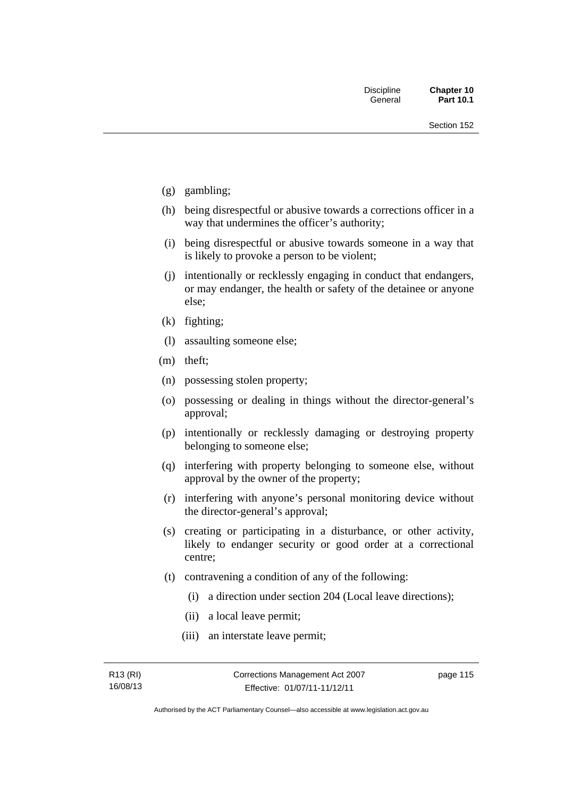- (g) gambling;
- (h) being disrespectful or abusive towards a corrections officer in a way that undermines the officer's authority;
- (i) being disrespectful or abusive towards someone in a way that is likely to provoke a person to be violent;
- (j) intentionally or recklessly engaging in conduct that endangers, or may endanger, the health or safety of the detainee or anyone else;
- (k) fighting;
- (l) assaulting someone else;
- (m) theft;
- (n) possessing stolen property;
- (o) possessing or dealing in things without the director-general's approval;
- (p) intentionally or recklessly damaging or destroying property belonging to someone else;
- (q) interfering with property belonging to someone else, without approval by the owner of the property;
- (r) interfering with anyone's personal monitoring device without the director-general's approval;
- (s) creating or participating in a disturbance, or other activity, likely to endanger security or good order at a correctional centre;
- (t) contravening a condition of any of the following:
	- (i) a direction under section 204 (Local leave directions);
	- (ii) a local leave permit;
	- (iii) an interstate leave permit;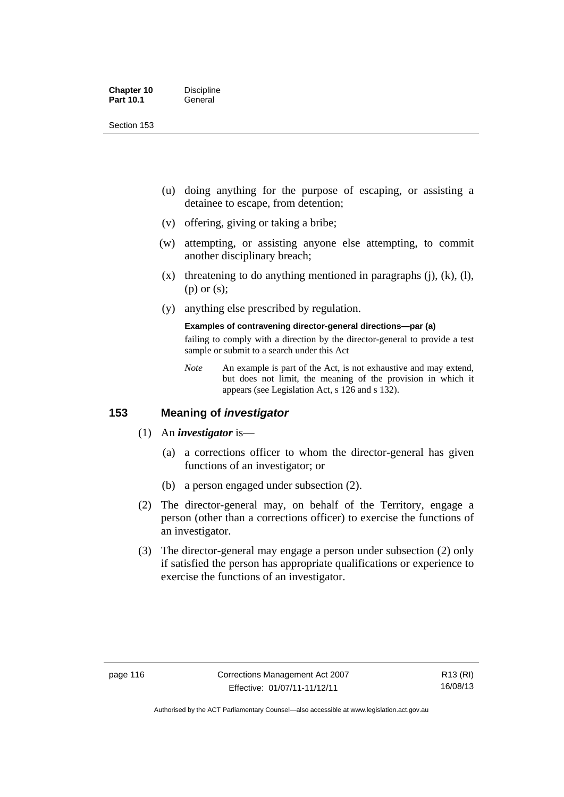| <b>Chapter 10</b> | <b>Discipline</b> |
|-------------------|-------------------|
| <b>Part 10.1</b>  | General           |

- (u) doing anything for the purpose of escaping, or assisting a detainee to escape, from detention;
- (v) offering, giving or taking a bribe;
- (w) attempting, or assisting anyone else attempting, to commit another disciplinary breach;
- $(x)$  threatening to do anything mentioned in paragraphs (j), (k), (l), (p) or (s);
- (y) anything else prescribed by regulation.

# **Examples of contravening director-general directions—par (a)**

failing to comply with a direction by the director-general to provide a test sample or submit to a search under this Act

*Note* An example is part of the Act, is not exhaustive and may extend, but does not limit, the meaning of the provision in which it appears (see Legislation Act, s 126 and s 132).

# **153 Meaning of** *investigator*

- (1) An *investigator* is—
	- (a) a corrections officer to whom the director-general has given functions of an investigator; or
	- (b) a person engaged under subsection (2).
- (2) The director-general may, on behalf of the Territory, engage a person (other than a corrections officer) to exercise the functions of an investigator.
- (3) The director-general may engage a person under subsection (2) only if satisfied the person has appropriate qualifications or experience to exercise the functions of an investigator.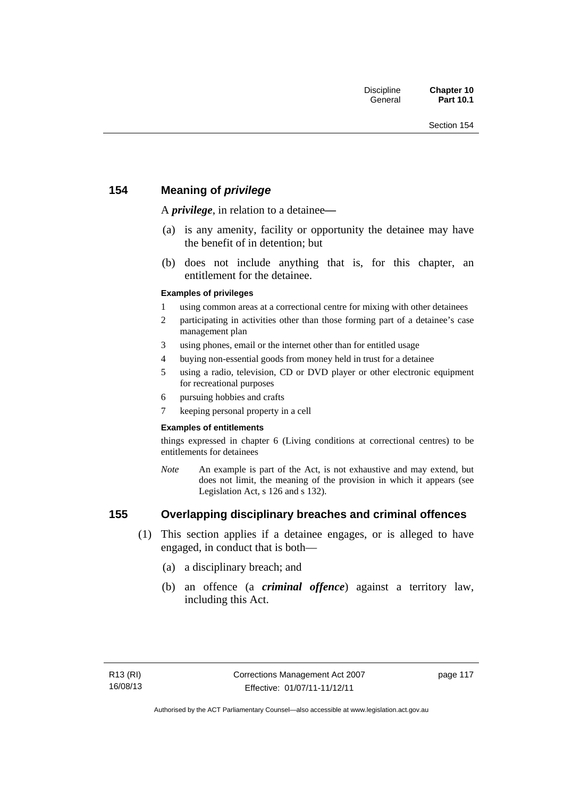# **154 Meaning of** *privilege*

A *privilege*, in relation to a detainee*—*

- (a) is any amenity, facility or opportunity the detainee may have the benefit of in detention; but
- (b) does not include anything that is, for this chapter, an entitlement for the detainee.

### **Examples of privileges**

- 1 using common areas at a correctional centre for mixing with other detainees
- 2 participating in activities other than those forming part of a detainee's case management plan
- 3 using phones, email or the internet other than for entitled usage
- 4 buying non-essential goods from money held in trust for a detainee
- 5 using a radio, television, CD or DVD player or other electronic equipment for recreational purposes
- 6 pursuing hobbies and crafts
- 7 keeping personal property in a cell

#### **Examples of entitlements**

things expressed in chapter 6 (Living conditions at correctional centres) to be entitlements for detainees

*Note* An example is part of the Act, is not exhaustive and may extend, but does not limit, the meaning of the provision in which it appears (see Legislation Act, s 126 and s 132).

# **155 Overlapping disciplinary breaches and criminal offences**

- (1) This section applies if a detainee engages, or is alleged to have engaged, in conduct that is both—
	- (a) a disciplinary breach; and
	- (b) an offence (a *criminal offence*) against a territory law, including this Act.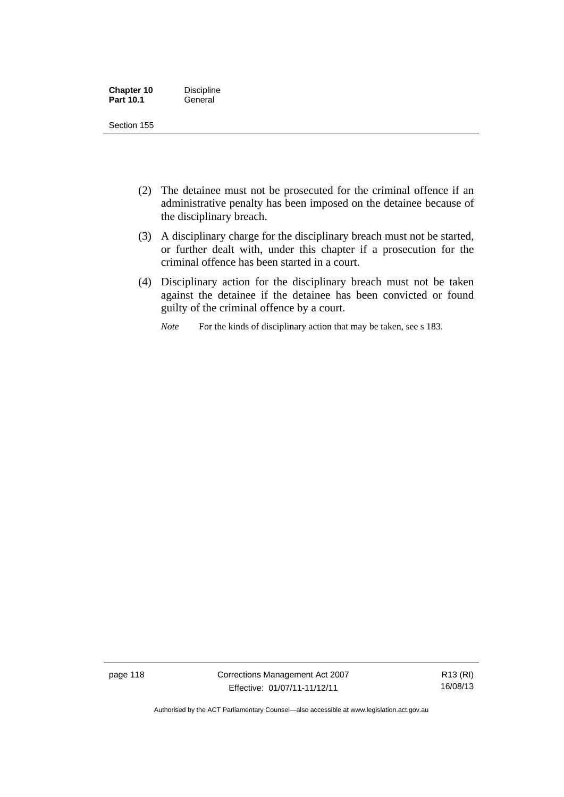| <b>Chapter 10</b> | <b>Discipline</b> |
|-------------------|-------------------|
| <b>Part 10.1</b>  | General           |

- (2) The detainee must not be prosecuted for the criminal offence if an administrative penalty has been imposed on the detainee because of the disciplinary breach.
- (3) A disciplinary charge for the disciplinary breach must not be started, or further dealt with, under this chapter if a prosecution for the criminal offence has been started in a court.
- (4) Disciplinary action for the disciplinary breach must not be taken against the detainee if the detainee has been convicted or found guilty of the criminal offence by a court.

*Note* For the kinds of disciplinary action that may be taken, see s 183.

page 118 Corrections Management Act 2007 Effective: 01/07/11-11/12/11

R13 (RI) 16/08/13

Authorised by the ACT Parliamentary Counsel—also accessible at www.legislation.act.gov.au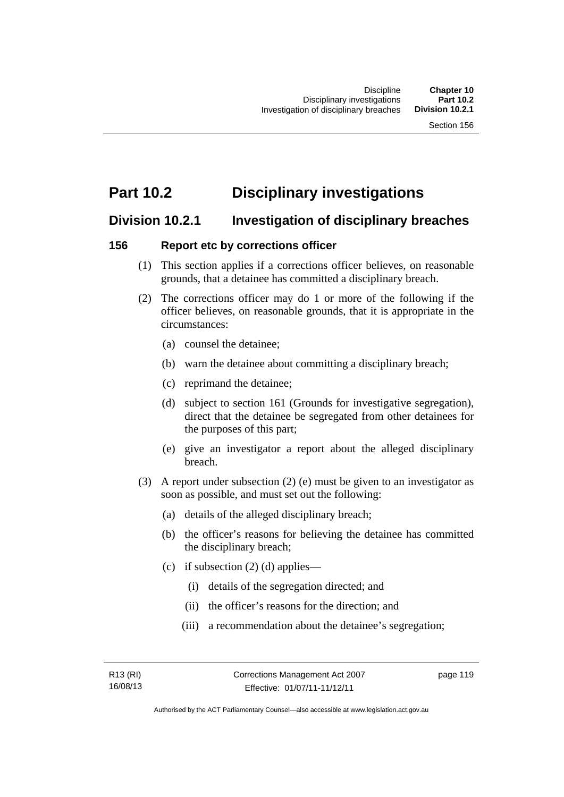# **Part 10.2 Disciplinary investigations**

# **Division 10.2.1 Investigation of disciplinary breaches**

# **156 Report etc by corrections officer**

- (1) This section applies if a corrections officer believes, on reasonable grounds, that a detainee has committed a disciplinary breach.
- (2) The corrections officer may do 1 or more of the following if the officer believes, on reasonable grounds, that it is appropriate in the circumstances:
	- (a) counsel the detainee;
	- (b) warn the detainee about committing a disciplinary breach;
	- (c) reprimand the detainee;
	- (d) subject to section 161 (Grounds for investigative segregation), direct that the detainee be segregated from other detainees for the purposes of this part;
	- (e) give an investigator a report about the alleged disciplinary breach.
- (3) A report under subsection (2) (e) must be given to an investigator as soon as possible, and must set out the following:
	- (a) details of the alleged disciplinary breach;
	- (b) the officer's reasons for believing the detainee has committed the disciplinary breach;
	- (c) if subsection  $(2)$  (d) applies—
		- (i) details of the segregation directed; and
		- (ii) the officer's reasons for the direction; and
		- (iii) a recommendation about the detainee's segregation;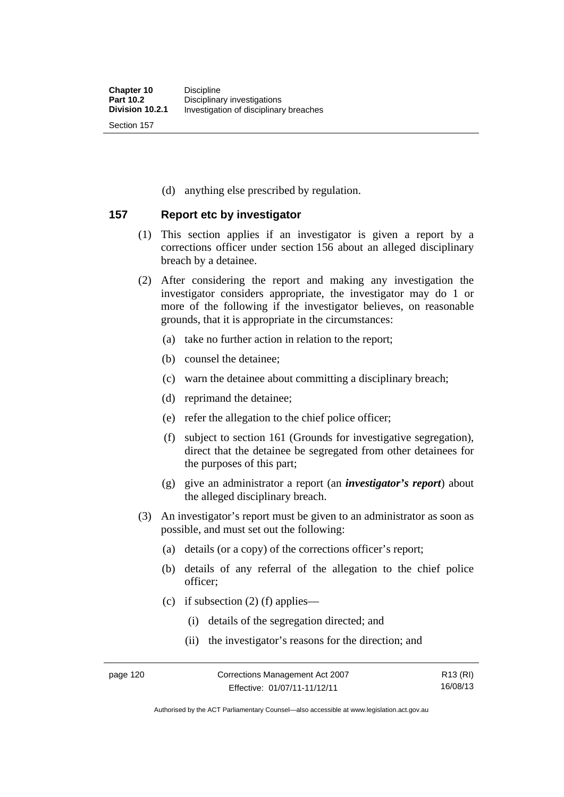(d) anything else prescribed by regulation.

# **157 Report etc by investigator**

- (1) This section applies if an investigator is given a report by a corrections officer under section 156 about an alleged disciplinary breach by a detainee.
- (2) After considering the report and making any investigation the investigator considers appropriate, the investigator may do 1 or more of the following if the investigator believes, on reasonable grounds, that it is appropriate in the circumstances:
	- (a) take no further action in relation to the report;
	- (b) counsel the detainee;
	- (c) warn the detainee about committing a disciplinary breach;
	- (d) reprimand the detainee;
	- (e) refer the allegation to the chief police officer;
	- (f) subject to section 161 (Grounds for investigative segregation), direct that the detainee be segregated from other detainees for the purposes of this part;
	- (g) give an administrator a report (an *investigator's report*) about the alleged disciplinary breach.
- (3) An investigator's report must be given to an administrator as soon as possible, and must set out the following:
	- (a) details (or a copy) of the corrections officer's report;
	- (b) details of any referral of the allegation to the chief police officer;
	- (c) if subsection  $(2)$  (f) applies—
		- (i) details of the segregation directed; and
		- (ii) the investigator's reasons for the direction; and

Authorised by the ACT Parliamentary Counsel—also accessible at www.legislation.act.gov.au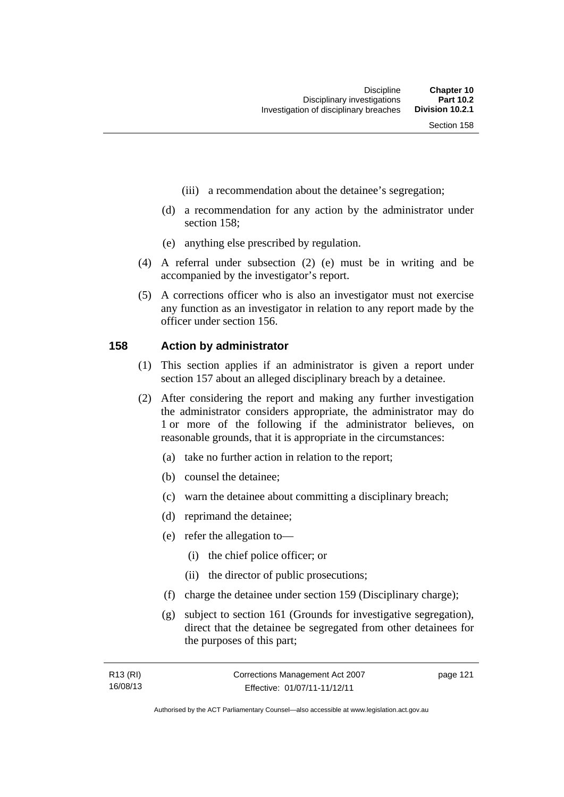- (iii) a recommendation about the detainee's segregation;
- (d) a recommendation for any action by the administrator under section 158;
- (e) anything else prescribed by regulation.
- (4) A referral under subsection (2) (e) must be in writing and be accompanied by the investigator's report.
- (5) A corrections officer who is also an investigator must not exercise any function as an investigator in relation to any report made by the officer under section 156.

### **158 Action by administrator**

- (1) This section applies if an administrator is given a report under section 157 about an alleged disciplinary breach by a detainee.
- (2) After considering the report and making any further investigation the administrator considers appropriate, the administrator may do 1 or more of the following if the administrator believes, on reasonable grounds, that it is appropriate in the circumstances:
	- (a) take no further action in relation to the report;
	- (b) counsel the detainee;
	- (c) warn the detainee about committing a disciplinary breach;
	- (d) reprimand the detainee;
	- (e) refer the allegation to—
		- (i) the chief police officer; or
		- (ii) the director of public prosecutions;
	- (f) charge the detainee under section 159 (Disciplinary charge);
	- (g) subject to section 161 (Grounds for investigative segregation), direct that the detainee be segregated from other detainees for the purposes of this part;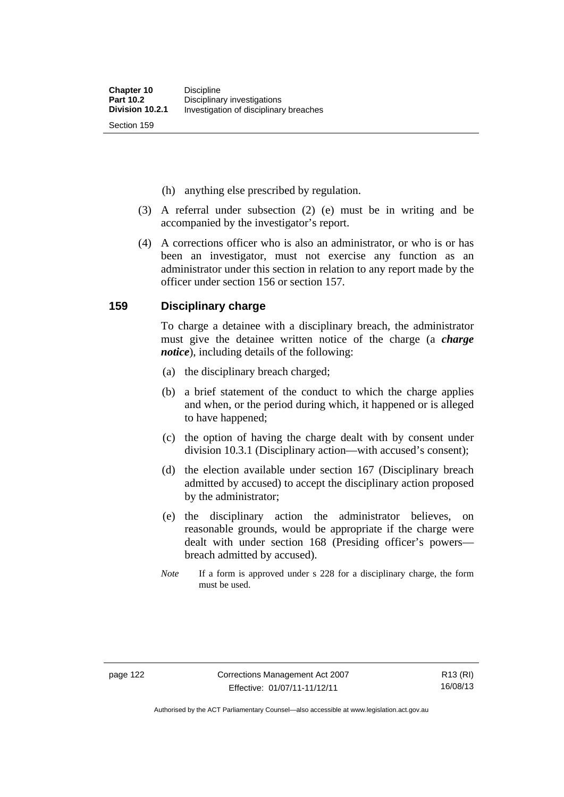(h) anything else prescribed by regulation.

- (3) A referral under subsection (2) (e) must be in writing and be accompanied by the investigator's report.
- (4) A corrections officer who is also an administrator, or who is or has been an investigator, must not exercise any function as an administrator under this section in relation to any report made by the officer under section 156 or section 157.

## **159 Disciplinary charge**

To charge a detainee with a disciplinary breach, the administrator must give the detainee written notice of the charge (a *charge notice*), including details of the following:

- (a) the disciplinary breach charged;
- (b) a brief statement of the conduct to which the charge applies and when, or the period during which, it happened or is alleged to have happened;
- (c) the option of having the charge dealt with by consent under division 10.3.1 (Disciplinary action—with accused's consent);
- (d) the election available under section 167 (Disciplinary breach admitted by accused) to accept the disciplinary action proposed by the administrator;
- (e) the disciplinary action the administrator believes, on reasonable grounds, would be appropriate if the charge were dealt with under section 168 (Presiding officer's powers breach admitted by accused).
- *Note* If a form is approved under s 228 for a disciplinary charge, the form must be used.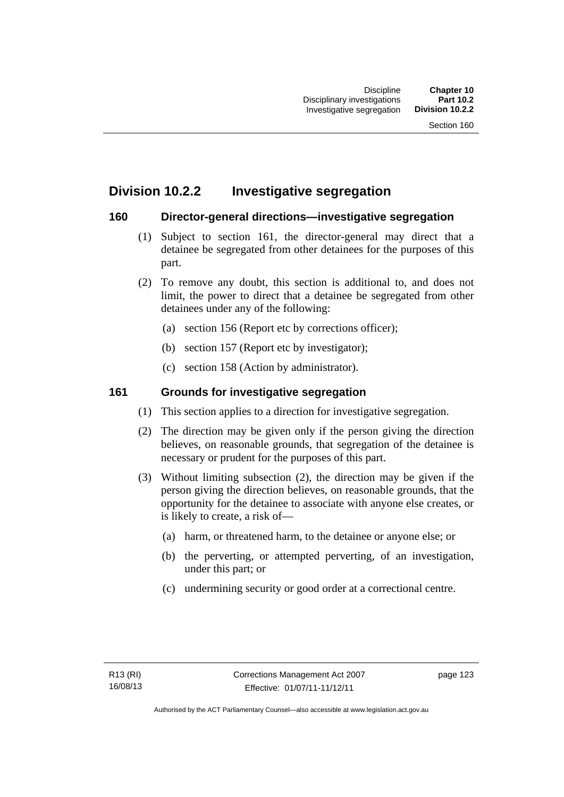# **Division 10.2.2 Investigative segregation**

# **160 Director-general directions—investigative segregation**

- (1) Subject to section 161, the director-general may direct that a detainee be segregated from other detainees for the purposes of this part.
- (2) To remove any doubt, this section is additional to, and does not limit, the power to direct that a detainee be segregated from other detainees under any of the following:
	- (a) section 156 (Report etc by corrections officer);
	- (b) section 157 (Report etc by investigator);
	- (c) section 158 (Action by administrator).

# **161 Grounds for investigative segregation**

- (1) This section applies to a direction for investigative segregation.
- (2) The direction may be given only if the person giving the direction believes, on reasonable grounds, that segregation of the detainee is necessary or prudent for the purposes of this part.
- (3) Without limiting subsection (2), the direction may be given if the person giving the direction believes, on reasonable grounds, that the opportunity for the detainee to associate with anyone else creates, or is likely to create, a risk of—
	- (a) harm, or threatened harm, to the detainee or anyone else; or
	- (b) the perverting, or attempted perverting, of an investigation, under this part; or
	- (c) undermining security or good order at a correctional centre.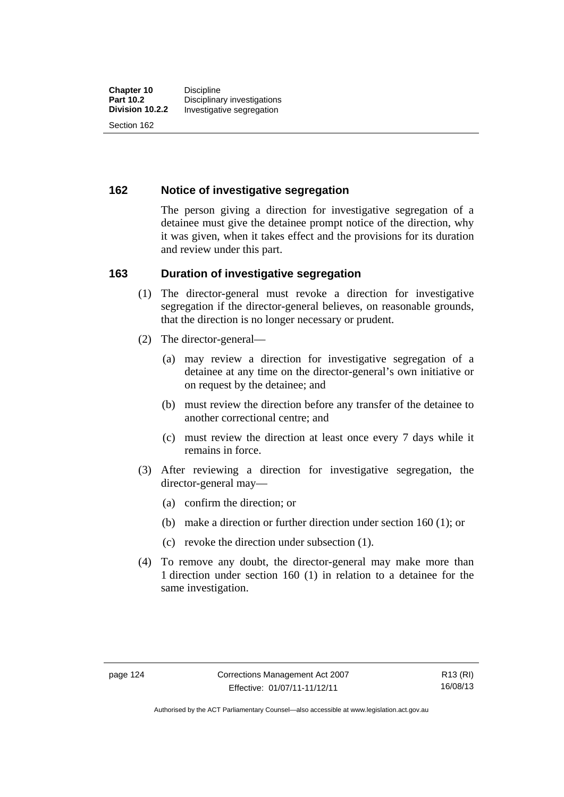# **162 Notice of investigative segregation**

The person giving a direction for investigative segregation of a detainee must give the detainee prompt notice of the direction, why it was given, when it takes effect and the provisions for its duration and review under this part.

## **163 Duration of investigative segregation**

- (1) The director-general must revoke a direction for investigative segregation if the director-general believes, on reasonable grounds, that the direction is no longer necessary or prudent.
- (2) The director-general—
	- (a) may review a direction for investigative segregation of a detainee at any time on the director-general's own initiative or on request by the detainee; and
	- (b) must review the direction before any transfer of the detainee to another correctional centre; and
	- (c) must review the direction at least once every 7 days while it remains in force.
- (3) After reviewing a direction for investigative segregation, the director-general may—
	- (a) confirm the direction; or
	- (b) make a direction or further direction under section 160 (1); or
	- (c) revoke the direction under subsection (1).
- (4) To remove any doubt, the director-general may make more than 1 direction under section 160 (1) in relation to a detainee for the same investigation.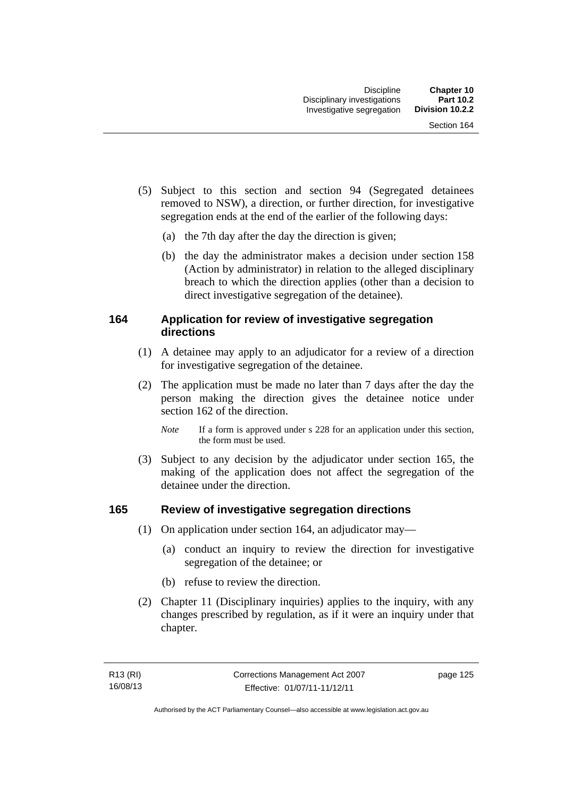- (5) Subject to this section and section 94 (Segregated detainees removed to NSW), a direction, or further direction, for investigative segregation ends at the end of the earlier of the following days:
	- (a) the 7th day after the day the direction is given;
	- (b) the day the administrator makes a decision under section 158 (Action by administrator) in relation to the alleged disciplinary breach to which the direction applies (other than a decision to direct investigative segregation of the detainee).

# **164 Application for review of investigative segregation directions**

- (1) A detainee may apply to an adjudicator for a review of a direction for investigative segregation of the detainee.
- (2) The application must be made no later than 7 days after the day the person making the direction gives the detainee notice under section 162 of the direction.
	- *Note* If a form is approved under s 228 for an application under this section, the form must be used.
- (3) Subject to any decision by the adjudicator under section 165, the making of the application does not affect the segregation of the detainee under the direction.

# **165 Review of investigative segregation directions**

- (1) On application under section 164, an adjudicator may—
	- (a) conduct an inquiry to review the direction for investigative segregation of the detainee; or
	- (b) refuse to review the direction.
- (2) Chapter 11 (Disciplinary inquiries) applies to the inquiry, with any changes prescribed by regulation, as if it were an inquiry under that chapter.

page 125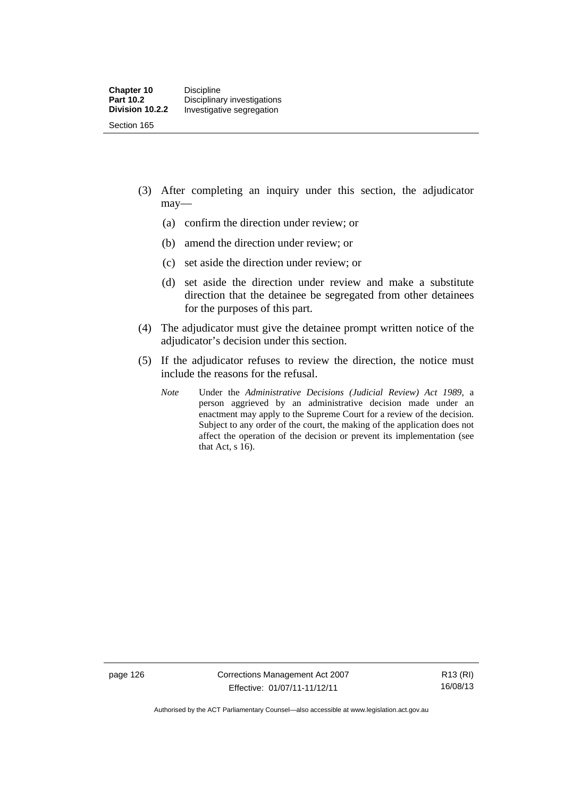- (3) After completing an inquiry under this section, the adjudicator may—
	- (a) confirm the direction under review; or
	- (b) amend the direction under review; or
	- (c) set aside the direction under review; or
	- (d) set aside the direction under review and make a substitute direction that the detainee be segregated from other detainees for the purposes of this part.
- (4) The adjudicator must give the detainee prompt written notice of the adjudicator's decision under this section.
- (5) If the adjudicator refuses to review the direction, the notice must include the reasons for the refusal.
	- *Note* Under the *Administrative Decisions (Judicial Review) Act 1989*, a person aggrieved by an administrative decision made under an enactment may apply to the Supreme Court for a review of the decision. Subject to any order of the court, the making of the application does not affect the operation of the decision or prevent its implementation (see that Act, s 16).

page 126 Corrections Management Act 2007 Effective: 01/07/11-11/12/11

R13 (RI) 16/08/13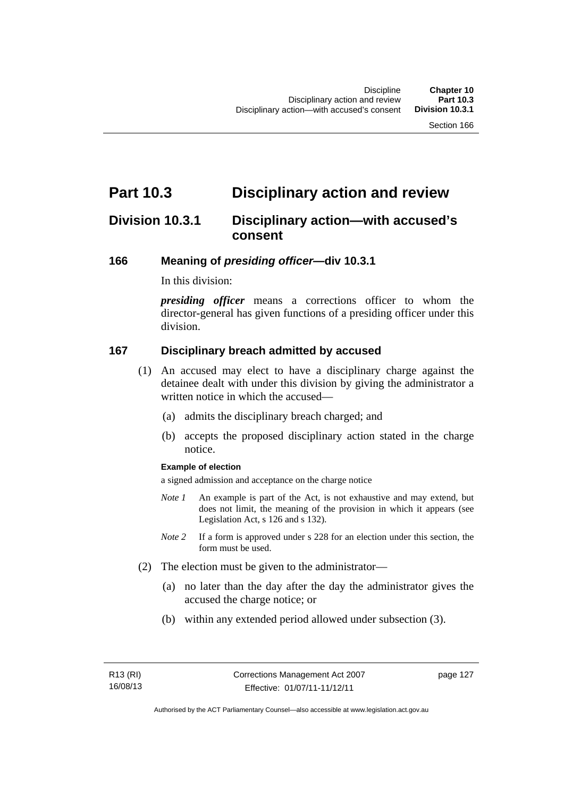# **Part 10.3 Disciplinary action and review**

# **Division 10.3.1 Disciplinary action—with accused's consent**

## **166 Meaning of** *presiding officer***—div 10.3.1**

In this division:

*presiding officer* means a corrections officer to whom the director-general has given functions of a presiding officer under this division.

## **167 Disciplinary breach admitted by accused**

- (1) An accused may elect to have a disciplinary charge against the detainee dealt with under this division by giving the administrator a written notice in which the accused—
	- (a) admits the disciplinary breach charged; and
	- (b) accepts the proposed disciplinary action stated in the charge notice.

#### **Example of election**

a signed admission and acceptance on the charge notice

- *Note 1* An example is part of the Act, is not exhaustive and may extend, but does not limit, the meaning of the provision in which it appears (see Legislation Act, s 126 and s 132).
- *Note* 2 If a form is approved under s 228 for an election under this section, the form must be used.
- (2) The election must be given to the administrator—
	- (a) no later than the day after the day the administrator gives the accused the charge notice; or
	- (b) within any extended period allowed under subsection (3).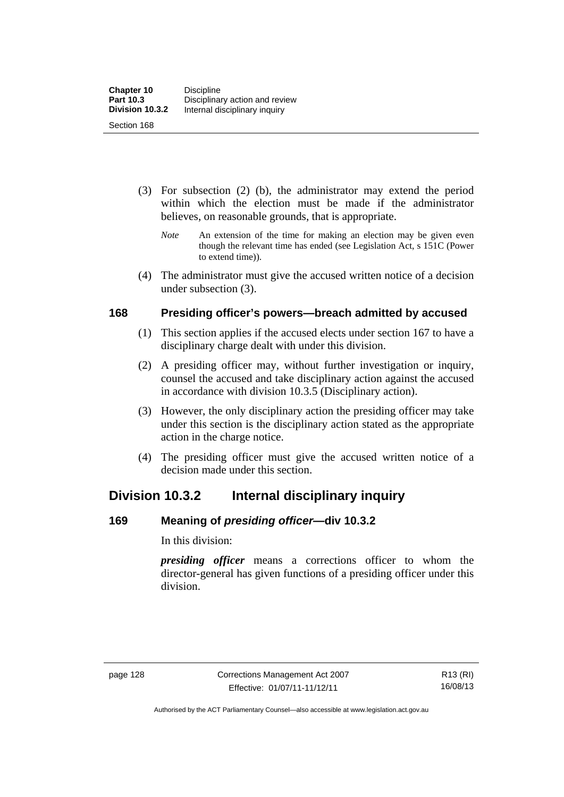- (3) For subsection (2) (b), the administrator may extend the period within which the election must be made if the administrator believes, on reasonable grounds, that is appropriate.
	- *Note* An extension of the time for making an election may be given even though the relevant time has ended (see Legislation Act, s 151C (Power to extend time)).
- (4) The administrator must give the accused written notice of a decision under subsection (3).

# **168 Presiding officer's powers—breach admitted by accused**

- (1) This section applies if the accused elects under section 167 to have a disciplinary charge dealt with under this division.
- (2) A presiding officer may, without further investigation or inquiry, counsel the accused and take disciplinary action against the accused in accordance with division 10.3.5 (Disciplinary action).
- (3) However, the only disciplinary action the presiding officer may take under this section is the disciplinary action stated as the appropriate action in the charge notice.
- (4) The presiding officer must give the accused written notice of a decision made under this section.

# **Division 10.3.2 Internal disciplinary inquiry**

# **169 Meaning of** *presiding officer***—div 10.3.2**

In this division:

*presiding officer* means a corrections officer to whom the director-general has given functions of a presiding officer under this division.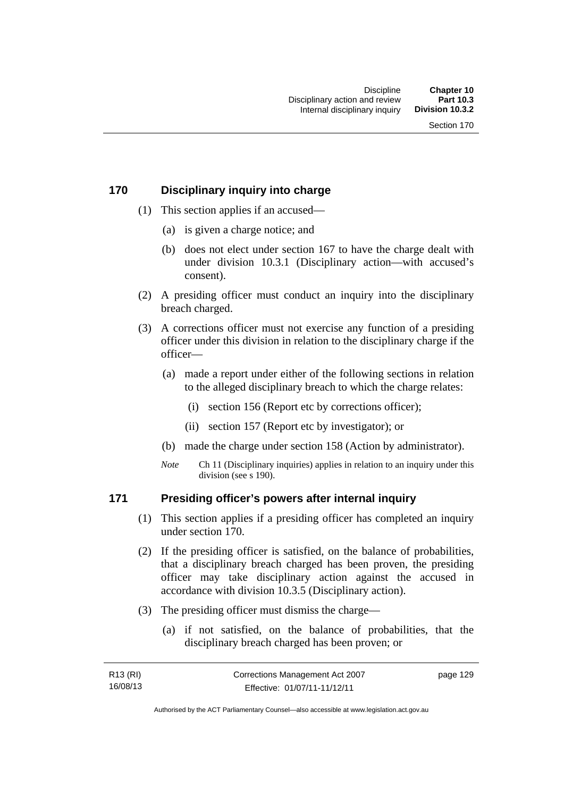# **170 Disciplinary inquiry into charge**

- (1) This section applies if an accused—
	- (a) is given a charge notice; and
	- (b) does not elect under section 167 to have the charge dealt with under division 10.3.1 (Disciplinary action—with accused's consent).
- (2) A presiding officer must conduct an inquiry into the disciplinary breach charged.
- (3) A corrections officer must not exercise any function of a presiding officer under this division in relation to the disciplinary charge if the officer—
	- (a) made a report under either of the following sections in relation to the alleged disciplinary breach to which the charge relates:
		- (i) section 156 (Report etc by corrections officer);
		- (ii) section 157 (Report etc by investigator); or
	- (b) made the charge under section 158 (Action by administrator).
	- *Note* Ch 11 (Disciplinary inquiries) applies in relation to an inquiry under this division (see s 190).

# **171 Presiding officer's powers after internal inquiry**

- (1) This section applies if a presiding officer has completed an inquiry under section 170.
- (2) If the presiding officer is satisfied, on the balance of probabilities, that a disciplinary breach charged has been proven, the presiding officer may take disciplinary action against the accused in accordance with division 10.3.5 (Disciplinary action).
- (3) The presiding officer must dismiss the charge—
	- (a) if not satisfied, on the balance of probabilities, that the disciplinary breach charged has been proven; or

| R13 (RI) | Corrections Management Act 2007 | page 129 |
|----------|---------------------------------|----------|
| 16/08/13 | Effective: 01/07/11-11/12/11    |          |

Authorised by the ACT Parliamentary Counsel—also accessible at www.legislation.act.gov.au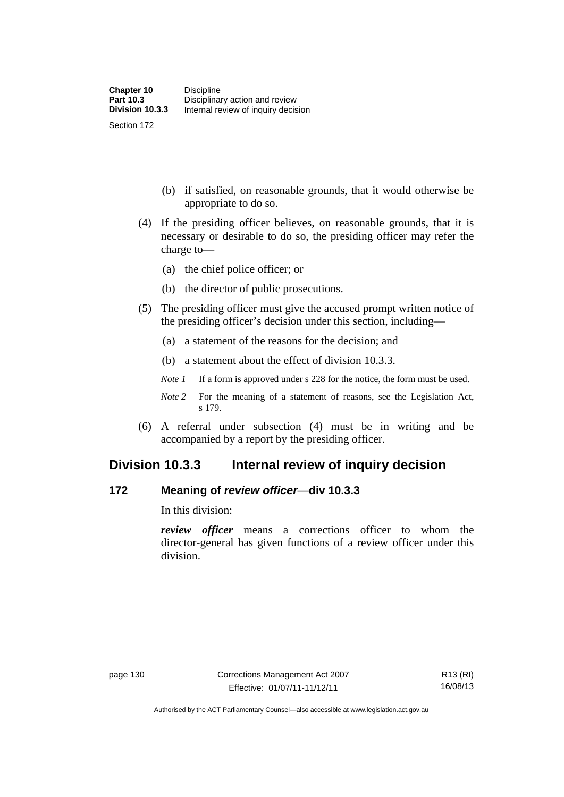(b) if satisfied, on reasonable grounds, that it would otherwise be appropriate to do so.

- (4) If the presiding officer believes, on reasonable grounds, that it is necessary or desirable to do so, the presiding officer may refer the charge to—
	- (a) the chief police officer; or
	- (b) the director of public prosecutions.
- (5) The presiding officer must give the accused prompt written notice of the presiding officer's decision under this section, including—
	- (a) a statement of the reasons for the decision; and
	- (b) a statement about the effect of division 10.3.3.
	- *Note 1* If a form is approved under s 228 for the notice, the form must be used.
	- *Note 2* For the meaning of a statement of reasons, see the Legislation Act, s 179.
- (6) A referral under subsection (4) must be in writing and be accompanied by a report by the presiding officer.

# **Division 10.3.3 Internal review of inquiry decision**

# **172 Meaning of** *review officer*—**div 10.3.3**

In this division:

*review officer* means a corrections officer to whom the director-general has given functions of a review officer under this division.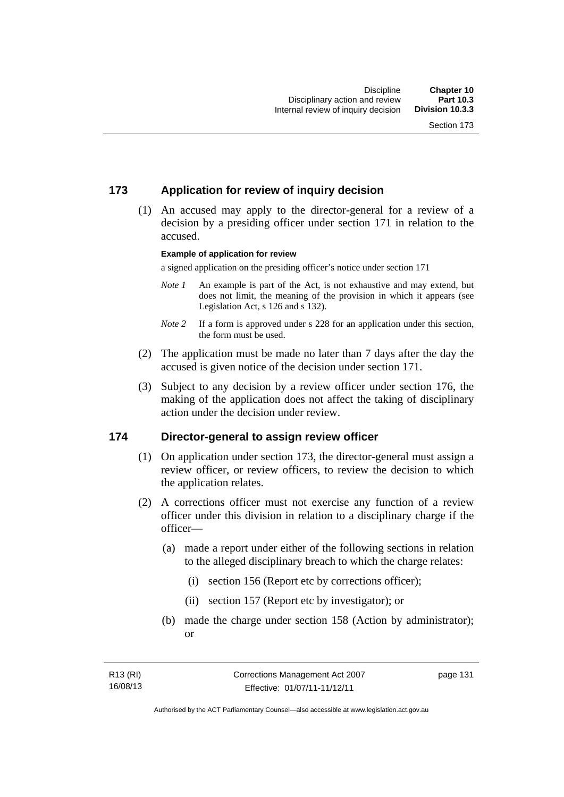# **173 Application for review of inquiry decision**

 (1) An accused may apply to the director-general for a review of a decision by a presiding officer under section 171 in relation to the accused.

#### **Example of application for review**

a signed application on the presiding officer's notice under section 171

- *Note 1* An example is part of the Act, is not exhaustive and may extend, but does not limit, the meaning of the provision in which it appears (see Legislation Act, s 126 and s 132).
- *Note* 2 If a form is approved under s 228 for an application under this section, the form must be used.
- (2) The application must be made no later than 7 days after the day the accused is given notice of the decision under section 171.
- (3) Subject to any decision by a review officer under section 176, the making of the application does not affect the taking of disciplinary action under the decision under review.

### **174 Director-general to assign review officer**

- (1) On application under section 173, the director-general must assign a review officer, or review officers, to review the decision to which the application relates.
- (2) A corrections officer must not exercise any function of a review officer under this division in relation to a disciplinary charge if the officer—
	- (a) made a report under either of the following sections in relation to the alleged disciplinary breach to which the charge relates:
		- (i) section 156 (Report etc by corrections officer);
		- (ii) section 157 (Report etc by investigator); or
	- (b) made the charge under section 158 (Action by administrator); or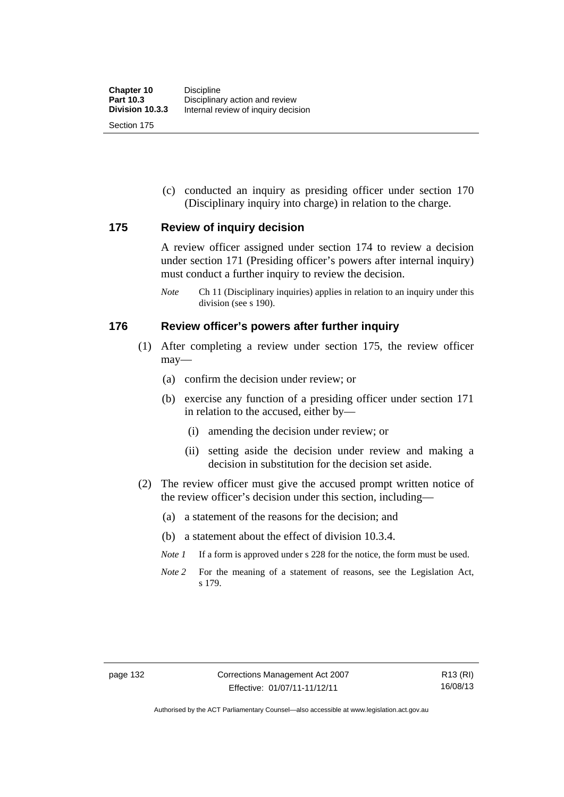Section 175

 (c) conducted an inquiry as presiding officer under section 170 (Disciplinary inquiry into charge) in relation to the charge.

## **175 Review of inquiry decision**

A review officer assigned under section 174 to review a decision under section 171 (Presiding officer's powers after internal inquiry) must conduct a further inquiry to review the decision.

*Note* Ch 11 (Disciplinary inquiries) applies in relation to an inquiry under this division (see s 190).

## **176 Review officer's powers after further inquiry**

- (1) After completing a review under section 175, the review officer may—
	- (a) confirm the decision under review; or
	- (b) exercise any function of a presiding officer under section 171 in relation to the accused, either by—
		- (i) amending the decision under review; or
		- (ii) setting aside the decision under review and making a decision in substitution for the decision set aside.
- (2) The review officer must give the accused prompt written notice of the review officer's decision under this section, including—
	- (a) a statement of the reasons for the decision; and
	- (b) a statement about the effect of division 10.3.4.
	- *Note 1* If a form is approved under s 228 for the notice, the form must be used.
	- *Note 2* For the meaning of a statement of reasons, see the Legislation Act, s 179.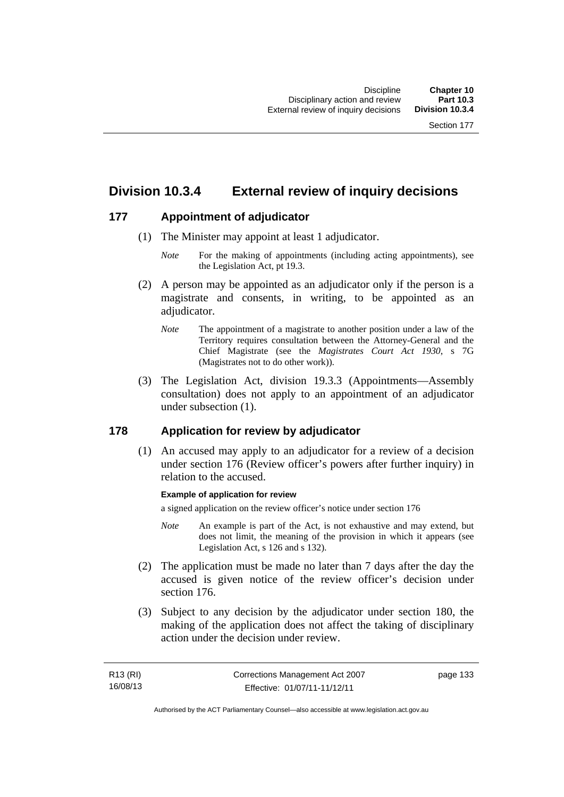# **Division 10.3.4 External review of inquiry decisions**

# **177 Appointment of adjudicator**

- (1) The Minister may appoint at least 1 adjudicator.
	- *Note* For the making of appointments (including acting appointments), see the Legislation Act, pt 19.3.
- (2) A person may be appointed as an adjudicator only if the person is a magistrate and consents, in writing, to be appointed as an adiudicator.
	- *Note* The appointment of a magistrate to another position under a law of the Territory requires consultation between the Attorney-General and the Chief Magistrate (see the *Magistrates Court Act 1930*, s 7G (Magistrates not to do other work)).
- (3) The Legislation Act, division 19.3.3 (Appointments—Assembly consultation) does not apply to an appointment of an adjudicator under subsection (1).

# **178 Application for review by adjudicator**

 (1) An accused may apply to an adjudicator for a review of a decision under section 176 (Review officer's powers after further inquiry) in relation to the accused.

### **Example of application for review**

a signed application on the review officer's notice under section 176

- *Note* An example is part of the Act, is not exhaustive and may extend, but does not limit, the meaning of the provision in which it appears (see Legislation Act, s 126 and s 132).
- (2) The application must be made no later than 7 days after the day the accused is given notice of the review officer's decision under section 176.
- (3) Subject to any decision by the adjudicator under section 180, the making of the application does not affect the taking of disciplinary action under the decision under review.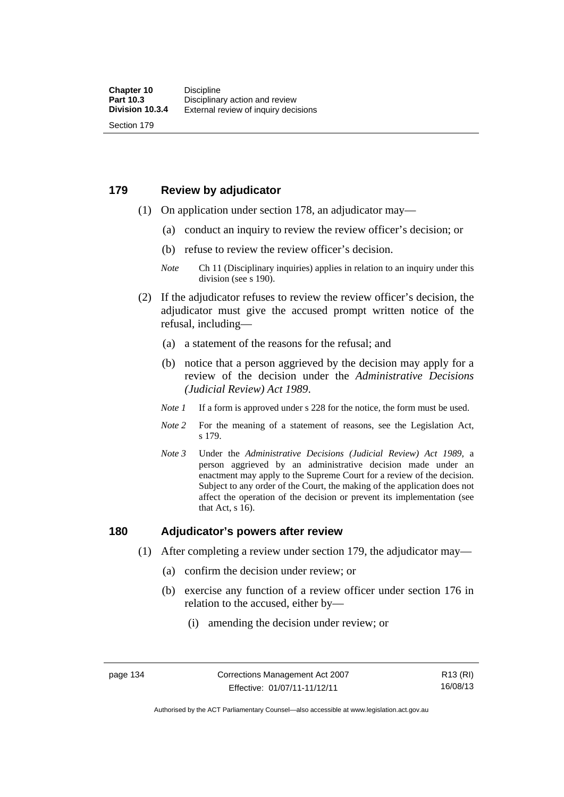# **179 Review by adjudicator**

Section 179

- (1) On application under section 178, an adjudicator may—
	- (a) conduct an inquiry to review the review officer's decision; or
	- (b) refuse to review the review officer's decision.

- (2) If the adjudicator refuses to review the review officer's decision, the adjudicator must give the accused prompt written notice of the refusal, including—
	- (a) a statement of the reasons for the refusal; and
	- (b) notice that a person aggrieved by the decision may apply for a review of the decision under the *Administrative Decisions (Judicial Review) Act 1989*.
	- *Note 1* If a form is approved under s 228 for the notice, the form must be used.
	- *Note 2* For the meaning of a statement of reasons, see the Legislation Act, s 179.
	- *Note 3* Under the *Administrative Decisions (Judicial Review) Act 1989*, a person aggrieved by an administrative decision made under an enactment may apply to the Supreme Court for a review of the decision. Subject to any order of the Court, the making of the application does not affect the operation of the decision or prevent its implementation (see that Act, s 16).

### **180 Adjudicator's powers after review**

- (1) After completing a review under section 179, the adjudicator may—
	- (a) confirm the decision under review; or
	- (b) exercise any function of a review officer under section 176 in relation to the accused, either by—
		- (i) amending the decision under review; or

*Note* Ch 11 (Disciplinary inquiries) applies in relation to an inquiry under this division (see s 190).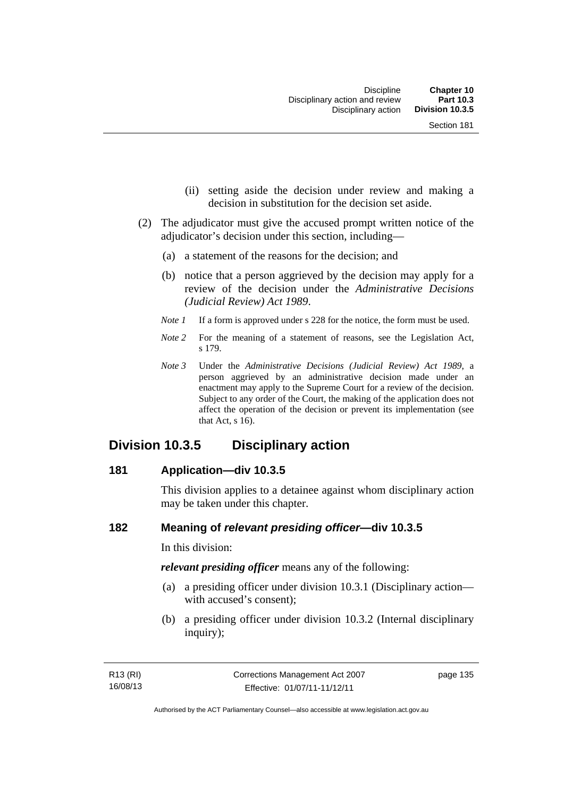- (ii) setting aside the decision under review and making a decision in substitution for the decision set aside.
- (2) The adjudicator must give the accused prompt written notice of the adjudicator's decision under this section, including—
	- (a) a statement of the reasons for the decision; and
	- (b) notice that a person aggrieved by the decision may apply for a review of the decision under the *Administrative Decisions (Judicial Review) Act 1989*.
	- *Note 1* If a form is approved under s 228 for the notice, the form must be used.
	- *Note* 2 For the meaning of a statement of reasons, see the Legislation Act, s 179.
	- *Note 3* Under the *Administrative Decisions (Judicial Review) Act 1989*, a person aggrieved by an administrative decision made under an enactment may apply to the Supreme Court for a review of the decision. Subject to any order of the Court, the making of the application does not affect the operation of the decision or prevent its implementation (see that Act, s 16).

# **Division 10.3.5 Disciplinary action**

### **181 Application—div 10.3.5**

This division applies to a detainee against whom disciplinary action may be taken under this chapter.

# **182 Meaning of** *relevant presiding officer***—div 10.3.5**

In this division:

*relevant presiding officer* means any of the following:

- (a) a presiding officer under division 10.3.1 (Disciplinary action with accused's consent);
- (b) a presiding officer under division 10.3.2 (Internal disciplinary inquiry);

page 135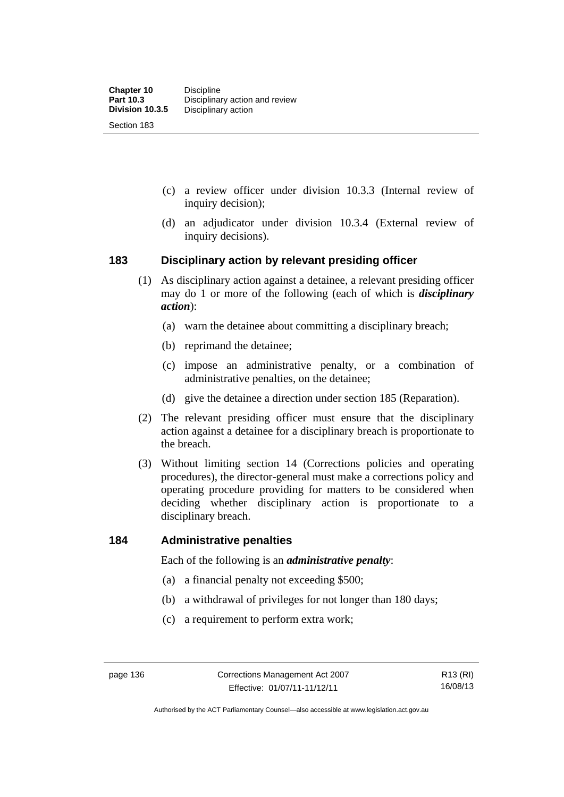- (c) a review officer under division 10.3.3 (Internal review of inquiry decision);
- (d) an adjudicator under division 10.3.4 (External review of inquiry decisions).

# **183 Disciplinary action by relevant presiding officer**

- (1) As disciplinary action against a detainee, a relevant presiding officer may do 1 or more of the following (each of which is *disciplinary action*):
	- (a) warn the detainee about committing a disciplinary breach;
	- (b) reprimand the detainee;
	- (c) impose an administrative penalty, or a combination of administrative penalties, on the detainee;
	- (d) give the detainee a direction under section 185 (Reparation).
- (2) The relevant presiding officer must ensure that the disciplinary action against a detainee for a disciplinary breach is proportionate to the breach.
- (3) Without limiting section 14 (Corrections policies and operating procedures), the director-general must make a corrections policy and operating procedure providing for matters to be considered when deciding whether disciplinary action is proportionate to a disciplinary breach.

### **184 Administrative penalties**

Each of the following is an *administrative penalty*:

- (a) a financial penalty not exceeding \$500;
- (b) a withdrawal of privileges for not longer than 180 days;
- (c) a requirement to perform extra work;

Authorised by the ACT Parliamentary Counsel—also accessible at www.legislation.act.gov.au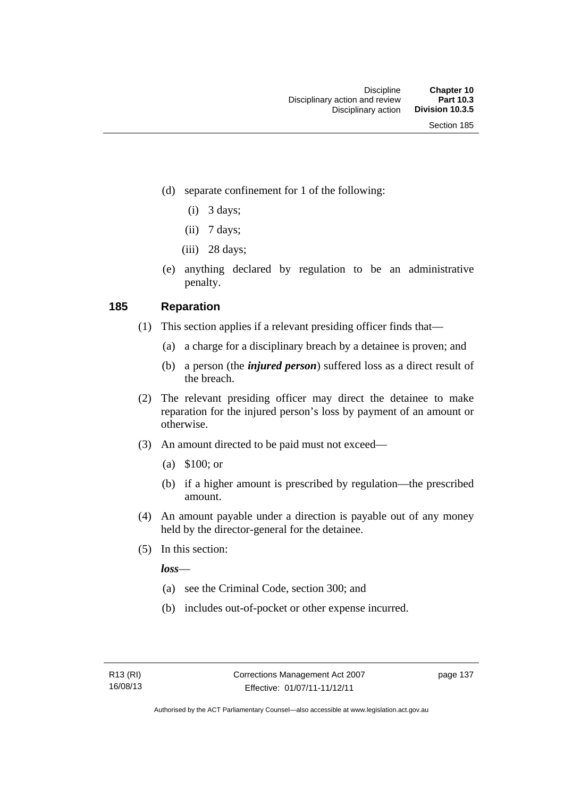- (d) separate confinement for 1 of the following:
	- $(i)$  3 days;
	- $(ii)$  7 days;
	- $(iii)$  28 days;
- (e) anything declared by regulation to be an administrative penalty.

# **185 Reparation**

- (1) This section applies if a relevant presiding officer finds that—
	- (a) a charge for a disciplinary breach by a detainee is proven; and
	- (b) a person (the *injured person*) suffered loss as a direct result of the breach.
- (2) The relevant presiding officer may direct the detainee to make reparation for the injured person's loss by payment of an amount or otherwise.
- (3) An amount directed to be paid must not exceed—
	- (a) \$100; or
	- (b) if a higher amount is prescribed by regulation—the prescribed amount.
- (4) An amount payable under a direction is payable out of any money held by the director-general for the detainee.
- (5) In this section:

*loss*—

- (a) see the Criminal Code, section 300; and
- (b) includes out-of-pocket or other expense incurred.

page 137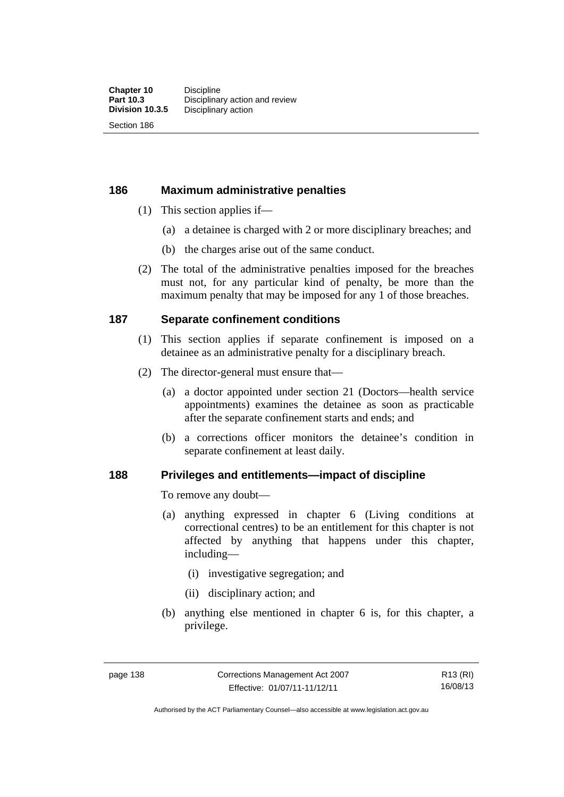Section 186

**186 Maximum administrative penalties** 

- (1) This section applies if—
	- (a) a detainee is charged with 2 or more disciplinary breaches; and
	- (b) the charges arise out of the same conduct.
- (2) The total of the administrative penalties imposed for the breaches must not, for any particular kind of penalty, be more than the maximum penalty that may be imposed for any 1 of those breaches.

# **187 Separate confinement conditions**

- (1) This section applies if separate confinement is imposed on a detainee as an administrative penalty for a disciplinary breach.
- (2) The director-general must ensure that—
	- (a) a doctor appointed under section 21 (Doctors—health service appointments) examines the detainee as soon as practicable after the separate confinement starts and ends; and
	- (b) a corrections officer monitors the detainee's condition in separate confinement at least daily.

## **188 Privileges and entitlements—impact of discipline**

To remove any doubt—

- (a) anything expressed in chapter 6 (Living conditions at correctional centres) to be an entitlement for this chapter is not affected by anything that happens under this chapter, including—
	- (i) investigative segregation; and
	- (ii) disciplinary action; and
- (b) anything else mentioned in chapter 6 is, for this chapter, a privilege.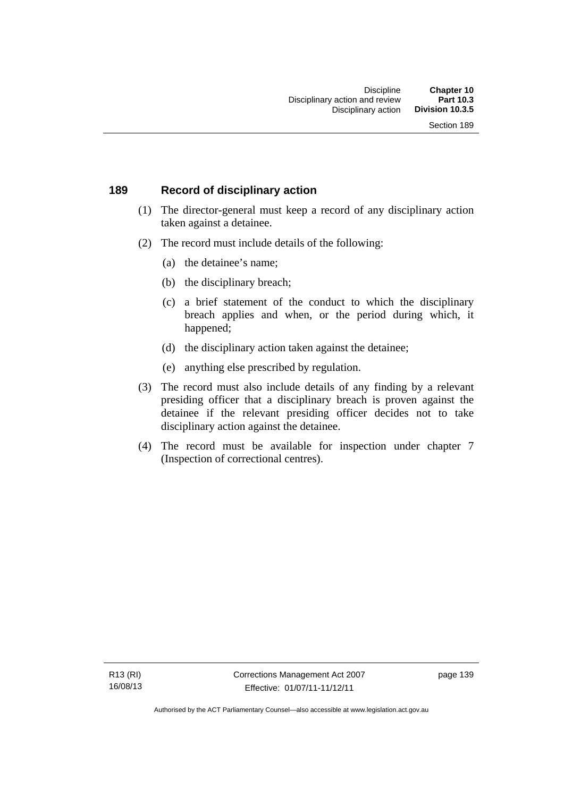# **189 Record of disciplinary action**

- (1) The director-general must keep a record of any disciplinary action taken against a detainee.
- (2) The record must include details of the following:
	- (a) the detainee's name;
	- (b) the disciplinary breach;
	- (c) a brief statement of the conduct to which the disciplinary breach applies and when, or the period during which, it happened;
	- (d) the disciplinary action taken against the detainee;
	- (e) anything else prescribed by regulation.
- (3) The record must also include details of any finding by a relevant presiding officer that a disciplinary breach is proven against the detainee if the relevant presiding officer decides not to take disciplinary action against the detainee.
- (4) The record must be available for inspection under chapter 7 (Inspection of correctional centres).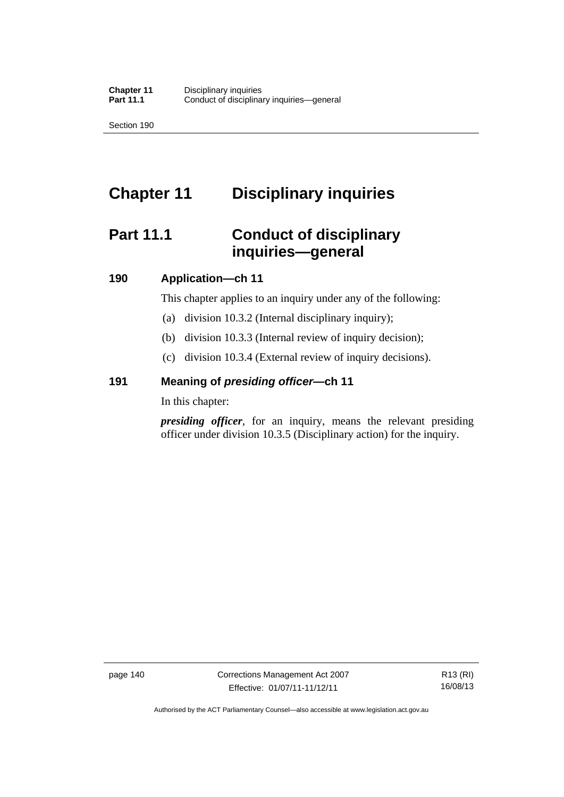Section 190

# **Chapter 11 Disciplinary inquiries**

# **Part 11.1 Conduct of disciplinary inquiries—general**

# **190 Application—ch 11**

This chapter applies to an inquiry under any of the following:

- (a) division 10.3.2 (Internal disciplinary inquiry);
- (b) division 10.3.3 (Internal review of inquiry decision);
- (c) division 10.3.4 (External review of inquiry decisions).

# **191 Meaning of** *presiding officer—***ch 11**

In this chapter:

*presiding officer*, for an inquiry, means the relevant presiding officer under division 10.3.5 (Disciplinary action) for the inquiry.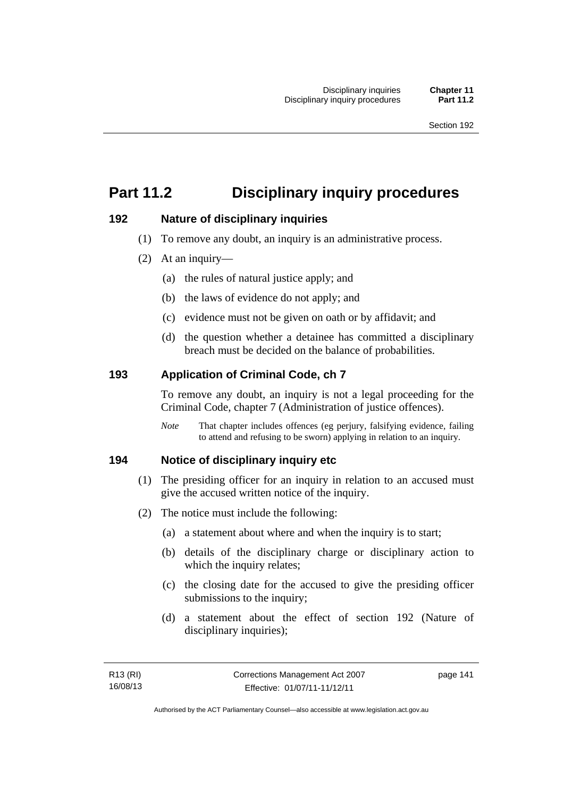# **Part 11.2 Disciplinary inquiry procedures**

# **192 Nature of disciplinary inquiries**

- (1) To remove any doubt, an inquiry is an administrative process.
- (2) At an inquiry—
	- (a) the rules of natural justice apply; and
	- (b) the laws of evidence do not apply; and
	- (c) evidence must not be given on oath or by affidavit; and
	- (d) the question whether a detainee has committed a disciplinary breach must be decided on the balance of probabilities.

# **193 Application of Criminal Code, ch 7**

To remove any doubt, an inquiry is not a legal proceeding for the Criminal Code, chapter 7 (Administration of justice offences).

*Note* That chapter includes offences (eg perjury, falsifying evidence, failing to attend and refusing to be sworn) applying in relation to an inquiry.

# **194 Notice of disciplinary inquiry etc**

- (1) The presiding officer for an inquiry in relation to an accused must give the accused written notice of the inquiry.
- (2) The notice must include the following:
	- (a) a statement about where and when the inquiry is to start;
	- (b) details of the disciplinary charge or disciplinary action to which the inquiry relates;
	- (c) the closing date for the accused to give the presiding officer submissions to the inquiry;
	- (d) a statement about the effect of section 192 (Nature of disciplinary inquiries);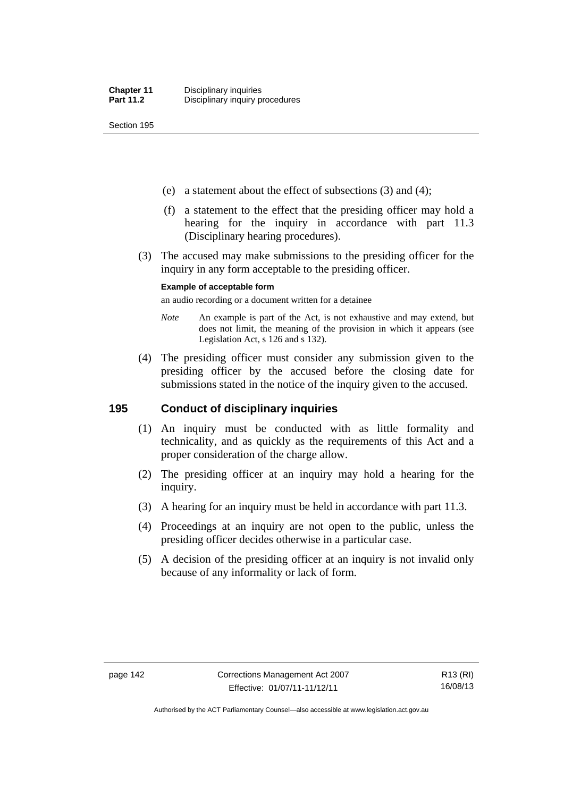Section 195

- (e) a statement about the effect of subsections (3) and (4);
- (f) a statement to the effect that the presiding officer may hold a hearing for the inquiry in accordance with part 11.3 (Disciplinary hearing procedures).
- (3) The accused may make submissions to the presiding officer for the inquiry in any form acceptable to the presiding officer.

#### **Example of acceptable form**

an audio recording or a document written for a detainee

- *Note* An example is part of the Act, is not exhaustive and may extend, but does not limit, the meaning of the provision in which it appears (see Legislation Act, s 126 and s 132).
- (4) The presiding officer must consider any submission given to the presiding officer by the accused before the closing date for submissions stated in the notice of the inquiry given to the accused.

# **195 Conduct of disciplinary inquiries**

- (1) An inquiry must be conducted with as little formality and technicality, and as quickly as the requirements of this Act and a proper consideration of the charge allow.
- (2) The presiding officer at an inquiry may hold a hearing for the inquiry.
- (3) A hearing for an inquiry must be held in accordance with part 11.3.
- (4) Proceedings at an inquiry are not open to the public, unless the presiding officer decides otherwise in a particular case.
- (5) A decision of the presiding officer at an inquiry is not invalid only because of any informality or lack of form.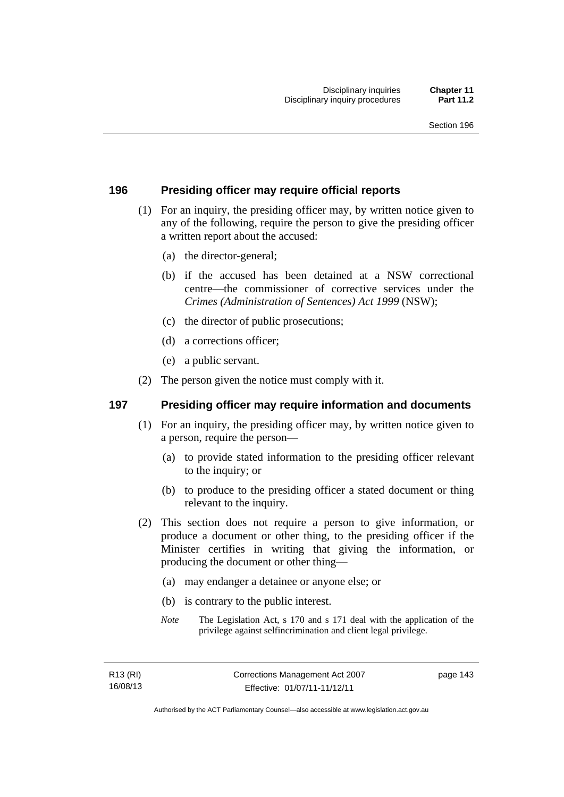# **196 Presiding officer may require official reports**

- (1) For an inquiry, the presiding officer may, by written notice given to any of the following, require the person to give the presiding officer a written report about the accused:
	- (a) the director-general;
	- (b) if the accused has been detained at a NSW correctional centre—the commissioner of corrective services under the *Crimes (Administration of Sentences) Act 1999* (NSW);
	- (c) the director of public prosecutions;
	- (d) a corrections officer;
	- (e) a public servant.
- (2) The person given the notice must comply with it.

# **197 Presiding officer may require information and documents**

- (1) For an inquiry, the presiding officer may, by written notice given to a person, require the person—
	- (a) to provide stated information to the presiding officer relevant to the inquiry; or
	- (b) to produce to the presiding officer a stated document or thing relevant to the inquiry.
- (2) This section does not require a person to give information, or produce a document or other thing, to the presiding officer if the Minister certifies in writing that giving the information, or producing the document or other thing—
	- (a) may endanger a detainee or anyone else; or
	- (b) is contrary to the public interest.
	- *Note* The Legislation Act, s 170 and s 171 deal with the application of the privilege against selfincrimination and client legal privilege.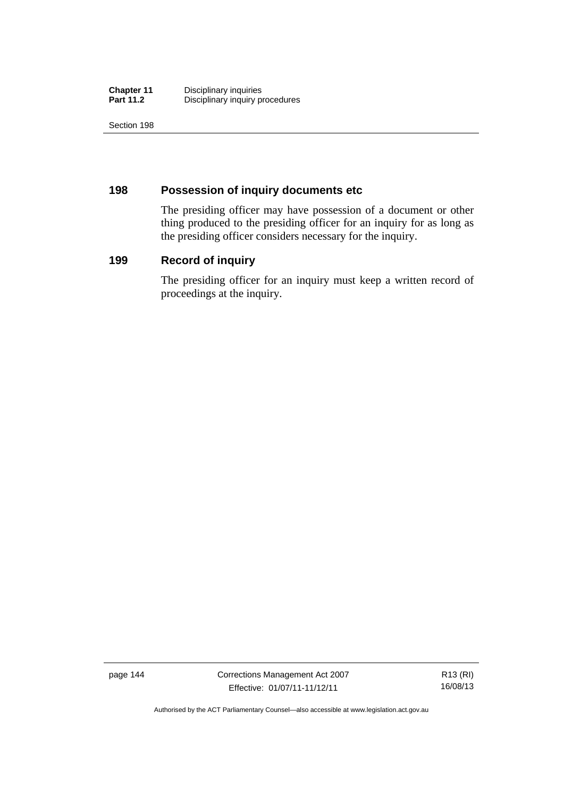| <b>Chapter 11</b> | Disciplinary inquiries          |
|-------------------|---------------------------------|
| <b>Part 11.2</b>  | Disciplinary inquiry procedures |

Section 198

# **198 Possession of inquiry documents etc**

The presiding officer may have possession of a document or other thing produced to the presiding officer for an inquiry for as long as the presiding officer considers necessary for the inquiry.

# **199 Record of inquiry**

The presiding officer for an inquiry must keep a written record of proceedings at the inquiry.

page 144 Corrections Management Act 2007 Effective: 01/07/11-11/12/11

R13 (RI) 16/08/13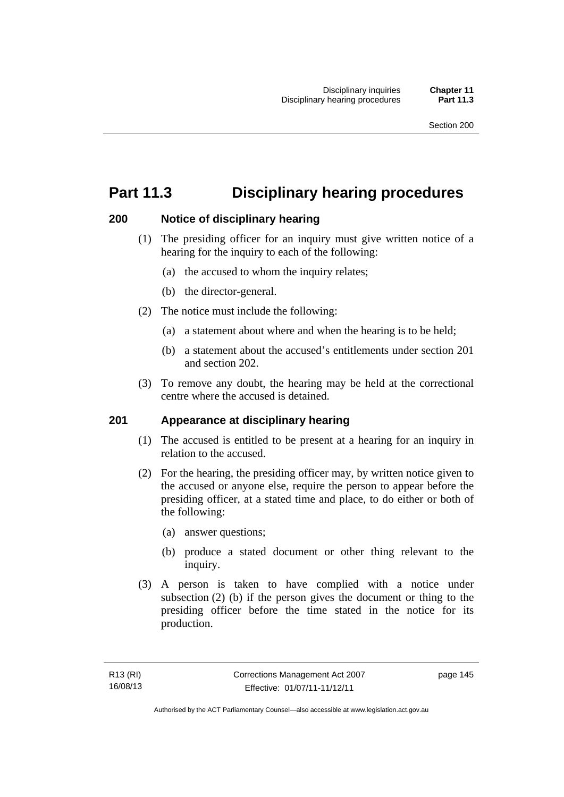# **Part 11.3 Disciplinary hearing procedures**

# **200 Notice of disciplinary hearing**

- (1) The presiding officer for an inquiry must give written notice of a hearing for the inquiry to each of the following:
	- (a) the accused to whom the inquiry relates;
	- (b) the director-general.
- (2) The notice must include the following:
	- (a) a statement about where and when the hearing is to be held;
	- (b) a statement about the accused's entitlements under section 201 and section 202.
- (3) To remove any doubt, the hearing may be held at the correctional centre where the accused is detained.

# **201 Appearance at disciplinary hearing**

- (1) The accused is entitled to be present at a hearing for an inquiry in relation to the accused.
- (2) For the hearing, the presiding officer may, by written notice given to the accused or anyone else, require the person to appear before the presiding officer, at a stated time and place, to do either or both of the following:
	- (a) answer questions;
	- (b) produce a stated document or other thing relevant to the inquiry.
- (3) A person is taken to have complied with a notice under subsection (2) (b) if the person gives the document or thing to the presiding officer before the time stated in the notice for its production.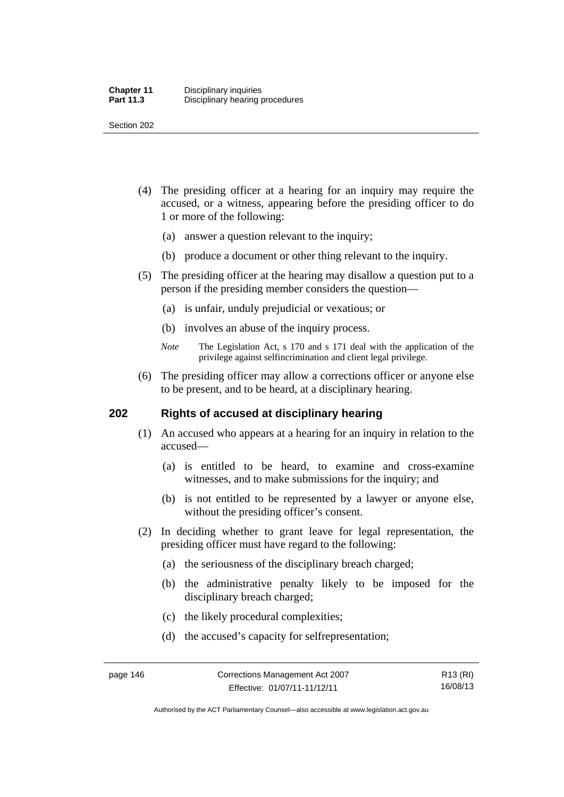Section 202

- (4) The presiding officer at a hearing for an inquiry may require the accused, or a witness, appearing before the presiding officer to do 1 or more of the following:
	- (a) answer a question relevant to the inquiry;
	- (b) produce a document or other thing relevant to the inquiry.
- (5) The presiding officer at the hearing may disallow a question put to a person if the presiding member considers the question—
	- (a) is unfair, unduly prejudicial or vexatious; or
	- (b) involves an abuse of the inquiry process.
	- *Note* The Legislation Act, s 170 and s 171 deal with the application of the privilege against selfincrimination and client legal privilege.
- (6) The presiding officer may allow a corrections officer or anyone else to be present, and to be heard, at a disciplinary hearing.

# **202 Rights of accused at disciplinary hearing**

- (1) An accused who appears at a hearing for an inquiry in relation to the accused—
	- (a) is entitled to be heard, to examine and cross-examine witnesses, and to make submissions for the inquiry; and
	- (b) is not entitled to be represented by a lawyer or anyone else, without the presiding officer's consent.
- (2) In deciding whether to grant leave for legal representation, the presiding officer must have regard to the following:
	- (a) the seriousness of the disciplinary breach charged;
	- (b) the administrative penalty likely to be imposed for the disciplinary breach charged;
	- (c) the likely procedural complexities;
	- (d) the accused's capacity for selfrepresentation;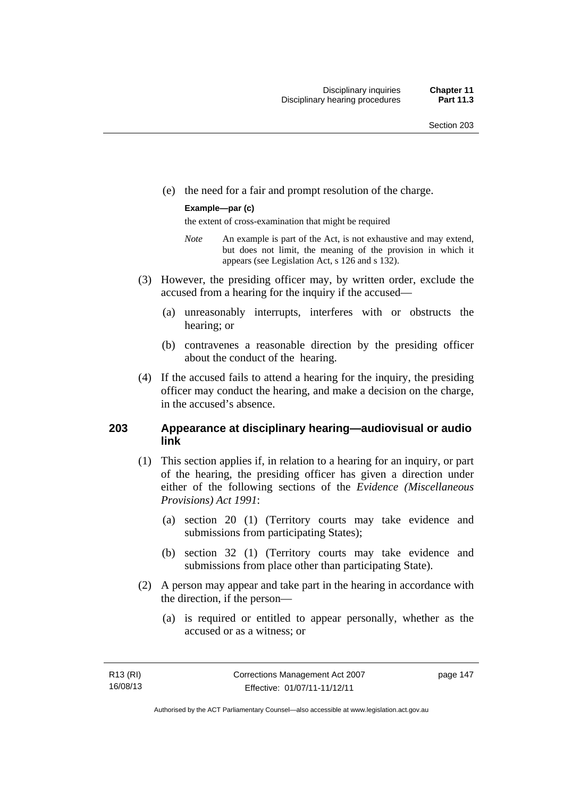(e) the need for a fair and prompt resolution of the charge.

#### **Example—par (c)**

the extent of cross-examination that might be required

- *Note* An example is part of the Act, is not exhaustive and may extend, but does not limit, the meaning of the provision in which it appears (see Legislation Act, s 126 and s 132).
- (3) However, the presiding officer may, by written order, exclude the accused from a hearing for the inquiry if the accused—
	- (a) unreasonably interrupts, interferes with or obstructs the hearing; or
	- (b) contravenes a reasonable direction by the presiding officer about the conduct of the hearing.
- (4) If the accused fails to attend a hearing for the inquiry, the presiding officer may conduct the hearing, and make a decision on the charge, in the accused's absence.

# **203 Appearance at disciplinary hearing—audiovisual or audio link**

- (1) This section applies if, in relation to a hearing for an inquiry, or part of the hearing, the presiding officer has given a direction under either of the following sections of the *Evidence (Miscellaneous Provisions) Act 1991*:
	- (a) section 20 (1) (Territory courts may take evidence and submissions from participating States);
	- (b) section 32 (1) (Territory courts may take evidence and submissions from place other than participating State).
- (2) A person may appear and take part in the hearing in accordance with the direction, if the person—
	- (a) is required or entitled to appear personally, whether as the accused or as a witness; or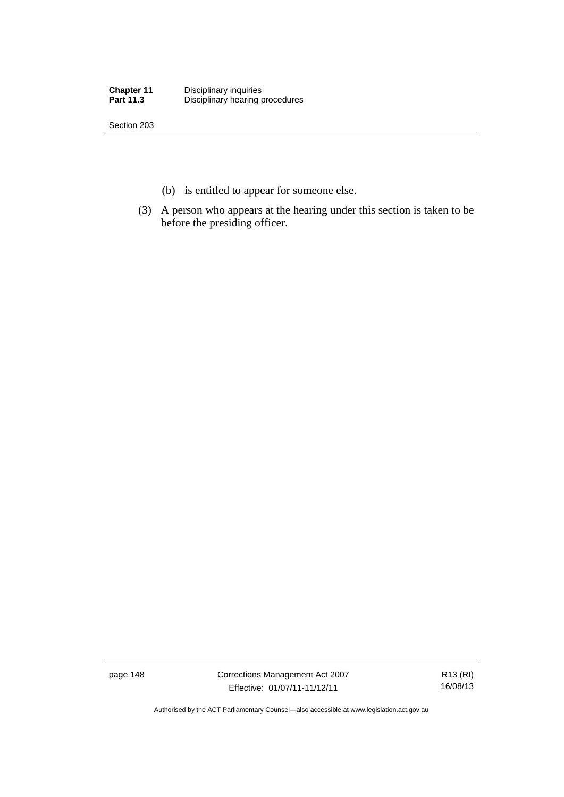| <b>Chapter 11</b> | Disciplinary inquiries          |
|-------------------|---------------------------------|
| <b>Part 11.3</b>  | Disciplinary hearing procedures |

Section 203

- (b) is entitled to appear for someone else.
- (3) A person who appears at the hearing under this section is taken to be before the presiding officer.

page 148 Corrections Management Act 2007 Effective: 01/07/11-11/12/11

R13 (RI) 16/08/13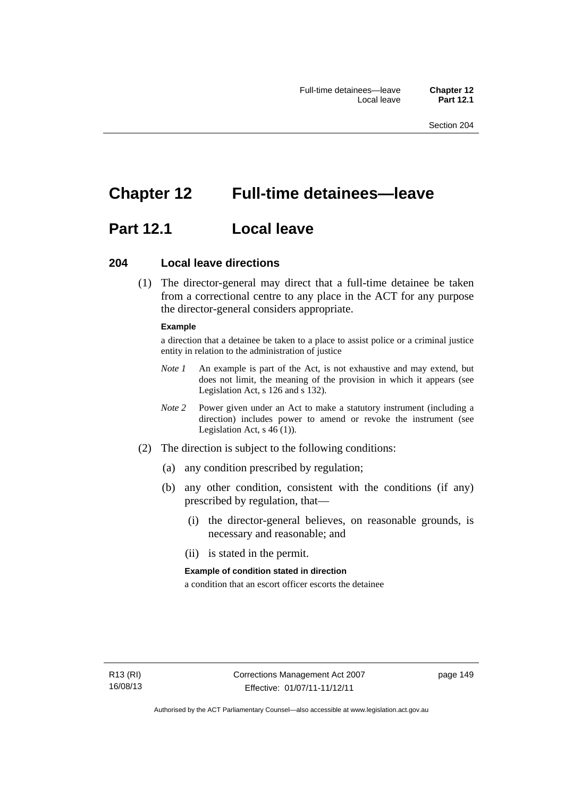# **Chapter 12 Full-time detainees—leave**

# **Part 12.1 Local leave**

## **204 Local leave directions**

 (1) The director-general may direct that a full-time detainee be taken from a correctional centre to any place in the ACT for any purpose the director-general considers appropriate.

#### **Example**

a direction that a detainee be taken to a place to assist police or a criminal justice entity in relation to the administration of justice

- *Note 1* An example is part of the Act, is not exhaustive and may extend, but does not limit, the meaning of the provision in which it appears (see Legislation Act, s 126 and s 132).
- *Note 2* Power given under an Act to make a statutory instrument (including a direction) includes power to amend or revoke the instrument (see Legislation Act, s 46 (1)).
- (2) The direction is subject to the following conditions:
	- (a) any condition prescribed by regulation;
	- (b) any other condition, consistent with the conditions (if any) prescribed by regulation, that—
		- (i) the director-general believes, on reasonable grounds, is necessary and reasonable; and
		- (ii) is stated in the permit.

#### **Example of condition stated in direction**

a condition that an escort officer escorts the detainee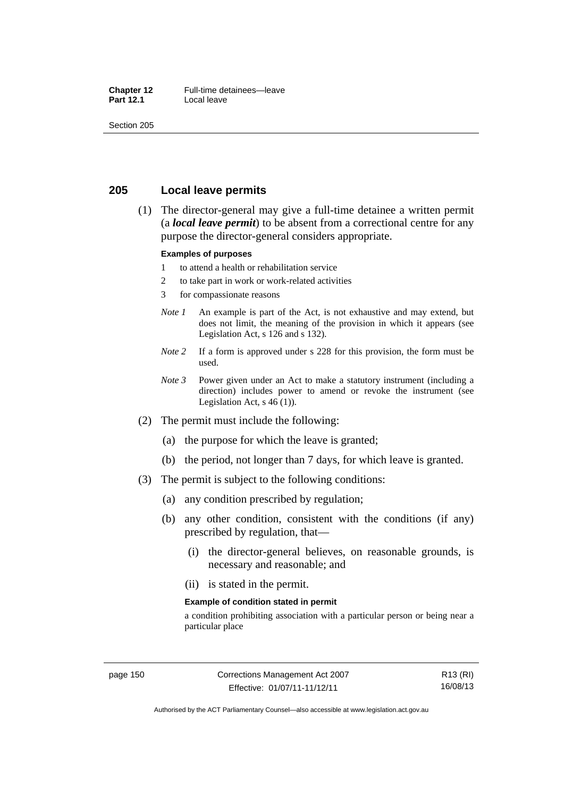#### **Chapter 12** Full-time detainees—leave<br>**Part 12.1** Local leave **Local leave**

Section 205

# **205 Local leave permits**

 (1) The director-general may give a full-time detainee a written permit (a *local leave permit*) to be absent from a correctional centre for any purpose the director-general considers appropriate.

#### **Examples of purposes**

- 1 to attend a health or rehabilitation service
- 2 to take part in work or work-related activities
- 3 for compassionate reasons
- *Note 1* An example is part of the Act, is not exhaustive and may extend, but does not limit, the meaning of the provision in which it appears (see Legislation Act, s 126 and s 132).
- *Note* 2 If a form is approved under s 228 for this provision, the form must be used.
- *Note 3* Power given under an Act to make a statutory instrument (including a direction) includes power to amend or revoke the instrument (see Legislation Act,  $s$  46 (1)).
- (2) The permit must include the following:
	- (a) the purpose for which the leave is granted;
	- (b) the period, not longer than 7 days, for which leave is granted.
- (3) The permit is subject to the following conditions:
	- (a) any condition prescribed by regulation;
	- (b) any other condition, consistent with the conditions (if any) prescribed by regulation, that—
		- (i) the director-general believes, on reasonable grounds, is necessary and reasonable; and
		- (ii) is stated in the permit.

#### **Example of condition stated in permit**

a condition prohibiting association with a particular person or being near a particular place

R13 (RI) 16/08/13

Authorised by the ACT Parliamentary Counsel—also accessible at www.legislation.act.gov.au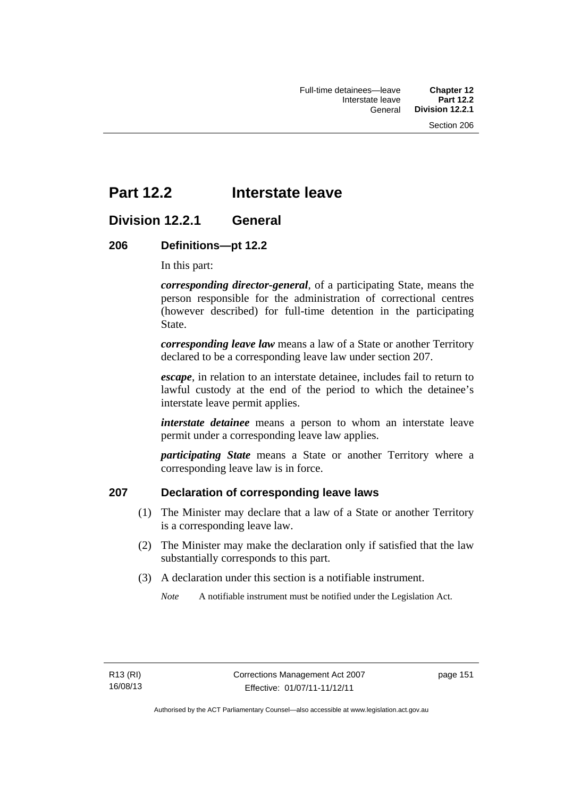# **Part 12.2 Interstate leave**

# **Division 12.2.1 General**

# **206 Definitions—pt 12.2**

In this part:

*corresponding director-general*, of a participating State, means the person responsible for the administration of correctional centres (however described) for full-time detention in the participating State.

*corresponding leave law* means a law of a State or another Territory declared to be a corresponding leave law under section 207.

*escape*, in relation to an interstate detainee, includes fail to return to lawful custody at the end of the period to which the detainee's interstate leave permit applies.

*interstate detainee* means a person to whom an interstate leave permit under a corresponding leave law applies.

*participating State* means a State or another Territory where a corresponding leave law is in force.

# **207 Declaration of corresponding leave laws**

- (1) The Minister may declare that a law of a State or another Territory is a corresponding leave law.
- (2) The Minister may make the declaration only if satisfied that the law substantially corresponds to this part.
- (3) A declaration under this section is a notifiable instrument.

*Note* A notifiable instrument must be notified under the Legislation Act.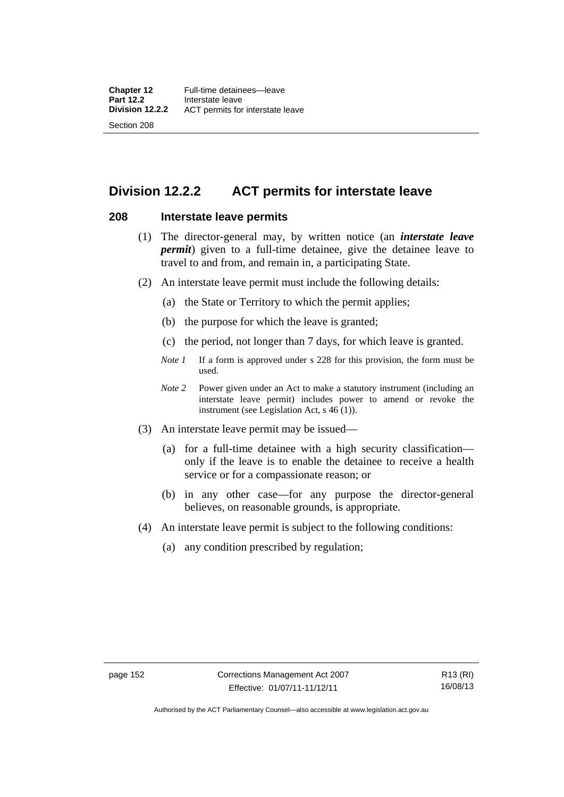# **Division 12.2.2 ACT permits for interstate leave**

## **208 Interstate leave permits**

- (1) The director-general may, by written notice (an *interstate leave permit*) given to a full-time detainee, give the detainee leave to travel to and from, and remain in, a participating State.
- (2) An interstate leave permit must include the following details:
	- (a) the State or Territory to which the permit applies;
	- (b) the purpose for which the leave is granted;
	- (c) the period, not longer than 7 days, for which leave is granted.
	- *Note 1* If a form is approved under s 228 for this provision, the form must be used.
	- *Note 2* Power given under an Act to make a statutory instrument (including an interstate leave permit) includes power to amend or revoke the instrument (see Legislation Act, s 46 (1)).
- (3) An interstate leave permit may be issued—
	- (a) for a full-time detainee with a high security classification only if the leave is to enable the detainee to receive a health service or for a compassionate reason; or
	- (b) in any other case—for any purpose the director-general believes, on reasonable grounds, is appropriate.
- (4) An interstate leave permit is subject to the following conditions:
	- (a) any condition prescribed by regulation;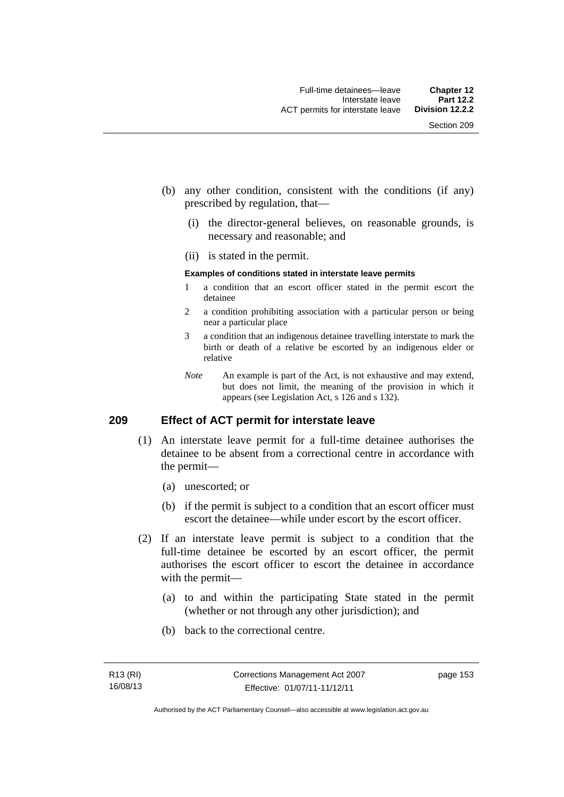- (b) any other condition, consistent with the conditions (if any) prescribed by regulation, that—
	- (i) the director-general believes, on reasonable grounds, is necessary and reasonable; and
	- (ii) is stated in the permit.

#### **Examples of conditions stated in interstate leave permits**

- 1 a condition that an escort officer stated in the permit escort the detainee
- 2 a condition prohibiting association with a particular person or being near a particular place
- 3 a condition that an indigenous detainee travelling interstate to mark the birth or death of a relative be escorted by an indigenous elder or relative
- *Note* An example is part of the Act, is not exhaustive and may extend, but does not limit, the meaning of the provision in which it appears (see Legislation Act, s 126 and s 132).

# **209 Effect of ACT permit for interstate leave**

- (1) An interstate leave permit for a full-time detainee authorises the detainee to be absent from a correctional centre in accordance with the permit—
	- (a) unescorted; or
	- (b) if the permit is subject to a condition that an escort officer must escort the detainee—while under escort by the escort officer.
- (2) If an interstate leave permit is subject to a condition that the full-time detainee be escorted by an escort officer, the permit authorises the escort officer to escort the detainee in accordance with the permit—
	- (a) to and within the participating State stated in the permit (whether or not through any other jurisdiction); and
	- (b) back to the correctional centre.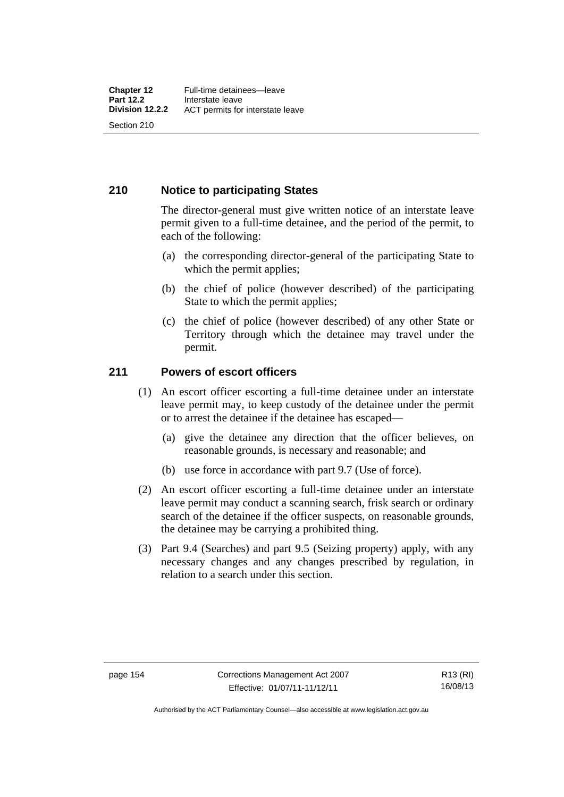# **210 Notice to participating States**

The director-general must give written notice of an interstate leave permit given to a full-time detainee, and the period of the permit, to each of the following:

- (a) the corresponding director-general of the participating State to which the permit applies;
- (b) the chief of police (however described) of the participating State to which the permit applies;
- (c) the chief of police (however described) of any other State or Territory through which the detainee may travel under the permit.

# **211 Powers of escort officers**

- (1) An escort officer escorting a full-time detainee under an interstate leave permit may, to keep custody of the detainee under the permit or to arrest the detainee if the detainee has escaped—
	- (a) give the detainee any direction that the officer believes, on reasonable grounds, is necessary and reasonable; and
	- (b) use force in accordance with part 9.7 (Use of force).
- (2) An escort officer escorting a full-time detainee under an interstate leave permit may conduct a scanning search, frisk search or ordinary search of the detainee if the officer suspects, on reasonable grounds, the detainee may be carrying a prohibited thing.
- (3) Part 9.4 (Searches) and part 9.5 (Seizing property) apply, with any necessary changes and any changes prescribed by regulation, in relation to a search under this section.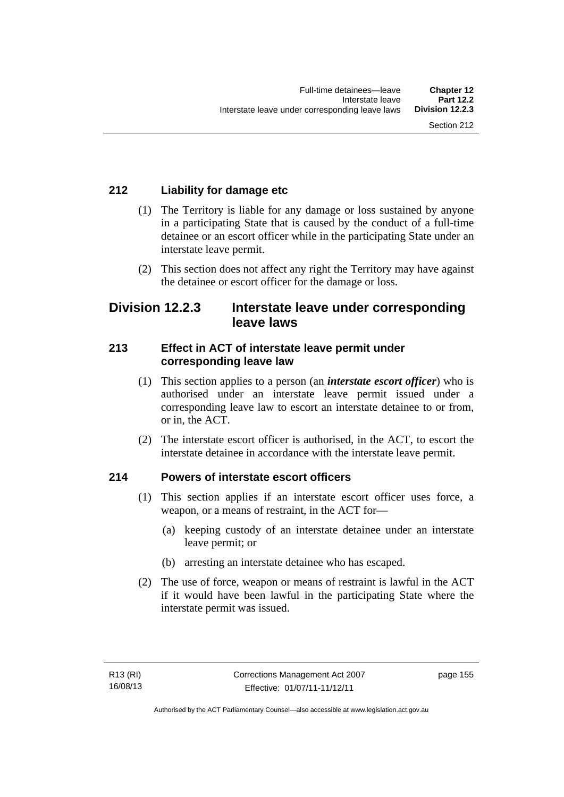# **212 Liability for damage etc**

- (1) The Territory is liable for any damage or loss sustained by anyone in a participating State that is caused by the conduct of a full-time detainee or an escort officer while in the participating State under an interstate leave permit.
- (2) This section does not affect any right the Territory may have against the detainee or escort officer for the damage or loss.

# **Division 12.2.3 Interstate leave under corresponding leave laws**

# **213 Effect in ACT of interstate leave permit under corresponding leave law**

- (1) This section applies to a person (an *interstate escort officer*) who is authorised under an interstate leave permit issued under a corresponding leave law to escort an interstate detainee to or from, or in, the ACT.
- (2) The interstate escort officer is authorised, in the ACT, to escort the interstate detainee in accordance with the interstate leave permit.

# **214 Powers of interstate escort officers**

- (1) This section applies if an interstate escort officer uses force, a weapon, or a means of restraint, in the ACT for—
	- (a) keeping custody of an interstate detainee under an interstate leave permit; or
	- (b) arresting an interstate detainee who has escaped.
- (2) The use of force, weapon or means of restraint is lawful in the ACT if it would have been lawful in the participating State where the interstate permit was issued.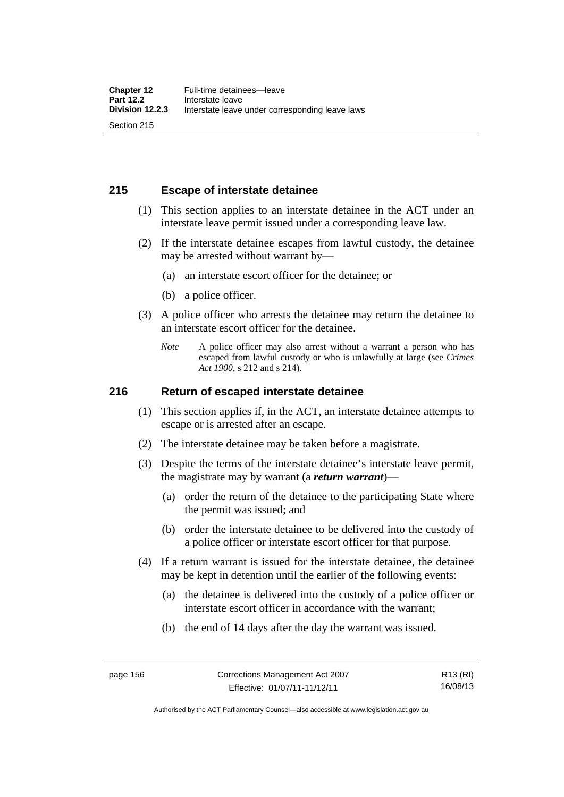# **215 Escape of interstate detainee**

- (1) This section applies to an interstate detainee in the ACT under an interstate leave permit issued under a corresponding leave law.
- (2) If the interstate detainee escapes from lawful custody, the detainee may be arrested without warrant by—
	- (a) an interstate escort officer for the detainee; or
	- (b) a police officer.
- (3) A police officer who arrests the detainee may return the detainee to an interstate escort officer for the detainee.
	- *Note* A police officer may also arrest without a warrant a person who has escaped from lawful custody or who is unlawfully at large (see *Crimes Act 1900*, s 212 and s 214).

## **216 Return of escaped interstate detainee**

- (1) This section applies if, in the ACT, an interstate detainee attempts to escape or is arrested after an escape.
- (2) The interstate detainee may be taken before a magistrate.
- (3) Despite the terms of the interstate detainee's interstate leave permit, the magistrate may by warrant (a *return warrant*)—
	- (a) order the return of the detainee to the participating State where the permit was issued; and
	- (b) order the interstate detainee to be delivered into the custody of a police officer or interstate escort officer for that purpose.
- (4) If a return warrant is issued for the interstate detainee, the detainee may be kept in detention until the earlier of the following events:
	- (a) the detainee is delivered into the custody of a police officer or interstate escort officer in accordance with the warrant;
	- (b) the end of 14 days after the day the warrant was issued.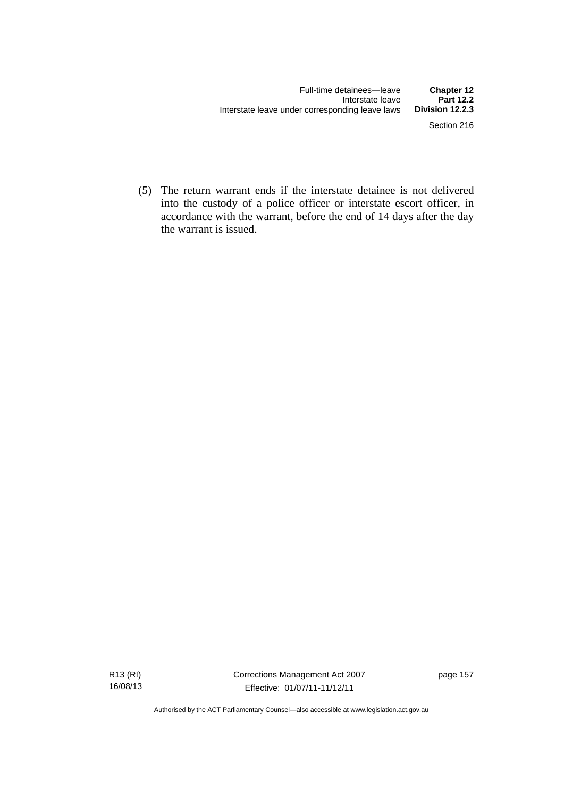(5) The return warrant ends if the interstate detainee is not delivered into the custody of a police officer or interstate escort officer, in accordance with the warrant, before the end of 14 days after the day the warrant is issued.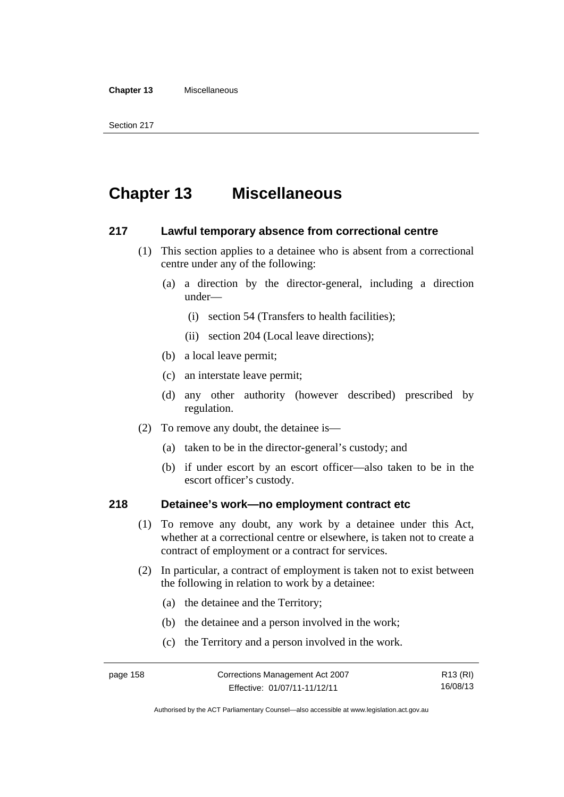#### **Chapter 13** Miscellaneous

# **Chapter 13 Miscellaneous**

### **217 Lawful temporary absence from correctional centre**

- (1) This section applies to a detainee who is absent from a correctional centre under any of the following:
	- (a) a direction by the director-general, including a direction under—
		- (i) section 54 (Transfers to health facilities);
		- (ii) section 204 (Local leave directions);
	- (b) a local leave permit;
	- (c) an interstate leave permit;
	- (d) any other authority (however described) prescribed by regulation.
- (2) To remove any doubt, the detainee is—
	- (a) taken to be in the director-general's custody; and
	- (b) if under escort by an escort officer—also taken to be in the escort officer's custody.

# **218 Detainee's work—no employment contract etc**

- (1) To remove any doubt, any work by a detainee under this Act, whether at a correctional centre or elsewhere, is taken not to create a contract of employment or a contract for services.
- (2) In particular, a contract of employment is taken not to exist between the following in relation to work by a detainee:
	- (a) the detainee and the Territory;
	- (b) the detainee and a person involved in the work;
	- (c) the Territory and a person involved in the work.

page 158 Corrections Management Act 2007 Effective: 01/07/11-11/12/11 R13 (RI) 16/08/13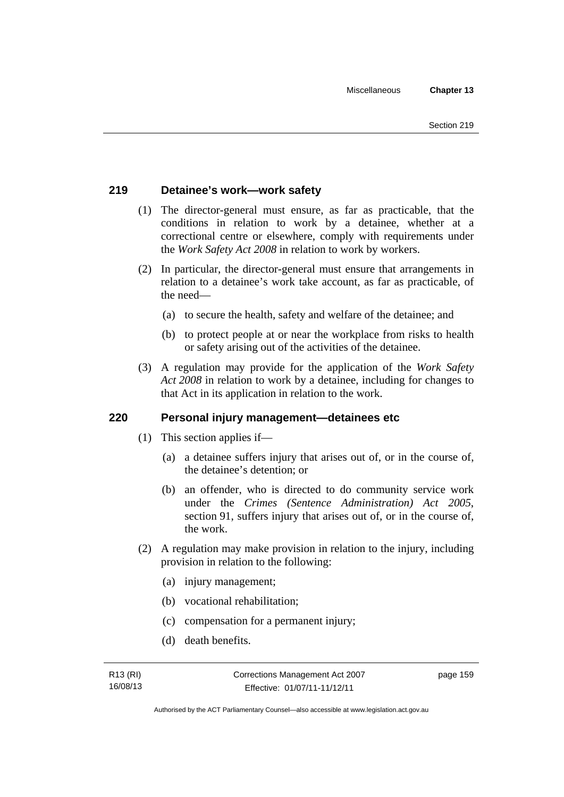# **219 Detainee's work—work safety**

- (1) The director-general must ensure, as far as practicable, that the conditions in relation to work by a detainee, whether at a correctional centre or elsewhere, comply with requirements under the *Work Safety Act 2008* in relation to work by workers.
- (2) In particular, the director-general must ensure that arrangements in relation to a detainee's work take account, as far as practicable, of the need—
	- (a) to secure the health, safety and welfare of the detainee; and
	- (b) to protect people at or near the workplace from risks to health or safety arising out of the activities of the detainee.
- (3) A regulation may provide for the application of the *Work Safety Act 2008* in relation to work by a detainee, including for changes to that Act in its application in relation to the work.

# **220 Personal injury management—detainees etc**

- (1) This section applies if—
	- (a) a detainee suffers injury that arises out of, or in the course of, the detainee's detention; or
	- (b) an offender, who is directed to do community service work under the *Crimes (Sentence Administration) Act 2005*, section 91, suffers injury that arises out of, or in the course of, the work.
- (2) A regulation may make provision in relation to the injury, including provision in relation to the following:
	- (a) injury management;
	- (b) vocational rehabilitation;
	- (c) compensation for a permanent injury;
	- (d) death benefits.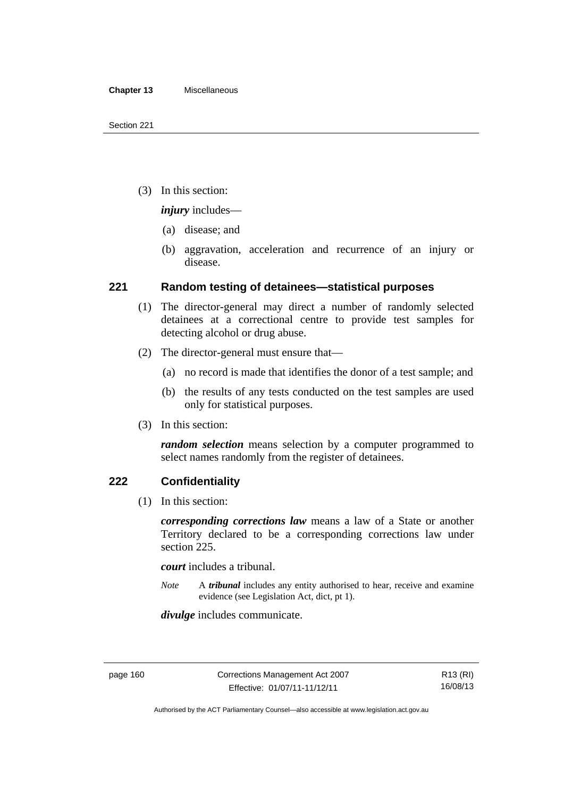(3) In this section:

*injury* includes—

- (a) disease; and
- (b) aggravation, acceleration and recurrence of an injury or disease.

# **221 Random testing of detainees—statistical purposes**

- (1) The director-general may direct a number of randomly selected detainees at a correctional centre to provide test samples for detecting alcohol or drug abuse.
- (2) The director-general must ensure that—
	- (a) no record is made that identifies the donor of a test sample; and
	- (b) the results of any tests conducted on the test samples are used only for statistical purposes.
- (3) In this section:

*random selection* means selection by a computer programmed to select names randomly from the register of detainees.

# **222 Confidentiality**

(1) In this section:

*corresponding corrections law* means a law of a State or another Territory declared to be a corresponding corrections law under section 225.

*court* includes a tribunal.

*Note* A *tribunal* includes any entity authorised to hear, receive and examine evidence (see Legislation Act, dict, pt 1).

*divulge* includes communicate.

Authorised by the ACT Parliamentary Counsel—also accessible at www.legislation.act.gov.au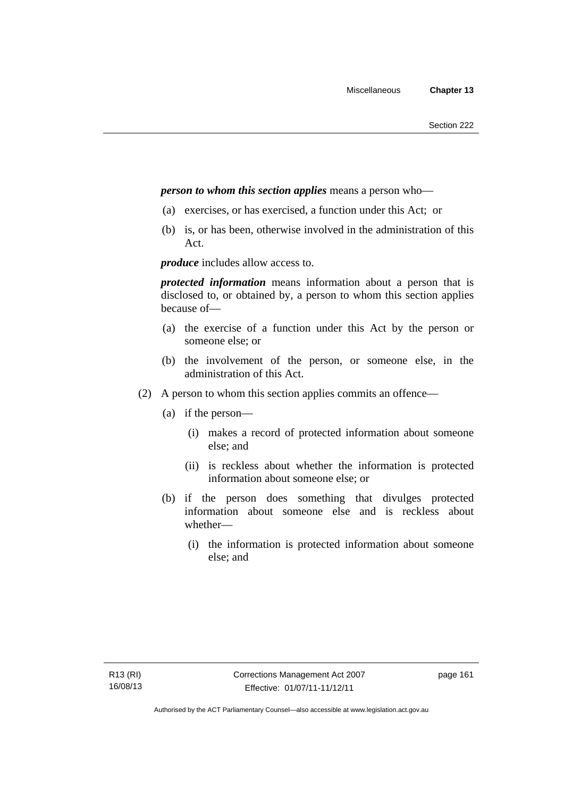## *person to whom this section applies* means a person who—

- (a) exercises, or has exercised, a function under this Act; or
- (b) is, or has been, otherwise involved in the administration of this Act.

*produce* includes allow access to.

*protected information* means information about a person that is disclosed to, or obtained by, a person to whom this section applies because of—

- (a) the exercise of a function under this Act by the person or someone else; or
- (b) the involvement of the person, or someone else, in the administration of this Act.
- (2) A person to whom this section applies commits an offence—
	- (a) if the person—
		- (i) makes a record of protected information about someone else; and
		- (ii) is reckless about whether the information is protected information about someone else; or
	- (b) if the person does something that divulges protected information about someone else and is reckless about whether—
		- (i) the information is protected information about someone else; and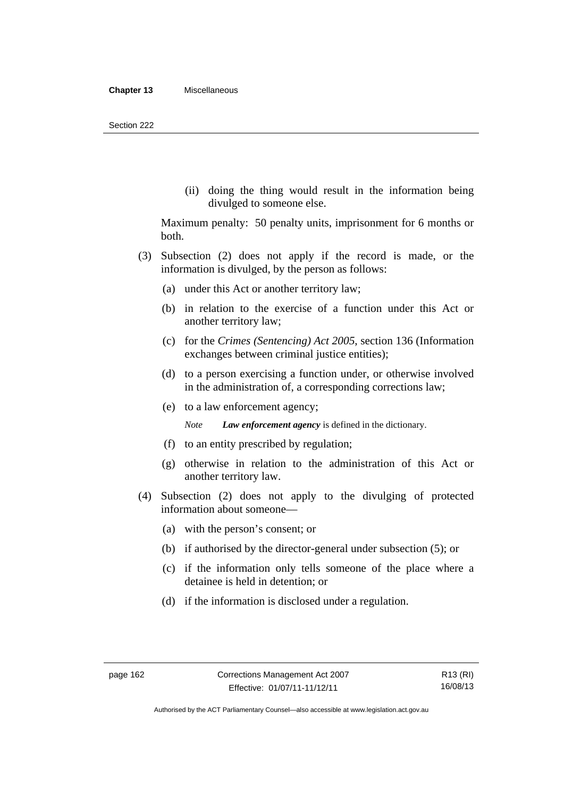(ii) doing the thing would result in the information being divulged to someone else.

Maximum penalty: 50 penalty units, imprisonment for 6 months or both.

- (3) Subsection (2) does not apply if the record is made, or the information is divulged, by the person as follows:
	- (a) under this Act or another territory law;
	- (b) in relation to the exercise of a function under this Act or another territory law;
	- (c) for the *Crimes (Sentencing) Act 2005*, section 136 (Information exchanges between criminal justice entities);
	- (d) to a person exercising a function under, or otherwise involved in the administration of, a corresponding corrections law;
	- (e) to a law enforcement agency;

*Note Law enforcement agency* is defined in the dictionary.

- (f) to an entity prescribed by regulation;
- (g) otherwise in relation to the administration of this Act or another territory law.
- (4) Subsection (2) does not apply to the divulging of protected information about someone—
	- (a) with the person's consent; or
	- (b) if authorised by the director-general under subsection (5); or
	- (c) if the information only tells someone of the place where a detainee is held in detention; or
	- (d) if the information is disclosed under a regulation.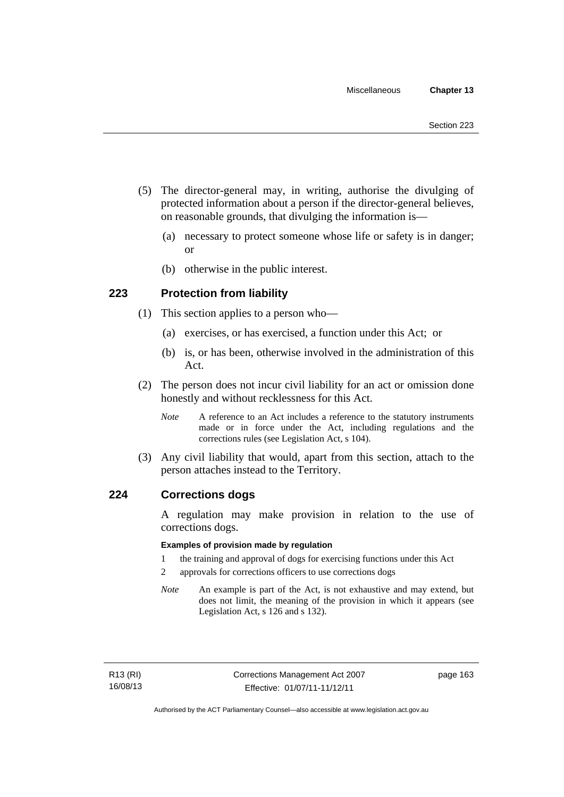- (5) The director-general may, in writing, authorise the divulging of protected information about a person if the director-general believes, on reasonable grounds, that divulging the information is—
	- (a) necessary to protect someone whose life or safety is in danger; or
	- (b) otherwise in the public interest.

# **223 Protection from liability**

- (1) This section applies to a person who—
	- (a) exercises, or has exercised, a function under this Act; or
	- (b) is, or has been, otherwise involved in the administration of this Act.
- (2) The person does not incur civil liability for an act or omission done honestly and without recklessness for this Act.
	- *Note* A reference to an Act includes a reference to the statutory instruments made or in force under the Act, including regulations and the corrections rules (see Legislation Act, s 104).
- (3) Any civil liability that would, apart from this section, attach to the person attaches instead to the Territory.

### **224 Corrections dogs**

A regulation may make provision in relation to the use of corrections dogs.

#### **Examples of provision made by regulation**

- 1 the training and approval of dogs for exercising functions under this Act
- 2 approvals for corrections officers to use corrections dogs
- *Note* An example is part of the Act, is not exhaustive and may extend, but does not limit, the meaning of the provision in which it appears (see Legislation Act, s 126 and s 132).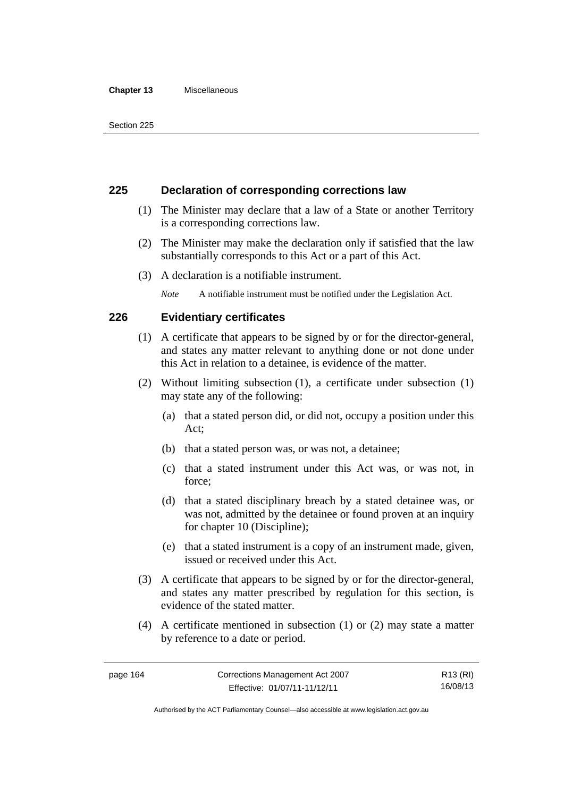#### **Chapter 13** Miscellaneous

## **225 Declaration of corresponding corrections law**

- (1) The Minister may declare that a law of a State or another Territory is a corresponding corrections law.
- (2) The Minister may make the declaration only if satisfied that the law substantially corresponds to this Act or a part of this Act.
- (3) A declaration is a notifiable instrument.

*Note* A notifiable instrument must be notified under the Legislation Act.

# **226 Evidentiary certificates**

- (1) A certificate that appears to be signed by or for the director-general, and states any matter relevant to anything done or not done under this Act in relation to a detainee, is evidence of the matter.
- (2) Without limiting subsection (1), a certificate under subsection (1) may state any of the following:
	- (a) that a stated person did, or did not, occupy a position under this Act;
	- (b) that a stated person was, or was not, a detainee;
	- (c) that a stated instrument under this Act was, or was not, in force;
	- (d) that a stated disciplinary breach by a stated detainee was, or was not, admitted by the detainee or found proven at an inquiry for chapter 10 (Discipline);
	- (e) that a stated instrument is a copy of an instrument made, given, issued or received under this Act.
- (3) A certificate that appears to be signed by or for the director-general, and states any matter prescribed by regulation for this section, is evidence of the stated matter.
- (4) A certificate mentioned in subsection (1) or (2) may state a matter by reference to a date or period.

Authorised by the ACT Parliamentary Counsel—also accessible at www.legislation.act.gov.au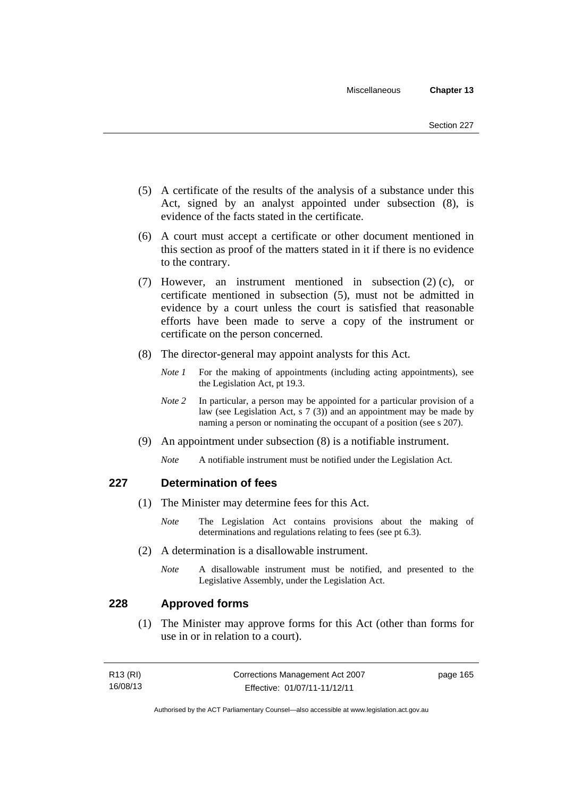- (5) A certificate of the results of the analysis of a substance under this Act, signed by an analyst appointed under subsection (8), is evidence of the facts stated in the certificate.
- (6) A court must accept a certificate or other document mentioned in this section as proof of the matters stated in it if there is no evidence to the contrary.
- (7) However, an instrument mentioned in subsection (2) (c), or certificate mentioned in subsection (5), must not be admitted in evidence by a court unless the court is satisfied that reasonable efforts have been made to serve a copy of the instrument or certificate on the person concerned.
- (8) The director-general may appoint analysts for this Act.
	- *Note 1* For the making of appointments (including acting appointments), see the Legislation Act, pt 19.3.
	- *Note* 2 In particular, a person may be appointed for a particular provision of a law (see Legislation Act, s 7 (3)) and an appointment may be made by naming a person or nominating the occupant of a position (see s 207).
- (9) An appointment under subsection (8) is a notifiable instrument.
	- *Note* A notifiable instrument must be notified under the Legislation Act.

# **227 Determination of fees**

- (1) The Minister may determine fees for this Act.
	- *Note* The Legislation Act contains provisions about the making of determinations and regulations relating to fees (see pt 6.3).
- (2) A determination is a disallowable instrument.
	- *Note* A disallowable instrument must be notified, and presented to the Legislative Assembly, under the Legislation Act.

# **228 Approved forms**

 (1) The Minister may approve forms for this Act (other than forms for use in or in relation to a court).

| R13 (RI) | Corrections Management Act 2007 | page 165 |
|----------|---------------------------------|----------|
| 16/08/13 | Effective: 01/07/11-11/12/11    |          |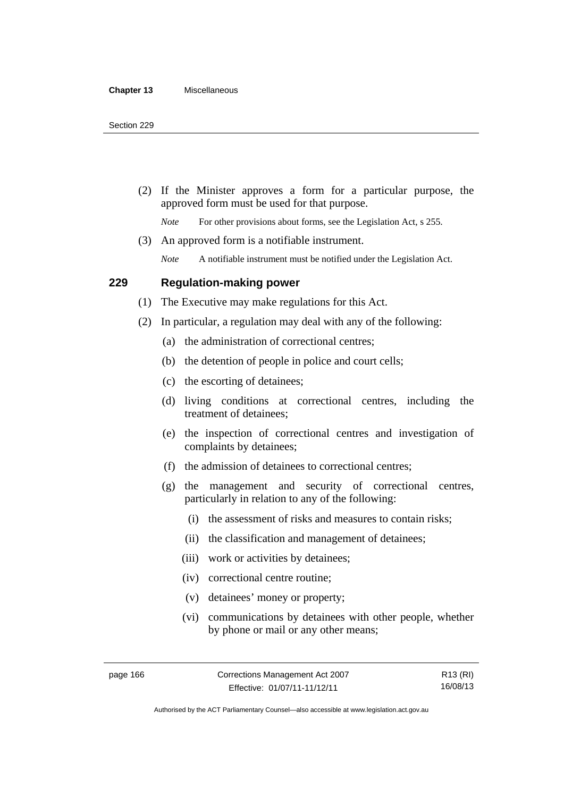(2) If the Minister approves a form for a particular purpose, the approved form must be used for that purpose.

*Note* For other provisions about forms, see the Legislation Act, s 255.

(3) An approved form is a notifiable instrument.

*Note* A notifiable instrument must be notified under the Legislation Act.

## **229 Regulation-making power**

(1) The Executive may make regulations for this Act.

- (2) In particular, a regulation may deal with any of the following:
	- (a) the administration of correctional centres;
	- (b) the detention of people in police and court cells;
	- (c) the escorting of detainees;
	- (d) living conditions at correctional centres, including the treatment of detainees;
	- (e) the inspection of correctional centres and investigation of complaints by detainees;
	- (f) the admission of detainees to correctional centres;
	- (g) the management and security of correctional centres, particularly in relation to any of the following:
		- (i) the assessment of risks and measures to contain risks;
		- (ii) the classification and management of detainees;
		- (iii) work or activities by detainees;
		- (iv) correctional centre routine;
		- (v) detainees' money or property;
		- (vi) communications by detainees with other people, whether by phone or mail or any other means;

R13 (RI) 16/08/13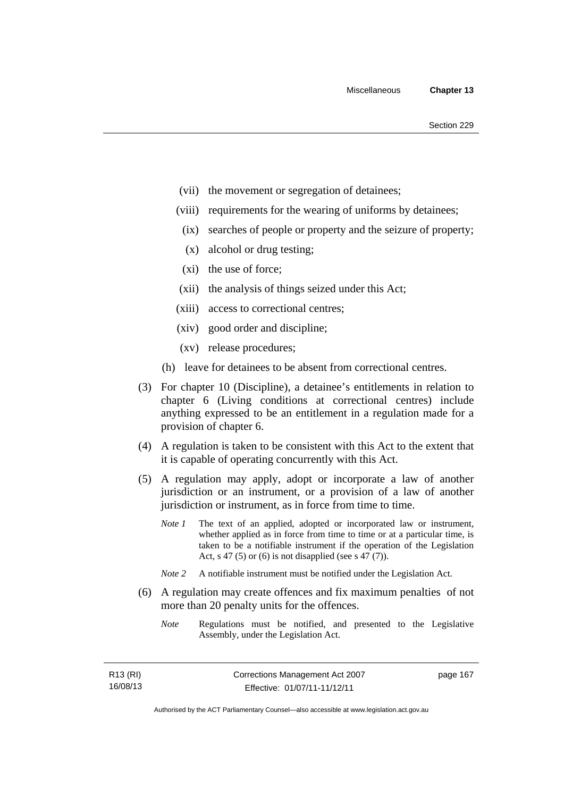- (vii) the movement or segregation of detainees;
- (viii) requirements for the wearing of uniforms by detainees;
	- (ix) searches of people or property and the seizure of property;
	- (x) alcohol or drug testing;
- (xi) the use of force;
- (xii) the analysis of things seized under this Act;
- (xiii) access to correctional centres;
- (xiv) good order and discipline;
- (xv) release procedures;
- (h) leave for detainees to be absent from correctional centres.
- (3) For chapter 10 (Discipline), a detainee's entitlements in relation to chapter 6 (Living conditions at correctional centres) include anything expressed to be an entitlement in a regulation made for a provision of chapter 6.
- (4) A regulation is taken to be consistent with this Act to the extent that it is capable of operating concurrently with this Act.
- (5) A regulation may apply, adopt or incorporate a law of another jurisdiction or an instrument, or a provision of a law of another jurisdiction or instrument, as in force from time to time.
	- *Note 1* The text of an applied, adopted or incorporated law or instrument, whether applied as in force from time to time or at a particular time, is taken to be a notifiable instrument if the operation of the Legislation Act, s 47 (5) or (6) is not disapplied (see s 47 (7)).
	- *Note 2* A notifiable instrument must be notified under the Legislation Act.
- (6) A regulation may create offences and fix maximum penalties of not more than 20 penalty units for the offences.
	- *Note* Regulations must be notified, and presented to the Legislative Assembly, under the Legislation Act.

| R <sub>13</sub> (RI) |  |  |
|----------------------|--|--|
| 16/08/13             |  |  |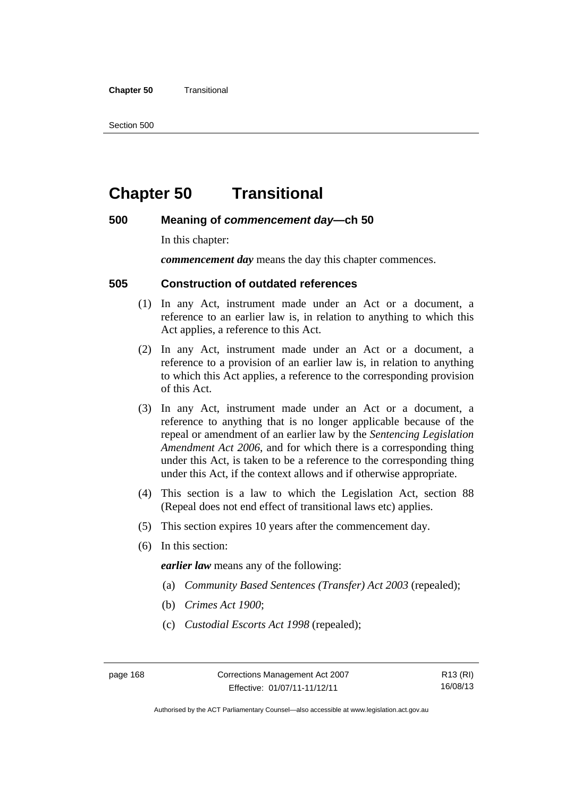#### **Chapter 50 Transitional**

Section 500

# **Chapter 50 Transitional**

# **500 Meaning of** *commencement day***—ch 50**

In this chapter:

*commencement day* means the day this chapter commences.

# **505 Construction of outdated references**

- (1) In any Act, instrument made under an Act or a document, a reference to an earlier law is, in relation to anything to which this Act applies, a reference to this Act.
- (2) In any Act, instrument made under an Act or a document, a reference to a provision of an earlier law is, in relation to anything to which this Act applies, a reference to the corresponding provision of this Act.
- (3) In any Act, instrument made under an Act or a document, a reference to anything that is no longer applicable because of the repeal or amendment of an earlier law by the *Sentencing Legislation Amendment Act 2006*, and for which there is a corresponding thing under this Act, is taken to be a reference to the corresponding thing under this Act, if the context allows and if otherwise appropriate.
- (4) This section is a law to which the Legislation Act, section 88 (Repeal does not end effect of transitional laws etc) applies.
- (5) This section expires 10 years after the commencement day.
- (6) In this section:

*earlier law* means any of the following:

- (a) *Community Based Sentences (Transfer) Act 2003* (repealed);
- (b) *Crimes Act 1900*;
- (c) *Custodial Escorts Act 1998* (repealed);

R13 (RI) 16/08/13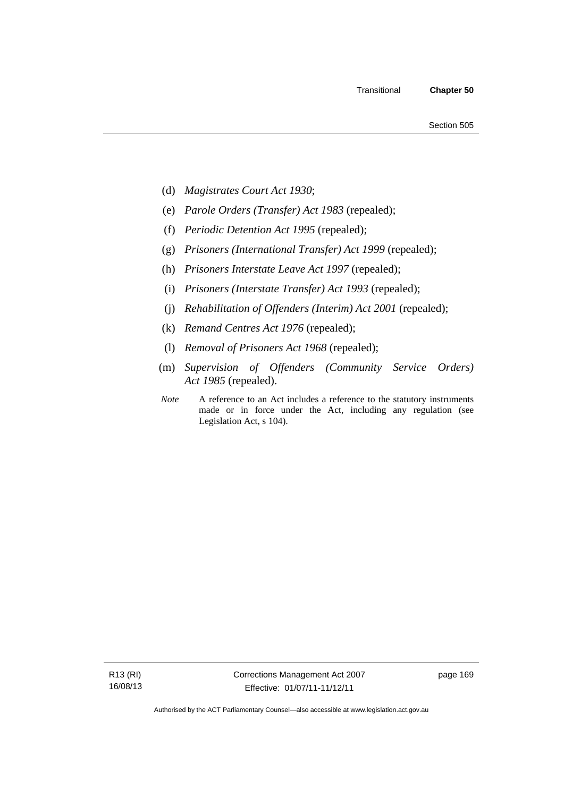- (d) *Magistrates Court Act 1930*;
- (e) *Parole Orders (Transfer) Act 1983* (repealed);
- (f) *Periodic Detention Act 1995* (repealed);
- (g) *Prisoners (International Transfer) Act 1999* (repealed);
- (h) *Prisoners Interstate Leave Act 1997* (repealed);
- (i) *Prisoners (Interstate Transfer) Act 1993* (repealed);
- (j) *Rehabilitation of Offenders (Interim) Act 2001* (repealed);
- (k) *Remand Centres Act 1976* (repealed);
- (l) *Removal of Prisoners Act 1968* (repealed);
- (m) *Supervision of Offenders (Community Service Orders) Act 1985* (repealed).
- *Note* A reference to an Act includes a reference to the statutory instruments made or in force under the Act, including any regulation (see Legislation Act, s 104).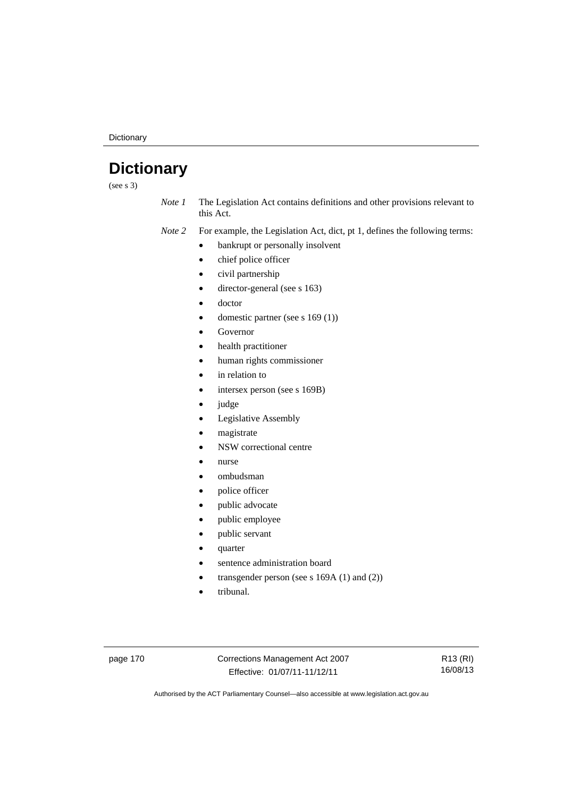**Dictionary** 

# **Dictionary**

(see s 3)

*Note 1* The Legislation Act contains definitions and other provisions relevant to this Act.

*Note 2* For example, the Legislation Act, dict, pt 1, defines the following terms:

- bankrupt or personally insolvent
	- chief police officer
	- civil partnership
	- director-general (see s 163)
- doctor
- domestic partner (see s 169 (1))
- Governor
- health practitioner
- human rights commissioner
- in relation to
- intersex person (see s 169B)
- judge
- Legislative Assembly
- magistrate
- NSW correctional centre
- nurse
- ombudsman
- police officer
- public advocate
- public employee
- public servant
- quarter
- sentence administration board
- transgender person (see s 169A (1) and (2))
- tribunal.

page 170 Corrections Management Act 2007 Effective: 01/07/11-11/12/11

R13 (RI) 16/08/13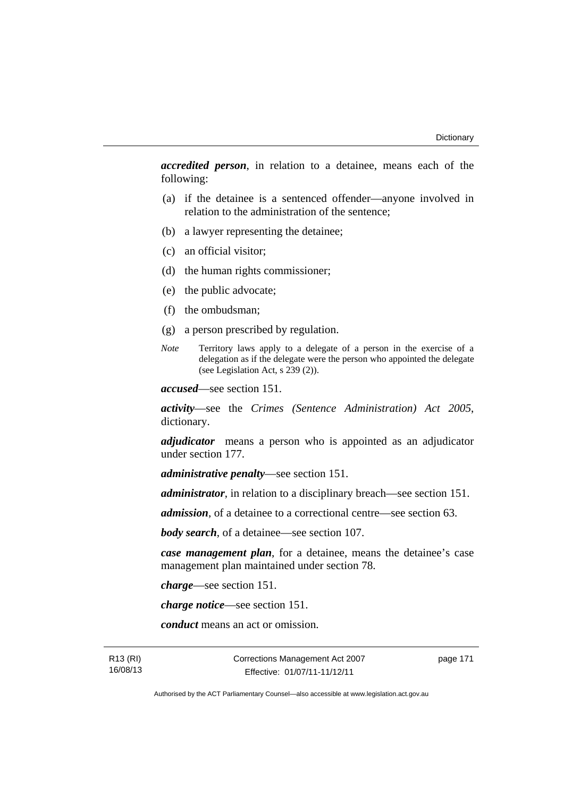*accredited person*, in relation to a detainee, means each of the following:

- (a) if the detainee is a sentenced offender—anyone involved in relation to the administration of the sentence;
- (b) a lawyer representing the detainee;
- (c) an official visitor;
- (d) the human rights commissioner;
- (e) the public advocate;
- (f) the ombudsman;
- (g) a person prescribed by regulation.
- *Note* Territory laws apply to a delegate of a person in the exercise of a delegation as if the delegate were the person who appointed the delegate (see Legislation Act, s 239 (2)).

*accused*—see section 151.

*activity*—see the *Crimes (Sentence Administration) Act 2005*, dictionary.

*adjudicator* means a person who is appointed as an adjudicator under section 177.

*administrative penalty*—see section 151.

*administrator*, in relation to a disciplinary breach—see section 151.

*admission*, of a detainee to a correctional centre—see section 63.

*body search*, of a detainee—see section 107.

*case management plan*, for a detainee, means the detainee's case management plan maintained under section 78.

*charge*—see section 151.

*charge notice*—see section 151.

*conduct* means an act or omission.

R13 (RI) 16/08/13 Corrections Management Act 2007 Effective: 01/07/11-11/12/11

page 171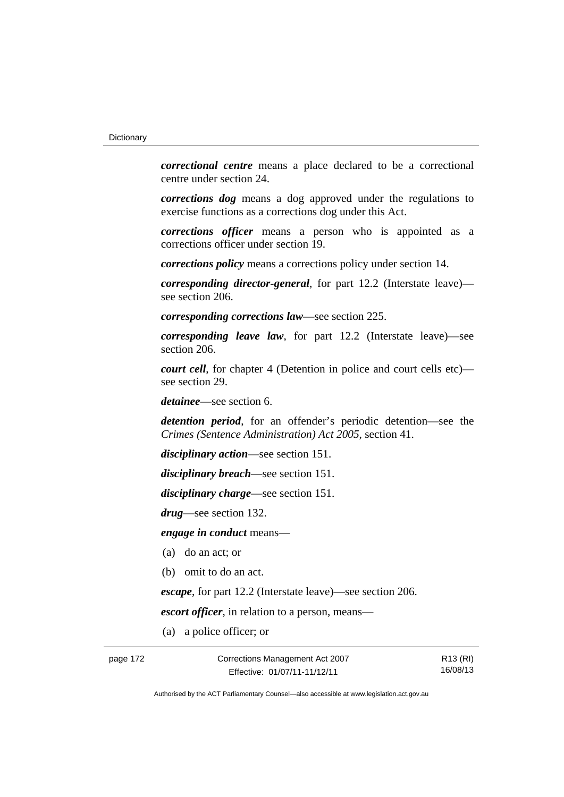*correctional centre* means a place declared to be a correctional centre under section 24.

*corrections dog* means a dog approved under the regulations to exercise functions as a corrections dog under this Act.

*corrections officer* means a person who is appointed as a corrections officer under section 19.

*corrections policy* means a corrections policy under section 14.

*corresponding director-general*, for part 12.2 (Interstate leave) see section 206.

*corresponding corrections law*—see section 225.

*corresponding leave law*, for part 12.2 (Interstate leave)—see section 206.

*court cell*, for chapter 4 (Detention in police and court cells etc) see section 29.

*detainee*—see section 6.

*detention period*, for an offender's periodic detention—see the *Crimes (Sentence Administration) Act 2005*, section 41.

*disciplinary action*—see section 151.

*disciplinary breach*—see section 151.

*disciplinary charge*—see section 151.

*drug*—see section 132.

*engage in conduct* means—

- (a) do an act; or
- (b) omit to do an act.

*escape*, for part 12.2 (Interstate leave)—see section 206.

*escort officer*, in relation to a person, means—

(a) a police officer; or

page 172 Corrections Management Act 2007 Effective: 01/07/11-11/12/11

R13 (RI) 16/08/13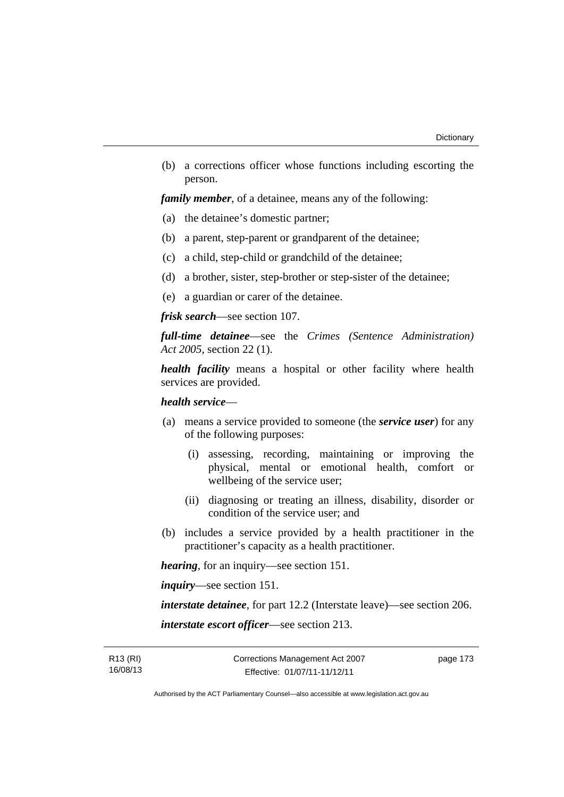(b) a corrections officer whose functions including escorting the person.

*family member*, of a detainee, means any of the following:

- (a) the detainee's domestic partner;
- (b) a parent, step-parent or grandparent of the detainee;
- (c) a child, step-child or grandchild of the detainee;
- (d) a brother, sister, step-brother or step-sister of the detainee;
- (e) a guardian or carer of the detainee.

*frisk search*—see section 107.

*full-time detainee*—see the *Crimes (Sentence Administration) Act 2005*, section 22 (1).

*health facility* means a hospital or other facility where health services are provided.

## *health service*—

- (a) means a service provided to someone (the *service user*) for any of the following purposes:
	- (i) assessing, recording, maintaining or improving the physical, mental or emotional health, comfort or wellbeing of the service user;
	- (ii) diagnosing or treating an illness, disability, disorder or condition of the service user; and
- (b) includes a service provided by a health practitioner in the practitioner's capacity as a health practitioner.

*hearing*, for an inquiry—see section 151.

*inquiry*—see section 151.

*interstate detainee*, for part 12.2 (Interstate leave)—see section 206. *interstate escort officer*—see section 213.

R13 (RI) 16/08/13 page 173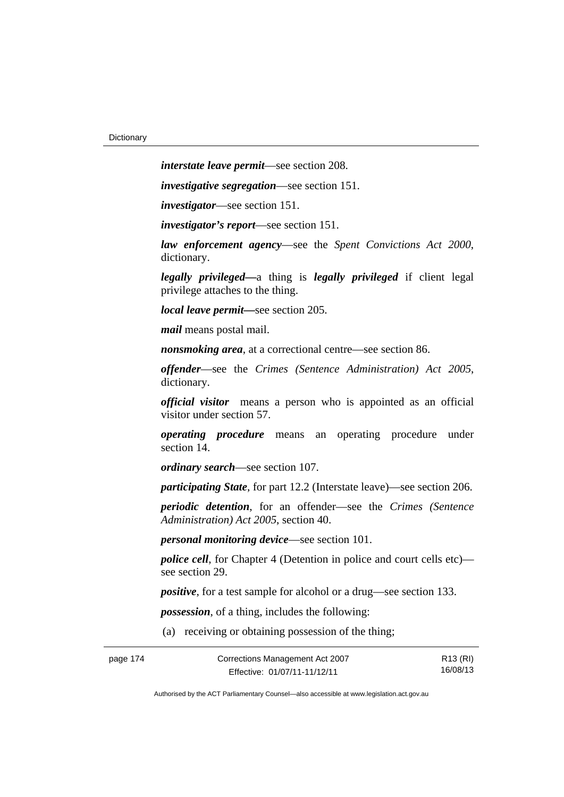*interstate leave permit*—see section 208.

*investigative segregation*—see section 151.

*investigator*—see section 151.

*investigator's report*—see section 151.

*law enforcement agency*—see the *Spent Convictions Act 2000*, dictionary.

*legally privileged—*a thing is *legally privileged* if client legal privilege attaches to the thing.

*local leave permit—*see section 205.

*mail* means postal mail.

*nonsmoking area*, at a correctional centre—see section 86.

*offender*—see the *Crimes (Sentence Administration) Act 2005*, dictionary.

*official visitor* means a person who is appointed as an official visitor under section 57.

*operating procedure* means an operating procedure under section 14.

*ordinary search*—see section 107.

*participating State*, for part 12.2 (Interstate leave)—see section 206.

*periodic detention*, for an offender—see the *Crimes (Sentence Administration) Act 2005*, section 40.

*personal monitoring device*—see section 101.

*police cell*, for Chapter 4 (Detention in police and court cells etc) see section 29.

*positive*, for a test sample for alcohol or a drug—see section 133.

*possession*, of a thing, includes the following:

(a) receiving or obtaining possession of the thing;

| page 174 | Corrections Management Act 2007 | R13 (RI) |
|----------|---------------------------------|----------|
|          | Effective: 01/07/11-11/12/11    | 16/08/13 |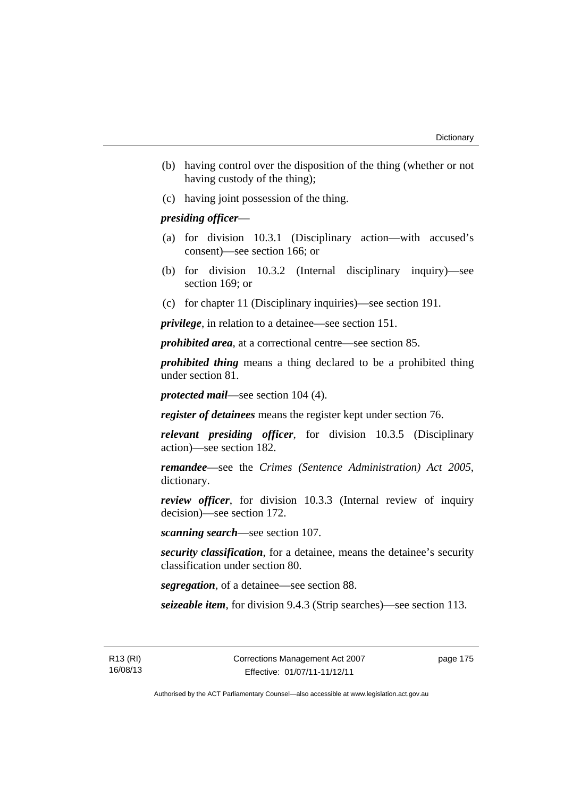- (b) having control over the disposition of the thing (whether or not having custody of the thing);
- (c) having joint possession of the thing.

# *presiding officer*—

- (a) for division 10.3.1 (Disciplinary action—with accused's consent)—see section 166; or
- (b) for division 10.3.2 (Internal disciplinary inquiry)—see section 169; or
- (c) for chapter 11 (Disciplinary inquiries)—see section 191.

*privilege*, in relation to a detainee—see section 151.

*prohibited area*, at a correctional centre—see section 85.

*prohibited thing* means a thing declared to be a prohibited thing under section 81.

*protected mail*—see section 104 (4).

*register of detainees* means the register kept under section 76.

*relevant presiding officer*, for division 10.3.5 (Disciplinary action)—see section 182.

*remandee*—see the *Crimes (Sentence Administration) Act 2005*, dictionary.

*review officer*, for division 10.3.3 (Internal review of inquiry decision)—see section 172.

*scanning search*—see section 107.

*security classification*, for a detainee, means the detainee's security classification under section 80.

*segregation*, of a detainee—see section 88.

*seizeable item*, for division 9.4.3 (Strip searches)—see section 113.

R13 (RI) 16/08/13 page 175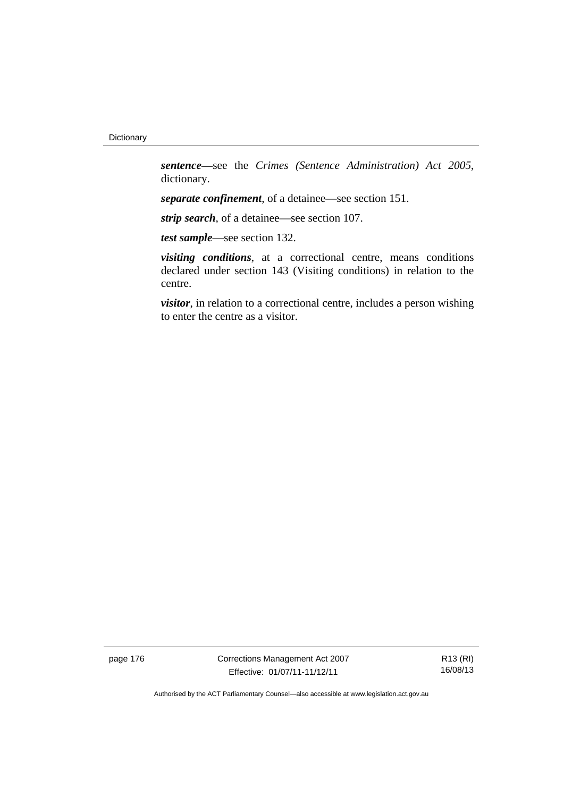*sentence—*see the *Crimes (Sentence Administration) Act 2005*, dictionary.

*separate confinement*, of a detainee—see section 151.

*strip search*, of a detainee—see section 107.

*test sample*—see section 132.

*visiting conditions*, at a correctional centre, means conditions declared under section 143 (Visiting conditions) in relation to the centre.

*visitor*, in relation to a correctional centre, includes a person wishing to enter the centre as a visitor.

page 176 Corrections Management Act 2007 Effective: 01/07/11-11/12/11

R13 (RI) 16/08/13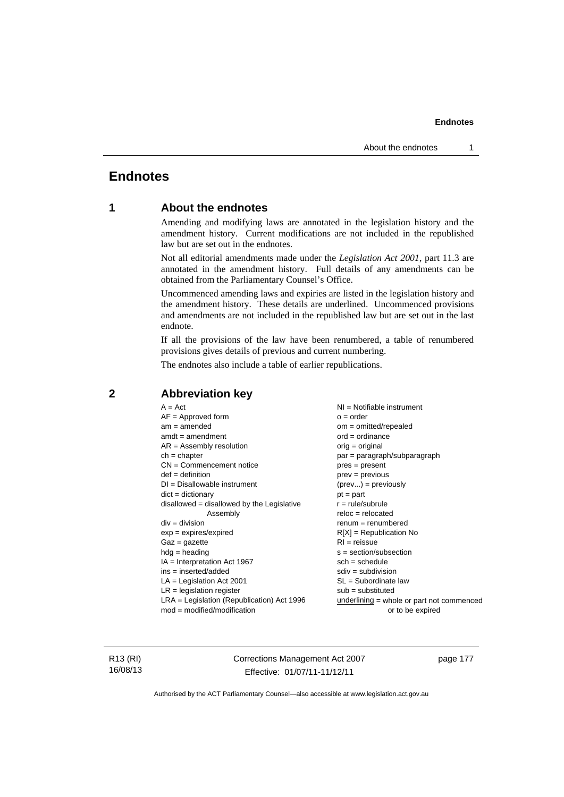# **Endnotes**

# **1 About the endnotes**

Amending and modifying laws are annotated in the legislation history and the amendment history. Current modifications are not included in the republished law but are set out in the endnotes.

Not all editorial amendments made under the *Legislation Act 2001*, part 11.3 are annotated in the amendment history. Full details of any amendments can be obtained from the Parliamentary Counsel's Office.

Uncommenced amending laws and expiries are listed in the legislation history and the amendment history. These details are underlined. Uncommenced provisions and amendments are not included in the republished law but are set out in the last endnote.

If all the provisions of the law have been renumbered, a table of renumbered provisions gives details of previous and current numbering.

The endnotes also include a table of earlier republications.

| $sdiv = subdivision$<br>$ins = inserted/added$<br>$LA =$ Legislation Act 2001<br>$SL = Subordinate$ law<br>$LR =$ legislation register<br>$sub =$ substituted<br>$LRA =$ Legislation (Republication) Act 1996 | $A = Act$<br>$AF =$ Approved form<br>$am = amended$<br>$amdt = amendment$<br>$AR = Assembly resolution$<br>$ch = chapter$<br>$CN =$ Commencement notice<br>$def = definition$<br>$DI = Disallowable instrument$<br>$dict = dictionary$<br>disallowed = disallowed by the Legislative<br>Assembly<br>$div = division$<br>$exp = expires/expired$<br>$Gaz = gazette$<br>$hdg = heading$<br>$IA = Interpretation Act 1967$ | $o = order$<br>$om = omitted/repealed$<br>$ord = ordinance$<br>$orig = original$<br>par = paragraph/subparagraph<br>$pres = present$<br>$prev = previous$<br>$(\text{prev}) = \text{previously}$<br>$pt = part$<br>$r = rule/subrule$<br>$reloc = relocated$<br>$renum = renumbered$<br>$R[X]$ = Republication No<br>$RI = reissue$<br>$s = section/subsection$<br>$sch = schedule$<br>underlining = whole or part not commenced |
|---------------------------------------------------------------------------------------------------------------------------------------------------------------------------------------------------------------|-------------------------------------------------------------------------------------------------------------------------------------------------------------------------------------------------------------------------------------------------------------------------------------------------------------------------------------------------------------------------------------------------------------------------|----------------------------------------------------------------------------------------------------------------------------------------------------------------------------------------------------------------------------------------------------------------------------------------------------------------------------------------------------------------------------------------------------------------------------------|
| $mod = modified/modification$<br>or to be expired                                                                                                                                                             |                                                                                                                                                                                                                                                                                                                                                                                                                         |                                                                                                                                                                                                                                                                                                                                                                                                                                  |

# **2 Abbreviation key**

R13 (RI) 16/08/13 Corrections Management Act 2007 Effective: 01/07/11-11/12/11

page 177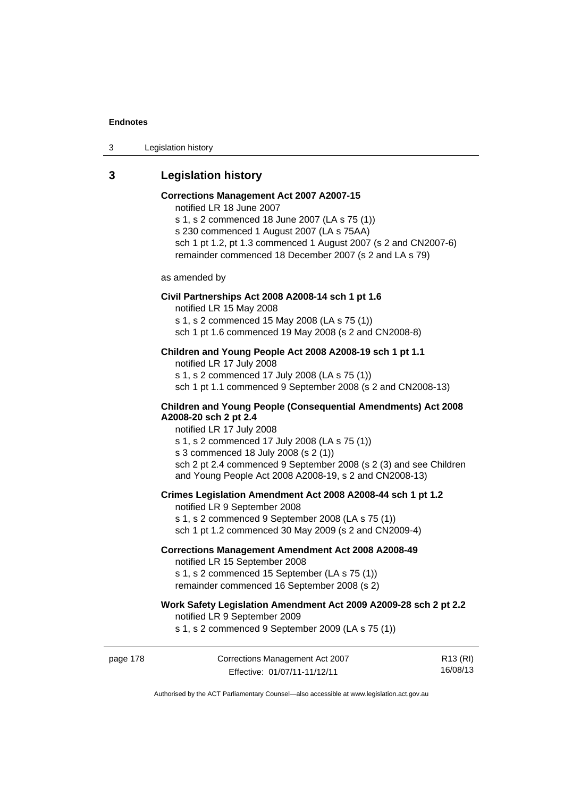3 Legislation history

# **3 Legislation history**

# **Corrections Management Act 2007 A2007-15**

notified LR 18 June 2007

s 1, s 2 commenced 18 June 2007 (LA s 75 (1)) s 230 commenced 1 August 2007 (LA s 75AA) sch 1 pt 1.2, pt 1.3 commenced 1 August 2007 (s 2 and CN2007-6) remainder commenced 18 December 2007 (s 2 and LA s 79)

as amended by

#### **Civil Partnerships Act 2008 A2008-14 sch 1 pt 1.6**

notified LR 15 May 2008

s 1, s 2 commenced 15 May 2008 (LA s 75 (1))

sch 1 pt 1.6 commenced 19 May 2008 (s 2 and CN2008-8)

# **Children and Young People Act 2008 A2008-19 sch 1 pt 1.1**

notified LR 17 July 2008 s 1, s 2 commenced 17 July 2008 (LA s 75 (1)) sch 1 pt 1.1 commenced 9 September 2008 (s 2 and CN2008-13)

### **Children and Young People (Consequential Amendments) Act 2008 A2008-20 sch 2 pt 2.4**

notified LR 17 July 2008 s 1, s 2 commenced 17 July 2008 (LA s 75 (1))

s 3 commenced 18 July 2008 (s 2 (1))

sch 2 pt 2.4 commenced 9 September 2008 (s 2 (3) and see Children and Young People Act 2008 A2008-19, s 2 and CN2008-13)

### **Crimes Legislation Amendment Act 2008 A2008-44 sch 1 pt 1.2**

notified LR 9 September 2008 s 1, s 2 commenced 9 September 2008 (LA s 75 (1)) sch 1 pt 1.2 commenced 30 May 2009 (s 2 and CN2009-4)

### **Corrections Management Amendment Act 2008 A2008-49**

notified LR 15 September 2008

s 1, s 2 commenced 15 September (LA s 75 (1)) remainder commenced 16 September 2008 (s 2)

# **Work Safety Legislation Amendment Act 2009 A2009-28 sch 2 pt 2.2**

notified LR 9 September 2009

s 1, s 2 commenced 9 September 2009 (LA s 75 (1))

page 178 Corrections Management Act 2007 Effective: 01/07/11-11/12/11

R13 (RI) 16/08/13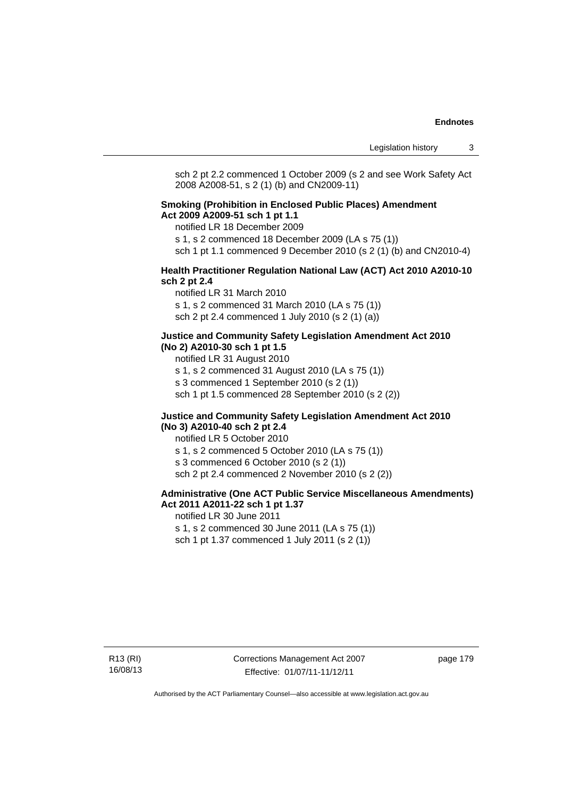sch 2 pt 2.2 commenced 1 October 2009 (s 2 and see Work Safety Act 2008 A2008-51, s 2 (1) (b) and CN2009-11)

#### **Smoking (Prohibition in Enclosed Public Places) Amendment Act 2009 A2009-51 sch 1 pt 1.1**

notified LR 18 December 2009

s 1, s 2 commenced 18 December 2009 (LA s 75 (1))

sch 1 pt 1.1 commenced 9 December 2010 (s 2 (1) (b) and CN2010-4)

#### **Health Practitioner Regulation National Law (ACT) Act 2010 A2010-10 sch 2 pt 2.4**

notified LR 31 March 2010 s 1, s 2 commenced 31 March 2010 (LA s 75 (1)) sch 2 pt 2.4 commenced 1 July 2010 (s 2 (1) (a))

#### **Justice and Community Safety Legislation Amendment Act 2010 (No 2) A2010-30 sch 1 pt 1.5**

notified LR 31 August 2010

s 1, s 2 commenced 31 August 2010 (LA s 75 (1))

s 3 commenced 1 September 2010 (s 2 (1))

sch 1 pt 1.5 commenced 28 September 2010 (s 2 (2))

#### **Justice and Community Safety Legislation Amendment Act 2010 (No 3) A2010-40 sch 2 pt 2.4**

notified LR 5 October 2010 s 1, s 2 commenced 5 October 2010 (LA s 75 (1)) s 3 commenced 6 October 2010 (s 2 (1)) sch 2 pt 2.4 commenced 2 November 2010 (s 2 (2))

## **Administrative (One ACT Public Service Miscellaneous Amendments) Act 2011 A2011-22 sch 1 pt 1.37**

notified LR 30 June 2011 s 1, s 2 commenced 30 June 2011 (LA s 75 (1)) sch 1 pt 1.37 commenced 1 July 2011 (s 2 (1))

Corrections Management Act 2007 Effective: 01/07/11-11/12/11

page 179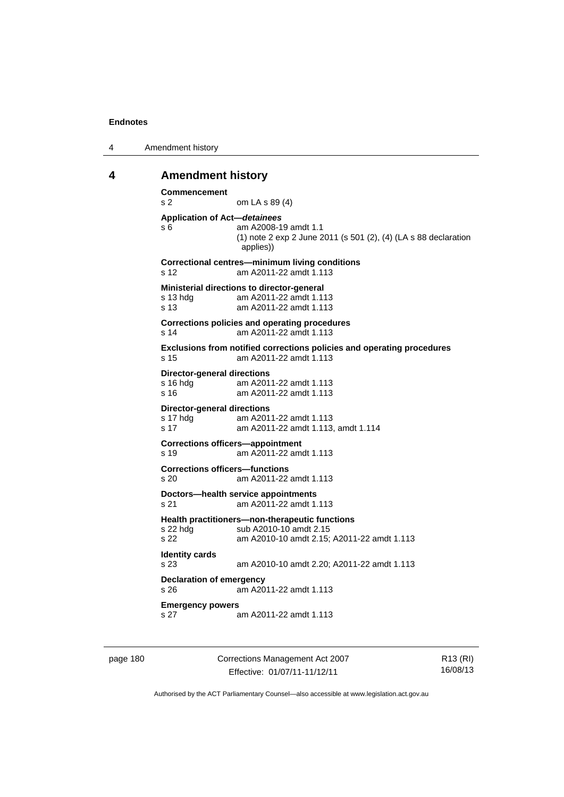```
4 Amendment history
```
#### **4 Amendment history**

```
Commencement 
s 2 om LA s 89 (4) 
Application of Act—detainees
s 6 am A2008-19 amdt 1.1 
                (1) note 2 exp 2 June 2011 (s 501 (2), (4) (LA s 88 declaration 
                applies)) 
Correctional centres—minimum living conditions 
s 12 am A2011-22 amdt 1.113 
Ministerial directions to director-general 
s 13 hdg am A2011-22 amdt 1.113 
s 13 am A2011-22 amdt 1.113 
Corrections policies and operating procedures 
s 14 am A2011-22 amdt 1.113 
Exclusions from notified corrections policies and operating procedures 
s 15 am A2011-22 amdt 1.113 
Director-general directions 
s 16 hdg am A2011-22 amdt 1.113
s 16 am A2011-22 amdt 1.113 
Director-general directions 
               am A2011-22 amdt 1.113
s 17 am A2011-22 amdt 1.113, amdt 1.114 
Corrections officers—appointment 
s 19 am A2011-22 amdt 1.113 
Corrections officers—functions 
s 20 am A2011-22 amdt 1.113 
Doctors—health service appointments 
s 21 am A2011-22 amdt 1.113 
Health practitioners—non-therapeutic functions 
s 22 hdg sub A2010-10 amdt 2.15
s 22 am A2010-10 amdt 2.15; A2011-22 amdt 1.113 
Identity cards 
s 23 am A2010-10 amdt 2.20; A2011-22 amdt 1.113 
Declaration of emergency 
s 26 am A2011-22 amdt 1.113 
Emergency powers 
s 27 am A2011-22 amdt 1.113
```
page 180 Corrections Management Act 2007 Effective: 01/07/11-11/12/11

R13 (RI) 16/08/13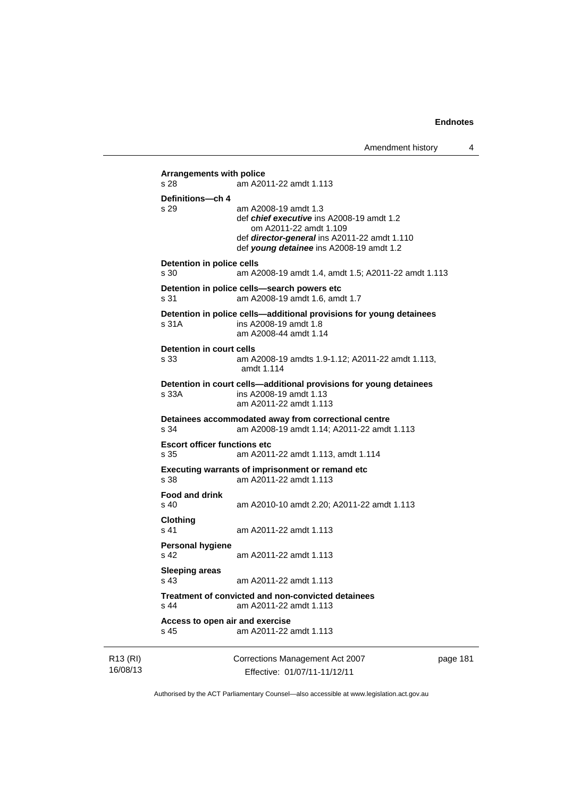```
R13 (RI) 
                          Corrections Management Act 2007 
                                                                       page 181 
           Arrangements with police 
           s 28 am A2011-22 amdt 1.113 
           Definitions—ch 4 
           s 29 am A2008-19 amdt 1.3 
                            def chief executive ins A2008-19 amdt 1.2 
                               om A2011-22 amdt 1.109 
                            def director-general ins A2011-22 amdt 1.110 
                            def young detainee ins A2008-19 amdt 1.2 
           Detention in police cells 
           s 30 am A2008-19 amdt 1.4, amdt 1.5; A2011-22 amdt 1.113 
           Detention in police cells—search powers etc 
           s 31 am A2008-19 amdt 1.6, amdt 1.7 
           Detention in police cells—additional provisions for young detainees 
           s 31A ins A2008-19 amdt 1.8 
                            am A2008-44 amdt 1.14 
           Detention in court cells 
           s 33 am A2008-19 amdts 1.9-1.12; A2011-22 amdt 1.113, 
                            amdt 1.114 
           Detention in court cells—additional provisions for young detainees 
           s 33A ins A2008-19 amdt 1.13 
                            am A2011-22 amdt 1.113 
           Detainees accommodated away from correctional centre 
           s 34 am A2008-19 amdt 1.14; A2011-22 amdt 1.113 
           Escort officer functions etc 
           s 35 am A2011-22 amdt 1.113, amdt 1.114 
           Executing warrants of imprisonment or remand etc 
           s 38 am A2011-22 amdt 1.113 
           Food and drink 
           s 40 am A2010-10 amdt 2.20; A2011-22 amdt 1.113 
           Clothing 
           s 41 am A2011-22 amdt 1.113 
           Personal hygiene 
           s 42 am A2011-22 amdt 1.113 
           Sleeping areas 
                           am A2011-22 amdt 1.113
           Treatment of convicted and non-convicted detainees 
           s 44 am A2011-22 amdt 1.113 
           Access to open air and exercise 
           s 45 am A2011-22 amdt 1.113
```
16/08/13

Authorised by the ACT Parliamentary Counsel—also accessible at www.legislation.act.gov.au

Effective: 01/07/11-11/12/11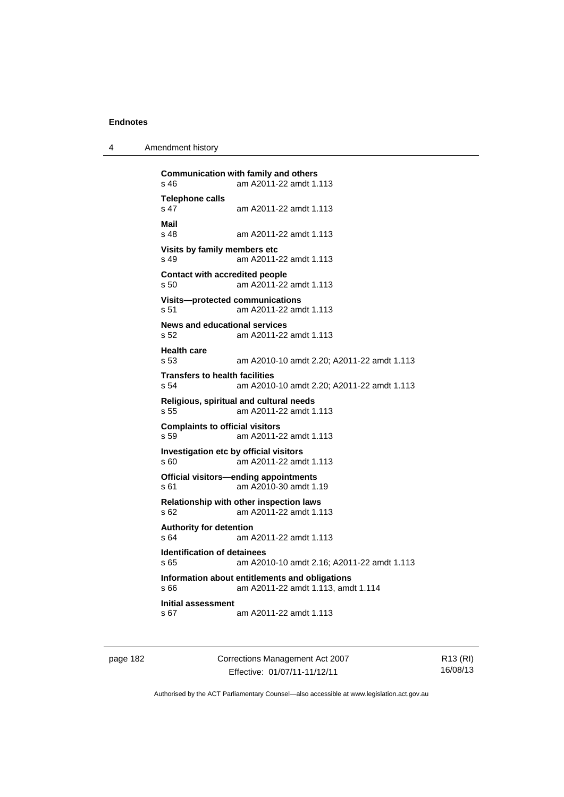4 Amendment history

```
Communication with family and others<br>s 46 am A2011-22 amdt 1.
                am A2011-22 amdt 1.113
Telephone calls 
                s 47 am A2011-22 amdt 1.113 
Mail 
                am A2011-22 amdt 1.113
Visits by family members etc 
s 49 am A2011-22 amdt 1.113 
Contact with accredited people 
s 50 am A2011-22 amdt 1.113 
Visits—protected communications 
s 51 am A2011-22 amdt 1.113 
News and educational services 
s 52 am A2011-22 amdt 1.113 
Health care 
s 53 am A2010-10 amdt 2.20; A2011-22 amdt 1.113 
Transfers to health facilities 
s 54 am A2010-10 amdt 2.20; A2011-22 amdt 1.113 
Religious, spiritual and cultural needs 
s 55 am A2011-22 amdt 1.113 
Complaints to official visitors 
s 59 am A2011-22 amdt 1.113 
Investigation etc by official visitors 
s 60 am A2011-22 amdt 1.113 
Official visitors—ending appointments 
s 61 am A2010-30 amdt 1.19 
Relationship with other inspection laws 
s 62 am A2011-22 amdt 1.113 
Authority for detention 
s 64 am A2011-22 amdt 1.113 
Identification of detainees 
s 65 am A2010-10 amdt 2.16; A2011-22 amdt 1.113 
Information about entitlements and obligations 
s 66 am A2011-22 amdt 1.113, amdt 1.114 
Initial assessment 
s 67 am A2011-22 amdt 1.113
```
page 182 Corrections Management Act 2007 Effective: 01/07/11-11/12/11

R13 (RI) 16/08/13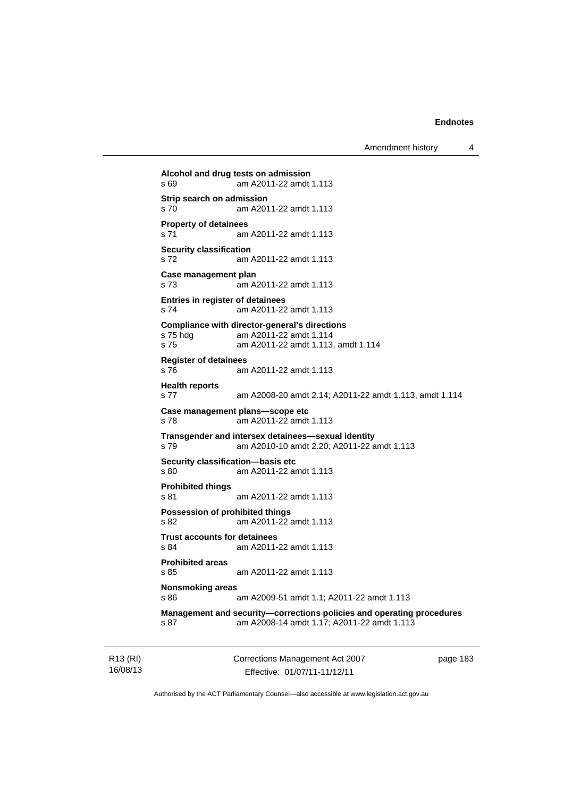Amendment history 4

```
Alcohol and drug tests on admission 
s 69 am A2011-22 amdt 1.113 
Strip search on admission 
s 70 am A2011-22 amdt 1.113 
Property of detainees 
s 71 am A2011-22 amdt 1.113 
Security classification 
s 72 am A2011-22 amdt 1.113 
Case management plan 
s 73 am A2011-22 amdt 1.113 
Entries in register of detainees 
s 74 am A2011-22 amdt 1.113 
Compliance with director-general's directions 
s 75 hdg am A2011-22 amdt 1.114 
s 75 am A2011-22 amdt 1.113, amdt 1.114 
Register of detainees 
s 76 am A2011-22 amdt 1.113 
Health reports 
s 77 am A2008-20 amdt 2.14; A2011-22 amdt 1.113, amdt 1.114 
Case management plans—scope etc 
s 78 am A2011-22 amdt 1.113 
Transgender and intersex detainees—sexual identity 
s 79 am A2010-10 amdt 2.20; A2011-22 amdt 1.113 
Security classification—basis etc 
s 80 am A2011-22 amdt 1.113 
Prohibited things 
s 81 am A2011-22 amdt 1.113 
Possession of prohibited things 
s 82 am A2011-22 amdt 1.113 
Trust accounts for detainees 
s 84 am A2011-22 amdt 1.113 
Prohibited areas 
s 85 am A2011-22 amdt 1.113 
Nonsmoking areas 
s 86 am A2009-51 amdt 1.1; A2011-22 amdt 1.113 
Management and security—corrections policies and operating procedures 
s 87 am A2008-14 amdt 1.17; A2011-22 amdt 1.113
```
R13 (RI) 16/08/13 Corrections Management Act 2007 Effective: 01/07/11-11/12/11

page 183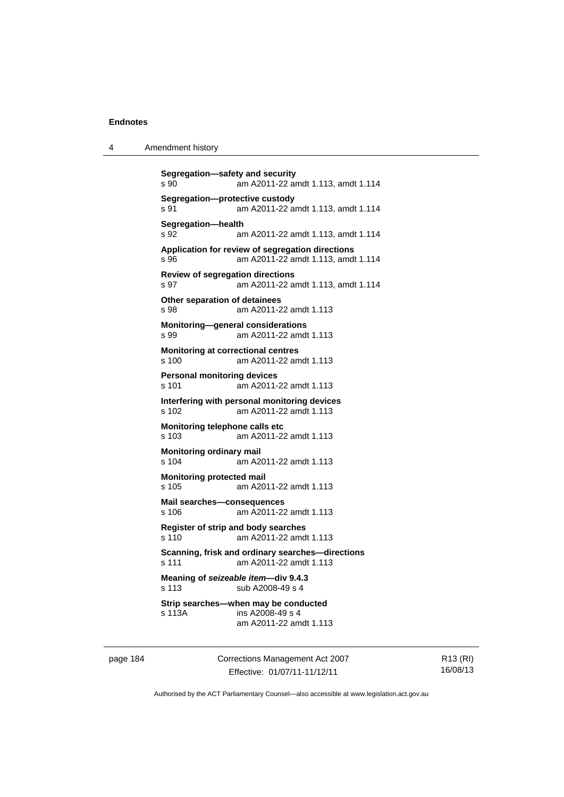```
Segregation—safety and security 
s 90 am A2011-22 amdt 1.113, amdt 1.114 
Segregation—protective custody 
s 91 am A2011-22 amdt 1.113, amdt 1.114 
Segregation—health 
s 92 am A2011-22 amdt 1.113, amdt 1.114 
Application for review of segregation directions 
s 96 am A2011-22 amdt 1.113, amdt 1.114 
Review of segregation directions 
s 97 am A2011-22 amdt 1.113, amdt 1.114 
Other separation of detainees 
s 98 am A2011-22 amdt 1.113 
Monitoring—general considerations 
s 99 am A2011-22 amdt 1.113 
Monitoring at correctional centres 
s 100 am A2011-22 amdt 1.113 
Personal monitoring devices 
s 101 am A2011-22 amdt 1.113 
Interfering with personal monitoring devices 
s 102 am A2011-22 amdt 1.113 
Monitoring telephone calls etc 
s 103 am A2011-22 amdt 1.113 
Monitoring ordinary mail 
s 104 am A2011-22 amdt 1.113 
Monitoring protected mail 
s 105 am A2011-22 amdt 1.113 
Mail searches—consequences 
s 106 am A2011-22 amdt 1.113 
Register of strip and body searches 
s 110 am A2011-22 amdt 1.113 
Scanning, frisk and ordinary searches—directions 
s 111 am A2011-22 amdt 1.113 
Meaning of seizeable item—div 9.4.3 
s 113 sub A2008-49 s 4 
Strip searches—when may be conducted 
s 113A ins A2008-49 s 4 
                am A2011-22 amdt 1.113
```
page 184 Corrections Management Act 2007 Effective: 01/07/11-11/12/11

R13 (RI) 16/08/13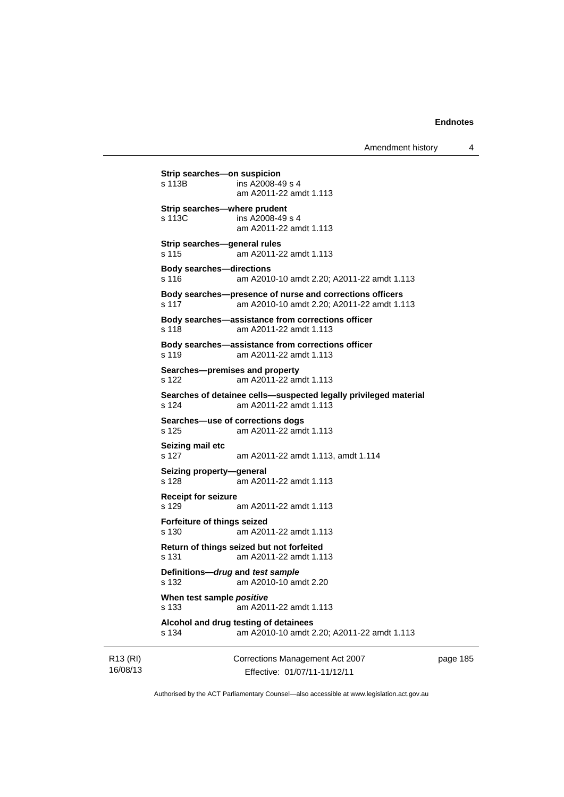Amendment history 4

```
R13 (RI) 
          Strip searches—on suspicion<br>s 113B ins A2008-4
                          ins A2008-49 s 4
                            am A2011-22 amdt 1.113 
          Strip searches—where prudent 
          s 113C ins A2008-49 s 4 
                            am A2011-22 amdt 1.113 
          Strip searches—general rules 
          s 115 am A2011-22 amdt 1.113 
          Body searches—directions 
          s 116 am A2010-10 amdt 2.20; A2011-22 amdt 1.113 
          Body searches—presence of nurse and corrections officers 
          s 117 am A2010-10 amdt 2.20; A2011-22 amdt 1.113 
          Body searches—assistance from corrections officer 
          s 118 am A2011-22 amdt 1.113 
           Body searches—assistance from corrections officer 
          s 119 am A2011-22 amdt 1.113 
          Searches—premises and property 
          s 122 am A2011-22 amdt 1.113 
          Searches of detainee cells—suspected legally privileged material 
          s 124 am A2011-22 amdt 1.113 
           Searches—use of corrections dogs 
          s 125 am A2011-22 amdt 1.113 
          Seizing mail etc 
          s 127 am A2011-22 amdt 1.113, amdt 1.114 
          Seizing property—general 
          s 128 am A2011-22 amdt 1.113 
          Receipt for seizure 
          s 129 am A2011-22 amdt 1.113 
          Forfeiture of things seized 
          s 130 am A2011-22 amdt 1.113 
          Return of things seized but not forfeited 
          s 131 am A2011-22 amdt 1.113 
          Definitions—drug and test sample
          s 132 am A2010-10 amdt 2.20 
          When test sample positive
          s 133 am A2011-22 amdt 1.113 
           Alcohol and drug testing of detainees 
          s 134 am A2010-10 amdt 2.20; A2011-22 amdt 1.113
```
16/08/13

Corrections Management Act 2007 Effective: 01/07/11-11/12/11

page 185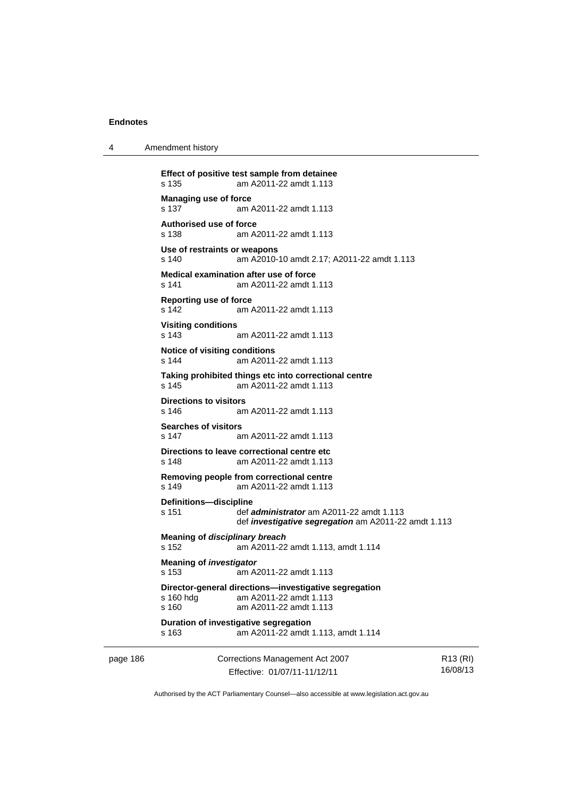4 Amendment history

```
page 186 Corrections Management Act 2007 
                                                                     R13 (RI)
          Effect of positive test sample from detainee 
          s 135 am A2011-22 amdt 1.113 
          Managing use of force 
          s 137 am A2011-22 amdt 1.113 
          Authorised use of force 
          s 138 am A2011-22 amdt 1.113 
          Use of restraints or weapons 
          s 140 am A2010-10 amdt 2.17; A2011-22 amdt 1.113 
          Medical examination after use of force 
          s 141 am A2011-22 amdt 1.113 
          Reporting use of force 
          s 142 am A2011-22 amdt 1.113 
          Visiting conditions 
          s 143 am A2011-22 amdt 1.113 
          Notice of visiting conditions 
          s 144 am A2011-22 amdt 1.113 
          Taking prohibited things etc into correctional centre 
          s 145 am A2011-22 amdt 1.113 
          Directions to visitors 
          s 146 am A2011-22 amdt 1.113 
          Searches of visitors 
          s 147 am A2011-22 amdt 1.113 
          Directions to leave correctional centre etc 
          s 148 am A2011-22 amdt 1.113 
          Removing people from correctional centre 
          s 149 am A2011-22 amdt 1.113 
          Definitions—discipline 
          s 151 def administrator am A2011-22 amdt 1.113 
                           def investigative segregation am A2011-22 amdt 1.113 
          Meaning of disciplinary breach
          s 152 am A2011-22 amdt 1.113, amdt 1.114 
          Meaning of investigator
          s 153 am A2011-22 amdt 1.113 
          Director-general directions—investigative segregation 
          s 160 hdg am A2011-22 amdt 1.113 
          s 160 am A2011-22 amdt 1.113 
          Duration of investigative segregation 
          s 163 am A2011-22 amdt 1.113, amdt 1.114
```
Authorised by the ACT Parliamentary Counsel—also accessible at www.legislation.act.gov.au

16/08/13

Effective: 01/07/11-11/12/11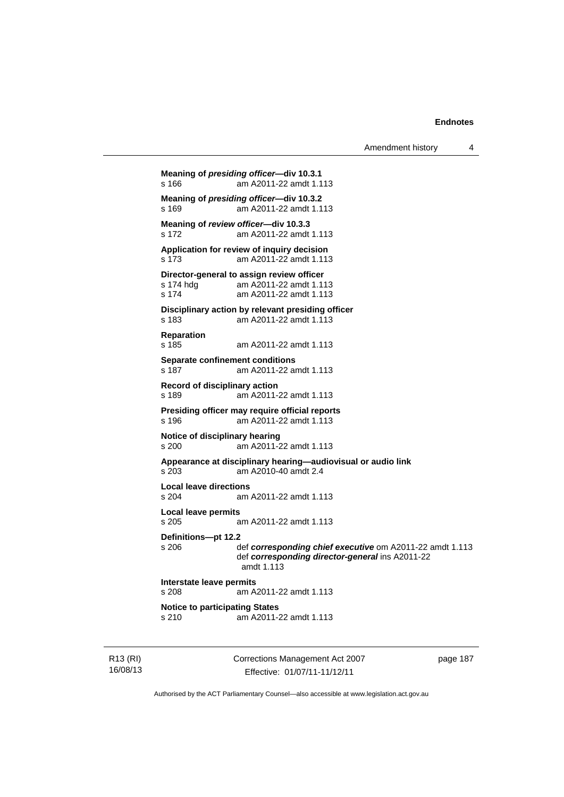Amendment history 4 **Meaning of** *presiding officer***—div 10.3.1**  s 166 am A2011-22 amdt 1.113 **Meaning of** *presiding officer***—div 10.3.2**  s 169 am A2011-22 amdt 1.113 **Meaning of** *review officer***—div 10.3.3**  s 172 am A2011-22 amdt 1.113 **Application for review of inquiry decision**  s 173 am A2011-22 amdt 1.113 **Director-general to assign review officer**<br>s 174 hdg am A2011-22 amdt 1.11 am A2011-22 amdt 1.113 s 174 am A2011-22 amdt 1.113 **Disciplinary action by relevant presiding officer**  s 183 am A2011-22 amdt 1.113 **Reparation**  s 185 am A2011-22 amdt 1.113 **Separate confinement conditions**  s 187 am A2011-22 amdt 1.113 **Record of disciplinary action**  s 189 am A2011-22 amdt 1.113 **Presiding officer may require official reports**  am A2011-22 amdt 1.113 **Notice of disciplinary hearing**  s 200 am A2011-22 amdt 1.113 **Appearance at disciplinary hearing—audiovisual or audio link**  s 203 am A2010-40 amdt 2.4 **Local leave directions**  s 204 am A2011-22 amdt 1.113 **Local leave permits**  s 205 am A2011-22 amdt 1.113 **Definitions—pt 12.2**  s 206 def *corresponding chief executive* om A2011-22 amdt 1.113 def *corresponding director-general* ins A2011-22 amdt 1.113 **Interstate leave permits**  s 208 am A2011-22 amdt 1.113 **Notice to participating States**<br>s 210 am A2011-2 s 210 am A2011-22 amdt 1.113

R13 (RI) 16/08/13 Corrections Management Act 2007 Effective: 01/07/11-11/12/11

page 187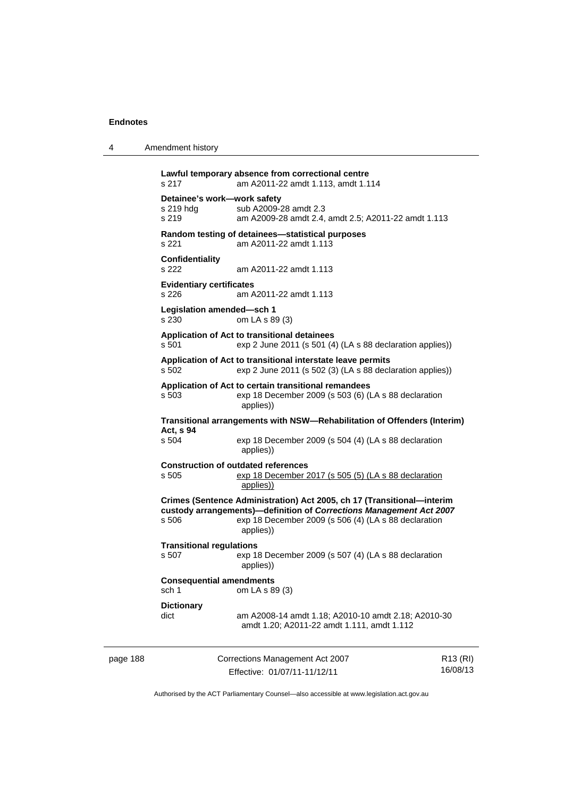4 Amendment history

ı

l,

|                                                                          | s 217                                             | Lawful temporary absence from correctional centre<br>am A2011-22 amdt 1.113, amdt 1.114                                                                                                                            |                 |
|--------------------------------------------------------------------------|---------------------------------------------------|--------------------------------------------------------------------------------------------------------------------------------------------------------------------------------------------------------------------|-----------------|
|                                                                          | Detainee's work-work safety<br>s 219 hdg<br>s 219 | sub A2009-28 amdt 2.3<br>am A2009-28 amdt 2.4, amdt 2.5; A2011-22 amdt 1.113                                                                                                                                       |                 |
|                                                                          | s 221                                             | Random testing of detainees-statistical purposes<br>am A2011-22 amdt 1.113                                                                                                                                         |                 |
|                                                                          | <b>Confidentiality</b><br>s 222                   | am A2011-22 amdt 1.113                                                                                                                                                                                             |                 |
|                                                                          | <b>Evidentiary certificates</b><br>s 226          | am A2011-22 amdt 1.113                                                                                                                                                                                             |                 |
|                                                                          | Legislation amended-sch 1<br>s 230                | om LA s 89 (3)                                                                                                                                                                                                     |                 |
|                                                                          | s 501                                             | Application of Act to transitional detainees<br>exp 2 June 2011 (s 501 (4) (LA s 88 declaration applies))                                                                                                          |                 |
|                                                                          | s 502                                             | Application of Act to transitional interstate leave permits<br>exp 2 June 2011 (s 502 (3) (LA s 88 declaration applies))                                                                                           |                 |
|                                                                          | s 503                                             | Application of Act to certain transitional remandees<br>exp 18 December 2009 (s 503 (6) (LA s 88 declaration<br>applies))                                                                                          |                 |
| Transitional arrangements with NSW—Rehabilitation of Offenders (Interim) |                                                   |                                                                                                                                                                                                                    |                 |
|                                                                          | Act, s 94<br>s 504                                | exp 18 December 2009 (s 504 (4) (LA s 88 declaration<br>applies))                                                                                                                                                  |                 |
|                                                                          | s 505                                             | <b>Construction of outdated references</b><br>exp 18 December 2017 (s 505 (5) (LA s 88 declaration<br>applies))                                                                                                    |                 |
|                                                                          | s 506                                             | Crimes (Sentence Administration) Act 2005, ch 17 (Transitional-interim<br>custody arrangements)-definition of Corrections Management Act 2007<br>exp 18 December 2009 (s 506 (4) (LA s 88 declaration<br>applies)) |                 |
|                                                                          | <b>Transitional regulations</b><br>s 507          | exp 18 December 2009 (s 507 (4) (LA s 88 declaration<br>applies))                                                                                                                                                  |                 |
|                                                                          | <b>Consequential amendments</b><br>sch 1          | om LA s 89 (3)                                                                                                                                                                                                     |                 |
|                                                                          | <b>Dictionary</b><br>dict                         | am A2008-14 amdt 1.18; A2010-10 amdt 2.18; A2010-30<br>amdt 1.20; A2011-22 amdt 1.111, amdt 1.112                                                                                                                  |                 |
|                                                                          |                                                   | Corrections Management Act 2007                                                                                                                                                                                    | <b>D13 (DI)</b> |

| page 188 | Corrections Management Act 2007 |          |
|----------|---------------------------------|----------|
|          | Effective: 01/07/11-11/12/11    | 16/08/13 |
|          |                                 |          |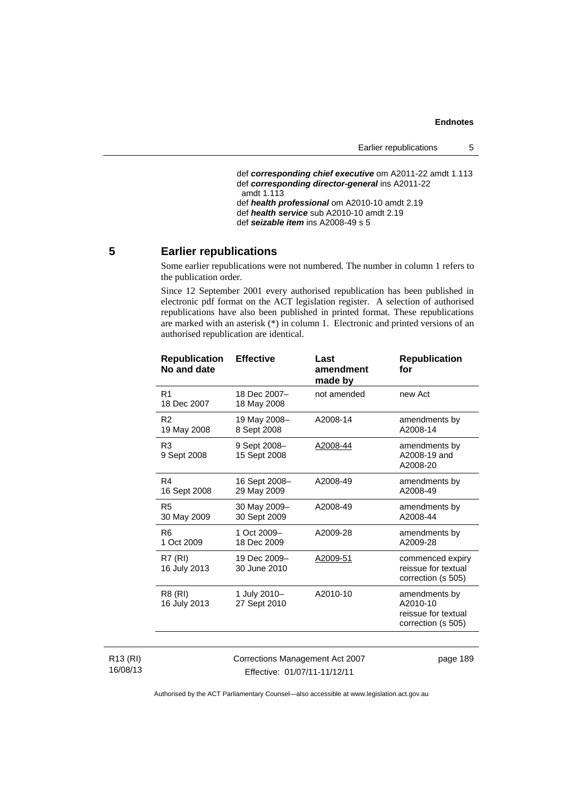Earlier republications 5

```
 def corresponding chief executive om A2011-22 amdt 1.113 
 def corresponding director-general ins A2011-22 
amdt 1.113 
 def health professional om A2010-10 amdt 2.19 
 def health service sub A2010-10 amdt 2.19 
 def seizable item ins A2008-49 s 5
```
# **5 Earlier republications**

Some earlier republications were not numbered. The number in column 1 refers to the publication order.

Since 12 September 2001 every authorised republication has been published in electronic pdf format on the ACT legislation register. A selection of authorised republications have also been published in printed format. These republications are marked with an asterisk (\*) in column 1. Electronic and printed versions of an authorised republication are identical.

| <b>Republication</b><br>No and date | <b>Effective</b>             | Last<br>amendment<br>made by | <b>Republication</b><br>for                                            |
|-------------------------------------|------------------------------|------------------------------|------------------------------------------------------------------------|
| R <sub>1</sub><br>18 Dec 2007       | 18 Dec 2007-<br>18 May 2008  | not amended                  | new Act                                                                |
| R <sub>2</sub><br>19 May 2008       | 19 May 2008-<br>8 Sept 2008  | A2008-14                     | amendments by<br>A2008-14                                              |
| R <sub>3</sub><br>9 Sept 2008       | 9 Sept 2008-<br>15 Sept 2008 | A2008-44                     | amendments by<br>A2008-19 and<br>A2008-20                              |
| R4<br>16 Sept 2008                  | 16 Sept 2008-<br>29 May 2009 | A2008-49                     | amendments by<br>A2008-49                                              |
| R <sub>5</sub><br>30 May 2009       | 30 May 2009-<br>30 Sept 2009 | A2008-49                     | amendments by<br>A2008-44                                              |
| R <sub>6</sub><br>1 Oct 2009        | 1 Oct 2009-<br>18 Dec 2009   | A2009-28                     | amendments by<br>A2009-28                                              |
| <b>R7 (RI)</b><br>16 July 2013      | 19 Dec 2009-<br>30 June 2010 | A2009-51                     | commenced expiry<br>reissue for textual<br>correction (s 505)          |
| R8 (RI)<br>16 July 2013             | 1 July 2010-<br>27 Sept 2010 | A2010-10                     | amendments by<br>A2010-10<br>reissue for textual<br>correction (s 505) |
|                                     |                              |                              |                                                                        |

R13 (RI) 16/08/13 Corrections Management Act 2007 Effective: 01/07/11-11/12/11

page 189